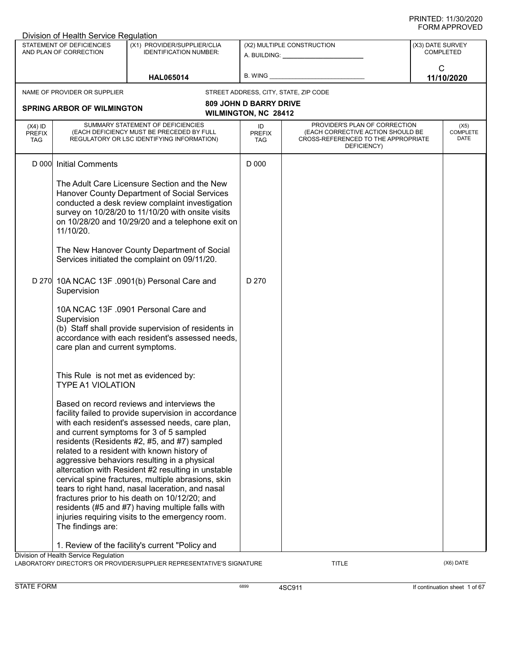|                                          | Division of Health Service Regulation                             |                                                                                                                                                                                                                                                                                                                                                                                                                                                                                                                                                                                                                                                                          |                                                       |                                                                                                                          |                  |                                 |
|------------------------------------------|-------------------------------------------------------------------|--------------------------------------------------------------------------------------------------------------------------------------------------------------------------------------------------------------------------------------------------------------------------------------------------------------------------------------------------------------------------------------------------------------------------------------------------------------------------------------------------------------------------------------------------------------------------------------------------------------------------------------------------------------------------|-------------------------------------------------------|--------------------------------------------------------------------------------------------------------------------------|------------------|---------------------------------|
|                                          | STATEMENT OF DEFICIENCIES<br>AND PLAN OF CORRECTION               | (X1) PROVIDER/SUPPLIER/CLIA<br><b>IDENTIFICATION NUMBER:</b>                                                                                                                                                                                                                                                                                                                                                                                                                                                                                                                                                                                                             |                                                       | (X2) MULTIPLE CONSTRUCTION                                                                                               | (X3) DATE SURVEY | <b>COMPLETED</b>                |
|                                          |                                                                   | <b>HAL065014</b>                                                                                                                                                                                                                                                                                                                                                                                                                                                                                                                                                                                                                                                         | B. WING                                               |                                                                                                                          | C                | 11/10/2020                      |
|                                          | NAME OF PROVIDER OR SUPPLIER                                      |                                                                                                                                                                                                                                                                                                                                                                                                                                                                                                                                                                                                                                                                          |                                                       | STREET ADDRESS, CITY, STATE, ZIP CODE                                                                                    |                  |                                 |
|                                          | <b>SPRING ARBOR OF WILMINGTON</b>                                 |                                                                                                                                                                                                                                                                                                                                                                                                                                                                                                                                                                                                                                                                          | <b>809 JOHN D BARRY DRIVE</b><br>WILMINGTON, NC 28412 |                                                                                                                          |                  |                                 |
| $(X4)$ ID<br><b>PREFIX</b><br><b>TAG</b> |                                                                   | SUMMARY STATEMENT OF DEFICIENCIES<br>(EACH DEFICIENCY MUST BE PRECEDED BY FULL<br>REGULATORY OR LSC IDENTIFYING INFORMATION)                                                                                                                                                                                                                                                                                                                                                                                                                                                                                                                                             | ID<br><b>PREFIX</b><br><b>TAG</b>                     | PROVIDER'S PLAN OF CORRECTION<br>(EACH CORRECTIVE ACTION SHOULD BE<br>CROSS-REFERENCED TO THE APPROPRIATE<br>DEFICIENCY) |                  | (X5)<br><b>COMPLETE</b><br>DATE |
|                                          | D 000 Initial Comments                                            |                                                                                                                                                                                                                                                                                                                                                                                                                                                                                                                                                                                                                                                                          | D 000                                                 |                                                                                                                          |                  |                                 |
|                                          | 11/10/20.                                                         | The Adult Care Licensure Section and the New<br>Hanover County Department of Social Services<br>conducted a desk review complaint investigation<br>survey on 10/28/20 to 11/10/20 with onsite visits<br>on 10/28/20 and 10/29/20 and a telephone exit on<br>The New Hanover County Department of Social<br>Services initiated the complaint on 09/11/20.                                                                                                                                                                                                                                                                                                                 |                                                       |                                                                                                                          |                  |                                 |
|                                          | Supervision                                                       | D 270 10A NCAC 13F .0901(b) Personal Care and                                                                                                                                                                                                                                                                                                                                                                                                                                                                                                                                                                                                                            | D 270                                                 |                                                                                                                          |                  |                                 |
|                                          | Supervision<br>care plan and current symptoms.                    | 10A NCAC 13F .0901 Personal Care and<br>(b) Staff shall provide supervision of residents in<br>accordance with each resident's assessed needs,                                                                                                                                                                                                                                                                                                                                                                                                                                                                                                                           |                                                       |                                                                                                                          |                  |                                 |
|                                          | This Rule is not met as evidenced by:<br><b>TYPE A1 VIOLATION</b> |                                                                                                                                                                                                                                                                                                                                                                                                                                                                                                                                                                                                                                                                          |                                                       |                                                                                                                          |                  |                                 |
|                                          | The findings are:                                                 | Based on record reviews and interviews the<br>facility failed to provide supervision in accordance<br>with each resident's assessed needs, care plan,<br>and current symptoms for 3 of 5 sampled<br>residents (Residents #2, #5, and #7) sampled<br>related to a resident with known history of<br>aggressive behaviors resulting in a physical<br>altercation with Resident #2 resulting in unstable<br>cervical spine fractures, multiple abrasions, skin<br>tears to right hand, nasal laceration, and nasal<br>fractures prior to his death on 10/12/20; and<br>residents (#5 and #7) having multiple falls with<br>injuries requiring visits to the emergency room. |                                                       |                                                                                                                          |                  |                                 |
|                                          | Division of Health Service Regulation                             | 1. Review of the facility's current "Policy and                                                                                                                                                                                                                                                                                                                                                                                                                                                                                                                                                                                                                          |                                                       |                                                                                                                          |                  |                                 |
|                                          |                                                                   | LABORATORY DIRECTOR'S OR PROVIDER/SUPPLIER REPRESENTATIVE'S SIGNATURE                                                                                                                                                                                                                                                                                                                                                                                                                                                                                                                                                                                                    |                                                       | TITLE                                                                                                                    |                  | (X6) DATE                       |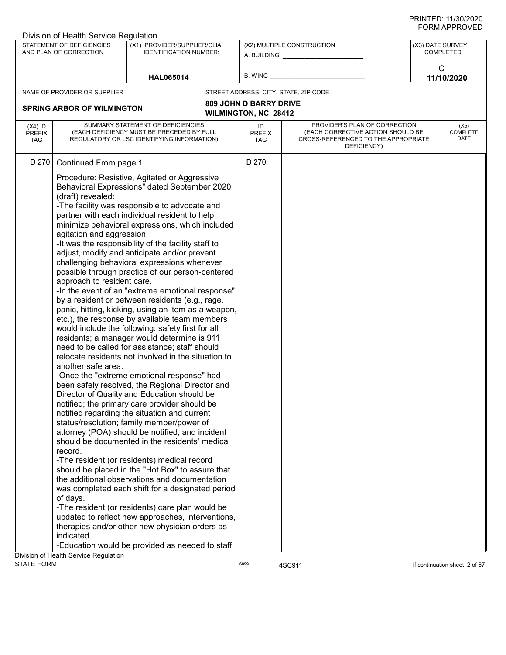|                                          | Division of Health Service Regulation                                                                                     |                                                                                                                                                                                                                                                                                                                                                                                                                                                                                                                                                                                                                                                                                                                                                                                                                                                                                                                                                                                                                                                                                                                                                                                                                                                                                                                                                                                                                                                                                                                                                                                                            |                                   |                                                                                                                          |                  |                                 |
|------------------------------------------|---------------------------------------------------------------------------------------------------------------------------|------------------------------------------------------------------------------------------------------------------------------------------------------------------------------------------------------------------------------------------------------------------------------------------------------------------------------------------------------------------------------------------------------------------------------------------------------------------------------------------------------------------------------------------------------------------------------------------------------------------------------------------------------------------------------------------------------------------------------------------------------------------------------------------------------------------------------------------------------------------------------------------------------------------------------------------------------------------------------------------------------------------------------------------------------------------------------------------------------------------------------------------------------------------------------------------------------------------------------------------------------------------------------------------------------------------------------------------------------------------------------------------------------------------------------------------------------------------------------------------------------------------------------------------------------------------------------------------------------------|-----------------------------------|--------------------------------------------------------------------------------------------------------------------------|------------------|---------------------------------|
|                                          | STATEMENT OF DEFICIENCIES<br>AND PLAN OF CORRECTION                                                                       | (X1) PROVIDER/SUPPLIER/CLIA<br><b>IDENTIFICATION NUMBER:</b>                                                                                                                                                                                                                                                                                                                                                                                                                                                                                                                                                                                                                                                                                                                                                                                                                                                                                                                                                                                                                                                                                                                                                                                                                                                                                                                                                                                                                                                                                                                                               |                                   | (X2) MULTIPLE CONSTRUCTION<br>A. BUILDING: A. BUILDING:                                                                  | (X3) DATE SURVEY | <b>COMPLETED</b>                |
|                                          |                                                                                                                           | <b>HAL065014</b>                                                                                                                                                                                                                                                                                                                                                                                                                                                                                                                                                                                                                                                                                                                                                                                                                                                                                                                                                                                                                                                                                                                                                                                                                                                                                                                                                                                                                                                                                                                                                                                           | B. WING                           |                                                                                                                          | $\mathsf{C}$     | 11/10/2020                      |
|                                          | NAME OF PROVIDER OR SUPPLIER                                                                                              |                                                                                                                                                                                                                                                                                                                                                                                                                                                                                                                                                                                                                                                                                                                                                                                                                                                                                                                                                                                                                                                                                                                                                                                                                                                                                                                                                                                                                                                                                                                                                                                                            |                                   | STREET ADDRESS, CITY, STATE, ZIP CODE                                                                                    |                  |                                 |
|                                          |                                                                                                                           |                                                                                                                                                                                                                                                                                                                                                                                                                                                                                                                                                                                                                                                                                                                                                                                                                                                                                                                                                                                                                                                                                                                                                                                                                                                                                                                                                                                                                                                                                                                                                                                                            | <b>809 JOHN D BARRY DRIVE</b>     |                                                                                                                          |                  |                                 |
|                                          | <b>SPRING ARBOR OF WILMINGTON</b>                                                                                         |                                                                                                                                                                                                                                                                                                                                                                                                                                                                                                                                                                                                                                                                                                                                                                                                                                                                                                                                                                                                                                                                                                                                                                                                                                                                                                                                                                                                                                                                                                                                                                                                            | WILMINGTON, NC 28412              |                                                                                                                          |                  |                                 |
|                                          |                                                                                                                           |                                                                                                                                                                                                                                                                                                                                                                                                                                                                                                                                                                                                                                                                                                                                                                                                                                                                                                                                                                                                                                                                                                                                                                                                                                                                                                                                                                                                                                                                                                                                                                                                            |                                   |                                                                                                                          |                  |                                 |
| $(X4)$ ID<br><b>PREFIX</b><br><b>TAG</b> |                                                                                                                           | SUMMARY STATEMENT OF DEFICIENCIES<br>(EACH DEFICIENCY MUST BE PRECEDED BY FULL<br>REGULATORY OR LSC IDENTIFYING INFORMATION)                                                                                                                                                                                                                                                                                                                                                                                                                                                                                                                                                                                                                                                                                                                                                                                                                                                                                                                                                                                                                                                                                                                                                                                                                                                                                                                                                                                                                                                                               | ID<br><b>PREFIX</b><br><b>TAG</b> | PROVIDER'S PLAN OF CORRECTION<br>(EACH CORRECTIVE ACTION SHOULD BE<br>CROSS-REFERENCED TO THE APPROPRIATE<br>DEFICIENCY) |                  | (X5)<br><b>COMPLETE</b><br>DATE |
| D 270                                    | Continued From page 1                                                                                                     |                                                                                                                                                                                                                                                                                                                                                                                                                                                                                                                                                                                                                                                                                                                                                                                                                                                                                                                                                                                                                                                                                                                                                                                                                                                                                                                                                                                                                                                                                                                                                                                                            | D 270                             |                                                                                                                          |                  |                                 |
|                                          | (draft) revealed:<br>agitation and aggression.<br>approach to resident care.<br>another safe area.<br>record.<br>of days. | Procedure: Resistive, Agitated or Aggressive<br>Behavioral Expressions" dated September 2020<br>-The facility was responsible to advocate and<br>partner with each individual resident to help<br>minimize behavioral expressions, which included<br>-It was the responsibility of the facility staff to<br>adjust, modify and anticipate and/or prevent<br>challenging behavioral expressions whenever<br>possible through practice of our person-centered<br>-In the event of an "extreme emotional response"<br>by a resident or between residents (e.g., rage,<br>panic, hitting, kicking, using an item as a weapon,<br>etc.), the response by available team members<br>would include the following: safety first for all<br>residents; a manager would determine is 911<br>need to be called for assistance; staff should<br>relocate residents not involved in the situation to<br>-Once the "extreme emotional response" had<br>been safely resolved, the Regional Director and<br>Director of Quality and Education should be<br>notified; the primary care provider should be<br>notified regarding the situation and current<br>status/resolution; family member/power of<br>attorney (POA) should be notified, and incident<br>should be documented in the residents' medical<br>-The resident (or residents) medical record<br>should be placed in the "Hot Box" to assure that<br>the additional observations and documentation<br>was completed each shift for a designated period<br>-The resident (or residents) care plan would be<br>updated to reflect new approaches, interventions, |                                   |                                                                                                                          |                  |                                 |
|                                          | indicated.                                                                                                                | therapies and/or other new physician orders as                                                                                                                                                                                                                                                                                                                                                                                                                                                                                                                                                                                                                                                                                                                                                                                                                                                                                                                                                                                                                                                                                                                                                                                                                                                                                                                                                                                                                                                                                                                                                             |                                   |                                                                                                                          |                  |                                 |
|                                          |                                                                                                                           | -Education would be provided as needed to staff                                                                                                                                                                                                                                                                                                                                                                                                                                                                                                                                                                                                                                                                                                                                                                                                                                                                                                                                                                                                                                                                                                                                                                                                                                                                                                                                                                                                                                                                                                                                                            |                                   |                                                                                                                          |                  |                                 |
|                                          | Division of Health Service Regulation                                                                                     |                                                                                                                                                                                                                                                                                                                                                                                                                                                                                                                                                                                                                                                                                                                                                                                                                                                                                                                                                                                                                                                                                                                                                                                                                                                                                                                                                                                                                                                                                                                                                                                                            |                                   |                                                                                                                          |                  |                                 |
| <b>STATE FORM</b>                        |                                                                                                                           |                                                                                                                                                                                                                                                                                                                                                                                                                                                                                                                                                                                                                                                                                                                                                                                                                                                                                                                                                                                                                                                                                                                                                                                                                                                                                                                                                                                                                                                                                                                                                                                                            | 6899                              | 4SC911                                                                                                                   |                  | If continuation sheet 2 of 67   |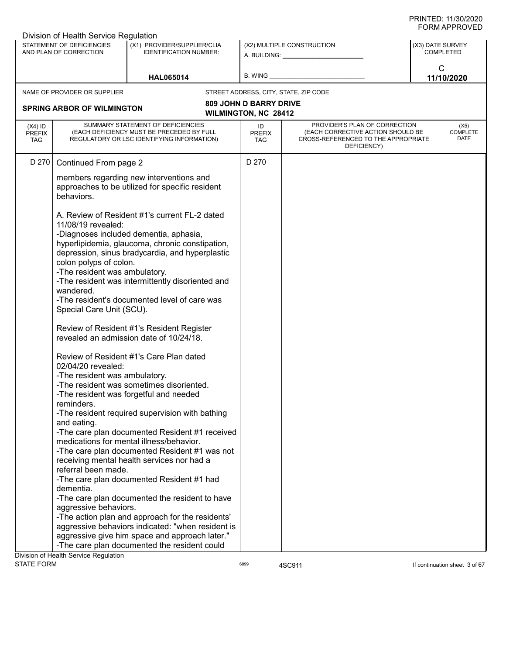|                                   | Division of Health Service Regulation                                                                                                                                                                                                                                   |                                                                                                                                                                                                                                                                                                                                                                                                                                                                                                                                                                                                                                                                                                                                                                                                                                                                                                                               |                                   |                                                                                                                          | <b>JINIAL LIVALL</b>                 |
|-----------------------------------|-------------------------------------------------------------------------------------------------------------------------------------------------------------------------------------------------------------------------------------------------------------------------|-------------------------------------------------------------------------------------------------------------------------------------------------------------------------------------------------------------------------------------------------------------------------------------------------------------------------------------------------------------------------------------------------------------------------------------------------------------------------------------------------------------------------------------------------------------------------------------------------------------------------------------------------------------------------------------------------------------------------------------------------------------------------------------------------------------------------------------------------------------------------------------------------------------------------------|-----------------------------------|--------------------------------------------------------------------------------------------------------------------------|--------------------------------------|
|                                   | <b>STATEMENT OF DEFICIENCIES</b><br>AND PLAN OF CORRECTION                                                                                                                                                                                                              | (X1) PROVIDER/SUPPLIER/CLIA<br><b>IDENTIFICATION NUMBER:</b>                                                                                                                                                                                                                                                                                                                                                                                                                                                                                                                                                                                                                                                                                                                                                                                                                                                                  |                                   | (X2) MULTIPLE CONSTRUCTION<br>A. BUILDING: A. BUILDING:                                                                  | (X3) DATE SURVEY<br><b>COMPLETED</b> |
|                                   |                                                                                                                                                                                                                                                                         |                                                                                                                                                                                                                                                                                                                                                                                                                                                                                                                                                                                                                                                                                                                                                                                                                                                                                                                               |                                   |                                                                                                                          |                                      |
|                                   |                                                                                                                                                                                                                                                                         | <b>HAL065014</b>                                                                                                                                                                                                                                                                                                                                                                                                                                                                                                                                                                                                                                                                                                                                                                                                                                                                                                              |                                   | B. WING <b>Example 2008</b>                                                                                              | $\mathsf{C}$<br>11/10/2020           |
|                                   | NAME OF PROVIDER OR SUPPLIER                                                                                                                                                                                                                                            |                                                                                                                                                                                                                                                                                                                                                                                                                                                                                                                                                                                                                                                                                                                                                                                                                                                                                                                               |                                   | STREET ADDRESS, CITY, STATE, ZIP CODE                                                                                    |                                      |
|                                   |                                                                                                                                                                                                                                                                         |                                                                                                                                                                                                                                                                                                                                                                                                                                                                                                                                                                                                                                                                                                                                                                                                                                                                                                                               | <b>809 JOHN D BARRY DRIVE</b>     |                                                                                                                          |                                      |
|                                   | <b>SPRING ARBOR OF WILMINGTON</b>                                                                                                                                                                                                                                       |                                                                                                                                                                                                                                                                                                                                                                                                                                                                                                                                                                                                                                                                                                                                                                                                                                                                                                                               | <b>WILMINGTON, NC 28412</b>       |                                                                                                                          |                                      |
| $(X4)$ ID<br><b>PREFIX</b><br>TAG |                                                                                                                                                                                                                                                                         | SUMMARY STATEMENT OF DEFICIENCIES<br>(EACH DEFICIENCY MUST BE PRECEDED BY FULL<br>REGULATORY OR LSC IDENTIFYING INFORMATION)                                                                                                                                                                                                                                                                                                                                                                                                                                                                                                                                                                                                                                                                                                                                                                                                  | ID<br><b>PREFIX</b><br><b>TAG</b> | PROVIDER'S PLAN OF CORRECTION<br>(EACH CORRECTIVE ACTION SHOULD BE<br>CROSS-REFERENCED TO THE APPROPRIATE<br>DEFICIENCY) | (X5)<br><b>COMPLETE</b><br>DATE      |
| D 270                             | Continued From page 2                                                                                                                                                                                                                                                   |                                                                                                                                                                                                                                                                                                                                                                                                                                                                                                                                                                                                                                                                                                                                                                                                                                                                                                                               | D 270                             |                                                                                                                          |                                      |
|                                   | behaviors.                                                                                                                                                                                                                                                              | members regarding new interventions and<br>approaches to be utilized for specific resident                                                                                                                                                                                                                                                                                                                                                                                                                                                                                                                                                                                                                                                                                                                                                                                                                                    |                                   |                                                                                                                          |                                      |
|                                   | 11/08/19 revealed:<br>colon polyps of colon.<br>-The resident was ambulatory.<br>wandered.<br>Special Care Unit (SCU).<br>02/04/20 revealed:<br>-The resident was ambulatory.<br>reminders.<br>and eating.<br>referral been made.<br>dementia.<br>aggressive behaviors. | A. Review of Resident #1's current FL-2 dated<br>-Diagnoses included dementia, aphasia,<br>hyperlipidemia, glaucoma, chronic constipation,<br>depression, sinus bradycardia, and hyperplastic<br>-The resident was intermittently disoriented and<br>-The resident's documented level of care was<br>Review of Resident #1's Resident Register<br>revealed an admission date of 10/24/18.<br>Review of Resident #1's Care Plan dated<br>-The resident was sometimes disoriented.<br>-The resident was forgetful and needed<br>-The resident required supervision with bathing<br>-The care plan documented Resident #1 received<br>medications for mental illness/behavior.<br>-The care plan documented Resident #1 was not<br>receiving mental health services nor had a<br>-The care plan documented Resident #1 had<br>-The care plan documented the resident to have<br>-The action plan and approach for the residents' |                                   |                                                                                                                          |                                      |
|                                   |                                                                                                                                                                                                                                                                         | aggressive behaviors indicated: "when resident is<br>aggressive give him space and approach later."                                                                                                                                                                                                                                                                                                                                                                                                                                                                                                                                                                                                                                                                                                                                                                                                                           |                                   |                                                                                                                          |                                      |
|                                   | Division of Health Service Regulation                                                                                                                                                                                                                                   | -The care plan documented the resident could                                                                                                                                                                                                                                                                                                                                                                                                                                                                                                                                                                                                                                                                                                                                                                                                                                                                                  |                                   |                                                                                                                          |                                      |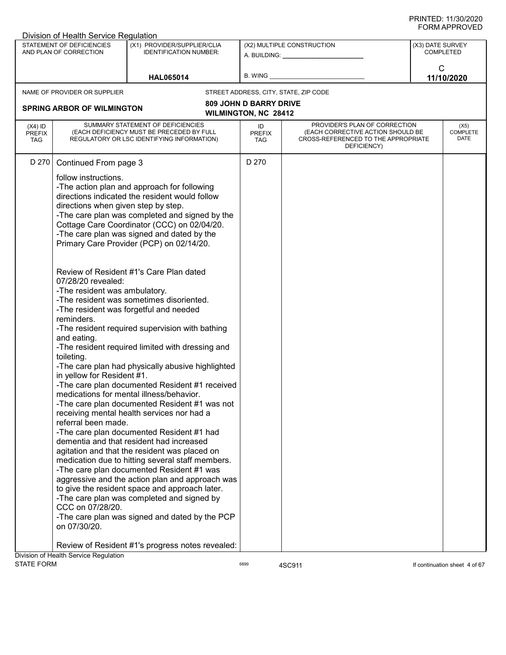|                                          | Division of Health Service Regulation                                                                                                                                                                                                                                           |                                                                                                                                                                                                                                                                                                                                                                                                                                                                                                                                                                                                                                                                                                                                                                                                                                                                                                                                                                                                                                                                                                                                                                                                                                                                                        |                                                              |                                                                                                                          |                  |                                 |
|------------------------------------------|---------------------------------------------------------------------------------------------------------------------------------------------------------------------------------------------------------------------------------------------------------------------------------|----------------------------------------------------------------------------------------------------------------------------------------------------------------------------------------------------------------------------------------------------------------------------------------------------------------------------------------------------------------------------------------------------------------------------------------------------------------------------------------------------------------------------------------------------------------------------------------------------------------------------------------------------------------------------------------------------------------------------------------------------------------------------------------------------------------------------------------------------------------------------------------------------------------------------------------------------------------------------------------------------------------------------------------------------------------------------------------------------------------------------------------------------------------------------------------------------------------------------------------------------------------------------------------|--------------------------------------------------------------|--------------------------------------------------------------------------------------------------------------------------|------------------|---------------------------------|
|                                          | STATEMENT OF DEFICIENCIES<br>AND PLAN OF CORRECTION                                                                                                                                                                                                                             | (X1) PROVIDER/SUPPLIER/CLIA<br><b>IDENTIFICATION NUMBER:</b>                                                                                                                                                                                                                                                                                                                                                                                                                                                                                                                                                                                                                                                                                                                                                                                                                                                                                                                                                                                                                                                                                                                                                                                                                           |                                                              | (X2) MULTIPLE CONSTRUCTION<br>A. BUILDING: A. BUILDING:                                                                  | (X3) DATE SURVEY | COMPLETED                       |
|                                          |                                                                                                                                                                                                                                                                                 | <b>HAL065014</b>                                                                                                                                                                                                                                                                                                                                                                                                                                                                                                                                                                                                                                                                                                                                                                                                                                                                                                                                                                                                                                                                                                                                                                                                                                                                       | B. WING                                                      |                                                                                                                          | C                | 11/10/2020                      |
|                                          | NAME OF PROVIDER OR SUPPLIER                                                                                                                                                                                                                                                    |                                                                                                                                                                                                                                                                                                                                                                                                                                                                                                                                                                                                                                                                                                                                                                                                                                                                                                                                                                                                                                                                                                                                                                                                                                                                                        |                                                              | STREET ADDRESS, CITY, STATE, ZIP CODE                                                                                    |                  |                                 |
|                                          | <b>SPRING ARBOR OF WILMINGTON</b>                                                                                                                                                                                                                                               |                                                                                                                                                                                                                                                                                                                                                                                                                                                                                                                                                                                                                                                                                                                                                                                                                                                                                                                                                                                                                                                                                                                                                                                                                                                                                        | <b>809 JOHN D BARRY DRIVE</b><br><b>WILMINGTON, NC 28412</b> |                                                                                                                          |                  |                                 |
| $(X4)$ ID<br><b>PREFIX</b><br><b>TAG</b> |                                                                                                                                                                                                                                                                                 | SUMMARY STATEMENT OF DEFICIENCIES<br>(EACH DEFICIENCY MUST BE PRECEDED BY FULL<br>REGULATORY OR LSC IDENTIFYING INFORMATION)                                                                                                                                                                                                                                                                                                                                                                                                                                                                                                                                                                                                                                                                                                                                                                                                                                                                                                                                                                                                                                                                                                                                                           | ID<br><b>PREFIX</b><br><b>TAG</b>                            | PROVIDER'S PLAN OF CORRECTION<br>(EACH CORRECTIVE ACTION SHOULD BE<br>CROSS-REFERENCED TO THE APPROPRIATE<br>DEFICIENCY) |                  | (X5)<br><b>COMPLETE</b><br>DATE |
| D 270                                    | Continued From page 3<br>follow instructions.<br>directions when given step by step.<br>07/28/20 revealed:<br>-The resident was ambulatory.<br>reminders.<br>and eating.<br>toileting.<br>in yellow for Resident #1.<br>referral been made.<br>CCC on 07/28/20.<br>on 07/30/20. | -The action plan and approach for following<br>directions indicated the resident would follow<br>-The care plan was completed and signed by the<br>Cottage Care Coordinator (CCC) on 02/04/20.<br>-The care plan was signed and dated by the<br>Primary Care Provider (PCP) on 02/14/20.<br>Review of Resident #1's Care Plan dated<br>-The resident was sometimes disoriented.<br>-The resident was forgetful and needed<br>-The resident required supervision with bathing<br>-The resident required limited with dressing and<br>-The care plan had physically abusive highlighted<br>-The care plan documented Resident #1 received<br>medications for mental illness/behavior.<br>-The care plan documented Resident #1 was not<br>receiving mental health services nor had a<br>-The care plan documented Resident #1 had<br>dementia and that resident had increased<br>agitation and that the resident was placed on<br>medication due to hitting several staff members.<br>-The care plan documented Resident #1 was<br>aggressive and the action plan and approach was<br>to give the resident space and approach later.<br>-The care plan was completed and signed by<br>-The care plan was signed and dated by the PCP<br>Review of Resident #1's progress notes revealed: | D 270                                                        |                                                                                                                          |                  |                                 |
|                                          | Division of Health Service Regulation                                                                                                                                                                                                                                           |                                                                                                                                                                                                                                                                                                                                                                                                                                                                                                                                                                                                                                                                                                                                                                                                                                                                                                                                                                                                                                                                                                                                                                                                                                                                                        |                                                              |                                                                                                                          |                  |                                 |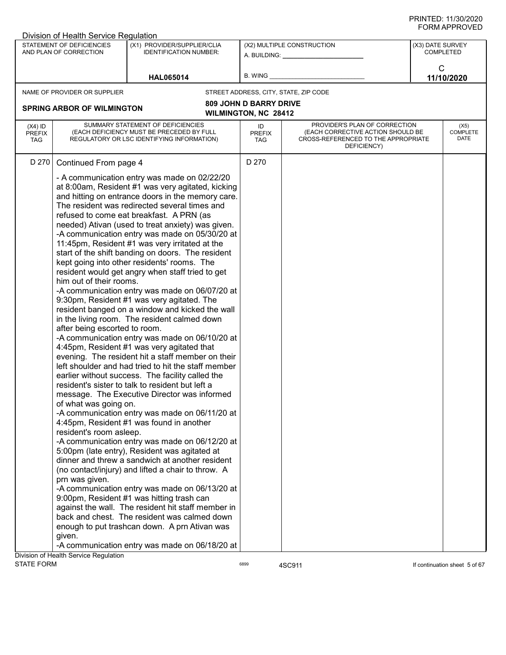| STATEMENT OF DEFICIENCIES<br>(X1) PROVIDER/SUPPLIER/CLIA<br>(X2) MULTIPLE CONSTRUCTION<br>(X3) DATE SURVEY<br><b>COMPLETED</b><br>AND PLAN OF CORRECTION<br><b>IDENTIFICATION NUMBER:</b><br>A. BUILDING: A.<br>C<br>B. WING<br>11/10/2020<br><b>HAL065014</b><br>NAME OF PROVIDER OR SUPPLIER<br>STREET ADDRESS, CITY, STATE, ZIP CODE<br><b>809 JOHN D BARRY DRIVE</b><br><b>SPRING ARBOR OF WILMINGTON</b><br><b>WILMINGTON, NC 28412</b><br>PROVIDER'S PLAN OF CORRECTION<br>SUMMARY STATEMENT OF DEFICIENCIES<br>$(X4)$ ID<br>ID<br>(X5)<br><b>COMPLETE</b><br>(EACH DEFICIENCY MUST BE PRECEDED BY FULL<br>(EACH CORRECTIVE ACTION SHOULD BE<br><b>PREFIX</b><br><b>PREFIX</b><br>DATE<br>REGULATORY OR LSC IDENTIFYING INFORMATION)<br>CROSS-REFERENCED TO THE APPROPRIATE<br><b>TAG</b><br>TAG<br>DEFICIENCY)<br>D 270<br>D 270<br>Continued From page 4<br>- A communication entry was made on 02/22/20<br>at 8:00am, Resident #1 was very agitated, kicking<br>and hitting on entrance doors in the memory care.<br>The resident was redirected several times and<br>refused to come eat breakfast. A PRN (as<br>needed) Ativan (used to treat anxiety) was given.<br>-A communication entry was made on 05/30/20 at<br>11:45pm, Resident #1 was very irritated at the<br>start of the shift banding on doors. The resident<br>kept going into other residents' rooms. The<br>resident would get angry when staff tried to get<br>him out of their rooms.<br>-A communication entry was made on 06/07/20 at<br>9:30pm, Resident #1 was very agitated. The<br>resident banged on a window and kicked the wall<br>in the living room. The resident calmed down<br>after being escorted to room.<br>-A communication entry was made on 06/10/20 at<br>4:45pm, Resident #1 was very agitated that<br>evening. The resident hit a staff member on their<br>left shoulder and had tried to hit the staff member<br>earlier without success. The facility called the<br>resident's sister to talk to resident but left a<br>message. The Executive Director was informed<br>of what was going on.<br>-A communication entry was made on 06/11/20 at<br>4:45pm, Resident #1 was found in another<br>resident's room asleep.<br>-A communication entry was made on 06/12/20 at<br>5:00pm (late entry), Resident was agitated at<br>dinner and threw a sandwich at another resident<br>(no contact/injury) and lifted a chair to throw. A<br>prn was given.<br>-A communication entry was made on 06/13/20 at<br>9:00pm, Resident #1 was hitting trash can<br>against the wall. The resident hit staff member in<br>back and chest. The resident was calmed down<br>enough to put trashcan down. A prn Ativan was | Division of Health Service Regulation |  |  |  |
|-------------------------------------------------------------------------------------------------------------------------------------------------------------------------------------------------------------------------------------------------------------------------------------------------------------------------------------------------------------------------------------------------------------------------------------------------------------------------------------------------------------------------------------------------------------------------------------------------------------------------------------------------------------------------------------------------------------------------------------------------------------------------------------------------------------------------------------------------------------------------------------------------------------------------------------------------------------------------------------------------------------------------------------------------------------------------------------------------------------------------------------------------------------------------------------------------------------------------------------------------------------------------------------------------------------------------------------------------------------------------------------------------------------------------------------------------------------------------------------------------------------------------------------------------------------------------------------------------------------------------------------------------------------------------------------------------------------------------------------------------------------------------------------------------------------------------------------------------------------------------------------------------------------------------------------------------------------------------------------------------------------------------------------------------------------------------------------------------------------------------------------------------------------------------------------------------------------------------------------------------------------------------------------------------------------------------------------------------------------------------------------------------------------------------------------------------------------------------------------------------------------------------------------------------------------------------------------------------------------------------------------------------------------------------------------------------------------------|---------------------------------------|--|--|--|
|                                                                                                                                                                                                                                                                                                                                                                                                                                                                                                                                                                                                                                                                                                                                                                                                                                                                                                                                                                                                                                                                                                                                                                                                                                                                                                                                                                                                                                                                                                                                                                                                                                                                                                                                                                                                                                                                                                                                                                                                                                                                                                                                                                                                                                                                                                                                                                                                                                                                                                                                                                                                                                                                                                                   |                                       |  |  |  |
|                                                                                                                                                                                                                                                                                                                                                                                                                                                                                                                                                                                                                                                                                                                                                                                                                                                                                                                                                                                                                                                                                                                                                                                                                                                                                                                                                                                                                                                                                                                                                                                                                                                                                                                                                                                                                                                                                                                                                                                                                                                                                                                                                                                                                                                                                                                                                                                                                                                                                                                                                                                                                                                                                                                   |                                       |  |  |  |
|                                                                                                                                                                                                                                                                                                                                                                                                                                                                                                                                                                                                                                                                                                                                                                                                                                                                                                                                                                                                                                                                                                                                                                                                                                                                                                                                                                                                                                                                                                                                                                                                                                                                                                                                                                                                                                                                                                                                                                                                                                                                                                                                                                                                                                                                                                                                                                                                                                                                                                                                                                                                                                                                                                                   |                                       |  |  |  |
|                                                                                                                                                                                                                                                                                                                                                                                                                                                                                                                                                                                                                                                                                                                                                                                                                                                                                                                                                                                                                                                                                                                                                                                                                                                                                                                                                                                                                                                                                                                                                                                                                                                                                                                                                                                                                                                                                                                                                                                                                                                                                                                                                                                                                                                                                                                                                                                                                                                                                                                                                                                                                                                                                                                   |                                       |  |  |  |
|                                                                                                                                                                                                                                                                                                                                                                                                                                                                                                                                                                                                                                                                                                                                                                                                                                                                                                                                                                                                                                                                                                                                                                                                                                                                                                                                                                                                                                                                                                                                                                                                                                                                                                                                                                                                                                                                                                                                                                                                                                                                                                                                                                                                                                                                                                                                                                                                                                                                                                                                                                                                                                                                                                                   |                                       |  |  |  |
|                                                                                                                                                                                                                                                                                                                                                                                                                                                                                                                                                                                                                                                                                                                                                                                                                                                                                                                                                                                                                                                                                                                                                                                                                                                                                                                                                                                                                                                                                                                                                                                                                                                                                                                                                                                                                                                                                                                                                                                                                                                                                                                                                                                                                                                                                                                                                                                                                                                                                                                                                                                                                                                                                                                   |                                       |  |  |  |
|                                                                                                                                                                                                                                                                                                                                                                                                                                                                                                                                                                                                                                                                                                                                                                                                                                                                                                                                                                                                                                                                                                                                                                                                                                                                                                                                                                                                                                                                                                                                                                                                                                                                                                                                                                                                                                                                                                                                                                                                                                                                                                                                                                                                                                                                                                                                                                                                                                                                                                                                                                                                                                                                                                                   |                                       |  |  |  |
| -A communication entry was made on 06/18/20 at                                                                                                                                                                                                                                                                                                                                                                                                                                                                                                                                                                                                                                                                                                                                                                                                                                                                                                                                                                                                                                                                                                                                                                                                                                                                                                                                                                                                                                                                                                                                                                                                                                                                                                                                                                                                                                                                                                                                                                                                                                                                                                                                                                                                                                                                                                                                                                                                                                                                                                                                                                                                                                                                    | given.                                |  |  |  |
|                                                                                                                                                                                                                                                                                                                                                                                                                                                                                                                                                                                                                                                                                                                                                                                                                                                                                                                                                                                                                                                                                                                                                                                                                                                                                                                                                                                                                                                                                                                                                                                                                                                                                                                                                                                                                                                                                                                                                                                                                                                                                                                                                                                                                                                                                                                                                                                                                                                                                                                                                                                                                                                                                                                   | Division of Health Service Regulation |  |  |  |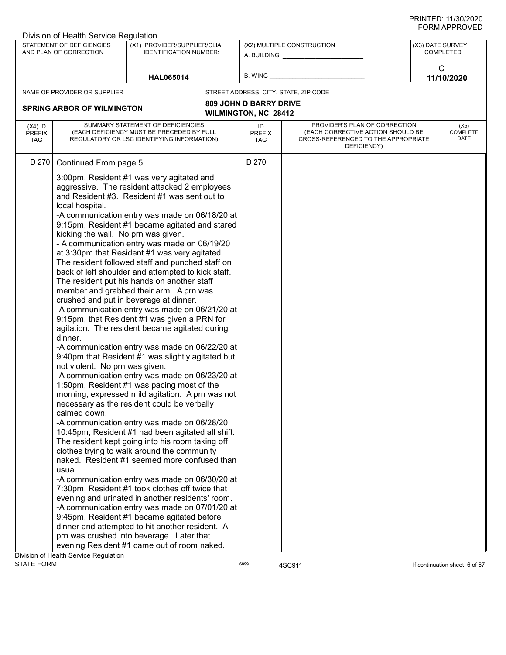| STATEMENT OF DEFICIENCIES<br>(X1) PROVIDER/SUPPLIER/CLIA<br>(X2) MULTIPLE CONSTRUCTION<br>(X3) DATE SURVEY<br><b>COMPLETED</b><br>AND PLAN OF CORRECTION<br><b>IDENTIFICATION NUMBER:</b><br>A. BUILDING: A. BUILDING:<br>C<br>B. WING<br>11/10/2020<br><b>HAL065014</b><br>NAME OF PROVIDER OR SUPPLIER<br>STREET ADDRESS, CITY, STATE, ZIP CODE<br><b>809 JOHN D BARRY DRIVE</b><br><b>SPRING ARBOR OF WILMINGTON</b><br><b>WILMINGTON, NC 28412</b><br>PROVIDER'S PLAN OF CORRECTION<br>SUMMARY STATEMENT OF DEFICIENCIES<br>$(X4)$ ID<br>ID<br>(X5)<br><b>COMPLETE</b><br>(EACH DEFICIENCY MUST BE PRECEDED BY FULL<br>(EACH CORRECTIVE ACTION SHOULD BE<br><b>PREFIX</b><br><b>PREFIX</b><br>DATE<br>REGULATORY OR LSC IDENTIFYING INFORMATION)<br>CROSS-REFERENCED TO THE APPROPRIATE<br><b>TAG</b><br>TAG<br>DEFICIENCY)<br>D 270<br>D 270<br>Continued From page 5<br>3:00pm, Resident #1 was very agitated and<br>aggressive. The resident attacked 2 employees<br>and Resident #3. Resident #1 was sent out to<br>local hospital.<br>-A communication entry was made on 06/18/20 at<br>9:15pm, Resident #1 became agitated and stared<br>kicking the wall. No prn was given.<br>- A communication entry was made on 06/19/20<br>at 3:30pm that Resident #1 was very agitated.<br>The resident followed staff and punched staff on<br>back of left shoulder and attempted to kick staff.<br>The resident put his hands on another staff<br>member and grabbed their arm. A prn was<br>crushed and put in beverage at dinner.<br>-A communication entry was made on 06/21/20 at<br>9:15pm, that Resident #1 was given a PRN for<br>agitation. The resident became agitated during<br>dinner.<br>-A communication entry was made on 06/22/20 at<br>9:40pm that Resident #1 was slightly agitated but<br>not violent. No prn was given.<br>-A communication entry was made on 06/23/20 at<br>1:50pm, Resident #1 was pacing most of the<br>morning, expressed mild agitation. A prn was not<br>necessary as the resident could be verbally<br>calmed down.<br>-A communication entry was made on 06/28/20<br>10:45pm, Resident #1 had been agitated all shift.<br>The resident kept going into his room taking off<br>clothes trying to walk around the community<br>naked. Resident #1 seemed more confused than<br>usual.<br>-A communication entry was made on 06/30/20 at<br>7:30pm, Resident #1 took clothes off twice that<br>evening and urinated in another residents' room.<br>-A communication entry was made on 07/01/20 at<br>9:45pm, Resident #1 became agitated before<br>dinner and attempted to hit another resident. A | Division of Health Service Regulation |  |  |  |
|-----------------------------------------------------------------------------------------------------------------------------------------------------------------------------------------------------------------------------------------------------------------------------------------------------------------------------------------------------------------------------------------------------------------------------------------------------------------------------------------------------------------------------------------------------------------------------------------------------------------------------------------------------------------------------------------------------------------------------------------------------------------------------------------------------------------------------------------------------------------------------------------------------------------------------------------------------------------------------------------------------------------------------------------------------------------------------------------------------------------------------------------------------------------------------------------------------------------------------------------------------------------------------------------------------------------------------------------------------------------------------------------------------------------------------------------------------------------------------------------------------------------------------------------------------------------------------------------------------------------------------------------------------------------------------------------------------------------------------------------------------------------------------------------------------------------------------------------------------------------------------------------------------------------------------------------------------------------------------------------------------------------------------------------------------------------------------------------------------------------------------------------------------------------------------------------------------------------------------------------------------------------------------------------------------------------------------------------------------------------------------------------------------------------------------------------------------------------------------------------------------------------------------------------------------------------------------------------------------------------------------------------------|---------------------------------------|--|--|--|
|                                                                                                                                                                                                                                                                                                                                                                                                                                                                                                                                                                                                                                                                                                                                                                                                                                                                                                                                                                                                                                                                                                                                                                                                                                                                                                                                                                                                                                                                                                                                                                                                                                                                                                                                                                                                                                                                                                                                                                                                                                                                                                                                                                                                                                                                                                                                                                                                                                                                                                                                                                                                                                               |                                       |  |  |  |
|                                                                                                                                                                                                                                                                                                                                                                                                                                                                                                                                                                                                                                                                                                                                                                                                                                                                                                                                                                                                                                                                                                                                                                                                                                                                                                                                                                                                                                                                                                                                                                                                                                                                                                                                                                                                                                                                                                                                                                                                                                                                                                                                                                                                                                                                                                                                                                                                                                                                                                                                                                                                                                               |                                       |  |  |  |
|                                                                                                                                                                                                                                                                                                                                                                                                                                                                                                                                                                                                                                                                                                                                                                                                                                                                                                                                                                                                                                                                                                                                                                                                                                                                                                                                                                                                                                                                                                                                                                                                                                                                                                                                                                                                                                                                                                                                                                                                                                                                                                                                                                                                                                                                                                                                                                                                                                                                                                                                                                                                                                               |                                       |  |  |  |
|                                                                                                                                                                                                                                                                                                                                                                                                                                                                                                                                                                                                                                                                                                                                                                                                                                                                                                                                                                                                                                                                                                                                                                                                                                                                                                                                                                                                                                                                                                                                                                                                                                                                                                                                                                                                                                                                                                                                                                                                                                                                                                                                                                                                                                                                                                                                                                                                                                                                                                                                                                                                                                               |                                       |  |  |  |
|                                                                                                                                                                                                                                                                                                                                                                                                                                                                                                                                                                                                                                                                                                                                                                                                                                                                                                                                                                                                                                                                                                                                                                                                                                                                                                                                                                                                                                                                                                                                                                                                                                                                                                                                                                                                                                                                                                                                                                                                                                                                                                                                                                                                                                                                                                                                                                                                                                                                                                                                                                                                                                               |                                       |  |  |  |
|                                                                                                                                                                                                                                                                                                                                                                                                                                                                                                                                                                                                                                                                                                                                                                                                                                                                                                                                                                                                                                                                                                                                                                                                                                                                                                                                                                                                                                                                                                                                                                                                                                                                                                                                                                                                                                                                                                                                                                                                                                                                                                                                                                                                                                                                                                                                                                                                                                                                                                                                                                                                                                               |                                       |  |  |  |
|                                                                                                                                                                                                                                                                                                                                                                                                                                                                                                                                                                                                                                                                                                                                                                                                                                                                                                                                                                                                                                                                                                                                                                                                                                                                                                                                                                                                                                                                                                                                                                                                                                                                                                                                                                                                                                                                                                                                                                                                                                                                                                                                                                                                                                                                                                                                                                                                                                                                                                                                                                                                                                               |                                       |  |  |  |
| prn was crushed into beverage. Later that<br>evening Resident #1 came out of room naked.                                                                                                                                                                                                                                                                                                                                                                                                                                                                                                                                                                                                                                                                                                                                                                                                                                                                                                                                                                                                                                                                                                                                                                                                                                                                                                                                                                                                                                                                                                                                                                                                                                                                                                                                                                                                                                                                                                                                                                                                                                                                                                                                                                                                                                                                                                                                                                                                                                                                                                                                                      |                                       |  |  |  |
|                                                                                                                                                                                                                                                                                                                                                                                                                                                                                                                                                                                                                                                                                                                                                                                                                                                                                                                                                                                                                                                                                                                                                                                                                                                                                                                                                                                                                                                                                                                                                                                                                                                                                                                                                                                                                                                                                                                                                                                                                                                                                                                                                                                                                                                                                                                                                                                                                                                                                                                                                                                                                                               | Division of Health Service Regulation |  |  |  |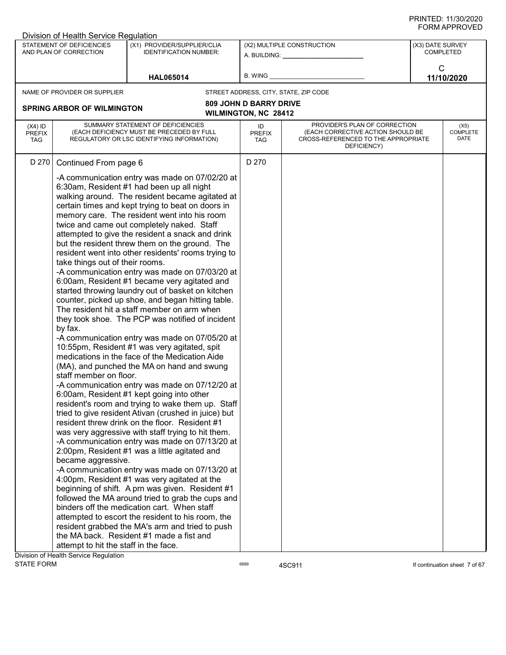| Division of Health Service Regulation    |                                                                                                                                     |                                                                                                                                                                                                                                                                                                                                                                                                                                                                                                                                                                                                                                                                                                                                                                                                                                                                                                                                                                                                                                                                                                                                                                                                                                                                                                                                                                                                                                                                                                                                                                                                                                                                                                                                                                                                                      |                                   |                                                                                                                          |                  |                                 |
|------------------------------------------|-------------------------------------------------------------------------------------------------------------------------------------|----------------------------------------------------------------------------------------------------------------------------------------------------------------------------------------------------------------------------------------------------------------------------------------------------------------------------------------------------------------------------------------------------------------------------------------------------------------------------------------------------------------------------------------------------------------------------------------------------------------------------------------------------------------------------------------------------------------------------------------------------------------------------------------------------------------------------------------------------------------------------------------------------------------------------------------------------------------------------------------------------------------------------------------------------------------------------------------------------------------------------------------------------------------------------------------------------------------------------------------------------------------------------------------------------------------------------------------------------------------------------------------------------------------------------------------------------------------------------------------------------------------------------------------------------------------------------------------------------------------------------------------------------------------------------------------------------------------------------------------------------------------------------------------------------------------------|-----------------------------------|--------------------------------------------------------------------------------------------------------------------------|------------------|---------------------------------|
|                                          | STATEMENT OF DEFICIENCIES<br>AND PLAN OF CORRECTION                                                                                 | (X1) PROVIDER/SUPPLIER/CLIA<br><b>IDENTIFICATION NUMBER:</b>                                                                                                                                                                                                                                                                                                                                                                                                                                                                                                                                                                                                                                                                                                                                                                                                                                                                                                                                                                                                                                                                                                                                                                                                                                                                                                                                                                                                                                                                                                                                                                                                                                                                                                                                                         |                                   | (X2) MULTIPLE CONSTRUCTION                                                                                               | (X3) DATE SURVEY | <b>COMPLETED</b>                |
|                                          |                                                                                                                                     | <b>HAL065014</b>                                                                                                                                                                                                                                                                                                                                                                                                                                                                                                                                                                                                                                                                                                                                                                                                                                                                                                                                                                                                                                                                                                                                                                                                                                                                                                                                                                                                                                                                                                                                                                                                                                                                                                                                                                                                     | B. WING                           |                                                                                                                          | $\mathsf{C}$     | 11/10/2020                      |
|                                          | NAME OF PROVIDER OR SUPPLIER                                                                                                        |                                                                                                                                                                                                                                                                                                                                                                                                                                                                                                                                                                                                                                                                                                                                                                                                                                                                                                                                                                                                                                                                                                                                                                                                                                                                                                                                                                                                                                                                                                                                                                                                                                                                                                                                                                                                                      |                                   | STREET ADDRESS, CITY, STATE, ZIP CODE                                                                                    |                  |                                 |
|                                          |                                                                                                                                     |                                                                                                                                                                                                                                                                                                                                                                                                                                                                                                                                                                                                                                                                                                                                                                                                                                                                                                                                                                                                                                                                                                                                                                                                                                                                                                                                                                                                                                                                                                                                                                                                                                                                                                                                                                                                                      | <b>809 JOHN D BARRY DRIVE</b>     |                                                                                                                          |                  |                                 |
|                                          | <b>SPRING ARBOR OF WILMINGTON</b>                                                                                                   |                                                                                                                                                                                                                                                                                                                                                                                                                                                                                                                                                                                                                                                                                                                                                                                                                                                                                                                                                                                                                                                                                                                                                                                                                                                                                                                                                                                                                                                                                                                                                                                                                                                                                                                                                                                                                      | <b>WILMINGTON, NC 28412</b>       |                                                                                                                          |                  |                                 |
| $(X4)$ ID<br><b>PREFIX</b><br><b>TAG</b> |                                                                                                                                     | SUMMARY STATEMENT OF DEFICIENCIES<br>(EACH DEFICIENCY MUST BE PRECEDED BY FULL<br>REGULATORY OR LSC IDENTIFYING INFORMATION)                                                                                                                                                                                                                                                                                                                                                                                                                                                                                                                                                                                                                                                                                                                                                                                                                                                                                                                                                                                                                                                                                                                                                                                                                                                                                                                                                                                                                                                                                                                                                                                                                                                                                         | ID<br><b>PREFIX</b><br><b>TAG</b> | PROVIDER'S PLAN OF CORRECTION<br>(EACH CORRECTIVE ACTION SHOULD BE<br>CROSS-REFERENCED TO THE APPROPRIATE<br>DEFICIENCY) |                  | (X5)<br><b>COMPLETE</b><br>DATE |
| D 270                                    | Continued From page 6                                                                                                               |                                                                                                                                                                                                                                                                                                                                                                                                                                                                                                                                                                                                                                                                                                                                                                                                                                                                                                                                                                                                                                                                                                                                                                                                                                                                                                                                                                                                                                                                                                                                                                                                                                                                                                                                                                                                                      | D 270                             |                                                                                                                          |                  |                                 |
|                                          | take things out of their rooms.<br>by fax.<br>staff member on floor.<br>became aggressive.<br>attempt to hit the staff in the face. | -A communication entry was made on 07/02/20 at<br>6:30am, Resident #1 had been up all night<br>walking around. The resident became agitated at<br>certain times and kept trying to beat on doors in<br>memory care. The resident went into his room<br>twice and came out completely naked. Staff<br>attempted to give the resident a snack and drink<br>but the resident threw them on the ground. The<br>resident went into other residents' rooms trying to<br>-A communication entry was made on 07/03/20 at<br>6:00am, Resident #1 became very agitated and<br>started throwing laundry out of basket on kitchen<br>counter, picked up shoe, and began hitting table.<br>The resident hit a staff member on arm when<br>they took shoe. The PCP was notified of incident<br>-A communication entry was made on 07/05/20 at<br>10:55pm, Resident #1 was very agitated, spit<br>medications in the face of the Medication Aide<br>(MA), and punched the MA on hand and swung<br>-A communication entry was made on 07/12/20 at<br>6:00am, Resident #1 kept going into other<br>resident's room and trying to wake them up. Staff<br>tried to give resident Ativan (crushed in juice) but<br>resident threw drink on the floor. Resident #1<br>was very aggressive with staff trying to hit them.<br>-A communication entry was made on 07/13/20 at<br>2:00pm, Resident #1 was a little agitated and<br>-A communication entry was made on 07/13/20 at<br>4:00pm, Resident #1 was very agitated at the<br>beginning of shift. A prn was given. Resident #1<br>followed the MA around tried to grab the cups and<br>binders off the medication cart. When staff<br>attempted to escort the resident to his room, the<br>resident grabbed the MA's arm and tried to push<br>the MA back. Resident #1 made a fist and |                                   |                                                                                                                          |                  |                                 |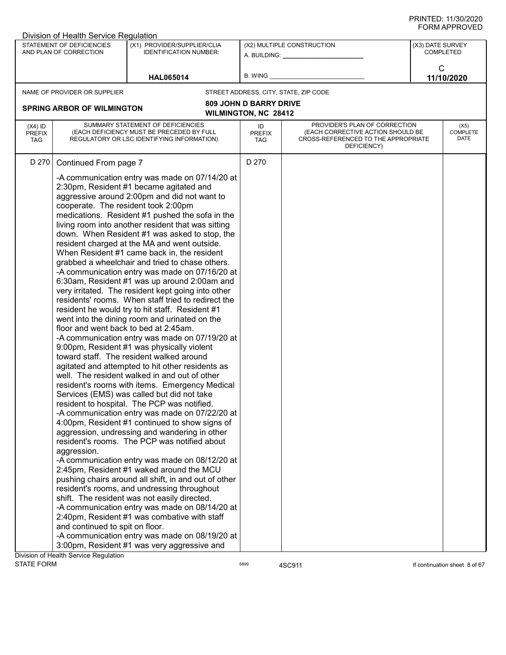| STATEMENT OF DEFICIENCIES<br>(X1) PROVIDER/SUPPLIER/CLIA<br>(X2) MULTIPLE CONSTRUCTION<br>(X3) DATE SURVEY<br><b>COMPLETED</b><br>AND PLAN OF CORRECTION<br><b>IDENTIFICATION NUMBER:</b><br>A. BUILDING: A.                                                                                                                                                                                                                                                                                                                                                                                                                                                                                                                                                                                                                                                                                                                                                                                                                                                                                                                                                                                                                                                                                                                                                                                                                                                                                                                                                                                                                                                                                                                                                                                                                                                                                                                                                           |                                 |
|------------------------------------------------------------------------------------------------------------------------------------------------------------------------------------------------------------------------------------------------------------------------------------------------------------------------------------------------------------------------------------------------------------------------------------------------------------------------------------------------------------------------------------------------------------------------------------------------------------------------------------------------------------------------------------------------------------------------------------------------------------------------------------------------------------------------------------------------------------------------------------------------------------------------------------------------------------------------------------------------------------------------------------------------------------------------------------------------------------------------------------------------------------------------------------------------------------------------------------------------------------------------------------------------------------------------------------------------------------------------------------------------------------------------------------------------------------------------------------------------------------------------------------------------------------------------------------------------------------------------------------------------------------------------------------------------------------------------------------------------------------------------------------------------------------------------------------------------------------------------------------------------------------------------------------------------------------------------|---------------------------------|
|                                                                                                                                                                                                                                                                                                                                                                                                                                                                                                                                                                                                                                                                                                                                                                                                                                                                                                                                                                                                                                                                                                                                                                                                                                                                                                                                                                                                                                                                                                                                                                                                                                                                                                                                                                                                                                                                                                                                                                        |                                 |
| C<br>B. WING<br>11/10/2020<br><b>HAL065014</b>                                                                                                                                                                                                                                                                                                                                                                                                                                                                                                                                                                                                                                                                                                                                                                                                                                                                                                                                                                                                                                                                                                                                                                                                                                                                                                                                                                                                                                                                                                                                                                                                                                                                                                                                                                                                                                                                                                                         |                                 |
| NAME OF PROVIDER OR SUPPLIER<br>STREET ADDRESS, CITY, STATE, ZIP CODE                                                                                                                                                                                                                                                                                                                                                                                                                                                                                                                                                                                                                                                                                                                                                                                                                                                                                                                                                                                                                                                                                                                                                                                                                                                                                                                                                                                                                                                                                                                                                                                                                                                                                                                                                                                                                                                                                                  |                                 |
| <b>809 JOHN D BARRY DRIVE</b><br><b>SPRING ARBOR OF WILMINGTON</b>                                                                                                                                                                                                                                                                                                                                                                                                                                                                                                                                                                                                                                                                                                                                                                                                                                                                                                                                                                                                                                                                                                                                                                                                                                                                                                                                                                                                                                                                                                                                                                                                                                                                                                                                                                                                                                                                                                     |                                 |
| <b>WILMINGTON, NC 28412</b>                                                                                                                                                                                                                                                                                                                                                                                                                                                                                                                                                                                                                                                                                                                                                                                                                                                                                                                                                                                                                                                                                                                                                                                                                                                                                                                                                                                                                                                                                                                                                                                                                                                                                                                                                                                                                                                                                                                                            |                                 |
| PROVIDER'S PLAN OF CORRECTION<br>SUMMARY STATEMENT OF DEFICIENCIES<br>$(X4)$ ID<br>ID<br>(EACH DEFICIENCY MUST BE PRECEDED BY FULL<br>(EACH CORRECTIVE ACTION SHOULD BE<br><b>PREFIX</b><br><b>PREFIX</b><br>REGULATORY OR LSC IDENTIFYING INFORMATION)<br>CROSS-REFERENCED TO THE APPROPRIATE<br><b>TAG</b><br>TAG<br>DEFICIENCY)                                                                                                                                                                                                                                                                                                                                                                                                                                                                                                                                                                                                                                                                                                                                                                                                                                                                                                                                                                                                                                                                                                                                                                                                                                                                                                                                                                                                                                                                                                                                                                                                                                     | (X5)<br><b>COMPLETE</b><br>DATE |
| D 270<br>D 270<br>Continued From page 7                                                                                                                                                                                                                                                                                                                                                                                                                                                                                                                                                                                                                                                                                                                                                                                                                                                                                                                                                                                                                                                                                                                                                                                                                                                                                                                                                                                                                                                                                                                                                                                                                                                                                                                                                                                                                                                                                                                                |                                 |
| -A communication entry was made on 07/14/20 at<br>2:30pm, Resident #1 became agitated and<br>aggressive around 2:00pm and did not want to<br>cooperate. The resident took 2:00pm<br>medications. Resident #1 pushed the sofa in the<br>living room into another resident that was sitting<br>down. When Resident #1 was asked to stop, the<br>resident charged at the MA and went outside.<br>When Resident #1 came back in, the resident<br>grabbed a wheelchair and tried to chase others.<br>-A communication entry was made on 07/16/20 at<br>6:30am, Resident #1 was up around 2:00am and<br>very irritated. The resident kept going into other<br>residents' rooms. When staff tried to redirect the<br>resident he would try to hit staff. Resident #1<br>went into the dining room and urinated on the<br>floor and went back to bed at 2:45am.<br>-A communication entry was made on 07/19/20 at<br>9:00pm, Resident #1 was physically violent<br>toward staff. The resident walked around<br>agitated and attempted to hit other residents as<br>well. The resident walked in and out of other<br>resident's rooms with items. Emergency Medical<br>Services (EMS) was called but did not take<br>resident to hospital. The PCP was notified.<br>-A communication entry was made on 07/22/20 at<br>4:00pm, Resident #1 continued to show signs of<br>aggression, undressing and wandering in other<br>resident's rooms. The PCP was notified about<br>aggression.<br>-A communication entry was made on 08/12/20 at<br>2:45pm, Resident #1 waked around the MCU<br>pushing chairs around all shift, in and out of other<br>resident's rooms, and undressing throughout<br>shift. The resident was not easily directed.<br>-A communication entry was made on 08/14/20 at<br>2:40pm, Resident #1 was combative with staff<br>and continued to spit on floor.<br>-A communication entry was made on 08/19/20 at<br>3:00pm, Resident #1 was very aggressive and |                                 |
| Division of Health Service Regulation                                                                                                                                                                                                                                                                                                                                                                                                                                                                                                                                                                                                                                                                                                                                                                                                                                                                                                                                                                                                                                                                                                                                                                                                                                                                                                                                                                                                                                                                                                                                                                                                                                                                                                                                                                                                                                                                                                                                  |                                 |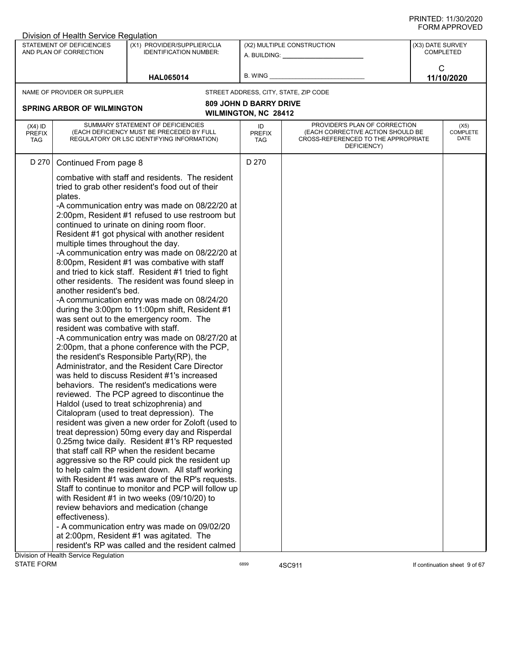| STATEMENT OF DEFICIENCIES<br>(X1) PROVIDER/SUPPLIER/CLIA<br>(X2) MULTIPLE CONSTRUCTION<br>(X3) DATE SURVEY<br><b>COMPLETED</b><br>AND PLAN OF CORRECTION<br><b>IDENTIFICATION NUMBER:</b><br>A. BUILDING: A. BUILDING:<br>C<br>B. WING<br>11/10/2020<br><b>HAL065014</b><br>NAME OF PROVIDER OR SUPPLIER<br>STREET ADDRESS, CITY, STATE, ZIP CODE<br><b>809 JOHN D BARRY DRIVE</b><br><b>SPRING ARBOR OF WILMINGTON</b><br><b>WILMINGTON, NC 28412</b><br>PROVIDER'S PLAN OF CORRECTION<br>SUMMARY STATEMENT OF DEFICIENCIES<br>$(X4)$ ID<br>ID<br>(X5)<br><b>COMPLETE</b><br>(EACH DEFICIENCY MUST BE PRECEDED BY FULL<br>(EACH CORRECTIVE ACTION SHOULD BE<br><b>PREFIX</b><br><b>PREFIX</b><br>DATE<br>REGULATORY OR LSC IDENTIFYING INFORMATION)<br>CROSS-REFERENCED TO THE APPROPRIATE<br><b>TAG</b><br>TAG<br>DEFICIENCY)<br>D 270<br>D 270<br>Continued From page 8<br>combative with staff and residents. The resident<br>tried to grab other resident's food out of their<br>plates.<br>-A communication entry was made on 08/22/20 at<br>2:00pm, Resident #1 refused to use restroom but<br>continued to urinate on dining room floor.<br>Resident #1 got physical with another resident<br>multiple times throughout the day.<br>-A communication entry was made on 08/22/20 at<br>8:00pm, Resident #1 was combative with staff<br>and tried to kick staff. Resident #1 tried to fight<br>other residents. The resident was found sleep in<br>another resident's bed.<br>-A communication entry was made on 08/24/20<br>during the 3:00pm to 11:00pm shift, Resident #1<br>was sent out to the emergency room. The<br>resident was combative with staff.<br>-A communication entry was made on 08/27/20 at<br>2:00pm, that a phone conference with the PCP,<br>the resident's Responsible Party(RP), the<br>Administrator, and the Resident Care Director<br>was held to discuss Resident #1's increased<br>behaviors. The resident's medications were<br>reviewed. The PCP agreed to discontinue the<br>Haldol (used to treat schizophrenia) and<br>Citalopram (used to treat depression). The<br>resident was given a new order for Zoloft (used to<br>treat depression) 50mg every day and Risperdal<br>0.25mg twice daily. Resident #1's RP requested<br>that staff call RP when the resident became<br>aggressive so the RP could pick the resident up<br>to help calm the resident down. All staff working<br>with Resident #1 was aware of the RP's requests.<br>Staff to continue to monitor and PCP will follow up<br>with Resident #1 in two weeks (09/10/20) to<br>review behaviors and medication (change<br>effectiveness).<br>- A communication entry was made on 09/02/20<br>at 2:00pm, Resident #1 was agitated. The<br>resident's RP was called and the resident calmed | Division of Health Service Regulation |  |  |  |
|-----------------------------------------------------------------------------------------------------------------------------------------------------------------------------------------------------------------------------------------------------------------------------------------------------------------------------------------------------------------------------------------------------------------------------------------------------------------------------------------------------------------------------------------------------------------------------------------------------------------------------------------------------------------------------------------------------------------------------------------------------------------------------------------------------------------------------------------------------------------------------------------------------------------------------------------------------------------------------------------------------------------------------------------------------------------------------------------------------------------------------------------------------------------------------------------------------------------------------------------------------------------------------------------------------------------------------------------------------------------------------------------------------------------------------------------------------------------------------------------------------------------------------------------------------------------------------------------------------------------------------------------------------------------------------------------------------------------------------------------------------------------------------------------------------------------------------------------------------------------------------------------------------------------------------------------------------------------------------------------------------------------------------------------------------------------------------------------------------------------------------------------------------------------------------------------------------------------------------------------------------------------------------------------------------------------------------------------------------------------------------------------------------------------------------------------------------------------------------------------------------------------------------------------------------------------------------------------------------------------------------------------------------------------------------------------------------------------------------------------------------------------------------------------------------|---------------------------------------|--|--|--|
|                                                                                                                                                                                                                                                                                                                                                                                                                                                                                                                                                                                                                                                                                                                                                                                                                                                                                                                                                                                                                                                                                                                                                                                                                                                                                                                                                                                                                                                                                                                                                                                                                                                                                                                                                                                                                                                                                                                                                                                                                                                                                                                                                                                                                                                                                                                                                                                                                                                                                                                                                                                                                                                                                                                                                                                                     |                                       |  |  |  |
|                                                                                                                                                                                                                                                                                                                                                                                                                                                                                                                                                                                                                                                                                                                                                                                                                                                                                                                                                                                                                                                                                                                                                                                                                                                                                                                                                                                                                                                                                                                                                                                                                                                                                                                                                                                                                                                                                                                                                                                                                                                                                                                                                                                                                                                                                                                                                                                                                                                                                                                                                                                                                                                                                                                                                                                                     |                                       |  |  |  |
|                                                                                                                                                                                                                                                                                                                                                                                                                                                                                                                                                                                                                                                                                                                                                                                                                                                                                                                                                                                                                                                                                                                                                                                                                                                                                                                                                                                                                                                                                                                                                                                                                                                                                                                                                                                                                                                                                                                                                                                                                                                                                                                                                                                                                                                                                                                                                                                                                                                                                                                                                                                                                                                                                                                                                                                                     |                                       |  |  |  |
|                                                                                                                                                                                                                                                                                                                                                                                                                                                                                                                                                                                                                                                                                                                                                                                                                                                                                                                                                                                                                                                                                                                                                                                                                                                                                                                                                                                                                                                                                                                                                                                                                                                                                                                                                                                                                                                                                                                                                                                                                                                                                                                                                                                                                                                                                                                                                                                                                                                                                                                                                                                                                                                                                                                                                                                                     |                                       |  |  |  |
|                                                                                                                                                                                                                                                                                                                                                                                                                                                                                                                                                                                                                                                                                                                                                                                                                                                                                                                                                                                                                                                                                                                                                                                                                                                                                                                                                                                                                                                                                                                                                                                                                                                                                                                                                                                                                                                                                                                                                                                                                                                                                                                                                                                                                                                                                                                                                                                                                                                                                                                                                                                                                                                                                                                                                                                                     |                                       |  |  |  |
|                                                                                                                                                                                                                                                                                                                                                                                                                                                                                                                                                                                                                                                                                                                                                                                                                                                                                                                                                                                                                                                                                                                                                                                                                                                                                                                                                                                                                                                                                                                                                                                                                                                                                                                                                                                                                                                                                                                                                                                                                                                                                                                                                                                                                                                                                                                                                                                                                                                                                                                                                                                                                                                                                                                                                                                                     |                                       |  |  |  |
|                                                                                                                                                                                                                                                                                                                                                                                                                                                                                                                                                                                                                                                                                                                                                                                                                                                                                                                                                                                                                                                                                                                                                                                                                                                                                                                                                                                                                                                                                                                                                                                                                                                                                                                                                                                                                                                                                                                                                                                                                                                                                                                                                                                                                                                                                                                                                                                                                                                                                                                                                                                                                                                                                                                                                                                                     |                                       |  |  |  |
|                                                                                                                                                                                                                                                                                                                                                                                                                                                                                                                                                                                                                                                                                                                                                                                                                                                                                                                                                                                                                                                                                                                                                                                                                                                                                                                                                                                                                                                                                                                                                                                                                                                                                                                                                                                                                                                                                                                                                                                                                                                                                                                                                                                                                                                                                                                                                                                                                                                                                                                                                                                                                                                                                                                                                                                                     |                                       |  |  |  |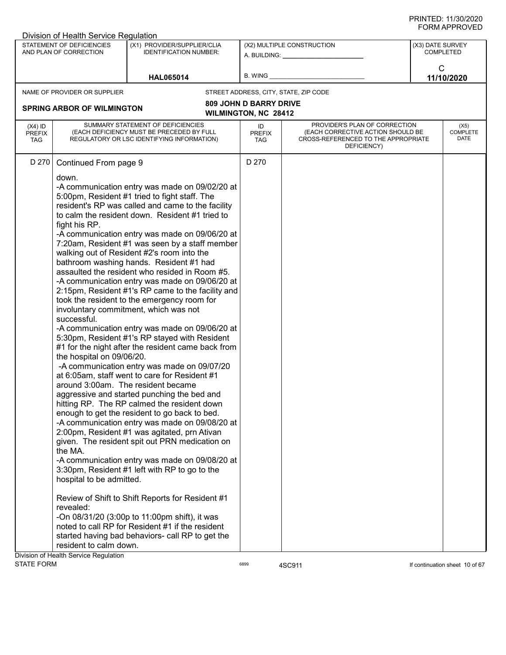| STATEMENT OF DEFICIENCIES<br>(X1) PROVIDER/SUPPLIER/CLIA<br>(X2) MULTIPLE CONSTRUCTION<br>(X3) DATE SURVEY<br><b>COMPLETED</b><br>AND PLAN OF CORRECTION<br><b>IDENTIFICATION NUMBER:</b><br>A. BUILDING: A. BUILDING:<br>C<br>B. WING<br>11/10/2020<br><b>HAL065014</b><br>NAME OF PROVIDER OR SUPPLIER<br>STREET ADDRESS, CITY, STATE, ZIP CODE<br><b>809 JOHN D BARRY DRIVE</b><br><b>SPRING ARBOR OF WILMINGTON</b><br><b>WILMINGTON, NC 28412</b><br>SUMMARY STATEMENT OF DEFICIENCIES<br>PROVIDER'S PLAN OF CORRECTION<br>$(X4)$ ID<br>ID<br>(EACH DEFICIENCY MUST BE PRECEDED BY FULL<br>(EACH CORRECTIVE ACTION SHOULD BE<br><b>PREFIX</b><br><b>PREFIX</b><br>REGULATORY OR LSC IDENTIFYING INFORMATION)<br>CROSS-REFERENCED TO THE APPROPRIATE<br><b>TAG</b><br>TAG<br>DEFICIENCY)<br>D 270<br>D 270<br>Continued From page 9<br>down.<br>-A communication entry was made on 09/02/20 at<br>5:00pm, Resident #1 tried to fight staff. The<br>resident's RP was called and came to the facility                                                                                                                                                                                                                                                                                                                                                                                                                                                                                                                                                                                            | Division of Health Service Regulation |                                 |
|-----------------------------------------------------------------------------------------------------------------------------------------------------------------------------------------------------------------------------------------------------------------------------------------------------------------------------------------------------------------------------------------------------------------------------------------------------------------------------------------------------------------------------------------------------------------------------------------------------------------------------------------------------------------------------------------------------------------------------------------------------------------------------------------------------------------------------------------------------------------------------------------------------------------------------------------------------------------------------------------------------------------------------------------------------------------------------------------------------------------------------------------------------------------------------------------------------------------------------------------------------------------------------------------------------------------------------------------------------------------------------------------------------------------------------------------------------------------------------------------------------------------------------------------------------------------------------------------------------|---------------------------------------|---------------------------------|
|                                                                                                                                                                                                                                                                                                                                                                                                                                                                                                                                                                                                                                                                                                                                                                                                                                                                                                                                                                                                                                                                                                                                                                                                                                                                                                                                                                                                                                                                                                                                                                                                     |                                       |                                 |
|                                                                                                                                                                                                                                                                                                                                                                                                                                                                                                                                                                                                                                                                                                                                                                                                                                                                                                                                                                                                                                                                                                                                                                                                                                                                                                                                                                                                                                                                                                                                                                                                     |                                       |                                 |
|                                                                                                                                                                                                                                                                                                                                                                                                                                                                                                                                                                                                                                                                                                                                                                                                                                                                                                                                                                                                                                                                                                                                                                                                                                                                                                                                                                                                                                                                                                                                                                                                     |                                       |                                 |
|                                                                                                                                                                                                                                                                                                                                                                                                                                                                                                                                                                                                                                                                                                                                                                                                                                                                                                                                                                                                                                                                                                                                                                                                                                                                                                                                                                                                                                                                                                                                                                                                     |                                       |                                 |
|                                                                                                                                                                                                                                                                                                                                                                                                                                                                                                                                                                                                                                                                                                                                                                                                                                                                                                                                                                                                                                                                                                                                                                                                                                                                                                                                                                                                                                                                                                                                                                                                     |                                       | (X5)<br><b>COMPLETE</b><br>DATE |
| to calm the resident down. Resident #1 tried to<br>fight his RP.<br>-A communication entry was made on 09/06/20 at<br>7:20am, Resident #1 was seen by a staff member<br>walking out of Resident #2's room into the<br>bathroom washing hands. Resident #1 had<br>assaulted the resident who resided in Room #5.<br>-A communication entry was made on 09/06/20 at<br>2:15pm, Resident #1's RP came to the facility and<br>took the resident to the emergency room for<br>involuntary commitment, which was not<br>successful.<br>-A communication entry was made on 09/06/20 at<br>5:30pm, Resident #1's RP stayed with Resident<br>#1 for the night after the resident came back from<br>the hospital on 09/06/20.<br>-A communication entry was made on 09/07/20<br>at 6:05am, staff went to care for Resident #1<br>around 3:00am. The resident became<br>aggressive and started punching the bed and<br>hitting RP. The RP calmed the resident down<br>enough to get the resident to go back to bed.<br>-A communication entry was made on 09/08/20 at<br>2:00pm, Resident #1 was agitated, prn Ativan<br>given. The resident spit out PRN medication on<br>the MA.<br>-A communication entry was made on 09/08/20 at<br>3:30pm, Resident #1 left with RP to go to the<br>hospital to be admitted.<br>Review of Shift to Shift Reports for Resident #1<br>revealed:<br>-On 08/31/20 (3:00p to 11:00pm shift), it was<br>noted to call RP for Resident #1 if the resident<br>started having bad behaviors- call RP to get the<br>resident to calm down.<br>Division of Health Service Regulation |                                       |                                 |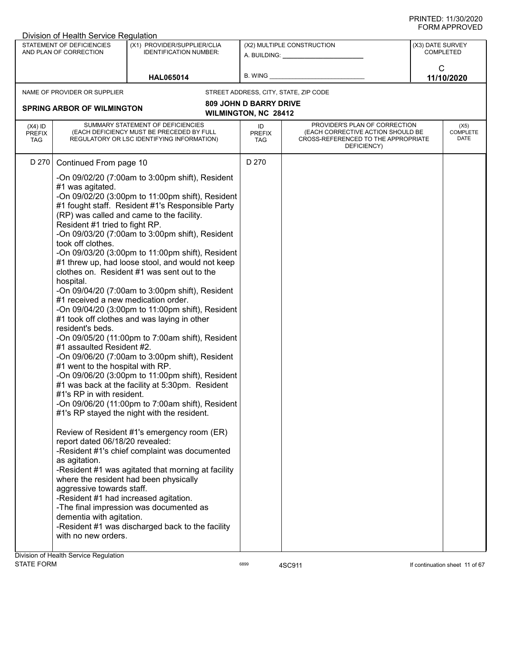|                                          | Division of Health Service Regulation                                                                                                                                                                                                                                                                                                                                                                                                                                                         |                                                                                                                                                                                                                                                                                                                                                                                                                                                                                                                                                                                                                                                                                                                                                                                                                                                                                                                                                                                                                                                                                                                                                                                      |                                                              |                                                                                                                          |                                      |  |
|------------------------------------------|-----------------------------------------------------------------------------------------------------------------------------------------------------------------------------------------------------------------------------------------------------------------------------------------------------------------------------------------------------------------------------------------------------------------------------------------------------------------------------------------------|--------------------------------------------------------------------------------------------------------------------------------------------------------------------------------------------------------------------------------------------------------------------------------------------------------------------------------------------------------------------------------------------------------------------------------------------------------------------------------------------------------------------------------------------------------------------------------------------------------------------------------------------------------------------------------------------------------------------------------------------------------------------------------------------------------------------------------------------------------------------------------------------------------------------------------------------------------------------------------------------------------------------------------------------------------------------------------------------------------------------------------------------------------------------------------------|--------------------------------------------------------------|--------------------------------------------------------------------------------------------------------------------------|--------------------------------------|--|
|                                          | STATEMENT OF DEFICIENCIES<br>AND PLAN OF CORRECTION                                                                                                                                                                                                                                                                                                                                                                                                                                           | (X1) PROVIDER/SUPPLIER/CLIA<br><b>IDENTIFICATION NUMBER:</b>                                                                                                                                                                                                                                                                                                                                                                                                                                                                                                                                                                                                                                                                                                                                                                                                                                                                                                                                                                                                                                                                                                                         |                                                              | (X2) MULTIPLE CONSTRUCTION<br>A. BUILDING: A. BUILDING:                                                                  | (X3) DATE SURVEY<br><b>COMPLETED</b> |  |
|                                          |                                                                                                                                                                                                                                                                                                                                                                                                                                                                                               | <b>HAL065014</b>                                                                                                                                                                                                                                                                                                                                                                                                                                                                                                                                                                                                                                                                                                                                                                                                                                                                                                                                                                                                                                                                                                                                                                     | B. WING                                                      |                                                                                                                          | C<br>11/10/2020                      |  |
|                                          | NAME OF PROVIDER OR SUPPLIER                                                                                                                                                                                                                                                                                                                                                                                                                                                                  |                                                                                                                                                                                                                                                                                                                                                                                                                                                                                                                                                                                                                                                                                                                                                                                                                                                                                                                                                                                                                                                                                                                                                                                      |                                                              | STREET ADDRESS, CITY, STATE, ZIP CODE                                                                                    |                                      |  |
|                                          | <b>SPRING ARBOR OF WILMINGTON</b>                                                                                                                                                                                                                                                                                                                                                                                                                                                             |                                                                                                                                                                                                                                                                                                                                                                                                                                                                                                                                                                                                                                                                                                                                                                                                                                                                                                                                                                                                                                                                                                                                                                                      | <b>809 JOHN D BARRY DRIVE</b><br><b>WILMINGTON, NC 28412</b> |                                                                                                                          |                                      |  |
| $(X4)$ ID<br><b>PREFIX</b><br><b>TAG</b> |                                                                                                                                                                                                                                                                                                                                                                                                                                                                                               | SUMMARY STATEMENT OF DEFICIENCIES<br>(EACH DEFICIENCY MUST BE PRECEDED BY FULL<br>REGULATORY OR LSC IDENTIFYING INFORMATION)                                                                                                                                                                                                                                                                                                                                                                                                                                                                                                                                                                                                                                                                                                                                                                                                                                                                                                                                                                                                                                                         | ID<br><b>PREFIX</b><br>TAG                                   | PROVIDER'S PLAN OF CORRECTION<br>(EACH CORRECTIVE ACTION SHOULD BE<br>CROSS-REFERENCED TO THE APPROPRIATE<br>DEFICIENCY) | (X5)<br><b>COMPLETE</b><br>DATE      |  |
| D 270                                    | Continued From page 10<br>#1 was agitated.<br>Resident #1 tried to fight RP.<br>took off clothes.<br>hospital.<br>#1 received a new medication order.<br>resident's beds.<br>#1 assaulted Resident #2.<br>#1 went to the hospital with RP.<br>#1's RP in with resident.<br>report dated 06/18/20 revealed:<br>as agitation.<br>aggressive towards staff.<br>-Resident #1 had increased agitation.<br>dementia with agitation.<br>with no new orders.<br>Division of Health Service Regulation | -On 09/02/20 (7:00am to 3:00pm shift), Resident<br>-On 09/02/20 (3:00pm to 11:00pm shift), Resident<br>#1 fought staff. Resident #1's Responsible Party<br>(RP) was called and came to the facility.<br>-On 09/03/20 (7:00am to 3:00pm shift), Resident<br>-On 09/03/20 (3:00pm to 11:00pm shift), Resident<br>#1 threw up, had loose stool, and would not keep<br>clothes on. Resident #1 was sent out to the<br>-On 09/04/20 (7:00am to 3:00pm shift), Resident<br>-On 09/04/20 (3:00pm to 11:00pm shift), Resident<br>#1 took off clothes and was laying in other<br>-On 09/05/20 (11:00pm to 7:00am shift), Resident<br>-On 09/06/20 (7:00am to 3:00pm shift), Resident<br>-On 09/06/20 (3:00pm to 11:00pm shift), Resident<br>#1 was back at the facility at 5:30pm. Resident<br>-On 09/06/20 (11:00pm to 7:00am shift), Resident<br>#1's RP stayed the night with the resident.<br>Review of Resident #1's emergency room (ER)<br>-Resident #1's chief complaint was documented<br>-Resident #1 was agitated that morning at facility<br>where the resident had been physically<br>-The final impression was documented as<br>-Resident #1 was discharged back to the facility | D 270                                                        |                                                                                                                          |                                      |  |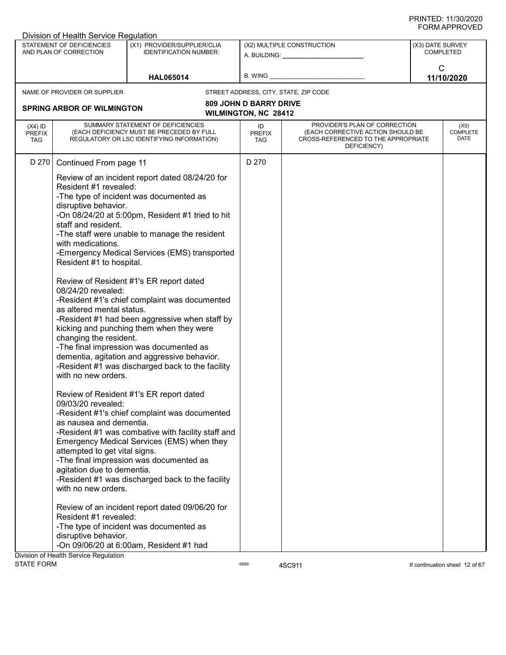|                                          | Division of Health Service Regulation                                                                                                                                                                                                                                                                                                                                                     |                                                                                                                                                                                                                                                                                                                                                                                                                                                                                                                                                                                                                                                                                                                                                                                                                                                                                                                                             |                                   |                                                                                                                                               |                  |                                 |
|------------------------------------------|-------------------------------------------------------------------------------------------------------------------------------------------------------------------------------------------------------------------------------------------------------------------------------------------------------------------------------------------------------------------------------------------|---------------------------------------------------------------------------------------------------------------------------------------------------------------------------------------------------------------------------------------------------------------------------------------------------------------------------------------------------------------------------------------------------------------------------------------------------------------------------------------------------------------------------------------------------------------------------------------------------------------------------------------------------------------------------------------------------------------------------------------------------------------------------------------------------------------------------------------------------------------------------------------------------------------------------------------------|-----------------------------------|-----------------------------------------------------------------------------------------------------------------------------------------------|------------------|---------------------------------|
|                                          | STATEMENT OF DEFICIENCIES<br>AND PLAN OF CORRECTION                                                                                                                                                                                                                                                                                                                                       | (X1) PROVIDER/SUPPLIER/CLIA<br><b>IDENTIFICATION NUMBER:</b>                                                                                                                                                                                                                                                                                                                                                                                                                                                                                                                                                                                                                                                                                                                                                                                                                                                                                |                                   | (X2) MULTIPLE CONSTRUCTION<br>A. BUILDING: A AND AND A STREAM OF THE STREAM OF THE STREAM OF THE STREAM OF THE STREAM OF THE STREAM OF THE ST | (X3) DATE SURVEY | <b>COMPLETED</b>                |
|                                          |                                                                                                                                                                                                                                                                                                                                                                                           | <b>HAL065014</b>                                                                                                                                                                                                                                                                                                                                                                                                                                                                                                                                                                                                                                                                                                                                                                                                                                                                                                                            | B. WING                           |                                                                                                                                               | $\mathsf{C}$     | 11/10/2020                      |
|                                          | NAME OF PROVIDER OR SUPPLIER                                                                                                                                                                                                                                                                                                                                                              |                                                                                                                                                                                                                                                                                                                                                                                                                                                                                                                                                                                                                                                                                                                                                                                                                                                                                                                                             |                                   | STREET ADDRESS, CITY, STATE, ZIP CODE                                                                                                         |                  |                                 |
|                                          |                                                                                                                                                                                                                                                                                                                                                                                           |                                                                                                                                                                                                                                                                                                                                                                                                                                                                                                                                                                                                                                                                                                                                                                                                                                                                                                                                             | <b>809 JOHN D BARRY DRIVE</b>     |                                                                                                                                               |                  |                                 |
|                                          | <b>SPRING ARBOR OF WILMINGTON</b>                                                                                                                                                                                                                                                                                                                                                         |                                                                                                                                                                                                                                                                                                                                                                                                                                                                                                                                                                                                                                                                                                                                                                                                                                                                                                                                             | <b>WILMINGTON, NC 28412</b>       |                                                                                                                                               |                  |                                 |
| $(X4)$ ID<br><b>PREFIX</b><br><b>TAG</b> |                                                                                                                                                                                                                                                                                                                                                                                           | SUMMARY STATEMENT OF DEFICIENCIES<br>(EACH DEFICIENCY MUST BE PRECEDED BY FULL<br>REGULATORY OR LSC IDENTIFYING INFORMATION)                                                                                                                                                                                                                                                                                                                                                                                                                                                                                                                                                                                                                                                                                                                                                                                                                | ID<br><b>PREFIX</b><br><b>TAG</b> | PROVIDER'S PLAN OF CORRECTION<br>(EACH CORRECTIVE ACTION SHOULD BE<br>CROSS-REFERENCED TO THE APPROPRIATE<br>DEFICIENCY)                      |                  | (X5)<br><b>COMPLETE</b><br>DATE |
| D 270                                    | Continued From page 11                                                                                                                                                                                                                                                                                                                                                                    |                                                                                                                                                                                                                                                                                                                                                                                                                                                                                                                                                                                                                                                                                                                                                                                                                                                                                                                                             | D 270                             |                                                                                                                                               |                  |                                 |
|                                          | Resident #1 revealed:<br>disruptive behavior.<br>staff and resident.<br>with medications.<br>Resident #1 to hospital.<br>08/24/20 revealed:<br>as altered mental status.<br>changing the resident.<br>with no new orders.<br>09/03/20 revealed:<br>as nausea and dementia.<br>attempted to get vital signs.<br>agitation due to dementia.<br>with no new orders.<br>Resident #1 revealed: | Review of an incident report dated 08/24/20 for<br>-The type of incident was documented as<br>-On 08/24/20 at 5:00pm, Resident #1 tried to hit<br>-The staff were unable to manage the resident<br>-Emergency Medical Services (EMS) transported<br>Review of Resident #1's ER report dated<br>-Resident #1's chief complaint was documented<br>-Resident #1 had been aggressive when staff by<br>kicking and punching them when they were<br>-The final impression was documented as<br>dementia, agitation and aggressive behavior.<br>-Resident #1 was discharged back to the facility<br>Review of Resident #1's ER report dated<br>-Resident #1's chief complaint was documented<br>-Resident #1 was combative with facility staff and<br>Emergency Medical Services (EMS) when they<br>-The final impression was documented as<br>-Resident #1 was discharged back to the facility<br>Review of an incident report dated 09/06/20 for |                                   |                                                                                                                                               |                  |                                 |
|                                          | disruptive behavior.                                                                                                                                                                                                                                                                                                                                                                      | -The type of incident was documented as                                                                                                                                                                                                                                                                                                                                                                                                                                                                                                                                                                                                                                                                                                                                                                                                                                                                                                     |                                   |                                                                                                                                               |                  |                                 |
|                                          |                                                                                                                                                                                                                                                                                                                                                                                           | -On 09/06/20 at 6:00am, Resident #1 had                                                                                                                                                                                                                                                                                                                                                                                                                                                                                                                                                                                                                                                                                                                                                                                                                                                                                                     |                                   |                                                                                                                                               |                  |                                 |
| <b>STATE FORM</b>                        | Division of Health Service Regulation                                                                                                                                                                                                                                                                                                                                                     |                                                                                                                                                                                                                                                                                                                                                                                                                                                                                                                                                                                                                                                                                                                                                                                                                                                                                                                                             | 6899                              | 4SC911                                                                                                                                        |                  | If continuation sheet 12 of 67  |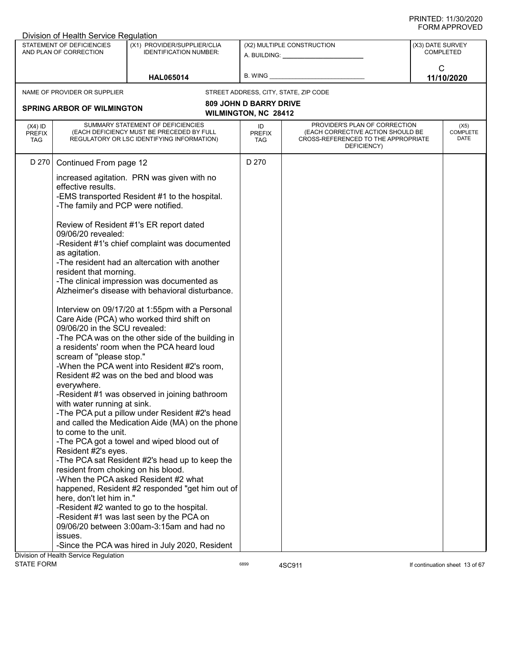|                                          | Division of Health Service Regulation                                                                                                                                                                                                                        |                                                                                                                                                                                                                                                                                                                                                                                                                                                                                                                                                                                                                                                                                                                                                                                                |                                   |                                                                                                                          |                  |                                 |
|------------------------------------------|--------------------------------------------------------------------------------------------------------------------------------------------------------------------------------------------------------------------------------------------------------------|------------------------------------------------------------------------------------------------------------------------------------------------------------------------------------------------------------------------------------------------------------------------------------------------------------------------------------------------------------------------------------------------------------------------------------------------------------------------------------------------------------------------------------------------------------------------------------------------------------------------------------------------------------------------------------------------------------------------------------------------------------------------------------------------|-----------------------------------|--------------------------------------------------------------------------------------------------------------------------|------------------|---------------------------------|
|                                          | STATEMENT OF DEFICIENCIES<br>AND PLAN OF CORRECTION                                                                                                                                                                                                          | (X1) PROVIDER/SUPPLIER/CLIA<br><b>IDENTIFICATION NUMBER:</b>                                                                                                                                                                                                                                                                                                                                                                                                                                                                                                                                                                                                                                                                                                                                   |                                   | (X2) MULTIPLE CONSTRUCTION<br>A. BUILDING: A. BUILDING:                                                                  | (X3) DATE SURVEY | <b>COMPLETED</b>                |
|                                          |                                                                                                                                                                                                                                                              | <b>HAL065014</b>                                                                                                                                                                                                                                                                                                                                                                                                                                                                                                                                                                                                                                                                                                                                                                               | B. WING                           |                                                                                                                          | $\mathsf{C}$     | 11/10/2020                      |
|                                          | NAME OF PROVIDER OR SUPPLIER                                                                                                                                                                                                                                 |                                                                                                                                                                                                                                                                                                                                                                                                                                                                                                                                                                                                                                                                                                                                                                                                |                                   | STREET ADDRESS, CITY, STATE, ZIP CODE                                                                                    |                  |                                 |
|                                          |                                                                                                                                                                                                                                                              |                                                                                                                                                                                                                                                                                                                                                                                                                                                                                                                                                                                                                                                                                                                                                                                                | <b>809 JOHN D BARRY DRIVE</b>     |                                                                                                                          |                  |                                 |
|                                          | <b>SPRING ARBOR OF WILMINGTON</b>                                                                                                                                                                                                                            |                                                                                                                                                                                                                                                                                                                                                                                                                                                                                                                                                                                                                                                                                                                                                                                                | WILMINGTON, NC 28412              |                                                                                                                          |                  |                                 |
| $(X4)$ ID<br><b>PREFIX</b><br><b>TAG</b> |                                                                                                                                                                                                                                                              | SUMMARY STATEMENT OF DEFICIENCIES<br>(EACH DEFICIENCY MUST BE PRECEDED BY FULL<br>REGULATORY OR LSC IDENTIFYING INFORMATION)                                                                                                                                                                                                                                                                                                                                                                                                                                                                                                                                                                                                                                                                   | ID<br><b>PREFIX</b><br><b>TAG</b> | PROVIDER'S PLAN OF CORRECTION<br>(EACH CORRECTIVE ACTION SHOULD BE<br>CROSS-REFERENCED TO THE APPROPRIATE<br>DEFICIENCY) |                  | (X5)<br><b>COMPLETE</b><br>DATE |
| D 270                                    | Continued From page 12                                                                                                                                                                                                                                       |                                                                                                                                                                                                                                                                                                                                                                                                                                                                                                                                                                                                                                                                                                                                                                                                | D 270                             |                                                                                                                          |                  |                                 |
|                                          | effective results.<br>-The family and PCP were notified.<br>09/06/20 revealed:<br>as agitation.<br>resident that morning.<br>09/06/20 in the SCU revealed:<br>scream of "please stop."<br>everywhere.<br>with water running at sink.<br>to come to the unit. | increased agitation. PRN was given with no<br>-EMS transported Resident #1 to the hospital.<br>Review of Resident #1's ER report dated<br>-Resident #1's chief complaint was documented<br>-The resident had an altercation with another<br>-The clinical impression was documented as<br>Alzheimer's disease with behavioral disturbance.<br>Interview on 09/17/20 at 1:55pm with a Personal<br>Care Aide (PCA) who worked third shift on<br>-The PCA was on the other side of the building in<br>a residents' room when the PCA heard loud<br>-When the PCA went into Resident #2's room,<br>Resident #2 was on the bed and blood was<br>-Resident #1 was observed in joining bathroom<br>-The PCA put a pillow under Resident #2's head<br>and called the Medication Aide (MA) on the phone |                                   |                                                                                                                          |                  |                                 |
|                                          | Resident #2's eyes.                                                                                                                                                                                                                                          | -The PCA got a towel and wiped blood out of                                                                                                                                                                                                                                                                                                                                                                                                                                                                                                                                                                                                                                                                                                                                                    |                                   |                                                                                                                          |                  |                                 |
|                                          | resident from choking on his blood.                                                                                                                                                                                                                          | -The PCA sat Resident #2's head up to keep the                                                                                                                                                                                                                                                                                                                                                                                                                                                                                                                                                                                                                                                                                                                                                 |                                   |                                                                                                                          |                  |                                 |
|                                          | here, don't let him in."                                                                                                                                                                                                                                     | -When the PCA asked Resident #2 what<br>happened, Resident #2 responded "get him out of                                                                                                                                                                                                                                                                                                                                                                                                                                                                                                                                                                                                                                                                                                        |                                   |                                                                                                                          |                  |                                 |
|                                          | issues.                                                                                                                                                                                                                                                      | -Resident #2 wanted to go to the hospital.<br>-Resident #1 was last seen by the PCA on<br>09/06/20 between 3:00am-3:15am and had no                                                                                                                                                                                                                                                                                                                                                                                                                                                                                                                                                                                                                                                            |                                   |                                                                                                                          |                  |                                 |
|                                          |                                                                                                                                                                                                                                                              | -Since the PCA was hired in July 2020, Resident                                                                                                                                                                                                                                                                                                                                                                                                                                                                                                                                                                                                                                                                                                                                                |                                   |                                                                                                                          |                  |                                 |
|                                          | Division of Health Service Regulation                                                                                                                                                                                                                        |                                                                                                                                                                                                                                                                                                                                                                                                                                                                                                                                                                                                                                                                                                                                                                                                |                                   |                                                                                                                          |                  |                                 |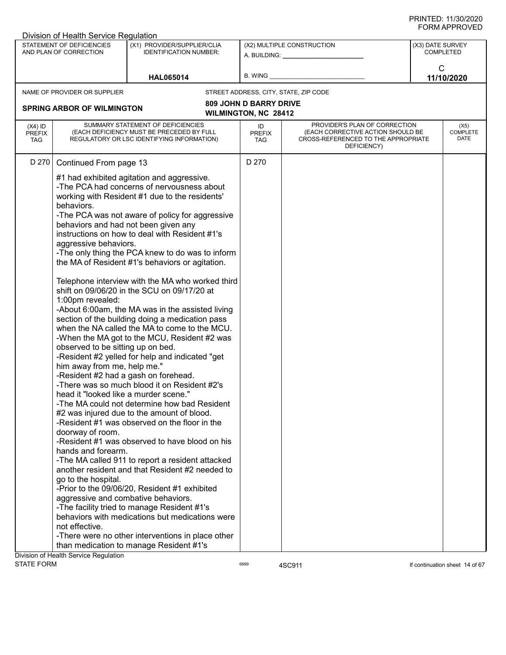| Division of Health Service Regulation<br>STATEMENT OF DEFICIENCIES<br>(X1) PROVIDER/SUPPLIER/CLIA<br>(X2) MULTIPLE CONSTRUCTION<br>(X3) DATE SURVEY                                                                                                                                                                                                                                                                                                                                                                                                                                                                                                                                                                                                                                                                                                                                                                                                                                                                                                                                                                                                                                                                                                                                                                                                                                                                                                                                                                                                                                                               |                                        |
|-------------------------------------------------------------------------------------------------------------------------------------------------------------------------------------------------------------------------------------------------------------------------------------------------------------------------------------------------------------------------------------------------------------------------------------------------------------------------------------------------------------------------------------------------------------------------------------------------------------------------------------------------------------------------------------------------------------------------------------------------------------------------------------------------------------------------------------------------------------------------------------------------------------------------------------------------------------------------------------------------------------------------------------------------------------------------------------------------------------------------------------------------------------------------------------------------------------------------------------------------------------------------------------------------------------------------------------------------------------------------------------------------------------------------------------------------------------------------------------------------------------------------------------------------------------------------------------------------------------------|----------------------------------------|
| AND PLAN OF CORRECTION<br><b>IDENTIFICATION NUMBER:</b><br>A. BUILDING: A. BUILDING:                                                                                                                                                                                                                                                                                                                                                                                                                                                                                                                                                                                                                                                                                                                                                                                                                                                                                                                                                                                                                                                                                                                                                                                                                                                                                                                                                                                                                                                                                                                              | <b>COMPLETED</b>                       |
| B. WING<br><b>HAL065014</b>                                                                                                                                                                                                                                                                                                                                                                                                                                                                                                                                                                                                                                                                                                                                                                                                                                                                                                                                                                                                                                                                                                                                                                                                                                                                                                                                                                                                                                                                                                                                                                                       | $\mathsf{C}$<br>11/10/2020             |
| NAME OF PROVIDER OR SUPPLIER<br>STREET ADDRESS, CITY, STATE, ZIP CODE                                                                                                                                                                                                                                                                                                                                                                                                                                                                                                                                                                                                                                                                                                                                                                                                                                                                                                                                                                                                                                                                                                                                                                                                                                                                                                                                                                                                                                                                                                                                             |                                        |
| <b>809 JOHN D BARRY DRIVE</b>                                                                                                                                                                                                                                                                                                                                                                                                                                                                                                                                                                                                                                                                                                                                                                                                                                                                                                                                                                                                                                                                                                                                                                                                                                                                                                                                                                                                                                                                                                                                                                                     |                                        |
| <b>SPRING ARBOR OF WILMINGTON</b><br><b>WILMINGTON, NC 28412</b>                                                                                                                                                                                                                                                                                                                                                                                                                                                                                                                                                                                                                                                                                                                                                                                                                                                                                                                                                                                                                                                                                                                                                                                                                                                                                                                                                                                                                                                                                                                                                  |                                        |
| SUMMARY STATEMENT OF DEFICIENCIES<br>PROVIDER'S PLAN OF CORRECTION<br>$(X4)$ ID<br>ID<br>(EACH DEFICIENCY MUST BE PRECEDED BY FULL<br>(EACH CORRECTIVE ACTION SHOULD BE<br><b>PREFIX</b><br><b>PREFIX</b><br>REGULATORY OR LSC IDENTIFYING INFORMATION)<br>CROSS-REFERENCED TO THE APPROPRIATE<br><b>TAG</b><br>TAG.<br>DEFICIENCY)                                                                                                                                                                                                                                                                                                                                                                                                                                                                                                                                                                                                                                                                                                                                                                                                                                                                                                                                                                                                                                                                                                                                                                                                                                                                               | (X5)<br><b>COMPLETE</b><br><b>DATE</b> |
| D 270<br>D 270<br>Continued From page 13                                                                                                                                                                                                                                                                                                                                                                                                                                                                                                                                                                                                                                                                                                                                                                                                                                                                                                                                                                                                                                                                                                                                                                                                                                                                                                                                                                                                                                                                                                                                                                          |                                        |
| #1 had exhibited agitation and aggressive.<br>-The PCA had concerns of nervousness about<br>working with Resident #1 due to the residents'<br>behaviors.<br>-The PCA was not aware of policy for aggressive<br>behaviors and had not been given any<br>instructions on how to deal with Resident #1's<br>aggressive behaviors.<br>-The only thing the PCA knew to do was to inform<br>the MA of Resident #1's behaviors or agitation.<br>Telephone interview with the MA who worked third<br>shift on 09/06/20 in the SCU on 09/17/20 at<br>1:00pm revealed:<br>-About 6:00am, the MA was in the assisted living<br>section of the building doing a medication pass<br>when the NA called the MA to come to the MCU.<br>-When the MA got to the MCU, Resident #2 was<br>observed to be sitting up on bed.<br>-Resident #2 yelled for help and indicated "get<br>him away from me, help me."<br>-Resident #2 had a gash on forehead.<br>-There was so much blood it on Resident #2's<br>head it "looked like a murder scene."<br>-The MA could not determine how bad Resident<br>#2 was injured due to the amount of blood.<br>-Resident #1 was observed on the floor in the<br>doorway of room.<br>-Resident #1 was observed to have blood on his<br>hands and forearm.<br>-The MA called 911 to report a resident attacked<br>another resident and that Resident #2 needed to<br>go to the hospital.<br>-Prior to the 09/06/20, Resident #1 exhibited<br>aggressive and combative behaviors.<br>-The facility tried to manage Resident #1's<br>behaviors with medications but medications were<br>not effective. |                                        |
| -There were no other interventions in place other                                                                                                                                                                                                                                                                                                                                                                                                                                                                                                                                                                                                                                                                                                                                                                                                                                                                                                                                                                                                                                                                                                                                                                                                                                                                                                                                                                                                                                                                                                                                                                 |                                        |
| than medication to manage Resident #1's<br>Division of Health Service Regulation                                                                                                                                                                                                                                                                                                                                                                                                                                                                                                                                                                                                                                                                                                                                                                                                                                                                                                                                                                                                                                                                                                                                                                                                                                                                                                                                                                                                                                                                                                                                  |                                        |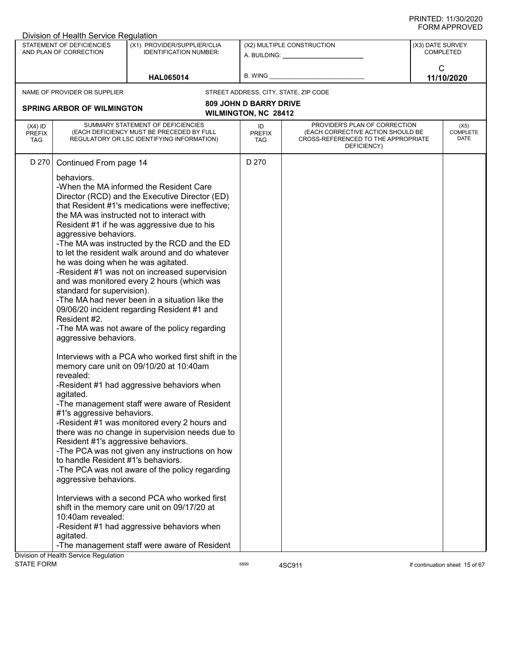| STATEMENT OF DEFICIENCIES<br>(X1) PROVIDER/SUPPLIER/CLIA<br>(X2) MULTIPLE CONSTRUCTION<br>(X3) DATE SURVEY<br>AND PLAN OF CORRECTION<br><b>IDENTIFICATION NUMBER:</b><br><b>COMPLETED</b><br>A. BUILDING: A. BUILDING:<br>C<br><b>B. WING</b><br>11/10/2020<br><b>HAL065014</b><br>NAME OF PROVIDER OR SUPPLIER<br>STREET ADDRESS, CITY, STATE, ZIP CODE<br><b>809 JOHN D BARRY DRIVE</b><br><b>SPRING ARBOR OF WILMINGTON</b><br><b>WILMINGTON, NC 28412</b><br>SUMMARY STATEMENT OF DEFICIENCIES<br>PROVIDER'S PLAN OF CORRECTION<br>$(X4)$ ID<br>ID<br>(X5)<br><b>COMPLETE</b><br>(EACH DEFICIENCY MUST BE PRECEDED BY FULL<br>(EACH CORRECTIVE ACTION SHOULD BE<br><b>PREFIX</b><br><b>PREFIX</b><br>DATE<br>REGULATORY OR LSC IDENTIFYING INFORMATION)<br>CROSS-REFERENCED TO THE APPROPRIATE<br><b>TAG</b><br><b>TAG</b><br>DEFICIENCY)<br>D 270<br>D 270<br>Continued From page 14<br>behaviors.<br>-When the MA informed the Resident Care<br>Director (RCD) and the Executive Director (ED)<br>that Resident #1's medications were ineffective;<br>the MA was instructed not to interact with<br>Resident #1 if he was aggressive due to his<br>aggressive behaviors.<br>-The MA was instructed by the RCD and the ED<br>to let the resident walk around and do whatever<br>he was doing when he was agitated.<br>-Resident #1 was not on increased supervision<br>and was monitored every 2 hours (which was<br>standard for supervision).<br>-The MA had never been in a situation like the<br>09/06/20 incident regarding Resident #1 and<br>Resident #2.<br>-The MA was not aware of the policy regarding<br>aggressive behaviors.<br>Interviews with a PCA who worked first shift in the<br>memory care unit on 09/10/20 at 10:40am<br>revealed:<br>-Resident #1 had aggressive behaviors when<br>agitated.<br>-The management staff were aware of Resident<br>#1's aggressive behaviors.<br>-Resident #1 was monitored every 2 hours and<br>there was no change in supervision needs due to<br>Resident #1's aggressive behaviors.<br>-The PCA was not given any instructions on how<br>to handle Resident #1's behaviors.<br>-The PCA was not aware of the policy regarding<br>aggressive behaviors.<br>Interviews with a second PCA who worked first<br>shift in the memory care unit on 09/17/20 at<br>10:40am revealed:<br>-Resident #1 had aggressive behaviors when<br>agitated.<br>-The management staff were aware of Resident<br>Division of Health Service Regulation | Division of Health Service Regulation |  |  |  |
|------------------------------------------------------------------------------------------------------------------------------------------------------------------------------------------------------------------------------------------------------------------------------------------------------------------------------------------------------------------------------------------------------------------------------------------------------------------------------------------------------------------------------------------------------------------------------------------------------------------------------------------------------------------------------------------------------------------------------------------------------------------------------------------------------------------------------------------------------------------------------------------------------------------------------------------------------------------------------------------------------------------------------------------------------------------------------------------------------------------------------------------------------------------------------------------------------------------------------------------------------------------------------------------------------------------------------------------------------------------------------------------------------------------------------------------------------------------------------------------------------------------------------------------------------------------------------------------------------------------------------------------------------------------------------------------------------------------------------------------------------------------------------------------------------------------------------------------------------------------------------------------------------------------------------------------------------------------------------------------------------------------------------------------------------------------------------------------------------------------------------------------------------------------------------------------------------------------------------------------------------------------------------------------------------------------------------------------------------------------------------------------------------------------------------------------------------------------------------------------------|---------------------------------------|--|--|--|
|                                                                                                                                                                                                                                                                                                                                                                                                                                                                                                                                                                                                                                                                                                                                                                                                                                                                                                                                                                                                                                                                                                                                                                                                                                                                                                                                                                                                                                                                                                                                                                                                                                                                                                                                                                                                                                                                                                                                                                                                                                                                                                                                                                                                                                                                                                                                                                                                                                                                                                |                                       |  |  |  |
|                                                                                                                                                                                                                                                                                                                                                                                                                                                                                                                                                                                                                                                                                                                                                                                                                                                                                                                                                                                                                                                                                                                                                                                                                                                                                                                                                                                                                                                                                                                                                                                                                                                                                                                                                                                                                                                                                                                                                                                                                                                                                                                                                                                                                                                                                                                                                                                                                                                                                                |                                       |  |  |  |
|                                                                                                                                                                                                                                                                                                                                                                                                                                                                                                                                                                                                                                                                                                                                                                                                                                                                                                                                                                                                                                                                                                                                                                                                                                                                                                                                                                                                                                                                                                                                                                                                                                                                                                                                                                                                                                                                                                                                                                                                                                                                                                                                                                                                                                                                                                                                                                                                                                                                                                |                                       |  |  |  |
|                                                                                                                                                                                                                                                                                                                                                                                                                                                                                                                                                                                                                                                                                                                                                                                                                                                                                                                                                                                                                                                                                                                                                                                                                                                                                                                                                                                                                                                                                                                                                                                                                                                                                                                                                                                                                                                                                                                                                                                                                                                                                                                                                                                                                                                                                                                                                                                                                                                                                                |                                       |  |  |  |
|                                                                                                                                                                                                                                                                                                                                                                                                                                                                                                                                                                                                                                                                                                                                                                                                                                                                                                                                                                                                                                                                                                                                                                                                                                                                                                                                                                                                                                                                                                                                                                                                                                                                                                                                                                                                                                                                                                                                                                                                                                                                                                                                                                                                                                                                                                                                                                                                                                                                                                |                                       |  |  |  |
|                                                                                                                                                                                                                                                                                                                                                                                                                                                                                                                                                                                                                                                                                                                                                                                                                                                                                                                                                                                                                                                                                                                                                                                                                                                                                                                                                                                                                                                                                                                                                                                                                                                                                                                                                                                                                                                                                                                                                                                                                                                                                                                                                                                                                                                                                                                                                                                                                                                                                                |                                       |  |  |  |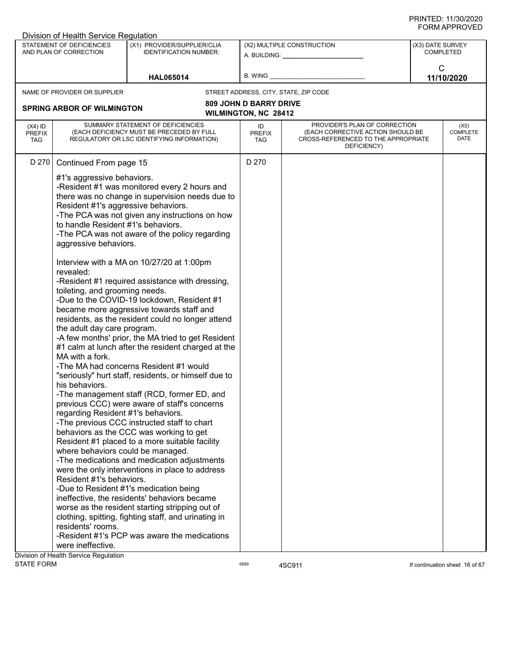|                                          | Division of Health Service Regulation                                                                                                                                                                                                                                                                                                                                           |                                                                                                                                                                                                                                                                                                                                                                                                                                                                                                                                                                                                                                                                                                                                                                                                                                                                                                                                                                                                                                                                                                                                                                                                                                                                   |                               |                                                                                                                          |                  |                                 |
|------------------------------------------|---------------------------------------------------------------------------------------------------------------------------------------------------------------------------------------------------------------------------------------------------------------------------------------------------------------------------------------------------------------------------------|-------------------------------------------------------------------------------------------------------------------------------------------------------------------------------------------------------------------------------------------------------------------------------------------------------------------------------------------------------------------------------------------------------------------------------------------------------------------------------------------------------------------------------------------------------------------------------------------------------------------------------------------------------------------------------------------------------------------------------------------------------------------------------------------------------------------------------------------------------------------------------------------------------------------------------------------------------------------------------------------------------------------------------------------------------------------------------------------------------------------------------------------------------------------------------------------------------------------------------------------------------------------|-------------------------------|--------------------------------------------------------------------------------------------------------------------------|------------------|---------------------------------|
|                                          | STATEMENT OF DEFICIENCIES<br>AND PLAN OF CORRECTION                                                                                                                                                                                                                                                                                                                             | (X1) PROVIDER/SUPPLIER/CLIA<br><b>IDENTIFICATION NUMBER:</b>                                                                                                                                                                                                                                                                                                                                                                                                                                                                                                                                                                                                                                                                                                                                                                                                                                                                                                                                                                                                                                                                                                                                                                                                      |                               | (X2) MULTIPLE CONSTRUCTION<br>A. BUILDING: A. BUILDING:                                                                  | (X3) DATE SURVEY | <b>COMPLETED</b>                |
|                                          |                                                                                                                                                                                                                                                                                                                                                                                 | <b>HAL065014</b>                                                                                                                                                                                                                                                                                                                                                                                                                                                                                                                                                                                                                                                                                                                                                                                                                                                                                                                                                                                                                                                                                                                                                                                                                                                  | B. WING                       |                                                                                                                          | C                | 11/10/2020                      |
|                                          | NAME OF PROVIDER OR SUPPLIER                                                                                                                                                                                                                                                                                                                                                    |                                                                                                                                                                                                                                                                                                                                                                                                                                                                                                                                                                                                                                                                                                                                                                                                                                                                                                                                                                                                                                                                                                                                                                                                                                                                   |                               | STREET ADDRESS, CITY, STATE, ZIP CODE                                                                                    |                  |                                 |
|                                          |                                                                                                                                                                                                                                                                                                                                                                                 |                                                                                                                                                                                                                                                                                                                                                                                                                                                                                                                                                                                                                                                                                                                                                                                                                                                                                                                                                                                                                                                                                                                                                                                                                                                                   | <b>809 JOHN D BARRY DRIVE</b> |                                                                                                                          |                  |                                 |
|                                          | <b>SPRING ARBOR OF WILMINGTON</b>                                                                                                                                                                                                                                                                                                                                               |                                                                                                                                                                                                                                                                                                                                                                                                                                                                                                                                                                                                                                                                                                                                                                                                                                                                                                                                                                                                                                                                                                                                                                                                                                                                   | <b>WILMINGTON, NC 28412</b>   |                                                                                                                          |                  |                                 |
| $(X4)$ ID<br><b>PREFIX</b><br><b>TAG</b> |                                                                                                                                                                                                                                                                                                                                                                                 | SUMMARY STATEMENT OF DEFICIENCIES<br>(EACH DEFICIENCY MUST BE PRECEDED BY FULL<br>REGULATORY OR LSC IDENTIFYING INFORMATION)                                                                                                                                                                                                                                                                                                                                                                                                                                                                                                                                                                                                                                                                                                                                                                                                                                                                                                                                                                                                                                                                                                                                      | ID<br><b>PREFIX</b><br>TAG    | PROVIDER'S PLAN OF CORRECTION<br>(EACH CORRECTIVE ACTION SHOULD BE<br>CROSS-REFERENCED TO THE APPROPRIATE<br>DEFICIENCY) |                  | (X5)<br><b>COMPLETE</b><br>DATE |
| D 270                                    | Continued From page 15                                                                                                                                                                                                                                                                                                                                                          |                                                                                                                                                                                                                                                                                                                                                                                                                                                                                                                                                                                                                                                                                                                                                                                                                                                                                                                                                                                                                                                                                                                                                                                                                                                                   | D 270                         |                                                                                                                          |                  |                                 |
|                                          | #1's aggressive behaviors.<br>Resident #1's aggressive behaviors.<br>to handle Resident #1's behaviors.<br>aggressive behaviors.<br>revealed:<br>toileting, and grooming needs.<br>the adult day care program.<br>MA with a fork.<br>his behaviors.<br>regarding Resident #1's behaviors.<br>where behaviors could be managed.<br>Resident #1's behaviors.<br>residents' rooms. | -Resident #1 was monitored every 2 hours and<br>there was no change in supervision needs due to<br>-The PCA was not given any instructions on how<br>-The PCA was not aware of the policy regarding<br>Interview with a MA on 10/27/20 at 1:00pm<br>-Resident #1 required assistance with dressing,<br>-Due to the COVID-19 lockdown, Resident #1<br>became more aggressive towards staff and<br>residents, as the resident could no longer attend<br>-A few months' prior, the MA tried to get Resident<br>#1 calm at lunch after the resident charged at the<br>-The MA had concerns Resident #1 would<br>"seriously" hurt staff, residents, or himself due to<br>-The management staff (RCD, former ED, and<br>previous CCC) were aware of staff's concerns<br>-The previous CCC instructed staff to chart<br>behaviors as the CCC was working to get<br>Resident #1 placed to a more suitable facility<br>-The medications and medication adjustments<br>were the only interventions in place to address<br>-Due to Resident #1's medication being<br>ineffective, the residents' behaviors became<br>worse as the resident starting stripping out of<br>clothing, spitting, fighting staff, and urinating in<br>-Resident #1's PCP was aware the medications |                               |                                                                                                                          |                  |                                 |
|                                          | were ineffective.                                                                                                                                                                                                                                                                                                                                                               |                                                                                                                                                                                                                                                                                                                                                                                                                                                                                                                                                                                                                                                                                                                                                                                                                                                                                                                                                                                                                                                                                                                                                                                                                                                                   |                               |                                                                                                                          |                  |                                 |
|                                          | Division of Health Service Regulation                                                                                                                                                                                                                                                                                                                                           |                                                                                                                                                                                                                                                                                                                                                                                                                                                                                                                                                                                                                                                                                                                                                                                                                                                                                                                                                                                                                                                                                                                                                                                                                                                                   |                               |                                                                                                                          |                  |                                 |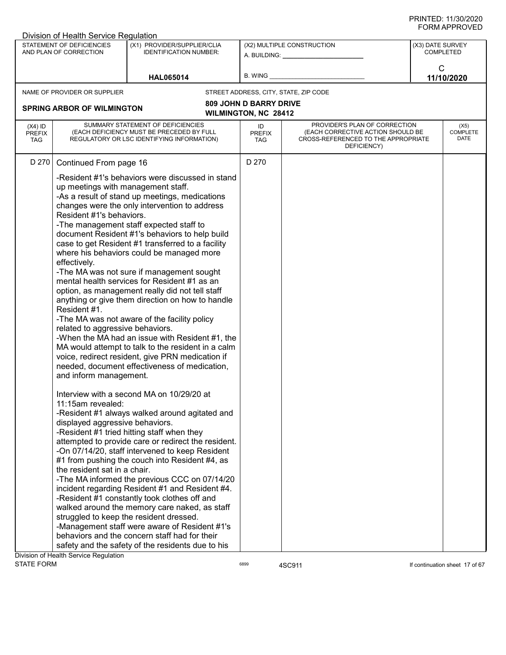|                                          | Division of Health Service Regulation                                                                                                                        |                                                                                                                                                                                                                                                                                                                                                                                                                                                                                                                                                                                                                                                                                                                                                                                                                      |                                   |                                                                                                                          | ៶៲៴៲៸៶៲ ៲ ៶៶៴៴∟ <i>υ</i>             |
|------------------------------------------|--------------------------------------------------------------------------------------------------------------------------------------------------------------|----------------------------------------------------------------------------------------------------------------------------------------------------------------------------------------------------------------------------------------------------------------------------------------------------------------------------------------------------------------------------------------------------------------------------------------------------------------------------------------------------------------------------------------------------------------------------------------------------------------------------------------------------------------------------------------------------------------------------------------------------------------------------------------------------------------------|-----------------------------------|--------------------------------------------------------------------------------------------------------------------------|--------------------------------------|
|                                          | STATEMENT OF DEFICIENCIES<br>AND PLAN OF CORRECTION                                                                                                          | (X1) PROVIDER/SUPPLIER/CLIA<br><b>IDENTIFICATION NUMBER:</b>                                                                                                                                                                                                                                                                                                                                                                                                                                                                                                                                                                                                                                                                                                                                                         |                                   | (X2) MULTIPLE CONSTRUCTION<br>A. BUILDING: A. BUILDING:                                                                  | (X3) DATE SURVEY<br><b>COMPLETED</b> |
|                                          |                                                                                                                                                              | <b>HAL065014</b>                                                                                                                                                                                                                                                                                                                                                                                                                                                                                                                                                                                                                                                                                                                                                                                                     | <b>B. WING</b>                    |                                                                                                                          | C<br>11/10/2020                      |
|                                          | NAME OF PROVIDER OR SUPPLIER                                                                                                                                 |                                                                                                                                                                                                                                                                                                                                                                                                                                                                                                                                                                                                                                                                                                                                                                                                                      |                                   | STREET ADDRESS, CITY, STATE, ZIP CODE                                                                                    |                                      |
|                                          |                                                                                                                                                              |                                                                                                                                                                                                                                                                                                                                                                                                                                                                                                                                                                                                                                                                                                                                                                                                                      | <b>809 JOHN D BARRY DRIVE</b>     |                                                                                                                          |                                      |
|                                          | <b>SPRING ARBOR OF WILMINGTON</b>                                                                                                                            |                                                                                                                                                                                                                                                                                                                                                                                                                                                                                                                                                                                                                                                                                                                                                                                                                      | <b>WILMINGTON, NC 28412</b>       |                                                                                                                          |                                      |
| $(X4)$ ID<br><b>PREFIX</b><br><b>TAG</b> |                                                                                                                                                              | SUMMARY STATEMENT OF DEFICIENCIES<br>(EACH DEFICIENCY MUST BE PRECEDED BY FULL<br>REGULATORY OR LSC IDENTIFYING INFORMATION)                                                                                                                                                                                                                                                                                                                                                                                                                                                                                                                                                                                                                                                                                         | ID<br><b>PREFIX</b><br><b>TAG</b> | PROVIDER'S PLAN OF CORRECTION<br>(EACH CORRECTIVE ACTION SHOULD BE<br>CROSS-REFERENCED TO THE APPROPRIATE<br>DEFICIENCY) | (X5)<br><b>COMPLETE</b><br>DATE      |
| D 270                                    | Continued From page 16                                                                                                                                       |                                                                                                                                                                                                                                                                                                                                                                                                                                                                                                                                                                                                                                                                                                                                                                                                                      | D 270                             |                                                                                                                          |                                      |
|                                          | up meetings with management staff.<br>Resident #1's behaviors.<br>effectively.<br>Resident #1.<br>related to aggressive behaviors.<br>and inform management. | -Resident #1's behaviors were discussed in stand<br>-As a result of stand up meetings, medications<br>changes were the only intervention to address<br>-The management staff expected staff to<br>document Resident #1's behaviors to help build<br>case to get Resident #1 transferred to a facility<br>where his behaviors could be managed more<br>-The MA was not sure if management sought<br>mental health services for Resident #1 as an<br>option, as management really did not tell staff<br>anything or give them direction on how to handle<br>-The MA was not aware of the facility policy<br>-When the MA had an issue with Resident #1, the<br>MA would attempt to talk to the resident in a calm<br>voice, redirect resident, give PRN medication if<br>needed, document effectiveness of medication, |                                   |                                                                                                                          |                                      |
|                                          | 11:15am revealed:<br>displayed aggressive behaviors.<br>the resident sat in a chair.<br>Oivision of Health Service Requisition                               | Interview with a second MA on 10/29/20 at<br>-Resident #1 always walked around agitated and<br>-Resident #1 tried hitting staff when they<br>attempted to provide care or redirect the resident.<br>-On 07/14/20, staff intervened to keep Resident<br>#1 from pushing the couch into Resident #4, as<br>-The MA informed the previous CCC on 07/14/20<br>incident regarding Resident #1 and Resident #4.<br>-Resident #1 constantly took clothes off and<br>walked around the memory care naked, as staff<br>struggled to keep the resident dressed.<br>-Management staff were aware of Resident #1's<br>behaviors and the concern staff had for their<br>safety and the safety of the residents due to his                                                                                                         |                                   |                                                                                                                          |                                      |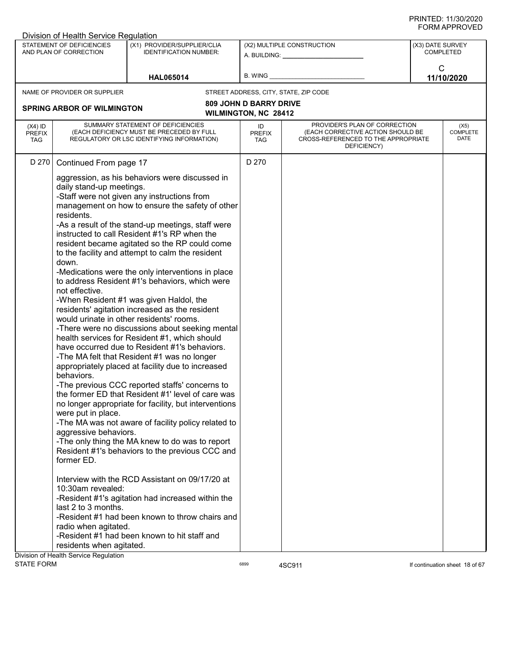|                                          | Division of Health Service Regulation                                                                                                                                                                                                                                                 |                                                                                                                                                                                                                                                                                                                                                                                                                                                                                                                                                                                                                                                                                                                                                                                                                                                                                                                                                                                                                                                                                                                                                                                                                                                                                                                                                                                                             |                                                              |                                                                                                                          |                  |                                 |
|------------------------------------------|---------------------------------------------------------------------------------------------------------------------------------------------------------------------------------------------------------------------------------------------------------------------------------------|-------------------------------------------------------------------------------------------------------------------------------------------------------------------------------------------------------------------------------------------------------------------------------------------------------------------------------------------------------------------------------------------------------------------------------------------------------------------------------------------------------------------------------------------------------------------------------------------------------------------------------------------------------------------------------------------------------------------------------------------------------------------------------------------------------------------------------------------------------------------------------------------------------------------------------------------------------------------------------------------------------------------------------------------------------------------------------------------------------------------------------------------------------------------------------------------------------------------------------------------------------------------------------------------------------------------------------------------------------------------------------------------------------------|--------------------------------------------------------------|--------------------------------------------------------------------------------------------------------------------------|------------------|---------------------------------|
|                                          | STATEMENT OF DEFICIENCIES<br>AND PLAN OF CORRECTION                                                                                                                                                                                                                                   | (X1) PROVIDER/SUPPLIER/CLIA<br><b>IDENTIFICATION NUMBER:</b>                                                                                                                                                                                                                                                                                                                                                                                                                                                                                                                                                                                                                                                                                                                                                                                                                                                                                                                                                                                                                                                                                                                                                                                                                                                                                                                                                |                                                              | (X2) MULTIPLE CONSTRUCTION<br>A. BUILDING: A. BUILDING:                                                                  | (X3) DATE SURVEY | <b>COMPLETED</b>                |
|                                          |                                                                                                                                                                                                                                                                                       | <b>HAL065014</b>                                                                                                                                                                                                                                                                                                                                                                                                                                                                                                                                                                                                                                                                                                                                                                                                                                                                                                                                                                                                                                                                                                                                                                                                                                                                                                                                                                                            | B. WING                                                      |                                                                                                                          | C                | 11/10/2020                      |
|                                          | NAME OF PROVIDER OR SUPPLIER                                                                                                                                                                                                                                                          |                                                                                                                                                                                                                                                                                                                                                                                                                                                                                                                                                                                                                                                                                                                                                                                                                                                                                                                                                                                                                                                                                                                                                                                                                                                                                                                                                                                                             |                                                              | STREET ADDRESS, CITY, STATE, ZIP CODE                                                                                    |                  |                                 |
|                                          | <b>SPRING ARBOR OF WILMINGTON</b>                                                                                                                                                                                                                                                     |                                                                                                                                                                                                                                                                                                                                                                                                                                                                                                                                                                                                                                                                                                                                                                                                                                                                                                                                                                                                                                                                                                                                                                                                                                                                                                                                                                                                             | <b>809 JOHN D BARRY DRIVE</b><br><b>WILMINGTON, NC 28412</b> |                                                                                                                          |                  |                                 |
| $(X4)$ ID<br><b>PREFIX</b><br><b>TAG</b> |                                                                                                                                                                                                                                                                                       | SUMMARY STATEMENT OF DEFICIENCIES<br>(EACH DEFICIENCY MUST BE PRECEDED BY FULL<br>REGULATORY OR LSC IDENTIFYING INFORMATION)                                                                                                                                                                                                                                                                                                                                                                                                                                                                                                                                                                                                                                                                                                                                                                                                                                                                                                                                                                                                                                                                                                                                                                                                                                                                                | ID<br><b>PREFIX</b><br>TAG                                   | PROVIDER'S PLAN OF CORRECTION<br>(EACH CORRECTIVE ACTION SHOULD BE<br>CROSS-REFERENCED TO THE APPROPRIATE<br>DEFICIENCY) |                  | (X5)<br><b>COMPLETE</b><br>DATE |
| D 270                                    | Continued From page 17                                                                                                                                                                                                                                                                |                                                                                                                                                                                                                                                                                                                                                                                                                                                                                                                                                                                                                                                                                                                                                                                                                                                                                                                                                                                                                                                                                                                                                                                                                                                                                                                                                                                                             | D 270                                                        |                                                                                                                          |                  |                                 |
|                                          | daily stand-up meetings.<br>residents.<br>down.<br>not effective.<br>behaviors.<br>were put in place.<br>aggressive behaviors.<br>former ED.<br>10:30am revealed:<br>last 2 to 3 months.<br>radio when agitated.<br>residents when agitated.<br>Division of Health Service Regulation | aggression, as his behaviors were discussed in<br>-Staff were not given any instructions from<br>management on how to ensure the safety of other<br>-As a result of the stand-up meetings, staff were<br>instructed to call Resident #1's RP when the<br>resident became agitated so the RP could come<br>to the facility and attempt to calm the resident<br>-Medications were the only interventions in place<br>to address Resident #1's behaviors, which were<br>-When Resident #1 was given Haldol, the<br>residents' agitation increased as the resident<br>would urinate in other residents' rooms.<br>-There were no discussions about seeking mental<br>health services for Resident #1, which should<br>have occurred due to Resident #1's behaviors.<br>-The MA felt that Resident #1 was no longer<br>appropriately placed at facility due to increased<br>-The previous CCC reported staffs' concerns to<br>the former ED that Resident #1' level of care was<br>no longer appropriate for facility, but interventions<br>-The MA was not aware of facility policy related to<br>-The only thing the MA knew to do was to report<br>Resident #1's behaviors to the previous CCC and<br>Interview with the RCD Assistant on 09/17/20 at<br>-Resident #1's agitation had increased within the<br>-Resident #1 had been known to throw chairs and<br>-Resident #1 had been known to hit staff and |                                                              |                                                                                                                          |                  |                                 |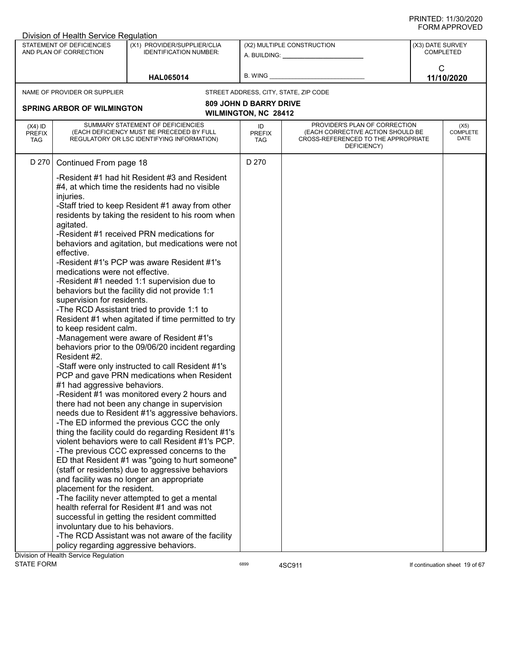|                                          | Division of Health Service Regulation                                                                                                                                                                                                                                                         |                                                                                                                                                                                                                                                                                                                                                                                                                                                                                                                                                                                                                                                                                                                                                                                                                                                                                                                                                                                                                                                                                                                                                                                                                                                                                                                                                                                                                                                                                       |                               |                                                                                                                          |                  |                                 |
|------------------------------------------|-----------------------------------------------------------------------------------------------------------------------------------------------------------------------------------------------------------------------------------------------------------------------------------------------|---------------------------------------------------------------------------------------------------------------------------------------------------------------------------------------------------------------------------------------------------------------------------------------------------------------------------------------------------------------------------------------------------------------------------------------------------------------------------------------------------------------------------------------------------------------------------------------------------------------------------------------------------------------------------------------------------------------------------------------------------------------------------------------------------------------------------------------------------------------------------------------------------------------------------------------------------------------------------------------------------------------------------------------------------------------------------------------------------------------------------------------------------------------------------------------------------------------------------------------------------------------------------------------------------------------------------------------------------------------------------------------------------------------------------------------------------------------------------------------|-------------------------------|--------------------------------------------------------------------------------------------------------------------------|------------------|---------------------------------|
|                                          | STATEMENT OF DEFICIENCIES<br>AND PLAN OF CORRECTION                                                                                                                                                                                                                                           | (X1) PROVIDER/SUPPLIER/CLIA<br><b>IDENTIFICATION NUMBER:</b>                                                                                                                                                                                                                                                                                                                                                                                                                                                                                                                                                                                                                                                                                                                                                                                                                                                                                                                                                                                                                                                                                                                                                                                                                                                                                                                                                                                                                          |                               | (X2) MULTIPLE CONSTRUCTION<br>A. BUILDING: A. BUILDING:                                                                  | (X3) DATE SURVEY | <b>COMPLETED</b>                |
|                                          |                                                                                                                                                                                                                                                                                               | <b>HAL065014</b>                                                                                                                                                                                                                                                                                                                                                                                                                                                                                                                                                                                                                                                                                                                                                                                                                                                                                                                                                                                                                                                                                                                                                                                                                                                                                                                                                                                                                                                                      | B. WING                       |                                                                                                                          | C<br>11/10/2020  |                                 |
|                                          | NAME OF PROVIDER OR SUPPLIER                                                                                                                                                                                                                                                                  |                                                                                                                                                                                                                                                                                                                                                                                                                                                                                                                                                                                                                                                                                                                                                                                                                                                                                                                                                                                                                                                                                                                                                                                                                                                                                                                                                                                                                                                                                       |                               | STREET ADDRESS, CITY, STATE, ZIP CODE                                                                                    |                  |                                 |
|                                          |                                                                                                                                                                                                                                                                                               |                                                                                                                                                                                                                                                                                                                                                                                                                                                                                                                                                                                                                                                                                                                                                                                                                                                                                                                                                                                                                                                                                                                                                                                                                                                                                                                                                                                                                                                                                       | <b>809 JOHN D BARRY DRIVE</b> |                                                                                                                          |                  |                                 |
|                                          | <b>SPRING ARBOR OF WILMINGTON</b>                                                                                                                                                                                                                                                             |                                                                                                                                                                                                                                                                                                                                                                                                                                                                                                                                                                                                                                                                                                                                                                                                                                                                                                                                                                                                                                                                                                                                                                                                                                                                                                                                                                                                                                                                                       | <b>WILMINGTON, NC 28412</b>   |                                                                                                                          |                  |                                 |
| $(X4)$ ID<br><b>PREFIX</b><br><b>TAG</b> |                                                                                                                                                                                                                                                                                               | SUMMARY STATEMENT OF DEFICIENCIES<br>(EACH DEFICIENCY MUST BE PRECEDED BY FULL<br>REGULATORY OR LSC IDENTIFYING INFORMATION)                                                                                                                                                                                                                                                                                                                                                                                                                                                                                                                                                                                                                                                                                                                                                                                                                                                                                                                                                                                                                                                                                                                                                                                                                                                                                                                                                          | ID<br><b>PREFIX</b><br>TAG    | PROVIDER'S PLAN OF CORRECTION<br>(EACH CORRECTIVE ACTION SHOULD BE<br>CROSS-REFERENCED TO THE APPROPRIATE<br>DEFICIENCY) |                  | (X5)<br><b>COMPLETE</b><br>DATE |
| D 270                                    | Continued From page 18                                                                                                                                                                                                                                                                        |                                                                                                                                                                                                                                                                                                                                                                                                                                                                                                                                                                                                                                                                                                                                                                                                                                                                                                                                                                                                                                                                                                                                                                                                                                                                                                                                                                                                                                                                                       | D 270                         |                                                                                                                          |                  |                                 |
|                                          | injuries.<br>agitated.<br>effective.<br>medications were not effective.<br>supervision for residents.<br>to keep resident calm.<br>Resident #2.<br>#1 had aggressive behaviors.<br>placement for the resident.<br>involuntary due to his behaviors.<br>policy regarding aggressive behaviors. | -Resident #1 had hit Resident #3 and Resident<br>#4, at which time the residents had no visible<br>-Staff tried to keep Resident #1 away from other<br>residents by taking the resident to his room when<br>-Resident #1 received PRN medications for<br>behaviors and agitation, but medications were not<br>-Resident #1's PCP was aware Resident #1's<br>-Resident #1 needed 1:1 supervision due to<br>behaviors but the facility did not provide 1:1<br>-The RCD Assistant tried to provide 1:1 to<br>Resident #1 when agitated if time permitted to try<br>-Management were aware of Resident #1's<br>behaviors prior to the 09/06/20 incident regarding<br>-Staff were only instructed to call Resident #1's<br>PCP and gave PRN medications when Resident<br>-Resident #1 was monitored every 2 hours and<br>there had not been any change in supervision<br>needs due to Resident #1's aggressive behaviors.<br>-The ED informed the previous CCC the only<br>thing the facility could do regarding Resident #1's<br>violent behaviors were to call Resident #1's PCP.<br>-The previous CCC expressed concerns to the<br>ED that Resident #1 was "going to hurt someone"<br>(staff or residents) due to aggressive behaviors<br>and facility was no longer an appropriate<br>-The facility never attempted to get a mental<br>health referral for Resident #1 and was not<br>successful in getting the resident committed<br>-The RCD Assistant was not aware of the facility |                               |                                                                                                                          |                  |                                 |
|                                          | Division of Health Service Regulation                                                                                                                                                                                                                                                         |                                                                                                                                                                                                                                                                                                                                                                                                                                                                                                                                                                                                                                                                                                                                                                                                                                                                                                                                                                                                                                                                                                                                                                                                                                                                                                                                                                                                                                                                                       |                               |                                                                                                                          |                  |                                 |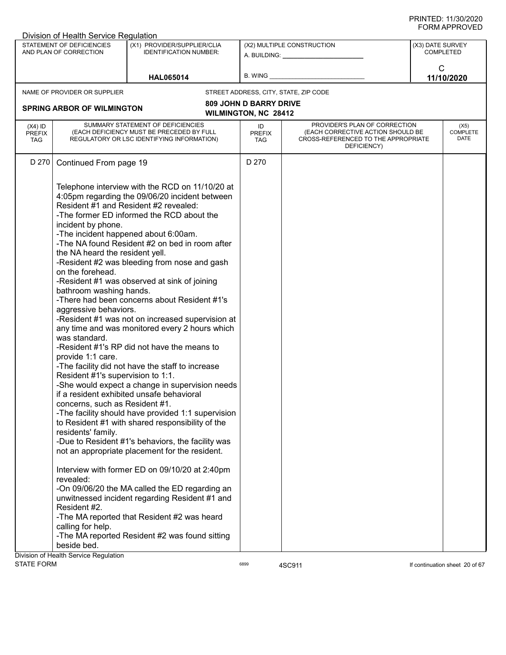|                                          | Division of Health Service Regulation                                                                                                                                                                                                                                                                                                                                      |                                                                                                                                                                                                                                                                                                                                                                                                                                                                                                                                                                                                                                                                                                                                                                                                                                                                                                                                                                                                                                                                                                                                                                                                                    |                                                              |                                                                                                                          |                  |                                 |
|------------------------------------------|----------------------------------------------------------------------------------------------------------------------------------------------------------------------------------------------------------------------------------------------------------------------------------------------------------------------------------------------------------------------------|--------------------------------------------------------------------------------------------------------------------------------------------------------------------------------------------------------------------------------------------------------------------------------------------------------------------------------------------------------------------------------------------------------------------------------------------------------------------------------------------------------------------------------------------------------------------------------------------------------------------------------------------------------------------------------------------------------------------------------------------------------------------------------------------------------------------------------------------------------------------------------------------------------------------------------------------------------------------------------------------------------------------------------------------------------------------------------------------------------------------------------------------------------------------------------------------------------------------|--------------------------------------------------------------|--------------------------------------------------------------------------------------------------------------------------|------------------|---------------------------------|
|                                          | STATEMENT OF DEFICIENCIES<br>AND PLAN OF CORRECTION                                                                                                                                                                                                                                                                                                                        | (X1) PROVIDER/SUPPLIER/CLIA<br><b>IDENTIFICATION NUMBER:</b>                                                                                                                                                                                                                                                                                                                                                                                                                                                                                                                                                                                                                                                                                                                                                                                                                                                                                                                                                                                                                                                                                                                                                       |                                                              | (X2) MULTIPLE CONSTRUCTION<br>A. BUILDING: A. BUILDING:                                                                  | (X3) DATE SURVEY | <b>COMPLETED</b>                |
|                                          |                                                                                                                                                                                                                                                                                                                                                                            | <b>HAL065014</b>                                                                                                                                                                                                                                                                                                                                                                                                                                                                                                                                                                                                                                                                                                                                                                                                                                                                                                                                                                                                                                                                                                                                                                                                   | B. WING _                                                    |                                                                                                                          | C                | 11/10/2020                      |
|                                          | NAME OF PROVIDER OR SUPPLIER                                                                                                                                                                                                                                                                                                                                               |                                                                                                                                                                                                                                                                                                                                                                                                                                                                                                                                                                                                                                                                                                                                                                                                                                                                                                                                                                                                                                                                                                                                                                                                                    |                                                              | STREET ADDRESS, CITY, STATE, ZIP CODE                                                                                    |                  |                                 |
|                                          | <b>SPRING ARBOR OF WILMINGTON</b>                                                                                                                                                                                                                                                                                                                                          |                                                                                                                                                                                                                                                                                                                                                                                                                                                                                                                                                                                                                                                                                                                                                                                                                                                                                                                                                                                                                                                                                                                                                                                                                    | <b>809 JOHN D BARRY DRIVE</b><br><b>WILMINGTON, NC 28412</b> |                                                                                                                          |                  |                                 |
| $(X4)$ ID<br><b>PREFIX</b><br><b>TAG</b> |                                                                                                                                                                                                                                                                                                                                                                            | SUMMARY STATEMENT OF DEFICIENCIES<br>(EACH DEFICIENCY MUST BE PRECEDED BY FULL<br>REGULATORY OR LSC IDENTIFYING INFORMATION)                                                                                                                                                                                                                                                                                                                                                                                                                                                                                                                                                                                                                                                                                                                                                                                                                                                                                                                                                                                                                                                                                       | ID<br><b>PREFIX</b><br>TAG                                   | PROVIDER'S PLAN OF CORRECTION<br>(EACH CORRECTIVE ACTION SHOULD BE<br>CROSS-REFERENCED TO THE APPROPRIATE<br>DEFICIENCY) |                  | (X5)<br><b>COMPLETE</b><br>DATE |
| D 270                                    | Continued From page 19                                                                                                                                                                                                                                                                                                                                                     |                                                                                                                                                                                                                                                                                                                                                                                                                                                                                                                                                                                                                                                                                                                                                                                                                                                                                                                                                                                                                                                                                                                                                                                                                    | D 270                                                        |                                                                                                                          |                  |                                 |
|                                          | incident by phone.<br>the NA heard the resident yell.<br>on the forehead.<br>bathroom washing hands.<br>aggressive behaviors.<br>was standard.<br>provide 1:1 care.<br>Resident #1's supervision to 1:1.<br>concerns, such as Resident #1.<br>residents' family.<br>revealed:<br>Resident #2.<br>calling for help.<br>beside bed.<br>Division of Health Service Regulation | Telephone interview with the RCD on 11/10/20 at<br>4:05pm regarding the 09/06/20 incident between<br>Resident #1 and Resident #2 revealed:<br>-The former ED informed the RCD about the<br>-The incident happened about 6:00am.<br>-The NA found Resident #2 on bed in room after<br>-Resident #2 was bleeding from nose and gash<br>-Resident #1 was observed at sink of joining<br>-There had been concerns about Resident #1's<br>-Resident #1 was not on increased supervision at<br>any time and was monitored every 2 hours which<br>-Resident #1's RP did not have the means to<br>-The facility did not have the staff to increase<br>-She would expect a change in supervision needs<br>if a resident exhibited unsafe behavioral<br>-The facility should have provided 1:1 supervision<br>to Resident #1 with shared responsibility of the<br>-Due to Resident #1's behaviors, the facility was<br>not an appropriate placement for the resident.<br>Interview with former ED on 09/10/20 at 2:40pm<br>-On 09/06/20 the MA called the ED regarding an<br>unwitnessed incident regarding Resident #1 and<br>-The MA reported that Resident #2 was heard<br>-The MA reported Resident #2 was found sitting |                                                              |                                                                                                                          |                  |                                 |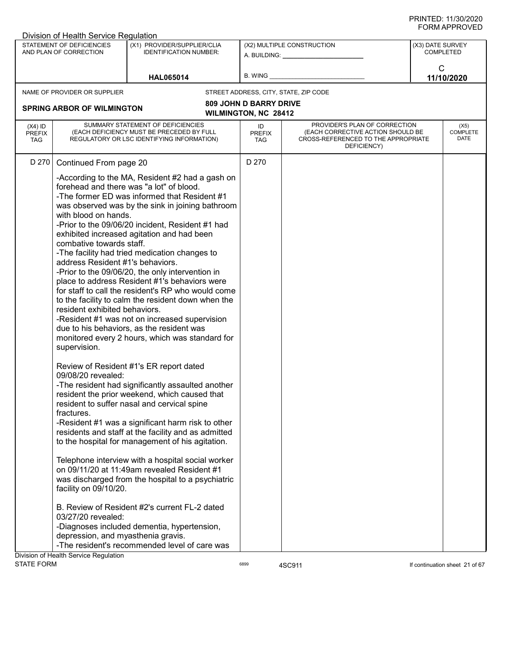|                                          | Division of Health Service Regulation                                                                                                                                                              |                                                                                                                                                                                                                                                                                                                                                                                                                                                                                                                                                                                                                                                                                                                                                                                                                                                                                                                                                                                                                                                                                                                                                                                                                                               |                                   |                                                                                                                          |                                      |                                 |
|------------------------------------------|----------------------------------------------------------------------------------------------------------------------------------------------------------------------------------------------------|-----------------------------------------------------------------------------------------------------------------------------------------------------------------------------------------------------------------------------------------------------------------------------------------------------------------------------------------------------------------------------------------------------------------------------------------------------------------------------------------------------------------------------------------------------------------------------------------------------------------------------------------------------------------------------------------------------------------------------------------------------------------------------------------------------------------------------------------------------------------------------------------------------------------------------------------------------------------------------------------------------------------------------------------------------------------------------------------------------------------------------------------------------------------------------------------------------------------------------------------------|-----------------------------------|--------------------------------------------------------------------------------------------------------------------------|--------------------------------------|---------------------------------|
|                                          | STATEMENT OF DEFICIENCIES<br>AND PLAN OF CORRECTION                                                                                                                                                | (X1) PROVIDER/SUPPLIER/CLIA<br><b>IDENTIFICATION NUMBER:</b>                                                                                                                                                                                                                                                                                                                                                                                                                                                                                                                                                                                                                                                                                                                                                                                                                                                                                                                                                                                                                                                                                                                                                                                  |                                   | (X2) MULTIPLE CONSTRUCTION<br>A. BUILDING: A.                                                                            | (X3) DATE SURVEY<br><b>COMPLETED</b> |                                 |
|                                          |                                                                                                                                                                                                    | <b>HAL065014</b>                                                                                                                                                                                                                                                                                                                                                                                                                                                                                                                                                                                                                                                                                                                                                                                                                                                                                                                                                                                                                                                                                                                                                                                                                              | B. WING                           |                                                                                                                          | $\mathsf{C}$                         | 11/10/2020                      |
|                                          | NAME OF PROVIDER OR SUPPLIER                                                                                                                                                                       |                                                                                                                                                                                                                                                                                                                                                                                                                                                                                                                                                                                                                                                                                                                                                                                                                                                                                                                                                                                                                                                                                                                                                                                                                                               |                                   | STREET ADDRESS, CITY, STATE, ZIP CODE                                                                                    |                                      |                                 |
|                                          |                                                                                                                                                                                                    |                                                                                                                                                                                                                                                                                                                                                                                                                                                                                                                                                                                                                                                                                                                                                                                                                                                                                                                                                                                                                                                                                                                                                                                                                                               | <b>809 JOHN D BARRY DRIVE</b>     |                                                                                                                          |                                      |                                 |
|                                          | <b>SPRING ARBOR OF WILMINGTON</b>                                                                                                                                                                  |                                                                                                                                                                                                                                                                                                                                                                                                                                                                                                                                                                                                                                                                                                                                                                                                                                                                                                                                                                                                                                                                                                                                                                                                                                               | WILMINGTON, NC 28412              |                                                                                                                          |                                      |                                 |
| $(X4)$ ID<br><b>PREFIX</b><br><b>TAG</b> |                                                                                                                                                                                                    | SUMMARY STATEMENT OF DEFICIENCIES<br>(EACH DEFICIENCY MUST BE PRECEDED BY FULL<br>REGULATORY OR LSC IDENTIFYING INFORMATION)                                                                                                                                                                                                                                                                                                                                                                                                                                                                                                                                                                                                                                                                                                                                                                                                                                                                                                                                                                                                                                                                                                                  | ID<br><b>PREFIX</b><br><b>TAG</b> | PROVIDER'S PLAN OF CORRECTION<br>(EACH CORRECTIVE ACTION SHOULD BE<br>CROSS-REFERENCED TO THE APPROPRIATE<br>DEFICIENCY) |                                      | (X5)<br><b>COMPLETE</b><br>DATE |
| D 270                                    | Continued From page 20                                                                                                                                                                             |                                                                                                                                                                                                                                                                                                                                                                                                                                                                                                                                                                                                                                                                                                                                                                                                                                                                                                                                                                                                                                                                                                                                                                                                                                               | D 270                             |                                                                                                                          |                                      |                                 |
|                                          | with blood on hands.<br>combative towards staff.<br>address Resident #1's behaviors.<br>resident exhibited behaviors.<br>supervision.<br>09/08/20 revealed:<br>fractures.<br>facility on 09/10/20. | -According to the MA, Resident #2 had a gash on<br>forehead and there was "a lot" of blood.<br>-The former ED was informed that Resident #1<br>was observed was by the sink in joining bathroom<br>-Prior to the 09/06/20 incident, Resident #1 had<br>exhibited increased agitation and had been<br>-The facility had tried medication changes to<br>-Prior to the 09/06/20, the only intervention in<br>place to address Resident #1's behaviors were<br>for staff to call the resident's RP who would come<br>to the facility to calm the resident down when the<br>-Resident #1 was not on increased supervision<br>due to his behaviors, as the resident was<br>monitored every 2 hours, which was standard for<br>Review of Resident #1's ER report dated<br>-The resident had significantly assaulted another<br>resident the prior weekend, which caused that<br>resident to suffer nasal and cervical spine<br>-Resident #1 was a significant harm risk to other<br>residents and staff at the facility and as admitted<br>to the hospital for management of his agitation.<br>Telephone interview with a hospital social worker<br>on 09/11/20 at 11:49am revealed Resident #1<br>was discharged from the hospital to a psychiatric |                                   |                                                                                                                          |                                      |                                 |
|                                          | 03/27/20 revealed:                                                                                                                                                                                 | B. Review of Resident #2's current FL-2 dated                                                                                                                                                                                                                                                                                                                                                                                                                                                                                                                                                                                                                                                                                                                                                                                                                                                                                                                                                                                                                                                                                                                                                                                                 |                                   |                                                                                                                          |                                      |                                 |
|                                          | depression, and myasthenia gravis.                                                                                                                                                                 | -Diagnoses included dementia, hypertension,<br>-The resident's recommended level of care was                                                                                                                                                                                                                                                                                                                                                                                                                                                                                                                                                                                                                                                                                                                                                                                                                                                                                                                                                                                                                                                                                                                                                  |                                   |                                                                                                                          |                                      |                                 |
| <b>STATE FORM</b>                        | Division of Health Service Regulation                                                                                                                                                              |                                                                                                                                                                                                                                                                                                                                                                                                                                                                                                                                                                                                                                                                                                                                                                                                                                                                                                                                                                                                                                                                                                                                                                                                                                               | 6899                              | 4SC911                                                                                                                   |                                      | If continuation sheet 21 of 67  |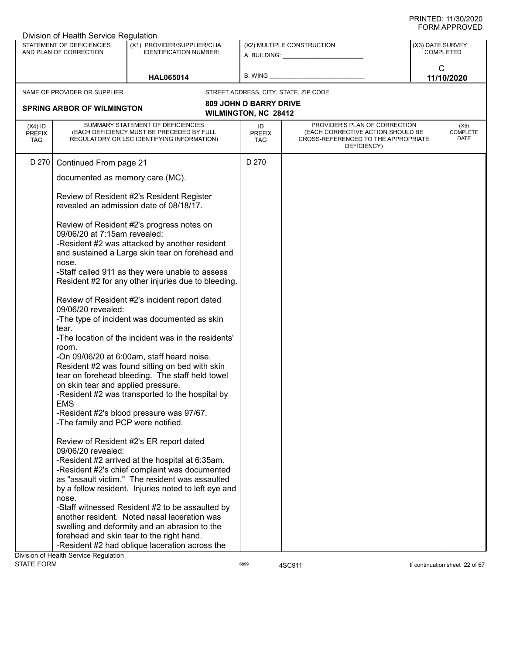|                                          | Division of Health Service Regulation               |                                                                                                                                                 |                               |                                                                                                                          |                  |                                 |
|------------------------------------------|-----------------------------------------------------|-------------------------------------------------------------------------------------------------------------------------------------------------|-------------------------------|--------------------------------------------------------------------------------------------------------------------------|------------------|---------------------------------|
|                                          | STATEMENT OF DEFICIENCIES<br>AND PLAN OF CORRECTION | (X1) PROVIDER/SUPPLIER/CLIA<br><b>IDENTIFICATION NUMBER:</b>                                                                                    |                               | (X2) MULTIPLE CONSTRUCTION<br>A. BUILDING: A. BUILDING:                                                                  | (X3) DATE SURVEY | <b>COMPLETED</b>                |
|                                          |                                                     | <b>HAL065014</b>                                                                                                                                | B. WING _                     |                                                                                                                          | C                | 11/10/2020                      |
|                                          | NAME OF PROVIDER OR SUPPLIER                        |                                                                                                                                                 |                               | STREET ADDRESS, CITY, STATE, ZIP CODE                                                                                    |                  |                                 |
|                                          |                                                     |                                                                                                                                                 | <b>809 JOHN D BARRY DRIVE</b> |                                                                                                                          |                  |                                 |
|                                          | <b>SPRING ARBOR OF WILMINGTON</b>                   |                                                                                                                                                 | <b>WILMINGTON, NC 28412</b>   |                                                                                                                          |                  |                                 |
| $(X4)$ ID<br><b>PREFIX</b><br><b>TAG</b> |                                                     | SUMMARY STATEMENT OF DEFICIENCIES<br>(EACH DEFICIENCY MUST BE PRECEDED BY FULL<br>REGULATORY OR LSC IDENTIFYING INFORMATION)                    | ID<br><b>PREFIX</b><br>TAG    | PROVIDER'S PLAN OF CORRECTION<br>(EACH CORRECTIVE ACTION SHOULD BE<br>CROSS-REFERENCED TO THE APPROPRIATE<br>DEFICIENCY) |                  | (X5)<br><b>COMPLETE</b><br>DATE |
| D 270                                    | Continued From page 21                              |                                                                                                                                                 | D 270                         |                                                                                                                          |                  |                                 |
|                                          | documented as memory care (MC).                     |                                                                                                                                                 |                               |                                                                                                                          |                  |                                 |
|                                          |                                                     | Review of Resident #2's Resident Register<br>revealed an admission date of 08/18/17.                                                            |                               |                                                                                                                          |                  |                                 |
|                                          | 09/06/20 at 7:15am revealed:                        | Review of Resident #2's progress notes on                                                                                                       |                               |                                                                                                                          |                  |                                 |
|                                          | nose.                                               | -Resident #2 was attacked by another resident<br>and sustained a Large skin tear on forehead and                                                |                               |                                                                                                                          |                  |                                 |
|                                          |                                                     | -Staff called 911 as they were unable to assess<br>Resident #2 for any other injuries due to bleeding.                                          |                               |                                                                                                                          |                  |                                 |
|                                          | 09/06/20 revealed:                                  | Review of Resident #2's incident report dated                                                                                                   |                               |                                                                                                                          |                  |                                 |
|                                          | tear.                                               | -The type of incident was documented as skin                                                                                                    |                               |                                                                                                                          |                  |                                 |
|                                          | room.                                               | -The location of the incident was in the residents'                                                                                             |                               |                                                                                                                          |                  |                                 |
|                                          |                                                     | -On 09/06/20 at 6:00am, staff heard noise.<br>Resident #2 was found sitting on bed with skin<br>tear on forehead bleeding. The staff held towel |                               |                                                                                                                          |                  |                                 |
|                                          | on skin tear and applied pressure.<br><b>EMS</b>    | -Resident #2 was transported to the hospital by                                                                                                 |                               |                                                                                                                          |                  |                                 |
|                                          | -The family and PCP were notified.                  | -Resident #2's blood pressure was 97/67.                                                                                                        |                               |                                                                                                                          |                  |                                 |
|                                          | 09/06/20 revealed:                                  | Review of Resident #2's ER report dated                                                                                                         |                               |                                                                                                                          |                  |                                 |
|                                          |                                                     | -Resident #2 arrived at the hospital at 6:35am.<br>-Resident #2's chief complaint was documented                                                |                               |                                                                                                                          |                  |                                 |
|                                          |                                                     | as "assault victim." The resident was assaulted                                                                                                 |                               |                                                                                                                          |                  |                                 |
|                                          |                                                     | by a fellow resident. Injuries noted to left eye and                                                                                            |                               |                                                                                                                          |                  |                                 |
|                                          | nose.                                               | -Staff witnessed Resident #2 to be assaulted by                                                                                                 |                               |                                                                                                                          |                  |                                 |
|                                          |                                                     | another resident. Noted nasal laceration was                                                                                                    |                               |                                                                                                                          |                  |                                 |
|                                          |                                                     | swelling and deformity and an abrasion to the                                                                                                   |                               |                                                                                                                          |                  |                                 |
|                                          |                                                     | forehead and skin tear to the right hand.                                                                                                       |                               |                                                                                                                          |                  |                                 |
|                                          |                                                     | -Resident #2 had oblique laceration across the                                                                                                  |                               |                                                                                                                          |                  |                                 |
|                                          | Division of Health Service Regulation               |                                                                                                                                                 |                               |                                                                                                                          |                  |                                 |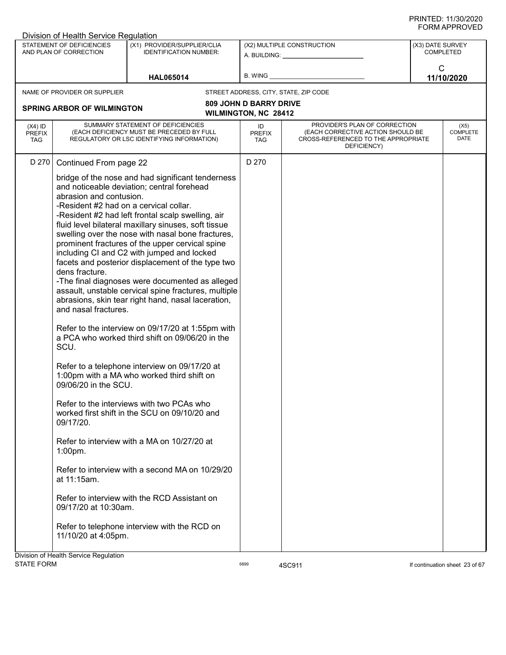|                                          | Division of Health Service Regulation                                                                                                                                                                                                                                         |                                                                                                                                                                                                                                                                                                                                                                                                                                                                                                                                                                                                                                                                                                                                                                                                                                                                                                                                                                                                                                                                                                 |                                                              |                                                                                                                          |                               |                                 |
|------------------------------------------|-------------------------------------------------------------------------------------------------------------------------------------------------------------------------------------------------------------------------------------------------------------------------------|-------------------------------------------------------------------------------------------------------------------------------------------------------------------------------------------------------------------------------------------------------------------------------------------------------------------------------------------------------------------------------------------------------------------------------------------------------------------------------------------------------------------------------------------------------------------------------------------------------------------------------------------------------------------------------------------------------------------------------------------------------------------------------------------------------------------------------------------------------------------------------------------------------------------------------------------------------------------------------------------------------------------------------------------------------------------------------------------------|--------------------------------------------------------------|--------------------------------------------------------------------------------------------------------------------------|-------------------------------|---------------------------------|
|                                          | STATEMENT OF DEFICIENCIES<br>AND PLAN OF CORRECTION                                                                                                                                                                                                                           | (X1) PROVIDER/SUPPLIER/CLIA<br><b>IDENTIFICATION NUMBER:</b>                                                                                                                                                                                                                                                                                                                                                                                                                                                                                                                                                                                                                                                                                                                                                                                                                                                                                                                                                                                                                                    |                                                              | (X2) MULTIPLE CONSTRUCTION<br>A. BUILDING: A. BUILDING:                                                                  | (X3) DATE SURVEY<br>COMPLETED |                                 |
|                                          |                                                                                                                                                                                                                                                                               | <b>HAL065014</b>                                                                                                                                                                                                                                                                                                                                                                                                                                                                                                                                                                                                                                                                                                                                                                                                                                                                                                                                                                                                                                                                                | B. WING                                                      |                                                                                                                          | C                             | 11/10/2020                      |
|                                          | NAME OF PROVIDER OR SUPPLIER                                                                                                                                                                                                                                                  |                                                                                                                                                                                                                                                                                                                                                                                                                                                                                                                                                                                                                                                                                                                                                                                                                                                                                                                                                                                                                                                                                                 |                                                              | STREET ADDRESS, CITY, STATE, ZIP CODE                                                                                    |                               |                                 |
|                                          | <b>SPRING ARBOR OF WILMINGTON</b>                                                                                                                                                                                                                                             |                                                                                                                                                                                                                                                                                                                                                                                                                                                                                                                                                                                                                                                                                                                                                                                                                                                                                                                                                                                                                                                                                                 | <b>809 JOHN D BARRY DRIVE</b><br><b>WILMINGTON, NC 28412</b> |                                                                                                                          |                               |                                 |
| $(X4)$ ID<br><b>PREFIX</b><br><b>TAG</b> |                                                                                                                                                                                                                                                                               | SUMMARY STATEMENT OF DEFICIENCIES<br>(EACH DEFICIENCY MUST BE PRECEDED BY FULL<br>REGULATORY OR LSC IDENTIFYING INFORMATION)                                                                                                                                                                                                                                                                                                                                                                                                                                                                                                                                                                                                                                                                                                                                                                                                                                                                                                                                                                    | ID<br><b>PREFIX</b><br><b>TAG</b>                            | PROVIDER'S PLAN OF CORRECTION<br>(EACH CORRECTIVE ACTION SHOULD BE<br>CROSS-REFERENCED TO THE APPROPRIATE<br>DEFICIENCY) |                               | (X5)<br><b>COMPLETE</b><br>DATE |
| D 270                                    | Continued From page 22                                                                                                                                                                                                                                                        |                                                                                                                                                                                                                                                                                                                                                                                                                                                                                                                                                                                                                                                                                                                                                                                                                                                                                                                                                                                                                                                                                                 | D 270                                                        |                                                                                                                          |                               |                                 |
|                                          | abrasion and contusion.<br>-Resident #2 had on a cervical collar.<br>dens fracture.<br>and nasal fractures.<br>SCU.<br>09/06/20 in the SCU.<br>09/17/20.<br>$1:00$ pm.<br>at 11:15am.<br>09/17/20 at 10:30am.<br>11/10/20 at 4:05pm.<br>Division of Health Service Regulation | bridge of the nose and had significant tenderness<br>and noticeable deviation; central forehead<br>-Resident #2 had left frontal scalp swelling, air<br>fluid level bilateral maxillary sinuses, soft tissue<br>swelling over the nose with nasal bone fractures,<br>prominent fractures of the upper cervical spine<br>including CI and C2 with jumped and locked<br>facets and posterior displacement of the type two<br>-The final diagnoses were documented as alleged<br>assault, unstable cervical spine fractures, multiple<br>abrasions, skin tear right hand, nasal laceration,<br>Refer to the interview on 09/17/20 at 1:55pm with<br>a PCA who worked third shift on 09/06/20 in the<br>Refer to a telephone interview on 09/17/20 at<br>1:00pm with a MA who worked third shift on<br>Refer to the interviews with two PCAs who<br>worked first shift in the SCU on 09/10/20 and<br>Refer to interview with a MA on 10/27/20 at<br>Refer to interview with a second MA on 10/29/20<br>Refer to interview with the RCD Assistant on<br>Refer to telephone interview with the RCD on |                                                              |                                                                                                                          |                               |                                 |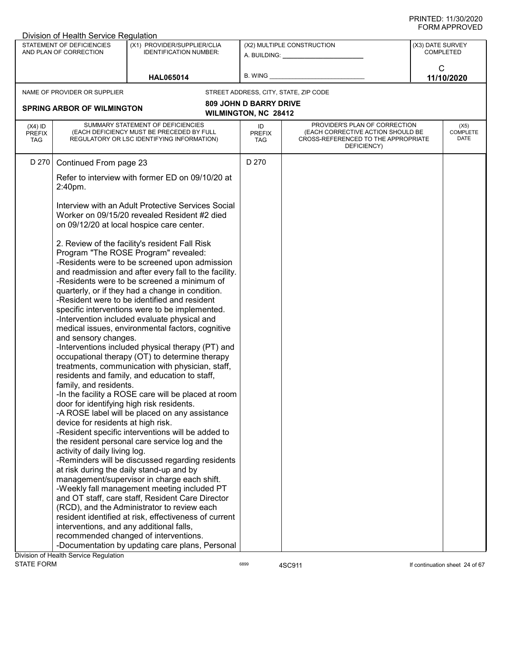|         | (X1) PROVIDER/SUPPLIER/CLIA<br><b>IDENTIFICATION NUMBER:</b>                                 |                                                                                                                                                                                                                                                                                                                                                                                                                                                                                                                                                                                                                                                                                                                                                                                                                                                                                                                                                                                                                                                                                                                                                                                                                                                                                                                                                                                                                                                                                                                                                                                                                                                                                                                                                                                                                                                                                                                                                                                                                                                |                                                     | (X3) DATE SURVEY<br>COMPLETED                                                                                                                             |                                                                                                           |
|---------|----------------------------------------------------------------------------------------------|------------------------------------------------------------------------------------------------------------------------------------------------------------------------------------------------------------------------------------------------------------------------------------------------------------------------------------------------------------------------------------------------------------------------------------------------------------------------------------------------------------------------------------------------------------------------------------------------------------------------------------------------------------------------------------------------------------------------------------------------------------------------------------------------------------------------------------------------------------------------------------------------------------------------------------------------------------------------------------------------------------------------------------------------------------------------------------------------------------------------------------------------------------------------------------------------------------------------------------------------------------------------------------------------------------------------------------------------------------------------------------------------------------------------------------------------------------------------------------------------------------------------------------------------------------------------------------------------------------------------------------------------------------------------------------------------------------------------------------------------------------------------------------------------------------------------------------------------------------------------------------------------------------------------------------------------------------------------------------------------------------------------------------------------|-----------------------------------------------------|-----------------------------------------------------------------------------------------------------------------------------------------------------------|-----------------------------------------------------------------------------------------------------------|
|         | <b>HAL065014</b>                                                                             | B. WING                                                                                                                                                                                                                                                                                                                                                                                                                                                                                                                                                                                                                                                                                                                                                                                                                                                                                                                                                                                                                                                                                                                                                                                                                                                                                                                                                                                                                                                                                                                                                                                                                                                                                                                                                                                                                                                                                                                                                                                                                                        |                                                     | C                                                                                                                                                         | 11/10/2020                                                                                                |
|         |                                                                                              |                                                                                                                                                                                                                                                                                                                                                                                                                                                                                                                                                                                                                                                                                                                                                                                                                                                                                                                                                                                                                                                                                                                                                                                                                                                                                                                                                                                                                                                                                                                                                                                                                                                                                                                                                                                                                                                                                                                                                                                                                                                |                                                     |                                                                                                                                                           |                                                                                                           |
|         |                                                                                              |                                                                                                                                                                                                                                                                                                                                                                                                                                                                                                                                                                                                                                                                                                                                                                                                                                                                                                                                                                                                                                                                                                                                                                                                                                                                                                                                                                                                                                                                                                                                                                                                                                                                                                                                                                                                                                                                                                                                                                                                                                                |                                                     |                                                                                                                                                           |                                                                                                           |
|         |                                                                                              |                                                                                                                                                                                                                                                                                                                                                                                                                                                                                                                                                                                                                                                                                                                                                                                                                                                                                                                                                                                                                                                                                                                                                                                                                                                                                                                                                                                                                                                                                                                                                                                                                                                                                                                                                                                                                                                                                                                                                                                                                                                |                                                     |                                                                                                                                                           |                                                                                                           |
|         |                                                                                              | ID<br><b>PREFIX</b><br><b>TAG</b>                                                                                                                                                                                                                                                                                                                                                                                                                                                                                                                                                                                                                                                                                                                                                                                                                                                                                                                                                                                                                                                                                                                                                                                                                                                                                                                                                                                                                                                                                                                                                                                                                                                                                                                                                                                                                                                                                                                                                                                                              | DEFICIENCY)                                         |                                                                                                                                                           | (X5)<br><b>COMPLETE</b><br>DATE                                                                           |
|         |                                                                                              | D 270                                                                                                                                                                                                                                                                                                                                                                                                                                                                                                                                                                                                                                                                                                                                                                                                                                                                                                                                                                                                                                                                                                                                                                                                                                                                                                                                                                                                                                                                                                                                                                                                                                                                                                                                                                                                                                                                                                                                                                                                                                          |                                                     |                                                                                                                                                           |                                                                                                           |
| 2:40pm. |                                                                                              |                                                                                                                                                                                                                                                                                                                                                                                                                                                                                                                                                                                                                                                                                                                                                                                                                                                                                                                                                                                                                                                                                                                                                                                                                                                                                                                                                                                                                                                                                                                                                                                                                                                                                                                                                                                                                                                                                                                                                                                                                                                |                                                     |                                                                                                                                                           |                                                                                                           |
|         |                                                                                              |                                                                                                                                                                                                                                                                                                                                                                                                                                                                                                                                                                                                                                                                                                                                                                                                                                                                                                                                                                                                                                                                                                                                                                                                                                                                                                                                                                                                                                                                                                                                                                                                                                                                                                                                                                                                                                                                                                                                                                                                                                                |                                                     |                                                                                                                                                           |                                                                                                           |
|         |                                                                                              |                                                                                                                                                                                                                                                                                                                                                                                                                                                                                                                                                                                                                                                                                                                                                                                                                                                                                                                                                                                                                                                                                                                                                                                                                                                                                                                                                                                                                                                                                                                                                                                                                                                                                                                                                                                                                                                                                                                                                                                                                                                |                                                     |                                                                                                                                                           |                                                                                                           |
|         |                                                                                              |                                                                                                                                                                                                                                                                                                                                                                                                                                                                                                                                                                                                                                                                                                                                                                                                                                                                                                                                                                                                                                                                                                                                                                                                                                                                                                                                                                                                                                                                                                                                                                                                                                                                                                                                                                                                                                                                                                                                                                                                                                                |                                                     |                                                                                                                                                           |                                                                                                           |
|         | STATEMENT OF DEFICIENCIES<br>AND PLAN OF CORRECTION<br>NAME OF PROVIDER OR SUPPLIER<br>D 270 | Division of Health Service Regulation<br><b>SPRING ARBOR OF WILMINGTON</b><br>SUMMARY STATEMENT OF DEFICIENCIES<br>(EACH DEFICIENCY MUST BE PRECEDED BY FULL<br>REGULATORY OR LSC IDENTIFYING INFORMATION)<br>Continued From page 23<br>Refer to interview with former ED on 09/10/20 at<br>Interview with an Adult Protective Services Social<br>Worker on 09/15/20 revealed Resident #2 died<br>on 09/12/20 at local hospice care center.<br>2. Review of the facility's resident Fall Risk<br>Program "The ROSE Program" revealed:<br>-Residents were to be screened upon admission<br>and readmission and after every fall to the facility.<br>-Residents were to be screened a minimum of<br>quarterly, or if they had a change in condition.<br>-Resident were to be identified and resident<br>specific interventions were to be implemented.<br>-Intervention included evaluate physical and<br>medical issues, environmental factors, cognitive<br>and sensory changes.<br>-Interventions included physical therapy (PT) and<br>occupational therapy (OT) to determine therapy<br>treatments, communication with physician, staff,<br>residents and family, and education to staff,<br>family, and residents.<br>door for identifying high risk residents.<br>-A ROSE label will be placed on any assistance<br>device for residents at high risk.<br>-Resident specific interventions will be added to<br>the resident personal care service log and the<br>activity of daily living log.<br>-Reminders will be discussed regarding residents<br>at risk during the daily stand-up and by<br>management/supervisor in charge each shift.<br>-Weekly fall management meeting included PT<br>and OT staff, care staff, Resident Care Director<br>(RCD), and the Administrator to review each<br>resident identified at risk, effectiveness of current<br>interventions, and any additional falls,<br>recommended changed of interventions.<br>-Documentation by updating care plans, Personal<br>Division of Health Service Regulation | -In the facility a ROSE care will be placed at room | (X2) MULTIPLE CONSTRUCTION<br>A. BUILDING: A. BUILDING:<br>STREET ADDRESS, CITY, STATE, ZIP CODE<br><b>809 JOHN D BARRY DRIVE</b><br>WILMINGTON, NC 28412 | PROVIDER'S PLAN OF CORRECTION<br>(EACH CORRECTIVE ACTION SHOULD BE<br>CROSS-REFERENCED TO THE APPROPRIATE |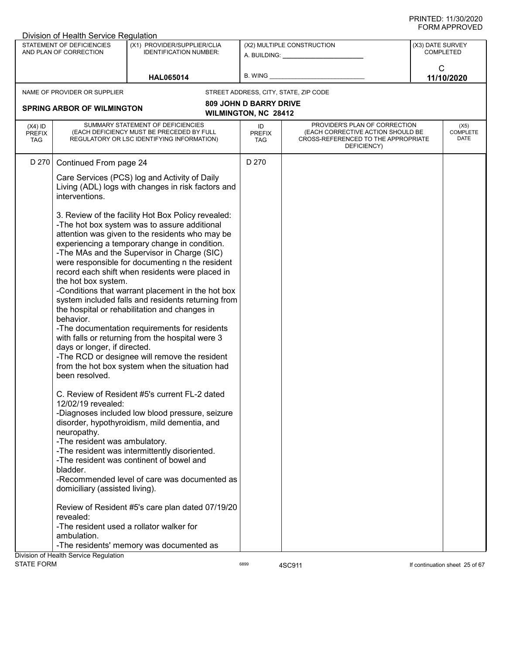|                                          | Division of Health Service Regulation                                                                                                                                                                               |                                                                                                                                                                                                                                                                                                                                                                                                                                                                                                                                                                                                                                                                                                                                                                                                                                                                                                                                                                                                                                                                                                                                  |                                   |                                                                                                                          |                  |                                 |
|------------------------------------------|---------------------------------------------------------------------------------------------------------------------------------------------------------------------------------------------------------------------|----------------------------------------------------------------------------------------------------------------------------------------------------------------------------------------------------------------------------------------------------------------------------------------------------------------------------------------------------------------------------------------------------------------------------------------------------------------------------------------------------------------------------------------------------------------------------------------------------------------------------------------------------------------------------------------------------------------------------------------------------------------------------------------------------------------------------------------------------------------------------------------------------------------------------------------------------------------------------------------------------------------------------------------------------------------------------------------------------------------------------------|-----------------------------------|--------------------------------------------------------------------------------------------------------------------------|------------------|---------------------------------|
|                                          | STATEMENT OF DEFICIENCIES<br>AND PLAN OF CORRECTION                                                                                                                                                                 | (X1) PROVIDER/SUPPLIER/CLIA<br><b>IDENTIFICATION NUMBER:</b>                                                                                                                                                                                                                                                                                                                                                                                                                                                                                                                                                                                                                                                                                                                                                                                                                                                                                                                                                                                                                                                                     |                                   | (X2) MULTIPLE CONSTRUCTION<br>A. BUILDING: A.                                                                            | (X3) DATE SURVEY | <b>COMPLETED</b>                |
|                                          |                                                                                                                                                                                                                     | <b>HAL065014</b>                                                                                                                                                                                                                                                                                                                                                                                                                                                                                                                                                                                                                                                                                                                                                                                                                                                                                                                                                                                                                                                                                                                 | B. WING                           |                                                                                                                          | $\mathsf{C}$     | 11/10/2020                      |
|                                          | NAME OF PROVIDER OR SUPPLIER                                                                                                                                                                                        |                                                                                                                                                                                                                                                                                                                                                                                                                                                                                                                                                                                                                                                                                                                                                                                                                                                                                                                                                                                                                                                                                                                                  |                                   | STREET ADDRESS, CITY, STATE, ZIP CODE                                                                                    |                  |                                 |
|                                          |                                                                                                                                                                                                                     |                                                                                                                                                                                                                                                                                                                                                                                                                                                                                                                                                                                                                                                                                                                                                                                                                                                                                                                                                                                                                                                                                                                                  | <b>809 JOHN D BARRY DRIVE</b>     |                                                                                                                          |                  |                                 |
|                                          | <b>SPRING ARBOR OF WILMINGTON</b>                                                                                                                                                                                   |                                                                                                                                                                                                                                                                                                                                                                                                                                                                                                                                                                                                                                                                                                                                                                                                                                                                                                                                                                                                                                                                                                                                  | <b>WILMINGTON, NC 28412</b>       |                                                                                                                          |                  |                                 |
| $(X4)$ ID<br><b>PREFIX</b><br><b>TAG</b> |                                                                                                                                                                                                                     | SUMMARY STATEMENT OF DEFICIENCIES<br>(EACH DEFICIENCY MUST BE PRECEDED BY FULL<br>REGULATORY OR LSC IDENTIFYING INFORMATION)                                                                                                                                                                                                                                                                                                                                                                                                                                                                                                                                                                                                                                                                                                                                                                                                                                                                                                                                                                                                     | ID<br><b>PREFIX</b><br><b>TAG</b> | PROVIDER'S PLAN OF CORRECTION<br>(EACH CORRECTIVE ACTION SHOULD BE<br>CROSS-REFERENCED TO THE APPROPRIATE<br>DEFICIENCY) |                  | (X5)<br><b>COMPLETE</b><br>DATE |
| D 270                                    | Continued From page 24                                                                                                                                                                                              |                                                                                                                                                                                                                                                                                                                                                                                                                                                                                                                                                                                                                                                                                                                                                                                                                                                                                                                                                                                                                                                                                                                                  | D 270                             |                                                                                                                          |                  |                                 |
|                                          | interventions.                                                                                                                                                                                                      | Care Services (PCS) log and Activity of Daily<br>Living (ADL) logs with changes in risk factors and                                                                                                                                                                                                                                                                                                                                                                                                                                                                                                                                                                                                                                                                                                                                                                                                                                                                                                                                                                                                                              |                                   |                                                                                                                          |                  |                                 |
|                                          | the hot box system.<br>behavior.<br>days or longer, if directed.<br>been resolved.<br>12/02/19 revealed:<br>neuropathy.<br>-The resident was ambulatory.<br>bladder.<br>domiciliary (assisted living).<br>revealed: | 3. Review of the facility Hot Box Policy revealed:<br>-The hot box system was to assure additional<br>attention was given to the residents who may be<br>experiencing a temporary change in condition.<br>-The MAs and the Supervisor in Charge (SIC)<br>were responsible for documenting n the resident<br>record each shift when residents were placed in<br>-Conditions that warrant placement in the hot box<br>system included falls and residents returning from<br>the hospital or rehabilitation and changes in<br>-The documentation requirements for residents<br>with falls or returning from the hospital were 3<br>-The RCD or designee will remove the resident<br>from the hot box system when the situation had<br>C. Review of Resident #5's current FL-2 dated<br>-Diagnoses included low blood pressure, seizure<br>disorder, hypothyroidism, mild dementia, and<br>-The resident was intermittently disoriented.<br>-The resident was continent of bowel and<br>-Recommended level of care was documented as<br>Review of Resident #5's care plan dated 07/19/20<br>-The resident used a rollator walker for |                                   |                                                                                                                          |                  |                                 |
|                                          | ambulation.                                                                                                                                                                                                         | -The residents' memory was documented as                                                                                                                                                                                                                                                                                                                                                                                                                                                                                                                                                                                                                                                                                                                                                                                                                                                                                                                                                                                                                                                                                         |                                   |                                                                                                                          |                  |                                 |
|                                          | Division of Health Service Regulation                                                                                                                                                                               |                                                                                                                                                                                                                                                                                                                                                                                                                                                                                                                                                                                                                                                                                                                                                                                                                                                                                                                                                                                                                                                                                                                                  |                                   |                                                                                                                          |                  |                                 |
| <b>STATE FORM</b>                        |                                                                                                                                                                                                                     |                                                                                                                                                                                                                                                                                                                                                                                                                                                                                                                                                                                                                                                                                                                                                                                                                                                                                                                                                                                                                                                                                                                                  | 6899                              | 4SC911                                                                                                                   |                  | If continuation sheet 25 of 67  |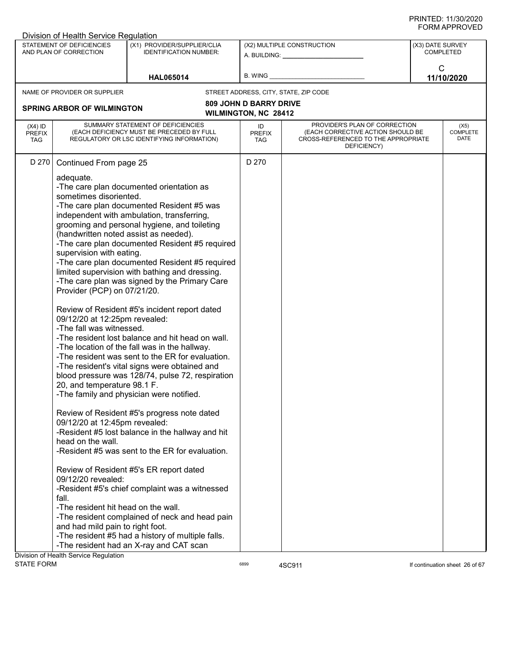|                                          | Division of Health Service Regulation                                                                                                                                                                                                                                                                                                                                                                                         |                                                                                                                                                                                                                                                                                                                                                                                                                                                                                                                                                                                                                                                                                                                                                                                                                                                                                                                                                                                                                                                                                                                                                            |                                                              |                                                                                                                          |                  |                                 |
|------------------------------------------|-------------------------------------------------------------------------------------------------------------------------------------------------------------------------------------------------------------------------------------------------------------------------------------------------------------------------------------------------------------------------------------------------------------------------------|------------------------------------------------------------------------------------------------------------------------------------------------------------------------------------------------------------------------------------------------------------------------------------------------------------------------------------------------------------------------------------------------------------------------------------------------------------------------------------------------------------------------------------------------------------------------------------------------------------------------------------------------------------------------------------------------------------------------------------------------------------------------------------------------------------------------------------------------------------------------------------------------------------------------------------------------------------------------------------------------------------------------------------------------------------------------------------------------------------------------------------------------------------|--------------------------------------------------------------|--------------------------------------------------------------------------------------------------------------------------|------------------|---------------------------------|
|                                          | STATEMENT OF DEFICIENCIES<br>AND PLAN OF CORRECTION                                                                                                                                                                                                                                                                                                                                                                           | (X1) PROVIDER/SUPPLIER/CLIA<br><b>IDENTIFICATION NUMBER:</b>                                                                                                                                                                                                                                                                                                                                                                                                                                                                                                                                                                                                                                                                                                                                                                                                                                                                                                                                                                                                                                                                                               |                                                              | (X2) MULTIPLE CONSTRUCTION<br>A. BUILDING: A. BUILDING:                                                                  | (X3) DATE SURVEY | <b>COMPLETED</b>                |
|                                          |                                                                                                                                                                                                                                                                                                                                                                                                                               | <b>HAL065014</b>                                                                                                                                                                                                                                                                                                                                                                                                                                                                                                                                                                                                                                                                                                                                                                                                                                                                                                                                                                                                                                                                                                                                           | B. WING                                                      |                                                                                                                          | C                | 11/10/2020                      |
|                                          | NAME OF PROVIDER OR SUPPLIER                                                                                                                                                                                                                                                                                                                                                                                                  |                                                                                                                                                                                                                                                                                                                                                                                                                                                                                                                                                                                                                                                                                                                                                                                                                                                                                                                                                                                                                                                                                                                                                            |                                                              | STREET ADDRESS, CITY, STATE, ZIP CODE                                                                                    |                  |                                 |
|                                          | <b>SPRING ARBOR OF WILMINGTON</b>                                                                                                                                                                                                                                                                                                                                                                                             |                                                                                                                                                                                                                                                                                                                                                                                                                                                                                                                                                                                                                                                                                                                                                                                                                                                                                                                                                                                                                                                                                                                                                            | <b>809 JOHN D BARRY DRIVE</b><br><b>WILMINGTON, NC 28412</b> |                                                                                                                          |                  |                                 |
| $(X4)$ ID<br><b>PREFIX</b><br><b>TAG</b> |                                                                                                                                                                                                                                                                                                                                                                                                                               | SUMMARY STATEMENT OF DEFICIENCIES<br>(EACH DEFICIENCY MUST BE PRECEDED BY FULL<br>REGULATORY OR LSC IDENTIFYING INFORMATION)                                                                                                                                                                                                                                                                                                                                                                                                                                                                                                                                                                                                                                                                                                                                                                                                                                                                                                                                                                                                                               | ID<br><b>PREFIX</b><br>TAG                                   | PROVIDER'S PLAN OF CORRECTION<br>(EACH CORRECTIVE ACTION SHOULD BE<br>CROSS-REFERENCED TO THE APPROPRIATE<br>DEFICIENCY) |                  | (X5)<br><b>COMPLETE</b><br>DATE |
| D 270                                    | Continued From page 25<br>adequate.<br>sometimes disoriented.<br>(handwritten noted assist as needed).<br>supervision with eating.<br>Provider (PCP) on 07/21/20.<br>09/12/20 at 12:25pm revealed:<br>-The fall was witnessed.<br>20, and temperature 98.1 F.<br>09/12/20 at 12:45pm revealed:<br>head on the wall.<br>09/12/20 revealed:<br>fall.<br>-The resident hit head on the wall.<br>and had mild pain to right foot. | -The care plan documented orientation as<br>-The care plan documented Resident #5 was<br>independent with ambulation, transferring,<br>grooming and personal hygiene, and toileting<br>-The care plan documented Resident #5 required<br>-The care plan documented Resident #5 required<br>limited supervision with bathing and dressing.<br>-The care plan was signed by the Primary Care<br>Review of Resident #5's incident report dated<br>-The resident lost balance and hit head on wall.<br>-The location of the fall was in the hallway.<br>-The resident was sent to the ER for evaluation.<br>-The resident's vital signs were obtained and<br>blood pressure was 128/74, pulse 72, respiration<br>-The family and physician were notified.<br>Review of Resident #5's progress note dated<br>-Resident #5 lost balance in the hallway and hit<br>-Resident #5 was sent to the ER for evaluation.<br>Review of Resident #5's ER report dated<br>-Resident #5's chief complaint was a witnessed<br>-The resident complained of neck and head pain<br>-The resident #5 had a history of multiple falls.<br>-The resident had an X-ray and CAT scan | D 270                                                        |                                                                                                                          |                  |                                 |
|                                          | Division of Health Service Regulation                                                                                                                                                                                                                                                                                                                                                                                         |                                                                                                                                                                                                                                                                                                                                                                                                                                                                                                                                                                                                                                                                                                                                                                                                                                                                                                                                                                                                                                                                                                                                                            |                                                              |                                                                                                                          |                  |                                 |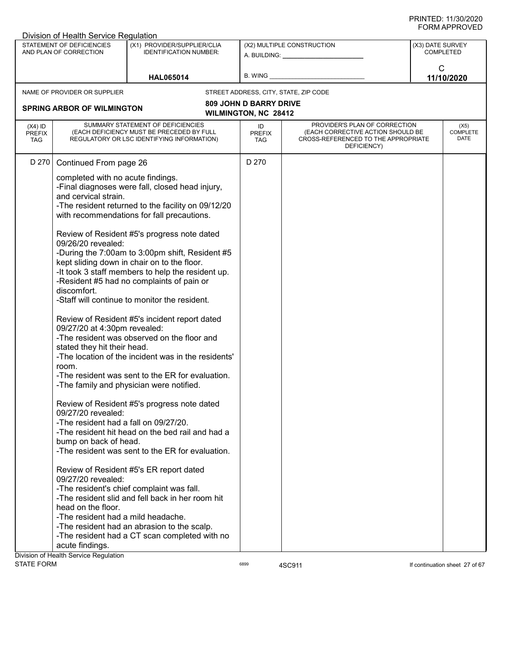| Division of Health Service Regulation                                                    |                                                                                                                                                                                                                                                                                                                                                             |                                                                                                                                                                                                                                                                                                                                                                                                                                                                                                                                                                                                                          |                                   |                                                                                                                          |                  |                                 |
|------------------------------------------------------------------------------------------|-------------------------------------------------------------------------------------------------------------------------------------------------------------------------------------------------------------------------------------------------------------------------------------------------------------------------------------------------------------|--------------------------------------------------------------------------------------------------------------------------------------------------------------------------------------------------------------------------------------------------------------------------------------------------------------------------------------------------------------------------------------------------------------------------------------------------------------------------------------------------------------------------------------------------------------------------------------------------------------------------|-----------------------------------|--------------------------------------------------------------------------------------------------------------------------|------------------|---------------------------------|
| STATEMENT OF DEFICIENCIES<br>AND PLAN OF CORRECTION                                      |                                                                                                                                                                                                                                                                                                                                                             | (X1) PROVIDER/SUPPLIER/CLIA<br><b>IDENTIFICATION NUMBER:</b>                                                                                                                                                                                                                                                                                                                                                                                                                                                                                                                                                             |                                   | (X2) MULTIPLE CONSTRUCTION<br>A. BUILDING: A. BUILDING:                                                                  | (X3) DATE SURVEY | <b>COMPLETED</b>                |
|                                                                                          |                                                                                                                                                                                                                                                                                                                                                             | <b>HAL065014</b>                                                                                                                                                                                                                                                                                                                                                                                                                                                                                                                                                                                                         | <b>B. WING</b>                    |                                                                                                                          |                  | $\mathsf{C}$<br>11/10/2020      |
| NAME OF PROVIDER OR SUPPLIER                                                             |                                                                                                                                                                                                                                                                                                                                                             |                                                                                                                                                                                                                                                                                                                                                                                                                                                                                                                                                                                                                          |                                   | STREET ADDRESS, CITY, STATE, ZIP CODE                                                                                    |                  |                                 |
|                                                                                          |                                                                                                                                                                                                                                                                                                                                                             |                                                                                                                                                                                                                                                                                                                                                                                                                                                                                                                                                                                                                          | <b>809 JOHN D BARRY DRIVE</b>     |                                                                                                                          |                  |                                 |
| <b>SPRING ARBOR OF WILMINGTON</b>                                                        |                                                                                                                                                                                                                                                                                                                                                             |                                                                                                                                                                                                                                                                                                                                                                                                                                                                                                                                                                                                                          | WILMINGTON, NC 28412              |                                                                                                                          |                  |                                 |
|                                                                                          |                                                                                                                                                                                                                                                                                                                                                             |                                                                                                                                                                                                                                                                                                                                                                                                                                                                                                                                                                                                                          |                                   |                                                                                                                          |                  |                                 |
| $(X4)$ ID<br><b>PREFIX</b><br><b>TAG</b>                                                 | SUMMARY STATEMENT OF DEFICIENCIES                                                                                                                                                                                                                                                                                                                           | (EACH DEFICIENCY MUST BE PRECEDED BY FULL<br>REGULATORY OR LSC IDENTIFYING INFORMATION)                                                                                                                                                                                                                                                                                                                                                                                                                                                                                                                                  | ID<br><b>PREFIX</b><br><b>TAG</b> | PROVIDER'S PLAN OF CORRECTION<br>(EACH CORRECTIVE ACTION SHOULD BE<br>CROSS-REFERENCED TO THE APPROPRIATE<br>DEFICIENCY) |                  | (X5)<br><b>COMPLETE</b><br>DATE |
| D 270                                                                                    | Continued From page 26                                                                                                                                                                                                                                                                                                                                      |                                                                                                                                                                                                                                                                                                                                                                                                                                                                                                                                                                                                                          | D 270                             |                                                                                                                          |                  |                                 |
| and cervical strain.<br>09/26/20 revealed:<br>discomfort.<br>room.<br>09/27/20 revealed: | completed with no acute findings.<br>kept sliding down in chair on to the floor.<br>-Resident #5 had no complaints of pain or<br>-Staff will continue to monitor the resident.<br>09/27/20 at 4:30pm revealed:<br>stated they hit their head.<br>-The family and physician were notified.<br>-The resident had a fall on 09/27/20.<br>bump on back of head. | -Final diagnoses were fall, closed head injury,<br>-The resident returned to the facility on 09/12/20<br>with recommendations for fall precautions.<br>Review of Resident #5's progress note dated<br>-During the 7:00am to 3:00pm shift, Resident #5<br>-It took 3 staff members to help the resident up.<br>Review of Resident #5's incident report dated<br>-The resident was observed on the floor and<br>-The location of the incident was in the residents'<br>-The resident was sent to the ER for evaluation.<br>Review of Resident #5's progress note dated<br>-The resident hit head on the bed rail and had a |                                   |                                                                                                                          |                  |                                 |
|                                                                                          |                                                                                                                                                                                                                                                                                                                                                             | -The resident was sent to the ER for evaluation.                                                                                                                                                                                                                                                                                                                                                                                                                                                                                                                                                                         |                                   |                                                                                                                          |                  |                                 |
| 09/27/20 revealed:<br>head on the floor.<br>acute findings.                              | Review of Resident #5's ER report dated<br>-The resident's chief complaint was fall.<br>-The resident had a mild headache.                                                                                                                                                                                                                                  | -The resident slid and fell back in her room hit<br>-The resident had an abrasion to the scalp.<br>-The resident had a CT scan completed with no                                                                                                                                                                                                                                                                                                                                                                                                                                                                         |                                   |                                                                                                                          |                  |                                 |
| Division of Health Service Regulation<br><b>STATE FORM</b>                               |                                                                                                                                                                                                                                                                                                                                                             |                                                                                                                                                                                                                                                                                                                                                                                                                                                                                                                                                                                                                          | 6899                              | 4SC911                                                                                                                   |                  | If continuation sheet 27 of 67  |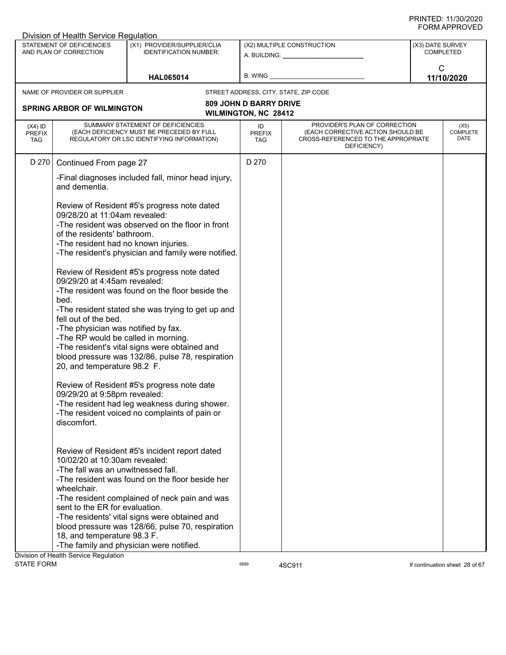|                                          | Division of Health Service Regulation                                                                                                                                                                                                                                                                                                                                                                                                                    |                                                                                                                                                                                                                                                                                                                                                                                                                                                                                                                                                                                                                                                                                                                         |                                   |                                                                                                                                                                                                                                                              |                  |                                 |
|------------------------------------------|----------------------------------------------------------------------------------------------------------------------------------------------------------------------------------------------------------------------------------------------------------------------------------------------------------------------------------------------------------------------------------------------------------------------------------------------------------|-------------------------------------------------------------------------------------------------------------------------------------------------------------------------------------------------------------------------------------------------------------------------------------------------------------------------------------------------------------------------------------------------------------------------------------------------------------------------------------------------------------------------------------------------------------------------------------------------------------------------------------------------------------------------------------------------------------------------|-----------------------------------|--------------------------------------------------------------------------------------------------------------------------------------------------------------------------------------------------------------------------------------------------------------|------------------|---------------------------------|
|                                          | STATEMENT OF DEFICIENCIES<br>AND PLAN OF CORRECTION                                                                                                                                                                                                                                                                                                                                                                                                      | (X1) PROVIDER/SUPPLIER/CLIA<br><b>IDENTIFICATION NUMBER:</b>                                                                                                                                                                                                                                                                                                                                                                                                                                                                                                                                                                                                                                                            |                                   | (X2) MULTIPLE CONSTRUCTION<br>A. BUILDING: A AND AND A SALE AND A SALE AND A SALE AND A SALE AND A SALE AND A SALE AND A SALE AND A SALE AND A SALE AND A SALE AND A SALE AND A SALE AND A SALE AND A SALE AND A SALE AND A SALE AND A SALE AND A SALE AND A | (X3) DATE SURVEY | <b>COMPLETED</b>                |
|                                          |                                                                                                                                                                                                                                                                                                                                                                                                                                                          | <b>HAL065014</b>                                                                                                                                                                                                                                                                                                                                                                                                                                                                                                                                                                                                                                                                                                        | B. WING                           |                                                                                                                                                                                                                                                              | $\mathsf{C}$     | 11/10/2020                      |
|                                          | NAME OF PROVIDER OR SUPPLIER                                                                                                                                                                                                                                                                                                                                                                                                                             |                                                                                                                                                                                                                                                                                                                                                                                                                                                                                                                                                                                                                                                                                                                         |                                   | STREET ADDRESS, CITY, STATE, ZIP CODE                                                                                                                                                                                                                        |                  |                                 |
|                                          |                                                                                                                                                                                                                                                                                                                                                                                                                                                          |                                                                                                                                                                                                                                                                                                                                                                                                                                                                                                                                                                                                                                                                                                                         | <b>809 JOHN D BARRY DRIVE</b>     |                                                                                                                                                                                                                                                              |                  |                                 |
|                                          | <b>SPRING ARBOR OF WILMINGTON</b>                                                                                                                                                                                                                                                                                                                                                                                                                        |                                                                                                                                                                                                                                                                                                                                                                                                                                                                                                                                                                                                                                                                                                                         | <b>WILMINGTON, NC 28412</b>       |                                                                                                                                                                                                                                                              |                  |                                 |
| $(X4)$ ID<br><b>PREFIX</b><br><b>TAG</b> |                                                                                                                                                                                                                                                                                                                                                                                                                                                          | SUMMARY STATEMENT OF DEFICIENCIES<br>(EACH DEFICIENCY MUST BE PRECEDED BY FULL<br>REGULATORY OR LSC IDENTIFYING INFORMATION)                                                                                                                                                                                                                                                                                                                                                                                                                                                                                                                                                                                            | ID<br><b>PREFIX</b><br><b>TAG</b> | PROVIDER'S PLAN OF CORRECTION<br>(EACH CORRECTIVE ACTION SHOULD BE<br>CROSS-REFERENCED TO THE APPROPRIATE<br>DEFICIENCY)                                                                                                                                     |                  | (X5)<br><b>COMPLETE</b><br>DATE |
| D 270                                    | Continued From page 27                                                                                                                                                                                                                                                                                                                                                                                                                                   |                                                                                                                                                                                                                                                                                                                                                                                                                                                                                                                                                                                                                                                                                                                         | D 270                             |                                                                                                                                                                                                                                                              |                  |                                 |
|                                          | and dementia.                                                                                                                                                                                                                                                                                                                                                                                                                                            | -Final diagnoses included fall, minor head injury,                                                                                                                                                                                                                                                                                                                                                                                                                                                                                                                                                                                                                                                                      |                                   |                                                                                                                                                                                                                                                              |                  |                                 |
|                                          | 09/28/20 at 11:04am revealed:<br>of the residents' bathroom.<br>-The resident had no known injuries.<br>09/29/20 at 4:45am revealed:<br>bed.<br>fell out of the bed.<br>-The physician was notified by fax.<br>-The RP would be called in morning.<br>20, and temperature 98.2 F.<br>09/29/20 at 9:58pm revealed:<br>discomfort.<br>10/02/20 at 10:30am revealed:<br>-The fall was an unwitnessed fall.<br>wheelchair.<br>sent to the ER for evaluation. | Review of Resident #5's progress note dated<br>-The resident was observed on the floor in front<br>-The resident's physician and family were notified.<br>Review of Resident #5's progress note dated<br>-The resident was found on the floor beside the<br>-The resident stated she was trying to get up and<br>-The resident's vital signs were obtained and<br>blood pressure was 132/86, pulse 78, respiration<br>Review of Resident #5's progress note date<br>-The resident had leg weakness during shower.<br>-The resident voiced no complaints of pain or<br>Review of Resident #5's incident report dated<br>-The resident was found on the floor beside her<br>-The resident complained of neck pain and was |                                   |                                                                                                                                                                                                                                                              |                  |                                 |
|                                          |                                                                                                                                                                                                                                                                                                                                                                                                                                                          | -The residents' vital signs were obtained and<br>blood pressure was 128/66, pulse 70, respiration                                                                                                                                                                                                                                                                                                                                                                                                                                                                                                                                                                                                                       |                                   |                                                                                                                                                                                                                                                              |                  |                                 |
|                                          | 18, and temperature 98.3 F.                                                                                                                                                                                                                                                                                                                                                                                                                              | -The family and physician were notified.                                                                                                                                                                                                                                                                                                                                                                                                                                                                                                                                                                                                                                                                                |                                   |                                                                                                                                                                                                                                                              |                  |                                 |
|                                          | Division of Health Service Regulation                                                                                                                                                                                                                                                                                                                                                                                                                    |                                                                                                                                                                                                                                                                                                                                                                                                                                                                                                                                                                                                                                                                                                                         |                                   |                                                                                                                                                                                                                                                              |                  |                                 |
| <b>STATE FORM</b>                        |                                                                                                                                                                                                                                                                                                                                                                                                                                                          |                                                                                                                                                                                                                                                                                                                                                                                                                                                                                                                                                                                                                                                                                                                         | 6899                              | 4SC911                                                                                                                                                                                                                                                       |                  | If continuation sheet 28 of 67  |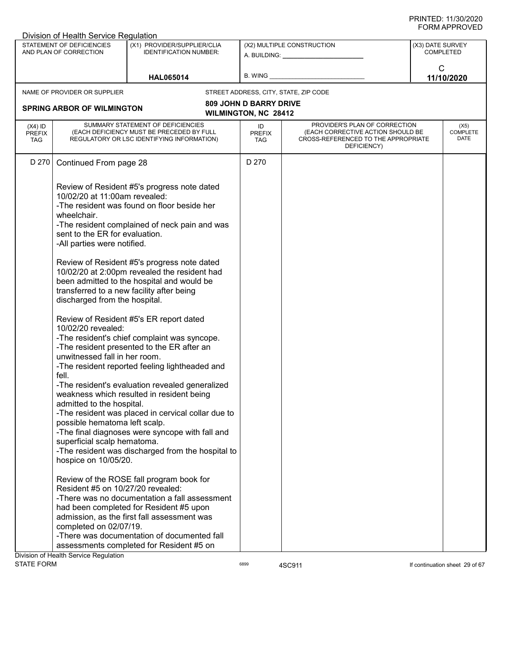|                                          | Division of Health Service Regulation                                                                                                                                                                                                                                                                                                                                                                                                                                                                                                                                                                                                                                                                                                                                            |                                                                                                                                                                                                                                                                                                                                                                                                                                   |                                                       |                                                                                                                          |                            |                                 |
|------------------------------------------|----------------------------------------------------------------------------------------------------------------------------------------------------------------------------------------------------------------------------------------------------------------------------------------------------------------------------------------------------------------------------------------------------------------------------------------------------------------------------------------------------------------------------------------------------------------------------------------------------------------------------------------------------------------------------------------------------------------------------------------------------------------------------------|-----------------------------------------------------------------------------------------------------------------------------------------------------------------------------------------------------------------------------------------------------------------------------------------------------------------------------------------------------------------------------------------------------------------------------------|-------------------------------------------------------|--------------------------------------------------------------------------------------------------------------------------|----------------------------|---------------------------------|
|                                          | STATEMENT OF DEFICIENCIES<br>AND PLAN OF CORRECTION                                                                                                                                                                                                                                                                                                                                                                                                                                                                                                                                                                                                                                                                                                                              | (X1) PROVIDER/SUPPLIER/CLIA<br><b>IDENTIFICATION NUMBER:</b>                                                                                                                                                                                                                                                                                                                                                                      |                                                       | (X2) MULTIPLE CONSTRUCTION<br>A. BUILDING: A. BUILDING:                                                                  | (X3) DATE SURVEY           | <b>COMPLETED</b>                |
|                                          |                                                                                                                                                                                                                                                                                                                                                                                                                                                                                                                                                                                                                                                                                                                                                                                  | <b>HAL065014</b>                                                                                                                                                                                                                                                                                                                                                                                                                  | B. WING _                                             |                                                                                                                          | $\mathsf{C}$<br>11/10/2020 |                                 |
|                                          | NAME OF PROVIDER OR SUPPLIER                                                                                                                                                                                                                                                                                                                                                                                                                                                                                                                                                                                                                                                                                                                                                     |                                                                                                                                                                                                                                                                                                                                                                                                                                   |                                                       | STREET ADDRESS, CITY, STATE, ZIP CODE                                                                                    |                            |                                 |
|                                          | <b>SPRING ARBOR OF WILMINGTON</b>                                                                                                                                                                                                                                                                                                                                                                                                                                                                                                                                                                                                                                                                                                                                                |                                                                                                                                                                                                                                                                                                                                                                                                                                   | <b>809 JOHN D BARRY DRIVE</b><br>WILMINGTON, NC 28412 |                                                                                                                          |                            |                                 |
| $(X4)$ ID<br><b>PREFIX</b><br><b>TAG</b> | SUMMARY STATEMENT OF DEFICIENCIES<br>(EACH DEFICIENCY MUST BE PRECEDED BY FULL<br>REGULATORY OR LSC IDENTIFYING INFORMATION)                                                                                                                                                                                                                                                                                                                                                                                                                                                                                                                                                                                                                                                     |                                                                                                                                                                                                                                                                                                                                                                                                                                   | ID<br><b>PREFIX</b><br><b>TAG</b>                     | PROVIDER'S PLAN OF CORRECTION<br>(EACH CORRECTIVE ACTION SHOULD BE<br>CROSS-REFERENCED TO THE APPROPRIATE<br>DEFICIENCY) |                            | (X5)<br><b>COMPLETE</b><br>DATE |
| D 270                                    | Continued From page 28                                                                                                                                                                                                                                                                                                                                                                                                                                                                                                                                                                                                                                                                                                                                                           |                                                                                                                                                                                                                                                                                                                                                                                                                                   | D 270                                                 |                                                                                                                          |                            |                                 |
|                                          | 10/02/20 at 11:00am revealed:<br>wheelchair.<br>sent to the ER for evaluation.<br>-All parties were notified.<br>transferred to a new facility after being<br>discharged from the hospital.<br>10/02/20 revealed:                                                                                                                                                                                                                                                                                                                                                                                                                                                                                                                                                                | Review of Resident #5's progress note dated<br>-The resident was found on floor beside her<br>-The resident complained of neck pain and was<br>Review of Resident #5's progress note dated<br>10/02/20 at 2:00pm revealed the resident had<br>been admitted to the hospital and would be<br>Review of Resident #5's ER report dated<br>-The resident's chief complaint was syncope.<br>-The resident presented to the ER after an |                                                       |                                                                                                                          |                            |                                 |
|                                          | unwitnessed fall in her room.<br>-The resident reported feeling lightheaded and<br>fell.<br>-The resident's evaluation revealed generalized<br>weakness which resulted in resident being<br>admitted to the hospital.<br>-The resident was placed in cervical collar due to<br>possible hematoma left scalp.<br>-The final diagnoses were syncope with fall and<br>superficial scalp hematoma.<br>-The resident was discharged from the hospital to<br>hospice on 10/05/20.<br>Review of the ROSE fall program book for<br>Resident #5 on 10/27/20 revealed:<br>-There was no documentation a fall assessment<br>had been completed for Resident #5 upon<br>admission, as the first fall assessment was<br>completed on 02/07/19.<br>-There was documentation of documented fall |                                                                                                                                                                                                                                                                                                                                                                                                                                   |                                                       |                                                                                                                          |                            |                                 |
|                                          |                                                                                                                                                                                                                                                                                                                                                                                                                                                                                                                                                                                                                                                                                                                                                                                  | assessments completed for Resident #5 on                                                                                                                                                                                                                                                                                                                                                                                          |                                                       |                                                                                                                          |                            |                                 |
|                                          | Division of Health Service Regulation                                                                                                                                                                                                                                                                                                                                                                                                                                                                                                                                                                                                                                                                                                                                            |                                                                                                                                                                                                                                                                                                                                                                                                                                   |                                                       |                                                                                                                          |                            |                                 |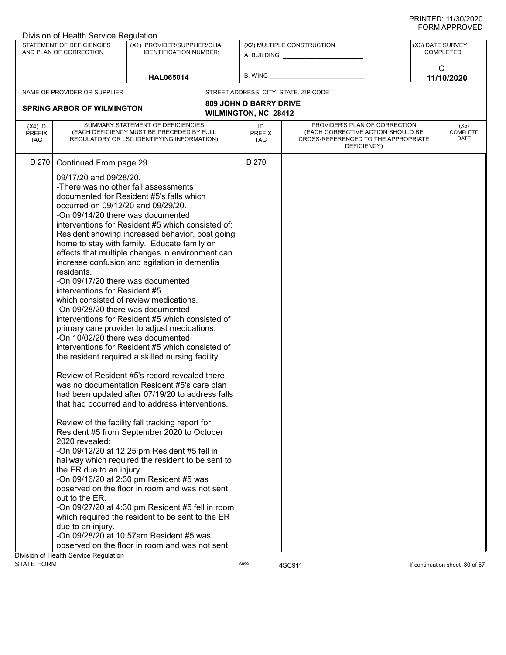|                                          | Division of Health Service Regulation                                                                                                                                                                                                                                                                                                                 |                                                                                                                                                                                                                                                                                                                                                                                                                                                                                                                                                                                                                                                                                                                                                                                                                                                                                                                                                                                                                                                                       |                                   |                                                                                                                          |                  |                                 |
|------------------------------------------|-------------------------------------------------------------------------------------------------------------------------------------------------------------------------------------------------------------------------------------------------------------------------------------------------------------------------------------------------------|-----------------------------------------------------------------------------------------------------------------------------------------------------------------------------------------------------------------------------------------------------------------------------------------------------------------------------------------------------------------------------------------------------------------------------------------------------------------------------------------------------------------------------------------------------------------------------------------------------------------------------------------------------------------------------------------------------------------------------------------------------------------------------------------------------------------------------------------------------------------------------------------------------------------------------------------------------------------------------------------------------------------------------------------------------------------------|-----------------------------------|--------------------------------------------------------------------------------------------------------------------------|------------------|---------------------------------|
|                                          | STATEMENT OF DEFICIENCIES<br>AND PLAN OF CORRECTION                                                                                                                                                                                                                                                                                                   | (X1) PROVIDER/SUPPLIER/CLIA<br><b>IDENTIFICATION NUMBER:</b>                                                                                                                                                                                                                                                                                                                                                                                                                                                                                                                                                                                                                                                                                                                                                                                                                                                                                                                                                                                                          |                                   | (X2) MULTIPLE CONSTRUCTION<br>A. BUILDING: A. BUILDING:                                                                  | (X3) DATE SURVEY | <b>COMPLETED</b>                |
|                                          |                                                                                                                                                                                                                                                                                                                                                       | <b>HAL065014</b>                                                                                                                                                                                                                                                                                                                                                                                                                                                                                                                                                                                                                                                                                                                                                                                                                                                                                                                                                                                                                                                      | B. WING _                         |                                                                                                                          | $\mathsf{C}$     | 11/10/2020                      |
|                                          | NAME OF PROVIDER OR SUPPLIER                                                                                                                                                                                                                                                                                                                          |                                                                                                                                                                                                                                                                                                                                                                                                                                                                                                                                                                                                                                                                                                                                                                                                                                                                                                                                                                                                                                                                       |                                   | STREET ADDRESS, CITY, STATE, ZIP CODE                                                                                    |                  |                                 |
|                                          | <b>SPRING ARBOR OF WILMINGTON</b>                                                                                                                                                                                                                                                                                                                     |                                                                                                                                                                                                                                                                                                                                                                                                                                                                                                                                                                                                                                                                                                                                                                                                                                                                                                                                                                                                                                                                       | <b>809 JOHN D BARRY DRIVE</b>     |                                                                                                                          |                  |                                 |
|                                          |                                                                                                                                                                                                                                                                                                                                                       |                                                                                                                                                                                                                                                                                                                                                                                                                                                                                                                                                                                                                                                                                                                                                                                                                                                                                                                                                                                                                                                                       | WILMINGTON, NC 28412              |                                                                                                                          |                  |                                 |
| $(X4)$ ID<br><b>PREFIX</b><br><b>TAG</b> |                                                                                                                                                                                                                                                                                                                                                       | SUMMARY STATEMENT OF DEFICIENCIES<br>(EACH DEFICIENCY MUST BE PRECEDED BY FULL<br>REGULATORY OR LSC IDENTIFYING INFORMATION)                                                                                                                                                                                                                                                                                                                                                                                                                                                                                                                                                                                                                                                                                                                                                                                                                                                                                                                                          | ID<br><b>PREFIX</b><br><b>TAG</b> | PROVIDER'S PLAN OF CORRECTION<br>(EACH CORRECTIVE ACTION SHOULD BE<br>CROSS-REFERENCED TO THE APPROPRIATE<br>DEFICIENCY) |                  | (X5)<br><b>COMPLETE</b><br>DATE |
| D 270                                    | Continued From page 29                                                                                                                                                                                                                                                                                                                                |                                                                                                                                                                                                                                                                                                                                                                                                                                                                                                                                                                                                                                                                                                                                                                                                                                                                                                                                                                                                                                                                       | D 270                             |                                                                                                                          |                  |                                 |
|                                          | 09/17/20 and 09/28/20.<br>-There was no other fall assessments<br>occurred on 09/12/20 and 09/29/20.<br>-On 09/14/20 there was documented<br>residents.<br>-On 09/17/20 there was documented<br>interventions for Resident #5<br>-On 09/28/20 there was documented<br>-On 10/02/20 there was documented<br>2020 revealed:<br>the ER due to an injury. | documented for Resident #5's falls which<br>interventions for Resident #5 which consisted of:<br>Resident showing increased behavior, post going<br>home to stay with family. Educate family on<br>effects that multiple changes in environment can<br>increase confusion and agitation in dementia<br>which consisted of review medications.<br>interventions for Resident #5 which consisted of<br>primary care provider to adjust medications.<br>interventions for Resident #5 which consisted of<br>the resident required a skilled nursing facility.<br>Review of Resident #5's record revealed there<br>was no documentation Resident #5's care plan<br>had been updated after 07/19/20 to address falls<br>that had occurred and to address interventions.<br>Review of the facility fall tracking report for<br>Resident #5 from September 2020 to October<br>-On 09/12/20 at 12:25 pm Resident #5 fell in<br>hallway which required the resident to be sent to<br>-On 09/16/20 at 2:30 pm Resident #5 was<br>observed on the floor in room and was not sent |                                   |                                                                                                                          |                  |                                 |
|                                          | out to the ER.<br>due to an injury.                                                                                                                                                                                                                                                                                                                   | -On 09/27/20 at 4:30 pm Resident #5 fell in room<br>which required the resident to be sent to the ER<br>-On 09/28/20 at 10:57am Resident #5 was<br>observed on the floor in room and was not sent                                                                                                                                                                                                                                                                                                                                                                                                                                                                                                                                                                                                                                                                                                                                                                                                                                                                     |                                   |                                                                                                                          |                  |                                 |
|                                          | Division of Health Service Regulation                                                                                                                                                                                                                                                                                                                 |                                                                                                                                                                                                                                                                                                                                                                                                                                                                                                                                                                                                                                                                                                                                                                                                                                                                                                                                                                                                                                                                       |                                   |                                                                                                                          |                  |                                 |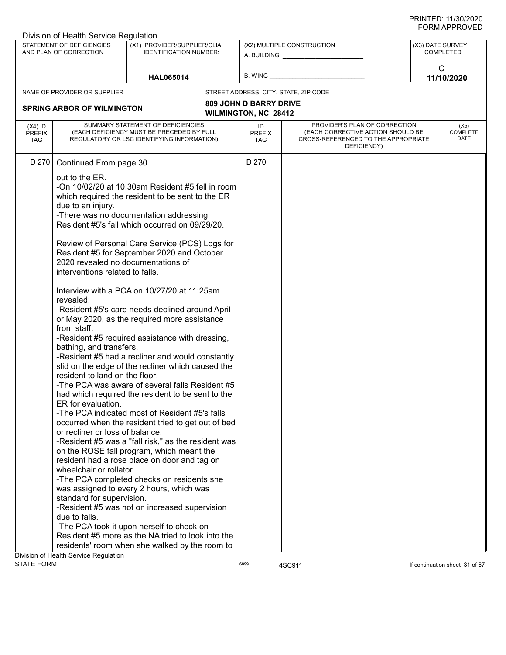|                                          | Division of Health Service Regulation                                                                                                                                                                                                                                                     |                                                                                                                                                                                                                                                                                                                                                                                                                                                                                                                                                                                                                                                                                                                                                                                                                                                                                                                                                                                                                                       |                               |                                                                                                                          |                            |                                 |
|------------------------------------------|-------------------------------------------------------------------------------------------------------------------------------------------------------------------------------------------------------------------------------------------------------------------------------------------|---------------------------------------------------------------------------------------------------------------------------------------------------------------------------------------------------------------------------------------------------------------------------------------------------------------------------------------------------------------------------------------------------------------------------------------------------------------------------------------------------------------------------------------------------------------------------------------------------------------------------------------------------------------------------------------------------------------------------------------------------------------------------------------------------------------------------------------------------------------------------------------------------------------------------------------------------------------------------------------------------------------------------------------|-------------------------------|--------------------------------------------------------------------------------------------------------------------------|----------------------------|---------------------------------|
|                                          | STATEMENT OF DEFICIENCIES<br>AND PLAN OF CORRECTION                                                                                                                                                                                                                                       | (X1) PROVIDER/SUPPLIER/CLIA<br><b>IDENTIFICATION NUMBER:</b>                                                                                                                                                                                                                                                                                                                                                                                                                                                                                                                                                                                                                                                                                                                                                                                                                                                                                                                                                                          |                               | (X2) MULTIPLE CONSTRUCTION<br>A. BUILDING: A. BUILDING:                                                                  | (X3) DATE SURVEY           | COMPLETED                       |
|                                          |                                                                                                                                                                                                                                                                                           | <b>HAL065014</b>                                                                                                                                                                                                                                                                                                                                                                                                                                                                                                                                                                                                                                                                                                                                                                                                                                                                                                                                                                                                                      | B. WING                       |                                                                                                                          | $\mathsf{C}$<br>11/10/2020 |                                 |
|                                          | NAME OF PROVIDER OR SUPPLIER                                                                                                                                                                                                                                                              |                                                                                                                                                                                                                                                                                                                                                                                                                                                                                                                                                                                                                                                                                                                                                                                                                                                                                                                                                                                                                                       |                               | STREET ADDRESS, CITY, STATE, ZIP CODE                                                                                    |                            |                                 |
|                                          | <b>SPRING ARBOR OF WILMINGTON</b>                                                                                                                                                                                                                                                         |                                                                                                                                                                                                                                                                                                                                                                                                                                                                                                                                                                                                                                                                                                                                                                                                                                                                                                                                                                                                                                       | <b>809 JOHN D BARRY DRIVE</b> |                                                                                                                          |                            |                                 |
|                                          |                                                                                                                                                                                                                                                                                           |                                                                                                                                                                                                                                                                                                                                                                                                                                                                                                                                                                                                                                                                                                                                                                                                                                                                                                                                                                                                                                       | <b>WILMINGTON, NC 28412</b>   |                                                                                                                          |                            |                                 |
| $(X4)$ ID<br><b>PREFIX</b><br><b>TAG</b> |                                                                                                                                                                                                                                                                                           | SUMMARY STATEMENT OF DEFICIENCIES<br>(EACH DEFICIENCY MUST BE PRECEDED BY FULL<br>REGULATORY OR LSC IDENTIFYING INFORMATION)                                                                                                                                                                                                                                                                                                                                                                                                                                                                                                                                                                                                                                                                                                                                                                                                                                                                                                          | ID<br><b>PREFIX</b><br>TAG    | PROVIDER'S PLAN OF CORRECTION<br>(EACH CORRECTIVE ACTION SHOULD BE<br>CROSS-REFERENCED TO THE APPROPRIATE<br>DEFICIENCY) |                            | (X5)<br><b>COMPLETE</b><br>DATE |
| D 270                                    | Continued From page 30                                                                                                                                                                                                                                                                    |                                                                                                                                                                                                                                                                                                                                                                                                                                                                                                                                                                                                                                                                                                                                                                                                                                                                                                                                                                                                                                       | D 270                         |                                                                                                                          |                            |                                 |
|                                          | out to the ER.<br>due to an injury.<br>2020 revealed no documentations of<br>interventions related to falls.<br>revealed:<br>from staff.<br>bathing, and transfers.<br>resident to land on the floor.<br>ER for evaluation.<br>or recliner or loss of balance.<br>wheelchair or rollator. | -On $10/02/20$ at $10:30$ am Resident #5 fell in room<br>which required the resident to be sent to the ER<br>-There was no documentation addressing<br>Resident #5's fall which occurred on 09/29/20.<br>Review of Personal Care Service (PCS) Logs for<br>Resident #5 for September 2020 and October<br>Interview with a PCA on 10/27/20 at 11:25am<br>-Resident #5's care needs declined around April<br>or May 2020, as the required more assistance<br>-Resident #5 required assistance with dressing,<br>-Resident #5 had a recliner and would constantly<br>slid on the edge of the recliner which caused the<br>-The PCA was aware of several falls Resident #5<br>had which required the resident to be sent to the<br>-The PCA indicated most of Resident #5's falls<br>occurred when the resident tried to get out of bed<br>-Resident #5 was a "fall risk," as the resident was<br>on the ROSE fall program, which meant the<br>resident had a rose place on door and tag on<br>-The PCA completed checks on residents she |                               |                                                                                                                          |                            |                                 |
|                                          |                                                                                                                                                                                                                                                                                           | was assigned to every 2 hours, which was                                                                                                                                                                                                                                                                                                                                                                                                                                                                                                                                                                                                                                                                                                                                                                                                                                                                                                                                                                                              |                               |                                                                                                                          |                            |                                 |
|                                          | standard for supervision.<br>-Resident #5 was not on increased supervision<br>due to falls.<br>-The PCA took it upon herself to check on<br>Resident #5 more as the NA tried to look into the<br>residents' room when she walked by the room to<br>Division of Health Service Regulation  |                                                                                                                                                                                                                                                                                                                                                                                                                                                                                                                                                                                                                                                                                                                                                                                                                                                                                                                                                                                                                                       |                               |                                                                                                                          |                            |                                 |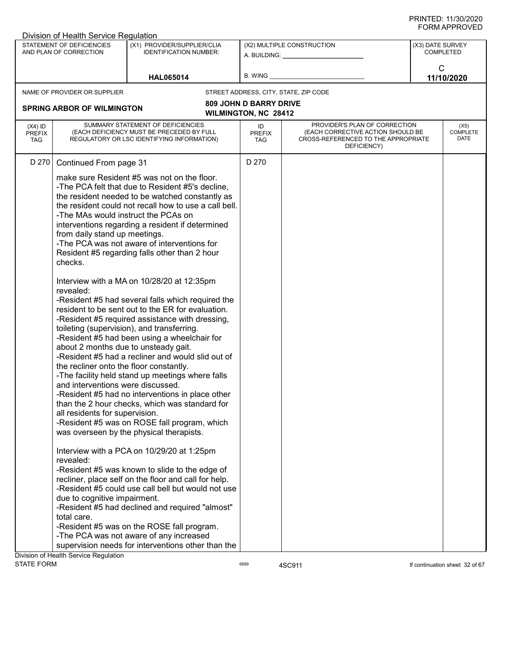|                                          | Division of Health Service Regulation                                                                                                                                                                                                                                                               |                                                                                                                                                                                                                                                                                                                                                                                                                                                                                                                                                                                                                                                                                                                                                                                                                                                                                                                                                                                                                                                                                                                                                                                                                                                      |                               |                                                                                                                          |                  |                                 |
|------------------------------------------|-----------------------------------------------------------------------------------------------------------------------------------------------------------------------------------------------------------------------------------------------------------------------------------------------------|------------------------------------------------------------------------------------------------------------------------------------------------------------------------------------------------------------------------------------------------------------------------------------------------------------------------------------------------------------------------------------------------------------------------------------------------------------------------------------------------------------------------------------------------------------------------------------------------------------------------------------------------------------------------------------------------------------------------------------------------------------------------------------------------------------------------------------------------------------------------------------------------------------------------------------------------------------------------------------------------------------------------------------------------------------------------------------------------------------------------------------------------------------------------------------------------------------------------------------------------------|-------------------------------|--------------------------------------------------------------------------------------------------------------------------|------------------|---------------------------------|
|                                          | STATEMENT OF DEFICIENCIES<br>AND PLAN OF CORRECTION                                                                                                                                                                                                                                                 | (X1) PROVIDER/SUPPLIER/CLIA<br><b>IDENTIFICATION NUMBER:</b>                                                                                                                                                                                                                                                                                                                                                                                                                                                                                                                                                                                                                                                                                                                                                                                                                                                                                                                                                                                                                                                                                                                                                                                         |                               | (X2) MULTIPLE CONSTRUCTION<br>A. BUILDING: A. BUILDING:                                                                  | (X3) DATE SURVEY | <b>COMPLETED</b>                |
|                                          |                                                                                                                                                                                                                                                                                                     | <b>HAL065014</b>                                                                                                                                                                                                                                                                                                                                                                                                                                                                                                                                                                                                                                                                                                                                                                                                                                                                                                                                                                                                                                                                                                                                                                                                                                     | B. WING                       |                                                                                                                          | $\mathsf{C}$     | 11/10/2020                      |
|                                          | NAME OF PROVIDER OR SUPPLIER                                                                                                                                                                                                                                                                        |                                                                                                                                                                                                                                                                                                                                                                                                                                                                                                                                                                                                                                                                                                                                                                                                                                                                                                                                                                                                                                                                                                                                                                                                                                                      |                               | STREET ADDRESS, CITY, STATE, ZIP CODE                                                                                    |                  |                                 |
|                                          |                                                                                                                                                                                                                                                                                                     |                                                                                                                                                                                                                                                                                                                                                                                                                                                                                                                                                                                                                                                                                                                                                                                                                                                                                                                                                                                                                                                                                                                                                                                                                                                      | <b>809 JOHN D BARRY DRIVE</b> |                                                                                                                          |                  |                                 |
|                                          | <b>SPRING ARBOR OF WILMINGTON</b>                                                                                                                                                                                                                                                                   |                                                                                                                                                                                                                                                                                                                                                                                                                                                                                                                                                                                                                                                                                                                                                                                                                                                                                                                                                                                                                                                                                                                                                                                                                                                      | <b>WILMINGTON, NC 28412</b>   |                                                                                                                          |                  |                                 |
| $(X4)$ ID<br><b>PREFIX</b><br><b>TAG</b> |                                                                                                                                                                                                                                                                                                     | SUMMARY STATEMENT OF DEFICIENCIES<br>(EACH DEFICIENCY MUST BE PRECEDED BY FULL<br>REGULATORY OR LSC IDENTIFYING INFORMATION)                                                                                                                                                                                                                                                                                                                                                                                                                                                                                                                                                                                                                                                                                                                                                                                                                                                                                                                                                                                                                                                                                                                         | ID<br><b>PREFIX</b><br>TAG    | PROVIDER'S PLAN OF CORRECTION<br>(EACH CORRECTIVE ACTION SHOULD BE<br>CROSS-REFERENCED TO THE APPROPRIATE<br>DEFICIENCY) |                  | (X5)<br><b>COMPLETE</b><br>DATE |
| D 270                                    | Continued From page 31                                                                                                                                                                                                                                                                              |                                                                                                                                                                                                                                                                                                                                                                                                                                                                                                                                                                                                                                                                                                                                                                                                                                                                                                                                                                                                                                                                                                                                                                                                                                                      | D 270                         |                                                                                                                          |                  |                                 |
|                                          | -The MAs would instruct the PCAs on<br>from daily stand up meetings.<br>checks.<br>revealed:<br>about 2 months due to unsteady gait.<br>the recliner onto the floor constantly.<br>and interventions were discussed.<br>all residents for supervision.<br>revealed:<br>due to cognitive impairment. | make sure Resident #5 was not on the floor.<br>-The PCA felt that due to Resident #5's decline,<br>the resident needed to be watched constantly as<br>the resident could not recall how to use a call bell.<br>interventions regarding a resident if determined<br>-The PCA was not aware of interventions for<br>Resident #5 regarding falls other than 2 hour<br>Interview with a MA on 10/28/20 at 12:35pm<br>-Resident #5 had several falls which required the<br>resident to be sent out to the ER for evaluation.<br>-Resident #5 required assistance with dressing,<br>toileting (supervision), and transferring.<br>-Resident #5 had been using a wheelchair for<br>-Resident #5 had a recliner and would slid out of<br>-The facility held stand up meetings where falls<br>-Resident #5 had no interventions in place other<br>than the 2 hour checks, which was standard for<br>-Resident #5 was on ROSE fall program, which<br>was overseen by the physical therapists.<br>Interview with a PCA on 10/29/20 at 1:25pm<br>-Resident #5 was known to slide to the edge of<br>recliner, place self on the floor and call for help.<br>-Resident #5 could use call bell but would not use<br>-Resident #5 had declined and required "almost" |                               |                                                                                                                          |                  |                                 |
|                                          | total care.                                                                                                                                                                                                                                                                                         | -Resident #5 was on the ROSE fall program.                                                                                                                                                                                                                                                                                                                                                                                                                                                                                                                                                                                                                                                                                                                                                                                                                                                                                                                                                                                                                                                                                                                                                                                                           |                               |                                                                                                                          |                  |                                 |
|                                          |                                                                                                                                                                                                                                                                                                     | -The PCA was not aware of any increased<br>supervision needs for interventions other than the                                                                                                                                                                                                                                                                                                                                                                                                                                                                                                                                                                                                                                                                                                                                                                                                                                                                                                                                                                                                                                                                                                                                                        |                               |                                                                                                                          |                  |                                 |
|                                          | Division of Health Service Regulation                                                                                                                                                                                                                                                               |                                                                                                                                                                                                                                                                                                                                                                                                                                                                                                                                                                                                                                                                                                                                                                                                                                                                                                                                                                                                                                                                                                                                                                                                                                                      |                               |                                                                                                                          |                  |                                 |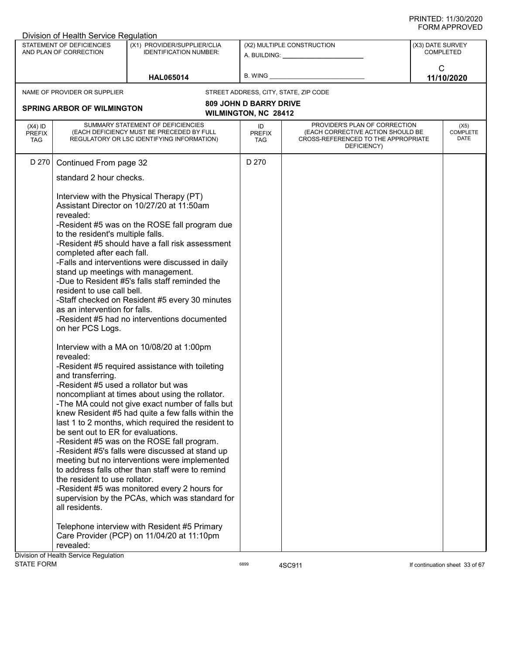|                                          | Division of Health Service Regulation                                                                                                                                                                                                                                                                                                                                                                                                                                                                                                                                                                                                                                                                                                                                                                                                       |                                                                                                                                                                                                                                                                                                                                                                                                                                                |                                                              |                                                                                                                          |                  |                                 |
|------------------------------------------|---------------------------------------------------------------------------------------------------------------------------------------------------------------------------------------------------------------------------------------------------------------------------------------------------------------------------------------------------------------------------------------------------------------------------------------------------------------------------------------------------------------------------------------------------------------------------------------------------------------------------------------------------------------------------------------------------------------------------------------------------------------------------------------------------------------------------------------------|------------------------------------------------------------------------------------------------------------------------------------------------------------------------------------------------------------------------------------------------------------------------------------------------------------------------------------------------------------------------------------------------------------------------------------------------|--------------------------------------------------------------|--------------------------------------------------------------------------------------------------------------------------|------------------|---------------------------------|
|                                          | STATEMENT OF DEFICIENCIES<br>AND PLAN OF CORRECTION                                                                                                                                                                                                                                                                                                                                                                                                                                                                                                                                                                                                                                                                                                                                                                                         | (X1) PROVIDER/SUPPLIER/CLIA<br><b>IDENTIFICATION NUMBER:</b>                                                                                                                                                                                                                                                                                                                                                                                   |                                                              | (X2) MULTIPLE CONSTRUCTION<br>A. BUILDING: A. BUILDING:                                                                  | (X3) DATE SURVEY | COMPLETED                       |
|                                          |                                                                                                                                                                                                                                                                                                                                                                                                                                                                                                                                                                                                                                                                                                                                                                                                                                             | <b>HAL065014</b>                                                                                                                                                                                                                                                                                                                                                                                                                               | B. WING                                                      |                                                                                                                          | $\mathsf{C}$     | 11/10/2020                      |
|                                          | NAME OF PROVIDER OR SUPPLIER                                                                                                                                                                                                                                                                                                                                                                                                                                                                                                                                                                                                                                                                                                                                                                                                                |                                                                                                                                                                                                                                                                                                                                                                                                                                                |                                                              | STREET ADDRESS, CITY, STATE, ZIP CODE                                                                                    |                  |                                 |
|                                          | <b>SPRING ARBOR OF WILMINGTON</b>                                                                                                                                                                                                                                                                                                                                                                                                                                                                                                                                                                                                                                                                                                                                                                                                           |                                                                                                                                                                                                                                                                                                                                                                                                                                                | <b>809 JOHN D BARRY DRIVE</b><br><b>WILMINGTON, NC 28412</b> |                                                                                                                          |                  |                                 |
| $(X4)$ ID<br><b>PREFIX</b><br><b>TAG</b> |                                                                                                                                                                                                                                                                                                                                                                                                                                                                                                                                                                                                                                                                                                                                                                                                                                             | SUMMARY STATEMENT OF DEFICIENCIES<br>(EACH DEFICIENCY MUST BE PRECEDED BY FULL<br>REGULATORY OR LSC IDENTIFYING INFORMATION)                                                                                                                                                                                                                                                                                                                   | ID<br><b>PREFIX</b><br>TAG                                   | PROVIDER'S PLAN OF CORRECTION<br>(EACH CORRECTIVE ACTION SHOULD BE<br>CROSS-REFERENCED TO THE APPROPRIATE<br>DEFICIENCY) |                  | (X5)<br><b>COMPLETE</b><br>DATE |
|                                          | standard 2 hour checks.<br>revealed:<br>to the resident's multiple falls.<br>completed after each fall.<br>stand up meetings with management.<br>resident to use call bell.<br>as an intervention for falls.<br>on her PCS Logs.<br>revealed:                                                                                                                                                                                                                                                                                                                                                                                                                                                                                                                                                                                               | Interview with the Physical Therapy (PT)<br>Assistant Director on 10/27/20 at 11:50am<br>-Resident #5 was on the ROSE fall program due<br>-Resident #5 should have a fall risk assessment<br>-Falls and interventions were discussed in daily<br>-Due to Resident #5's falls staff reminded the<br>-Staff checked on Resident #5 every 30 minutes<br>-Resident #5 had no interventions documented<br>Interview with a MA on 10/08/20 at 1:00pm |                                                              |                                                                                                                          |                  |                                 |
| Division of Health Service Regulation    | -Resident #5 required assistance with toileting<br>and transferring.<br>-Resident #5 used a rollator but was<br>noncompliant at times about using the rollator.<br>-The MA could not give exact number of falls but<br>knew Resident #5 had quite a few falls within the<br>last 1 to 2 months, which required the resident to<br>be sent out to ER for evaluations.<br>-Resident #5 was on the ROSE fall program.<br>-Resident #5's falls were discussed at stand up<br>meeting but no interventions were implemented<br>to address falls other than staff were to remind<br>the resident to use rollator.<br>-Resident #5 was monitored every 2 hours for<br>supervision by the PCAs, which was standard for<br>all residents.<br>Telephone interview with Resident #5 Primary<br>Care Provider (PCP) on 11/04/20 at 11:10pm<br>revealed: |                                                                                                                                                                                                                                                                                                                                                                                                                                                |                                                              |                                                                                                                          |                  |                                 |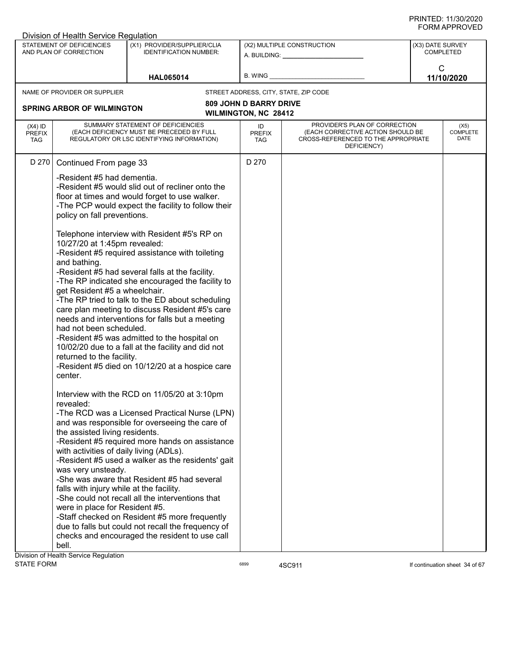|                                          | Division of Health Service Regulation                                                                                                                                                                                                                                                                                                                                                                       |                                                                                                                                                                                                                                                                                                                                                                                                                                                                                                                                                                                                                                                                                                                                                                                                                                                                                                                                                                                                                                                                                                     |                               |                                                                                                                          |                  |                                 |
|------------------------------------------|-------------------------------------------------------------------------------------------------------------------------------------------------------------------------------------------------------------------------------------------------------------------------------------------------------------------------------------------------------------------------------------------------------------|-----------------------------------------------------------------------------------------------------------------------------------------------------------------------------------------------------------------------------------------------------------------------------------------------------------------------------------------------------------------------------------------------------------------------------------------------------------------------------------------------------------------------------------------------------------------------------------------------------------------------------------------------------------------------------------------------------------------------------------------------------------------------------------------------------------------------------------------------------------------------------------------------------------------------------------------------------------------------------------------------------------------------------------------------------------------------------------------------------|-------------------------------|--------------------------------------------------------------------------------------------------------------------------|------------------|---------------------------------|
|                                          | STATEMENT OF DEFICIENCIES<br>AND PLAN OF CORRECTION                                                                                                                                                                                                                                                                                                                                                         | (X1) PROVIDER/SUPPLIER/CLIA<br><b>IDENTIFICATION NUMBER:</b>                                                                                                                                                                                                                                                                                                                                                                                                                                                                                                                                                                                                                                                                                                                                                                                                                                                                                                                                                                                                                                        |                               | (X2) MULTIPLE CONSTRUCTION<br>A. BUILDING: A. BUILDING:                                                                  | (X3) DATE SURVEY | <b>COMPLETED</b>                |
|                                          |                                                                                                                                                                                                                                                                                                                                                                                                             | <b>HAL065014</b>                                                                                                                                                                                                                                                                                                                                                                                                                                                                                                                                                                                                                                                                                                                                                                                                                                                                                                                                                                                                                                                                                    | B. WING                       |                                                                                                                          | $\mathsf{C}$     | 11/10/2020                      |
|                                          | NAME OF PROVIDER OR SUPPLIER                                                                                                                                                                                                                                                                                                                                                                                |                                                                                                                                                                                                                                                                                                                                                                                                                                                                                                                                                                                                                                                                                                                                                                                                                                                                                                                                                                                                                                                                                                     |                               | STREET ADDRESS, CITY, STATE, ZIP CODE                                                                                    |                  |                                 |
|                                          | <b>SPRING ARBOR OF WILMINGTON</b>                                                                                                                                                                                                                                                                                                                                                                           |                                                                                                                                                                                                                                                                                                                                                                                                                                                                                                                                                                                                                                                                                                                                                                                                                                                                                                                                                                                                                                                                                                     | <b>809 JOHN D BARRY DRIVE</b> |                                                                                                                          |                  |                                 |
|                                          |                                                                                                                                                                                                                                                                                                                                                                                                             |                                                                                                                                                                                                                                                                                                                                                                                                                                                                                                                                                                                                                                                                                                                                                                                                                                                                                                                                                                                                                                                                                                     | <b>WILMINGTON, NC 28412</b>   |                                                                                                                          |                  |                                 |
| $(X4)$ ID<br><b>PREFIX</b><br><b>TAG</b> |                                                                                                                                                                                                                                                                                                                                                                                                             | SUMMARY STATEMENT OF DEFICIENCIES<br>(EACH DEFICIENCY MUST BE PRECEDED BY FULL<br>REGULATORY OR LSC IDENTIFYING INFORMATION)                                                                                                                                                                                                                                                                                                                                                                                                                                                                                                                                                                                                                                                                                                                                                                                                                                                                                                                                                                        | ID<br><b>PREFIX</b><br>TAG    | PROVIDER'S PLAN OF CORRECTION<br>(EACH CORRECTIVE ACTION SHOULD BE<br>CROSS-REFERENCED TO THE APPROPRIATE<br>DEFICIENCY) |                  | (X5)<br><b>COMPLETE</b><br>DATE |
| D 270                                    | Continued From page 33                                                                                                                                                                                                                                                                                                                                                                                      |                                                                                                                                                                                                                                                                                                                                                                                                                                                                                                                                                                                                                                                                                                                                                                                                                                                                                                                                                                                                                                                                                                     | D 270                         |                                                                                                                          |                  |                                 |
|                                          | -Resident #5 had dementia.<br>policy on fall preventions.<br>10/27/20 at 1:45pm revealed:<br>and bathing.<br>get Resident #5 a wheelchair.<br>had not been scheduled.<br>returned to the facility.<br>center.<br>revealed:<br>the assisted living residents.<br>with activities of daily living (ADLs).<br>was very unsteady.<br>falls with injury while at the facility.<br>were in place for Resident #5. | -Resident #5 would slid out of recliner onto the<br>floor at times and would forget to use walker.<br>-The PCP would expect the facility to follow their<br>Telephone interview with Resident #5's RP on<br>-Resident #5 required assistance with toileting<br>-Resident #5 had several falls at the facility.<br>-The RP indicated she encouraged the facility to<br>-The RP tried to talk to the ED about scheduling<br>care plan meeting to discuss Resident #5's care<br>needs and interventions for falls but a meeting<br>-Resident #5 was admitted to the hospital on<br>10/02/20 due to a fall at the facility and did not<br>-Resident #5 died on 10/12/20 at a hospice care<br>Interview with the RCD on 11/05/20 at 3:10pm<br>-The RCD was a Licensed Practical Nurse (LPN)<br>and was responsible for overseeing the care of<br>-Resident #5 required more hands on assistance<br>-Resident #5 used a walker as the residents' gait<br>-She was aware that Resident #5 had several<br>-She could not recall all the interventions that<br>-Staff checked on Resident #5 more frequently |                               |                                                                                                                          |                  |                                 |
|                                          |                                                                                                                                                                                                                                                                                                                                                                                                             | due to falls but could not recall the frequency of<br>checks and encouraged the resident to use call                                                                                                                                                                                                                                                                                                                                                                                                                                                                                                                                                                                                                                                                                                                                                                                                                                                                                                                                                                                                |                               |                                                                                                                          |                  |                                 |
|                                          | bell.                                                                                                                                                                                                                                                                                                                                                                                                       |                                                                                                                                                                                                                                                                                                                                                                                                                                                                                                                                                                                                                                                                                                                                                                                                                                                                                                                                                                                                                                                                                                     |                               |                                                                                                                          |                  |                                 |
|                                          | Division of Health Service Regulation                                                                                                                                                                                                                                                                                                                                                                       |                                                                                                                                                                                                                                                                                                                                                                                                                                                                                                                                                                                                                                                                                                                                                                                                                                                                                                                                                                                                                                                                                                     |                               |                                                                                                                          |                  |                                 |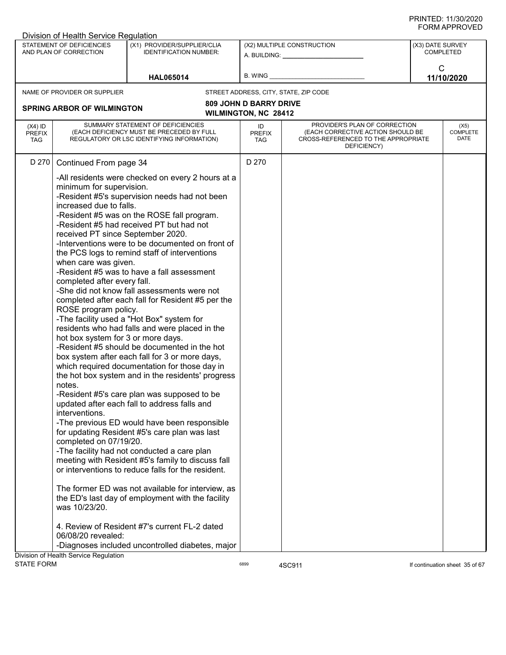|                                          | Division of Health Service Regulation                                                                                                                                                                                                                                                                                                                                                                                                                                                                                                                                                                                                                                                                                                                                                                                                                                                                                                                              |                                                                                                                                                                                                                                                                                                                                                                                                                                                                                                  |                                                              |                                                                                                                          |                  |                                 |
|------------------------------------------|--------------------------------------------------------------------------------------------------------------------------------------------------------------------------------------------------------------------------------------------------------------------------------------------------------------------------------------------------------------------------------------------------------------------------------------------------------------------------------------------------------------------------------------------------------------------------------------------------------------------------------------------------------------------------------------------------------------------------------------------------------------------------------------------------------------------------------------------------------------------------------------------------------------------------------------------------------------------|--------------------------------------------------------------------------------------------------------------------------------------------------------------------------------------------------------------------------------------------------------------------------------------------------------------------------------------------------------------------------------------------------------------------------------------------------------------------------------------------------|--------------------------------------------------------------|--------------------------------------------------------------------------------------------------------------------------|------------------|---------------------------------|
|                                          | STATEMENT OF DEFICIENCIES<br>AND PLAN OF CORRECTION                                                                                                                                                                                                                                                                                                                                                                                                                                                                                                                                                                                                                                                                                                                                                                                                                                                                                                                | (X1) PROVIDER/SUPPLIER/CLIA<br><b>IDENTIFICATION NUMBER:</b>                                                                                                                                                                                                                                                                                                                                                                                                                                     |                                                              | (X2) MULTIPLE CONSTRUCTION<br>A. BUILDING: A.                                                                            | (X3) DATE SURVEY | <b>COMPLETED</b>                |
|                                          |                                                                                                                                                                                                                                                                                                                                                                                                                                                                                                                                                                                                                                                                                                                                                                                                                                                                                                                                                                    | <b>HAL065014</b>                                                                                                                                                                                                                                                                                                                                                                                                                                                                                 | B. WING                                                      |                                                                                                                          | $\mathsf{C}$     | 11/10/2020                      |
|                                          | NAME OF PROVIDER OR SUPPLIER                                                                                                                                                                                                                                                                                                                                                                                                                                                                                                                                                                                                                                                                                                                                                                                                                                                                                                                                       |                                                                                                                                                                                                                                                                                                                                                                                                                                                                                                  |                                                              | STREET ADDRESS, CITY, STATE, ZIP CODE                                                                                    |                  |                                 |
|                                          | <b>SPRING ARBOR OF WILMINGTON</b>                                                                                                                                                                                                                                                                                                                                                                                                                                                                                                                                                                                                                                                                                                                                                                                                                                                                                                                                  |                                                                                                                                                                                                                                                                                                                                                                                                                                                                                                  | <b>809 JOHN D BARRY DRIVE</b><br><b>WILMINGTON, NC 28412</b> |                                                                                                                          |                  |                                 |
| $(X4)$ ID<br><b>PREFIX</b><br><b>TAG</b> |                                                                                                                                                                                                                                                                                                                                                                                                                                                                                                                                                                                                                                                                                                                                                                                                                                                                                                                                                                    | SUMMARY STATEMENT OF DEFICIENCIES<br>(EACH DEFICIENCY MUST BE PRECEDED BY FULL<br>REGULATORY OR LSC IDENTIFYING INFORMATION)                                                                                                                                                                                                                                                                                                                                                                     | ID<br><b>PREFIX</b><br>TAG                                   | PROVIDER'S PLAN OF CORRECTION<br>(EACH CORRECTIVE ACTION SHOULD BE<br>CROSS-REFERENCED TO THE APPROPRIATE<br>DEFICIENCY) |                  | (X5)<br><b>COMPLETE</b><br>DATE |
|                                          | minimum for supervision.<br>increased due to falls.<br>received PT since September 2020.<br>when care was given.<br>completed after every fall.<br>ROSE program policy.                                                                                                                                                                                                                                                                                                                                                                                                                                                                                                                                                                                                                                                                                                                                                                                            | -All residents were checked on every 2 hours at a<br>-Resident #5's supervision needs had not been<br>-Resident #5 was on the ROSE fall program.<br>-Resident #5 had received PT but had not<br>-Interventions were to be documented on front of<br>the PCS logs to remind staff of interventions<br>-Resident #5 was to have a fall assessment<br>-She did not know fall assessments were not<br>completed after each fall for Resident #5 per the<br>-The facility used a "Hot Box" system for |                                                              |                                                                                                                          |                  |                                 |
| Division of Health Service Regulation    | residents who had falls and were placed in the<br>hot box system for 3 or more days.<br>-Resident #5 should be documented in the hot<br>box system after each fall for 3 or more days,<br>which required documentation for those day in<br>the hot box system and in the residents' progress<br>notes.<br>-Resident #5's care plan was supposed to be<br>updated after each fall to address falls and<br>interventions.<br>-The previous ED would have been responsible<br>for updating Resident #5's care plan was last<br>completed on 07/19/20.<br>-The facility had not conducted a care plan<br>meeting with Resident #5's family to discuss fall<br>or interventions to reduce falls for the resident.<br>The former ED was not available for interview, as<br>the ED's last day of employment with the facility<br>was 10/23/20.<br>4. Review of Resident #7's current FL-2 dated<br>06/08/20 revealed:<br>-Diagnoses included uncontrolled diabetes, major |                                                                                                                                                                                                                                                                                                                                                                                                                                                                                                  |                                                              |                                                                                                                          |                  |                                 |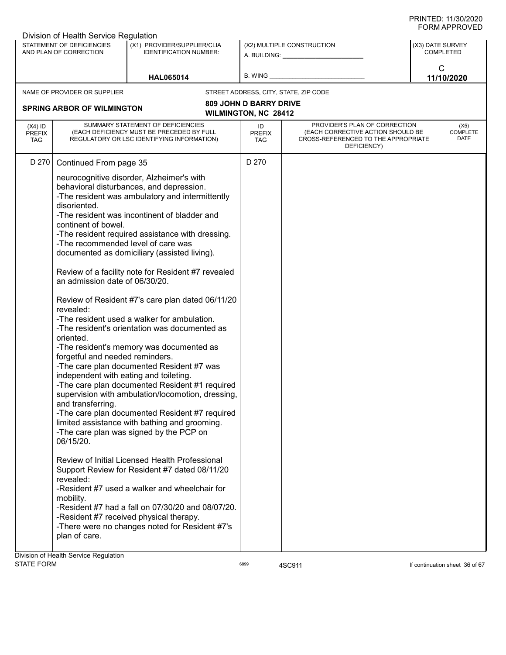|                                          | Division of Health Service Regulation                                                                                                                                                                                                                                                           |                                                                                                                                                                                                                                                                                                                                                                                                                                                                                                                                                                                                                                                                                                                                                                                                                                                                                                                                                                                                                                                                                                                                                            |                                                       |                                                                                                                          |                               |                                 |
|------------------------------------------|-------------------------------------------------------------------------------------------------------------------------------------------------------------------------------------------------------------------------------------------------------------------------------------------------|------------------------------------------------------------------------------------------------------------------------------------------------------------------------------------------------------------------------------------------------------------------------------------------------------------------------------------------------------------------------------------------------------------------------------------------------------------------------------------------------------------------------------------------------------------------------------------------------------------------------------------------------------------------------------------------------------------------------------------------------------------------------------------------------------------------------------------------------------------------------------------------------------------------------------------------------------------------------------------------------------------------------------------------------------------------------------------------------------------------------------------------------------------|-------------------------------------------------------|--------------------------------------------------------------------------------------------------------------------------|-------------------------------|---------------------------------|
|                                          | STATEMENT OF DEFICIENCIES<br>AND PLAN OF CORRECTION                                                                                                                                                                                                                                             | (X1) PROVIDER/SUPPLIER/CLIA<br><b>IDENTIFICATION NUMBER:</b>                                                                                                                                                                                                                                                                                                                                                                                                                                                                                                                                                                                                                                                                                                                                                                                                                                                                                                                                                                                                                                                                                               |                                                       | (X2) MULTIPLE CONSTRUCTION<br>A. BUILDING: A. BUILDING:                                                                  | (X3) DATE SURVEY<br>COMPLETED |                                 |
|                                          |                                                                                                                                                                                                                                                                                                 | <b>HAL065014</b>                                                                                                                                                                                                                                                                                                                                                                                                                                                                                                                                                                                                                                                                                                                                                                                                                                                                                                                                                                                                                                                                                                                                           | B. WING_                                              |                                                                                                                          | $\mathsf{C}$                  | 11/10/2020                      |
|                                          | NAME OF PROVIDER OR SUPPLIER                                                                                                                                                                                                                                                                    |                                                                                                                                                                                                                                                                                                                                                                                                                                                                                                                                                                                                                                                                                                                                                                                                                                                                                                                                                                                                                                                                                                                                                            |                                                       | STREET ADDRESS, CITY, STATE, ZIP CODE                                                                                    |                               |                                 |
|                                          | <b>SPRING ARBOR OF WILMINGTON</b>                                                                                                                                                                                                                                                               |                                                                                                                                                                                                                                                                                                                                                                                                                                                                                                                                                                                                                                                                                                                                                                                                                                                                                                                                                                                                                                                                                                                                                            | <b>809 JOHN D BARRY DRIVE</b><br>WILMINGTON, NC 28412 |                                                                                                                          |                               |                                 |
| $(X4)$ ID<br><b>PREFIX</b><br><b>TAG</b> |                                                                                                                                                                                                                                                                                                 | SUMMARY STATEMENT OF DEFICIENCIES<br>(EACH DEFICIENCY MUST BE PRECEDED BY FULL<br>REGULATORY OR LSC IDENTIFYING INFORMATION)                                                                                                                                                                                                                                                                                                                                                                                                                                                                                                                                                                                                                                                                                                                                                                                                                                                                                                                                                                                                                               | ID<br><b>PREFIX</b><br><b>TAG</b>                     | PROVIDER'S PLAN OF CORRECTION<br>(EACH CORRECTIVE ACTION SHOULD BE<br>CROSS-REFERENCED TO THE APPROPRIATE<br>DEFICIENCY) |                               | (X5)<br><b>COMPLETE</b><br>DATE |
| D 270                                    | Continued From page 35                                                                                                                                                                                                                                                                          |                                                                                                                                                                                                                                                                                                                                                                                                                                                                                                                                                                                                                                                                                                                                                                                                                                                                                                                                                                                                                                                                                                                                                            | D 270                                                 |                                                                                                                          |                               |                                 |
|                                          | disoriented.<br>continent of bowel.<br>-The recommended level of care was<br>an admission date of 06/30/20.<br>revealed:<br>oriented.<br>forgetful and needed reminders.<br>independent with eating and toileting.<br>and transferring.<br>06/15/20.<br>revealed:<br>mobility.<br>plan of care. | neurocognitive disorder, Alzheimer's with<br>behavioral disturbances, and depression.<br>-The resident was ambulatory and intermittently<br>-The resident was incontinent of bladder and<br>-The resident required assistance with dressing.<br>documented as domiciliary (assisted living).<br>Review of a facility note for Resident #7 revealed<br>Review of Resident #7's care plan dated 06/11/20<br>-The resident used a walker for ambulation.<br>-The resident's orientation was documented as<br>-The resident's memory was documented as<br>-The care plan documented Resident #7 was<br>-The care plan documented Resident #1 required<br>supervision with ambulation/locomotion, dressing,<br>-The care plan documented Resident #7 required<br>limited assistance with bathing and grooming.<br>-The care plan was signed by the PCP on<br>Review of Initial Licensed Health Professional<br>Support Review for Resident #7 dated 08/11/20<br>-Resident #7 used a walker and wheelchair for<br>-Resident #7 had a fall on 07/30/20 and 08/07/20.<br>-Resident #7 received physical therapy.<br>-There were no changes noted for Resident #7's |                                                       |                                                                                                                          |                               |                                 |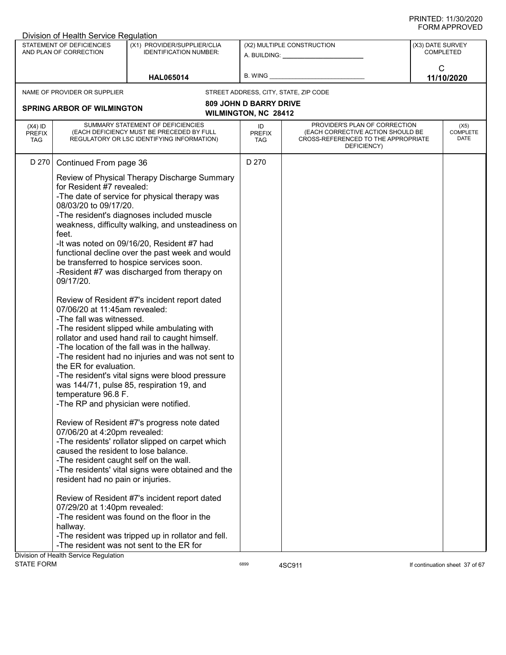|                                          | Division of Health Service Regulation                                                                                                                                                                                                                                                                                                                                                                                             |                                                                                                                                                                                                                                                                                                                                                                                                                                                                                                                                                                                                                                                                                                                                                                                                                                                                                                                                                                                                                                                                                                               |                                                              |                                                                                                                          |                  |                                 |
|------------------------------------------|-----------------------------------------------------------------------------------------------------------------------------------------------------------------------------------------------------------------------------------------------------------------------------------------------------------------------------------------------------------------------------------------------------------------------------------|---------------------------------------------------------------------------------------------------------------------------------------------------------------------------------------------------------------------------------------------------------------------------------------------------------------------------------------------------------------------------------------------------------------------------------------------------------------------------------------------------------------------------------------------------------------------------------------------------------------------------------------------------------------------------------------------------------------------------------------------------------------------------------------------------------------------------------------------------------------------------------------------------------------------------------------------------------------------------------------------------------------------------------------------------------------------------------------------------------------|--------------------------------------------------------------|--------------------------------------------------------------------------------------------------------------------------|------------------|---------------------------------|
|                                          | STATEMENT OF DEFICIENCIES<br>AND PLAN OF CORRECTION                                                                                                                                                                                                                                                                                                                                                                               | (X1) PROVIDER/SUPPLIER/CLIA<br><b>IDENTIFICATION NUMBER:</b>                                                                                                                                                                                                                                                                                                                                                                                                                                                                                                                                                                                                                                                                                                                                                                                                                                                                                                                                                                                                                                                  |                                                              | (X2) MULTIPLE CONSTRUCTION<br>A. BUILDING: A. BUILDING:                                                                  | (X3) DATE SURVEY | <b>COMPLETED</b>                |
|                                          |                                                                                                                                                                                                                                                                                                                                                                                                                                   | <b>HAL065014</b>                                                                                                                                                                                                                                                                                                                                                                                                                                                                                                                                                                                                                                                                                                                                                                                                                                                                                                                                                                                                                                                                                              | B. WING                                                      |                                                                                                                          | $\mathsf{C}$     | 11/10/2020                      |
|                                          | NAME OF PROVIDER OR SUPPLIER                                                                                                                                                                                                                                                                                                                                                                                                      |                                                                                                                                                                                                                                                                                                                                                                                                                                                                                                                                                                                                                                                                                                                                                                                                                                                                                                                                                                                                                                                                                                               |                                                              | STREET ADDRESS, CITY, STATE, ZIP CODE                                                                                    |                  |                                 |
|                                          | <b>SPRING ARBOR OF WILMINGTON</b>                                                                                                                                                                                                                                                                                                                                                                                                 |                                                                                                                                                                                                                                                                                                                                                                                                                                                                                                                                                                                                                                                                                                                                                                                                                                                                                                                                                                                                                                                                                                               | <b>809 JOHN D BARRY DRIVE</b><br><b>WILMINGTON, NC 28412</b> |                                                                                                                          |                  |                                 |
| $(X4)$ ID<br><b>PREFIX</b><br><b>TAG</b> |                                                                                                                                                                                                                                                                                                                                                                                                                                   | SUMMARY STATEMENT OF DEFICIENCIES<br>(EACH DEFICIENCY MUST BE PRECEDED BY FULL<br>REGULATORY OR LSC IDENTIFYING INFORMATION)                                                                                                                                                                                                                                                                                                                                                                                                                                                                                                                                                                                                                                                                                                                                                                                                                                                                                                                                                                                  | ID<br><b>PREFIX</b><br>TAG                                   | PROVIDER'S PLAN OF CORRECTION<br>(EACH CORRECTIVE ACTION SHOULD BE<br>CROSS-REFERENCED TO THE APPROPRIATE<br>DEFICIENCY) |                  | (X5)<br><b>COMPLETE</b><br>DATE |
| D 270                                    | Continued From page 36                                                                                                                                                                                                                                                                                                                                                                                                            |                                                                                                                                                                                                                                                                                                                                                                                                                                                                                                                                                                                                                                                                                                                                                                                                                                                                                                                                                                                                                                                                                                               | D 270                                                        |                                                                                                                          |                  |                                 |
|                                          | for Resident #7 revealed:<br>08/03/20 to 09/17/20.<br>feet.<br>09/17/20.<br>07/06/20 at 11:45am revealed:<br>-The fall was witnessed.<br>the ER for evaluation.<br>temperature 96.8 F.<br>-The RP and physician were notified.<br>07/06/20 at 4:20pm revealed:<br>caused the resident to lose balance.<br>-The resident caught self on the wall.<br>resident had no pain or injuries.<br>07/29/20 at 1:40pm revealed:<br>hallway. | Review of Physical Therapy Discharge Summary<br>-The date of service for physical therapy was<br>-The resident's diagnoses included muscle<br>weakness, difficulty walking, and unsteadiness on<br>-It was noted on 09/16/20, Resident #7 had<br>functional decline over the past week and would<br>be transferred to hospice services soon.<br>-Resident #7 was discharged from therapy on<br>Review of Resident #7's incident report dated<br>-The resident slipped while ambulating with<br>rollator and used hand rail to caught himself.<br>-The location of the fall was in the hallway.<br>-The resident had no injuries and was not sent to<br>-The resident's vital signs were blood pressure<br>was 144/71, pulse 85, respiration 19, and<br>Review of Resident #7's progress note dated<br>-The residents' rollator slipped on carpet which<br>-The residents' vital signs were obtained and the<br>Review of Resident #7's incident report dated<br>-The resident was found on the floor in the<br>-The resident was tripped up in rollator and fell.<br>-The resident was not sent to the ER for |                                                              |                                                                                                                          |                  |                                 |
|                                          | Division of Health Service Regulation                                                                                                                                                                                                                                                                                                                                                                                             |                                                                                                                                                                                                                                                                                                                                                                                                                                                                                                                                                                                                                                                                                                                                                                                                                                                                                                                                                                                                                                                                                                               |                                                              |                                                                                                                          |                  |                                 |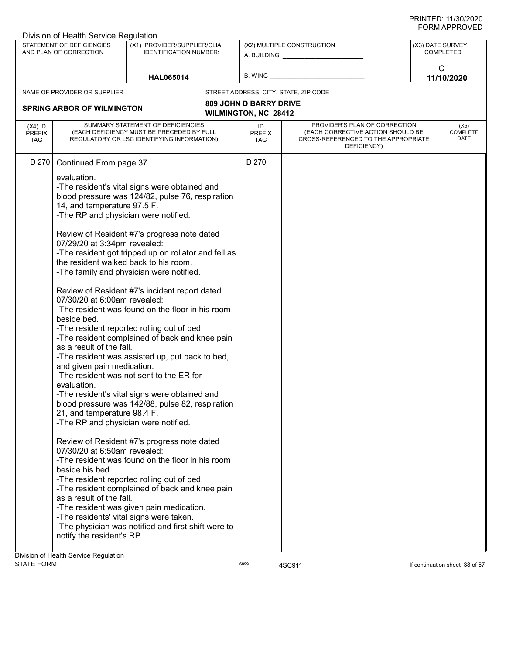|                                   | Division of Health Service Regulation                                                                                                                                                                                                                                                                                                                                                                                                     |                                                                                                                                                                                                                                                                                                                                                                                                                                                                                                                                                                                                                                                                                                                                                                                                                                                                  |                                       |                                                                                                                          | ៶៲៴៲៸៶៲ ៲ ៶៴៴ ∟                      |
|-----------------------------------|-------------------------------------------------------------------------------------------------------------------------------------------------------------------------------------------------------------------------------------------------------------------------------------------------------------------------------------------------------------------------------------------------------------------------------------------|------------------------------------------------------------------------------------------------------------------------------------------------------------------------------------------------------------------------------------------------------------------------------------------------------------------------------------------------------------------------------------------------------------------------------------------------------------------------------------------------------------------------------------------------------------------------------------------------------------------------------------------------------------------------------------------------------------------------------------------------------------------------------------------------------------------------------------------------------------------|---------------------------------------|--------------------------------------------------------------------------------------------------------------------------|--------------------------------------|
|                                   | STATEMENT OF DEFICIENCIES<br>AND PLAN OF CORRECTION                                                                                                                                                                                                                                                                                                                                                                                       | (X1) PROVIDER/SUPPLIER/CLIA<br><b>IDENTIFICATION NUMBER:</b>                                                                                                                                                                                                                                                                                                                                                                                                                                                                                                                                                                                                                                                                                                                                                                                                     |                                       | (X2) MULTIPLE CONSTRUCTION<br>A. BUILDING: A. BUILDING:                                                                  | (X3) DATE SURVEY<br><b>COMPLETED</b> |
|                                   |                                                                                                                                                                                                                                                                                                                                                                                                                                           | <b>HAL065014</b>                                                                                                                                                                                                                                                                                                                                                                                                                                                                                                                                                                                                                                                                                                                                                                                                                                                 | B. WING                               |                                                                                                                          | $\mathsf{C}$<br>11/10/2020           |
|                                   | NAME OF PROVIDER OR SUPPLIER                                                                                                                                                                                                                                                                                                                                                                                                              |                                                                                                                                                                                                                                                                                                                                                                                                                                                                                                                                                                                                                                                                                                                                                                                                                                                                  | STREET ADDRESS, CITY, STATE, ZIP CODE |                                                                                                                          |                                      |
|                                   |                                                                                                                                                                                                                                                                                                                                                                                                                                           |                                                                                                                                                                                                                                                                                                                                                                                                                                                                                                                                                                                                                                                                                                                                                                                                                                                                  | <b>809 JOHN D BARRY DRIVE</b>         |                                                                                                                          |                                      |
|                                   | <b>SPRING ARBOR OF WILMINGTON</b>                                                                                                                                                                                                                                                                                                                                                                                                         |                                                                                                                                                                                                                                                                                                                                                                                                                                                                                                                                                                                                                                                                                                                                                                                                                                                                  | <b>WILMINGTON, NC 28412</b>           |                                                                                                                          |                                      |
| $(X4)$ ID<br><b>PREFIX</b><br>TAG |                                                                                                                                                                                                                                                                                                                                                                                                                                           | SUMMARY STATEMENT OF DEFICIENCIES<br>(EACH DEFICIENCY MUST BE PRECEDED BY FULL<br>REGULATORY OR LSC IDENTIFYING INFORMATION)                                                                                                                                                                                                                                                                                                                                                                                                                                                                                                                                                                                                                                                                                                                                     | ID<br><b>PREFIX</b><br><b>TAG</b>     | PROVIDER'S PLAN OF CORRECTION<br>(EACH CORRECTIVE ACTION SHOULD BE<br>CROSS-REFERENCED TO THE APPROPRIATE<br>DEFICIENCY) | (X5)<br><b>COMPLETE</b><br>DATE      |
| D 270                             | Continued From page 37                                                                                                                                                                                                                                                                                                                                                                                                                    |                                                                                                                                                                                                                                                                                                                                                                                                                                                                                                                                                                                                                                                                                                                                                                                                                                                                  | D 270                                 |                                                                                                                          |                                      |
|                                   | evaluation.<br>14, and temperature 97.5 F.<br>-The RP and physician were notified.<br>07/29/20 at 3:34pm revealed:<br>the resident walked back to his room.<br>07/30/20 at 6:00am revealed:<br>beside bed.<br>as a result of the fall.<br>and given pain medication.<br>evaluation.<br>21, and temperature 98.4 F.<br>-The RP and physician were notified.<br>07/30/20 at 6:50am revealed:<br>beside his bed.<br>as a result of the fall. | -The resident's vital signs were obtained and<br>blood pressure was 124/82, pulse 76, respiration<br>Review of Resident #7's progress note dated<br>-The resident got tripped up on rollator and fell as<br>-The family and physician were notified.<br>Review of Resident #7's incident report dated<br>-The resident was found on the floor in his room<br>-The resident reported rolling out of bed.<br>-The resident complained of back and knee pain<br>-The resident was assisted up, put back to bed,<br>-The resident was not sent to the ER for<br>-The resident's vital signs were obtained and<br>blood pressure was 142/88, pulse 82, respiration<br>Review of Resident #7's progress note dated<br>-The resident was found on the floor in his room<br>-The resident reported rolling out of bed.<br>-The resident complained of back and knee pain |                                       |                                                                                                                          |                                      |
|                                   | -The residents' vital signs were taken.<br>notify the resident's RP.<br>Division of Health Service Regulation                                                                                                                                                                                                                                                                                                                             | -The resident was given pain medication.<br>-The physician was notified and first shift were to                                                                                                                                                                                                                                                                                                                                                                                                                                                                                                                                                                                                                                                                                                                                                                  |                                       |                                                                                                                          |                                      |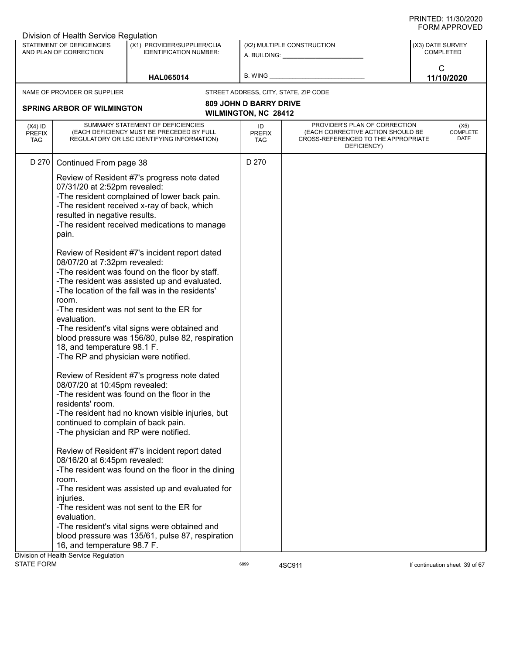|                                          | Division of Health Service Regulation                                                                                                                                                                 |                                                                                                                                                                                                                                                                                                                                                      |                                                       |                                                                                                                          |                  |                                 |
|------------------------------------------|-------------------------------------------------------------------------------------------------------------------------------------------------------------------------------------------------------|------------------------------------------------------------------------------------------------------------------------------------------------------------------------------------------------------------------------------------------------------------------------------------------------------------------------------------------------------|-------------------------------------------------------|--------------------------------------------------------------------------------------------------------------------------|------------------|---------------------------------|
|                                          | STATEMENT OF DEFICIENCIES<br>AND PLAN OF CORRECTION                                                                                                                                                   | (X1) PROVIDER/SUPPLIER/CLIA<br><b>IDENTIFICATION NUMBER:</b>                                                                                                                                                                                                                                                                                         |                                                       | (X2) MULTIPLE CONSTRUCTION<br>A. BUILDING: A. BUILDING:                                                                  | (X3) DATE SURVEY | <b>COMPLETED</b>                |
|                                          |                                                                                                                                                                                                       | <b>HAL065014</b>                                                                                                                                                                                                                                                                                                                                     | B. WING_                                              |                                                                                                                          | $\mathsf{C}$     | 11/10/2020                      |
|                                          | NAME OF PROVIDER OR SUPPLIER                                                                                                                                                                          |                                                                                                                                                                                                                                                                                                                                                      |                                                       | STREET ADDRESS, CITY, STATE, ZIP CODE                                                                                    |                  |                                 |
|                                          | <b>SPRING ARBOR OF WILMINGTON</b>                                                                                                                                                                     |                                                                                                                                                                                                                                                                                                                                                      | <b>809 JOHN D BARRY DRIVE</b><br>WILMINGTON, NC 28412 |                                                                                                                          |                  |                                 |
| $(X4)$ ID<br><b>PREFIX</b><br><b>TAG</b> |                                                                                                                                                                                                       | SUMMARY STATEMENT OF DEFICIENCIES<br>(EACH DEFICIENCY MUST BE PRECEDED BY FULL<br>REGULATORY OR LSC IDENTIFYING INFORMATION)                                                                                                                                                                                                                         | ID<br>PREFIX<br><b>TAG</b>                            | PROVIDER'S PLAN OF CORRECTION<br>(EACH CORRECTIVE ACTION SHOULD BE<br>CROSS-REFERENCED TO THE APPROPRIATE<br>DEFICIENCY) |                  | (X5)<br><b>COMPLETE</b><br>DATE |
| D 270                                    | Continued From page 38                                                                                                                                                                                |                                                                                                                                                                                                                                                                                                                                                      | D 270                                                 |                                                                                                                          |                  |                                 |
|                                          | 07/31/20 at 2:52pm revealed:<br>resulted in negative results.<br>pain.                                                                                                                                | Review of Resident #7's progress note dated<br>-The resident complained of lower back pain.<br>-The resident received x-ray of back, which<br>-The resident received medications to manage                                                                                                                                                           |                                                       |                                                                                                                          |                  |                                 |
|                                          | 08/07/20 at 7:32pm revealed:<br>room.<br>evaluation.<br>18, and temperature 98.1 F.<br>-The RP and physician were notified.                                                                           | Review of Resident #7's incident report dated<br>-The resident was found on the floor by staff.<br>-The resident was assisted up and evaluated.<br>-The location of the fall was in the residents'<br>-The resident was not sent to the ER for<br>-The resident's vital signs were obtained and<br>blood pressure was 156/80, pulse 82, respiration  |                                                       |                                                                                                                          |                  |                                 |
|                                          | 08/07/20 at 10:45pm revealed:<br>residents' room.<br>continued to complain of back pain.<br>-The physician and RP were notified.<br>08/16/20 at 6:45pm revealed:<br>room.<br>injuries.<br>evaluation. | Review of Resident #7's progress note dated<br>-The resident was found on the floor in the<br>-The resident had no known visible injuries, but<br>Review of Resident #7's incident report dated<br>-The resident was found on the floor in the dining<br>-The resident was assisted up and evaluated for<br>-The resident was not sent to the ER for |                                                       |                                                                                                                          |                  |                                 |
|                                          | 16, and temperature 98.7 F.<br><b>Division of Health Service Requlation</b>                                                                                                                           | -The resident's vital signs were obtained and<br>blood pressure was 135/61, pulse 87, respiration                                                                                                                                                                                                                                                    |                                                       |                                                                                                                          |                  |                                 |

Division of Health Service Regulation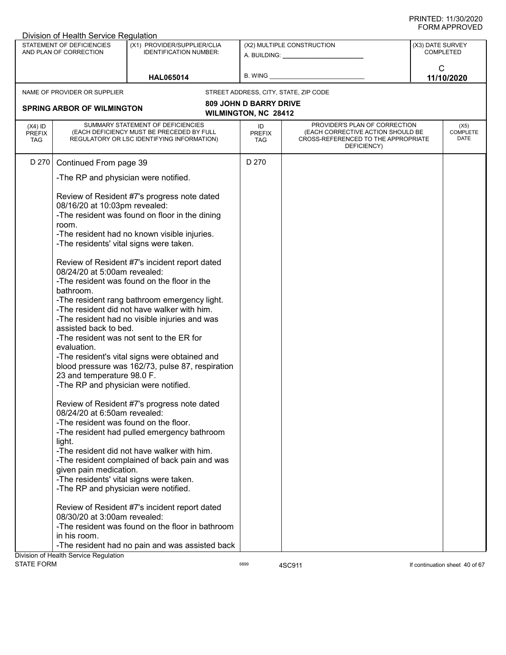|                                          | Division of Health Service Regulation                                                                                                                                                                                                                                                 |                                                                                                                                                                                                                                                                                                                                                                                               |                                                              |                                                                                                                          |                               |                                 |
|------------------------------------------|---------------------------------------------------------------------------------------------------------------------------------------------------------------------------------------------------------------------------------------------------------------------------------------|-----------------------------------------------------------------------------------------------------------------------------------------------------------------------------------------------------------------------------------------------------------------------------------------------------------------------------------------------------------------------------------------------|--------------------------------------------------------------|--------------------------------------------------------------------------------------------------------------------------|-------------------------------|---------------------------------|
|                                          | STATEMENT OF DEFICIENCIES<br>AND PLAN OF CORRECTION                                                                                                                                                                                                                                   | (X1) PROVIDER/SUPPLIER/CLIA<br><b>IDENTIFICATION NUMBER:</b>                                                                                                                                                                                                                                                                                                                                  |                                                              | (X2) MULTIPLE CONSTRUCTION<br>A. BUILDING: A. BUILDING:                                                                  | (X3) DATE SURVEY<br>COMPLETED |                                 |
|                                          |                                                                                                                                                                                                                                                                                       | <b>HAL065014</b>                                                                                                                                                                                                                                                                                                                                                                              | B. WING                                                      |                                                                                                                          | $\mathsf{C}$                  | 11/10/2020                      |
|                                          | NAME OF PROVIDER OR SUPPLIER                                                                                                                                                                                                                                                          |                                                                                                                                                                                                                                                                                                                                                                                               |                                                              | STREET ADDRESS, CITY, STATE, ZIP CODE                                                                                    |                               |                                 |
|                                          | <b>SPRING ARBOR OF WILMINGTON</b>                                                                                                                                                                                                                                                     |                                                                                                                                                                                                                                                                                                                                                                                               | <b>809 JOHN D BARRY DRIVE</b><br><b>WILMINGTON, NC 28412</b> |                                                                                                                          |                               |                                 |
| $(X4)$ ID<br><b>PREFIX</b><br><b>TAG</b> |                                                                                                                                                                                                                                                                                       | SUMMARY STATEMENT OF DEFICIENCIES<br>(EACH DEFICIENCY MUST BE PRECEDED BY FULL<br>REGULATORY OR LSC IDENTIFYING INFORMATION)                                                                                                                                                                                                                                                                  | ID<br><b>PREFIX</b><br><b>TAG</b>                            | PROVIDER'S PLAN OF CORRECTION<br>(EACH CORRECTIVE ACTION SHOULD BE<br>CROSS-REFERENCED TO THE APPROPRIATE<br>DEFICIENCY) |                               | (X5)<br><b>COMPLETE</b><br>DATE |
| D 270                                    | Continued From page 39                                                                                                                                                                                                                                                                |                                                                                                                                                                                                                                                                                                                                                                                               | D 270                                                        |                                                                                                                          |                               |                                 |
|                                          | -The RP and physician were notified.                                                                                                                                                                                                                                                  |                                                                                                                                                                                                                                                                                                                                                                                               |                                                              |                                                                                                                          |                               |                                 |
|                                          | 08/16/20 at 10:03pm revealed:<br>room.<br>-The residents' vital signs were taken.                                                                                                                                                                                                     | Review of Resident #7's progress note dated<br>-The resident was found on floor in the dining<br>-The resident had no known visible injuries.                                                                                                                                                                                                                                                 |                                                              |                                                                                                                          |                               |                                 |
|                                          | 08/24/20 at 5:00am revealed:<br>bathroom.<br>assisted back to bed.<br>evaluation.<br>23 and temperature 98.0 F.<br>-The RP and physician were notified.                                                                                                                               | Review of Resident #7's incident report dated<br>-The resident was found on the floor in the<br>-The resident rang bathroom emergency light.<br>-The resident did not have walker with him.<br>-The resident had no visible injuries and was<br>-The resident was not sent to the ER for<br>-The resident's vital signs were obtained and<br>blood pressure was 162/73, pulse 87, respiration |                                                              |                                                                                                                          |                               |                                 |
|                                          | 08/24/20 at 6:50am revealed:<br>-The resident was found on the floor.<br>light.<br>given pain medication.<br>-The residents' vital signs were taken.<br>-The RP and physician were notified.<br>08/30/20 at 3:00am revealed:<br>in his room.<br>Division of Health Service Regulation | Review of Resident #7's progress note dated<br>-The resident had pulled emergency bathroom<br>-The resident did not have walker with him.<br>-The resident complained of back pain and was<br>Review of Resident #7's incident report dated<br>-The resident was found on the floor in bathroom<br>-The resident had no pain and was assisted back                                            |                                                              |                                                                                                                          |                               |                                 |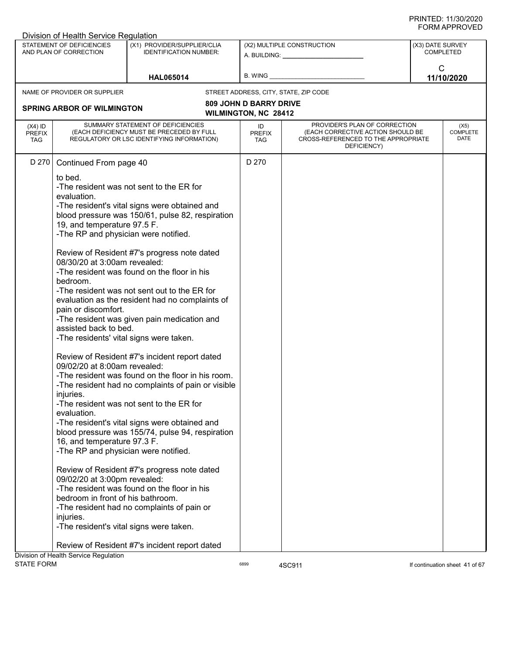|                                          | Division of Health Service Regulation               |                                                                                         |                                   |                                                                                         |                  |                                 |
|------------------------------------------|-----------------------------------------------------|-----------------------------------------------------------------------------------------|-----------------------------------|-----------------------------------------------------------------------------------------|------------------|---------------------------------|
|                                          | STATEMENT OF DEFICIENCIES<br>AND PLAN OF CORRECTION | (X1) PROVIDER/SUPPLIER/CLIA<br><b>IDENTIFICATION NUMBER:</b>                            |                                   | (X2) MULTIPLE CONSTRUCTION<br>A. BUILDING: A. BUILDING:                                 | (X3) DATE SURVEY | <b>COMPLETED</b>                |
|                                          |                                                     | <b>HAL065014</b>                                                                        | B. WING                           |                                                                                         |                  | $\mathsf{C}$<br>11/10/2020      |
|                                          | NAME OF PROVIDER OR SUPPLIER                        |                                                                                         |                                   | STREET ADDRESS, CITY, STATE, ZIP CODE                                                   |                  |                                 |
|                                          |                                                     |                                                                                         | <b>809 JOHN D BARRY DRIVE</b>     |                                                                                         |                  |                                 |
|                                          | <b>SPRING ARBOR OF WILMINGTON</b>                   |                                                                                         | WILMINGTON, NC 28412              |                                                                                         |                  |                                 |
|                                          |                                                     | SUMMARY STATEMENT OF DEFICIENCIES                                                       |                                   | PROVIDER'S PLAN OF CORRECTION                                                           |                  |                                 |
| $(X4)$ ID<br><b>PREFIX</b><br><b>TAG</b> |                                                     | (EACH DEFICIENCY MUST BE PRECEDED BY FULL<br>REGULATORY OR LSC IDENTIFYING INFORMATION) | ID<br><b>PREFIX</b><br><b>TAG</b> | (EACH CORRECTIVE ACTION SHOULD BE<br>CROSS-REFERENCED TO THE APPROPRIATE<br>DEFICIENCY) |                  | (X5)<br><b>COMPLETE</b><br>DATE |
| D 270                                    | Continued From page 40                              |                                                                                         | D 270                             |                                                                                         |                  |                                 |
|                                          | to bed.                                             |                                                                                         |                                   |                                                                                         |                  |                                 |
|                                          |                                                     | -The resident was not sent to the ER for                                                |                                   |                                                                                         |                  |                                 |
|                                          | evaluation.                                         |                                                                                         |                                   |                                                                                         |                  |                                 |
|                                          |                                                     | -The resident's vital signs were obtained and                                           |                                   |                                                                                         |                  |                                 |
|                                          | 19, and temperature 97.5 F.                         | blood pressure was 150/61, pulse 82, respiration                                        |                                   |                                                                                         |                  |                                 |
|                                          | -The RP and physician were notified.                |                                                                                         |                                   |                                                                                         |                  |                                 |
|                                          |                                                     |                                                                                         |                                   |                                                                                         |                  |                                 |
|                                          |                                                     | Review of Resident #7's progress note dated                                             |                                   |                                                                                         |                  |                                 |
|                                          | 08/30/20 at 3:00am revealed:                        |                                                                                         |                                   |                                                                                         |                  |                                 |
|                                          |                                                     | -The resident was found on the floor in his                                             |                                   |                                                                                         |                  |                                 |
|                                          | bedroom.                                            |                                                                                         |                                   |                                                                                         |                  |                                 |
|                                          |                                                     | -The resident was not sent out to the ER for                                            |                                   |                                                                                         |                  |                                 |
|                                          | pain or discomfort.                                 | evaluation as the resident had no complaints of                                         |                                   |                                                                                         |                  |                                 |
|                                          |                                                     | -The resident was given pain medication and                                             |                                   |                                                                                         |                  |                                 |
|                                          | assisted back to bed.                               |                                                                                         |                                   |                                                                                         |                  |                                 |
|                                          |                                                     | -The residents' vital signs were taken.                                                 |                                   |                                                                                         |                  |                                 |
|                                          |                                                     | Review of Resident #7's incident report dated                                           |                                   |                                                                                         |                  |                                 |
|                                          | 09/02/20 at 8:00am revealed:                        |                                                                                         |                                   |                                                                                         |                  |                                 |
|                                          |                                                     | -The resident was found on the floor in his room.                                       |                                   |                                                                                         |                  |                                 |
|                                          | injuries.                                           | -The resident had no complaints of pain or visible                                      |                                   |                                                                                         |                  |                                 |
|                                          |                                                     | -The resident was not sent to the ER for                                                |                                   |                                                                                         |                  |                                 |
|                                          | evaluation.                                         |                                                                                         |                                   |                                                                                         |                  |                                 |
|                                          |                                                     | -The resident's vital signs were obtained and                                           |                                   |                                                                                         |                  |                                 |
|                                          |                                                     | blood pressure was 155/74, pulse 94, respiration                                        |                                   |                                                                                         |                  |                                 |
|                                          | 16, and temperature 97.3 F.                         |                                                                                         |                                   |                                                                                         |                  |                                 |
|                                          | -The RP and physician were notified.                |                                                                                         |                                   |                                                                                         |                  |                                 |
|                                          |                                                     | Review of Resident #7's progress note dated                                             |                                   |                                                                                         |                  |                                 |
|                                          | 09/02/20 at 3:00pm revealed:                        |                                                                                         |                                   |                                                                                         |                  |                                 |
|                                          |                                                     | -The resident was found on the floor in his                                             |                                   |                                                                                         |                  |                                 |
|                                          | bedroom in front of his bathroom.                   |                                                                                         |                                   |                                                                                         |                  |                                 |
|                                          |                                                     | -The resident had no complaints of pain or                                              |                                   |                                                                                         |                  |                                 |
|                                          | injuries.                                           |                                                                                         |                                   |                                                                                         |                  |                                 |
|                                          |                                                     | -The resident's vital signs were taken.                                                 |                                   |                                                                                         |                  |                                 |
|                                          |                                                     |                                                                                         |                                   |                                                                                         |                  |                                 |
|                                          | Division of Health Service Regulation               | Review of Resident #7's incident report dated                                           |                                   |                                                                                         |                  |                                 |
| <b>STATE FORM</b>                        |                                                     |                                                                                         | 6899                              | 4SC911                                                                                  |                  | If continuation sheet 41 of 67  |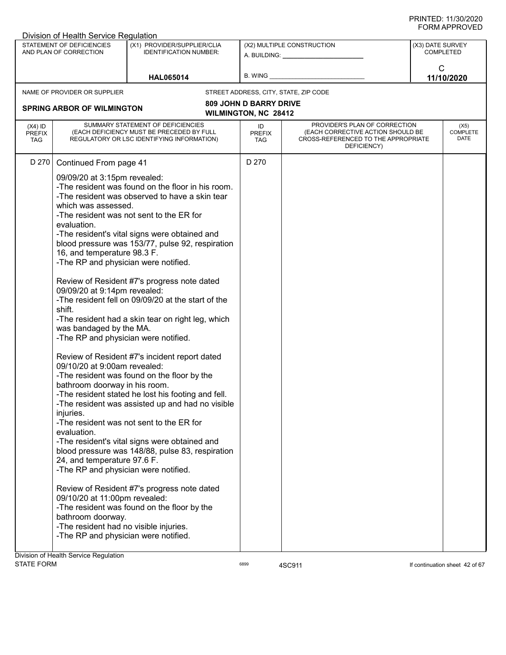| Division of Health Service Regulation                                                                                                                                                  |                                                                                                                                                                                                                                                                                                                                                                                                                                                                                                                                                                                                                                                                                                                                                                                                                                                                                                                                                                                                                                                                                                                                                                                                                                                     |                                                              |                                                                                                                                                                                                                                                              |                                              |                  | שם ער וות ווערו          |
|----------------------------------------------------------------------------------------------------------------------------------------------------------------------------------------|-----------------------------------------------------------------------------------------------------------------------------------------------------------------------------------------------------------------------------------------------------------------------------------------------------------------------------------------------------------------------------------------------------------------------------------------------------------------------------------------------------------------------------------------------------------------------------------------------------------------------------------------------------------------------------------------------------------------------------------------------------------------------------------------------------------------------------------------------------------------------------------------------------------------------------------------------------------------------------------------------------------------------------------------------------------------------------------------------------------------------------------------------------------------------------------------------------------------------------------------------------|--------------------------------------------------------------|--------------------------------------------------------------------------------------------------------------------------------------------------------------------------------------------------------------------------------------------------------------|----------------------------------------------|------------------|--------------------------|
| STATEMENT OF DEFICIENCIES<br>AND PLAN OF CORRECTION                                                                                                                                    | (X1) PROVIDER/SUPPLIER/CLIA<br><b>IDENTIFICATION NUMBER:</b>                                                                                                                                                                                                                                                                                                                                                                                                                                                                                                                                                                                                                                                                                                                                                                                                                                                                                                                                                                                                                                                                                                                                                                                        |                                                              | (X2) MULTIPLE CONSTRUCTION<br>A. BUILDING: A AND AND A STREAM OF A STREAM OF A STREAM OF A STREAM OF A STREAM OF A STREAM OF A STREAM OF A STREAM OF A STREAM OF A STREAM OF A STREAM OF A STREAM OF A STREAM OF A STREAM OF A STREAM OF A STREAM OF A STREA |                                              | (X3) DATE SURVEY | <b>COMPLETED</b>         |
|                                                                                                                                                                                        | <b>HAL065014</b>                                                                                                                                                                                                                                                                                                                                                                                                                                                                                                                                                                                                                                                                                                                                                                                                                                                                                                                                                                                                                                                                                                                                                                                                                                    |                                                              | B. WING <b>Example 20</b>                                                                                                                                                                                                                                    |                                              |                  | C<br>11/10/2020          |
| NAME OF PROVIDER OR SUPPLIER                                                                                                                                                           |                                                                                                                                                                                                                                                                                                                                                                                                                                                                                                                                                                                                                                                                                                                                                                                                                                                                                                                                                                                                                                                                                                                                                                                                                                                     |                                                              | STREET ADDRESS, CITY, STATE, ZIP CODE                                                                                                                                                                                                                        |                                              |                  |                          |
| <b>SPRING ARBOR OF WILMINGTON</b>                                                                                                                                                      |                                                                                                                                                                                                                                                                                                                                                                                                                                                                                                                                                                                                                                                                                                                                                                                                                                                                                                                                                                                                                                                                                                                                                                                                                                                     | <b>809 JOHN D BARRY DRIVE</b><br><b>WILMINGTON, NC 28412</b> |                                                                                                                                                                                                                                                              |                                              |                  |                          |
| $(X4)$ ID<br><b>PREFIX</b><br><b>TAG</b>                                                                                                                                               | SUMMARY STATEMENT OF DEFICIENCIES<br>(EACH DEFICIENCY MUST BE PRECEDED BY FULL<br>REGULATORY OR LSC IDENTIFYING INFORMATION)                                                                                                                                                                                                                                                                                                                                                                                                                                                                                                                                                                                                                                                                                                                                                                                                                                                                                                                                                                                                                                                                                                                        | ID<br><b>PREFIX</b><br><b>TAG</b>                            | (EACH CORRECTIVE ACTION SHOULD BE<br>CROSS-REFERENCED TO THE APPROPRIATE                                                                                                                                                                                     | PROVIDER'S PLAN OF CORRECTION<br>DEFICIENCY) |                  | (X5)<br>COMPLETE<br>DATE |
| D 270<br>Continued From page 41                                                                                                                                                        |                                                                                                                                                                                                                                                                                                                                                                                                                                                                                                                                                                                                                                                                                                                                                                                                                                                                                                                                                                                                                                                                                                                                                                                                                                                     | D 270                                                        |                                                                                                                                                                                                                                                              |                                              |                  |                          |
| which was assessed.<br>evaluation.<br>16, and temperature 98.3 F.<br>shift.<br>was bandaged by the MA.<br>injuries.<br>evaluation.<br>24, and temperature 97.6 F.<br>bathroom doorway. | 09/09/20 at 3:15pm revealed:<br>-The resident was found on the floor in his room.<br>-The resident was observed to have a skin tear<br>-The resident was not sent to the ER for<br>-The resident's vital signs were obtained and<br>blood pressure was 153/77, pulse 92, respiration<br>-The RP and physician were notified.<br>Review of Resident #7's progress note dated<br>09/09/20 at 9:14pm revealed:<br>-The resident fell on 09/09/20 at the start of the<br>-The resident had a skin tear on right leg, which<br>-The RP and physician were notified.<br>Review of Resident #7's incident report dated<br>09/10/20 at 9:00am revealed:<br>-The resident was found on the floor by the<br>bathroom doorway in his room.<br>-The resident stated he lost his footing and fell.<br>-The resident was assisted up and had no visible<br>-The resident was not sent to the ER for<br>-The resident's vital signs were obtained and<br>blood pressure was 148/88, pulse 83, respiration<br>-The RP and physician were notified.<br>Review of Resident #7's progress note dated<br>09/10/20 at 11:00pm revealed:<br>-The resident was found on the floor by the<br>-The resident had no visible injuries.<br>-The RP and physician were notified. |                                                              |                                                                                                                                                                                                                                                              |                                              |                  |                          |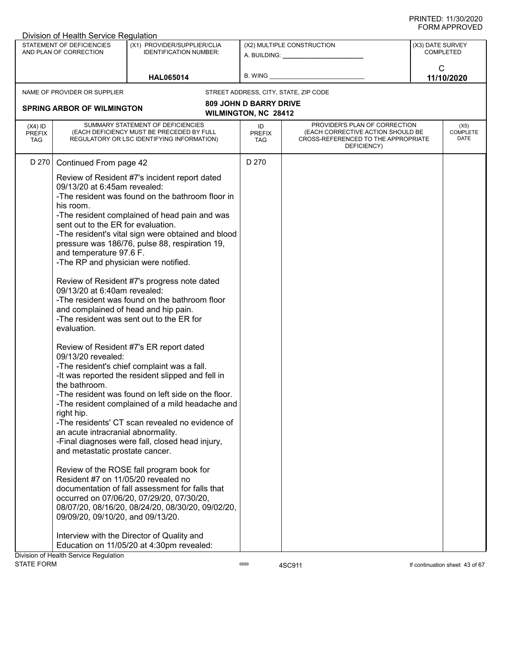|                                          | Division of Health Service Regulation                                                                                                                                                                                                                                                                                                                                   |                                                                                                                                                                                                                                                                                                                                                                                                                                                                                                                                                                                                                                                                                                                                                                                                                  |                                   |                                                                                                                          |                  |                                 |
|------------------------------------------|-------------------------------------------------------------------------------------------------------------------------------------------------------------------------------------------------------------------------------------------------------------------------------------------------------------------------------------------------------------------------|------------------------------------------------------------------------------------------------------------------------------------------------------------------------------------------------------------------------------------------------------------------------------------------------------------------------------------------------------------------------------------------------------------------------------------------------------------------------------------------------------------------------------------------------------------------------------------------------------------------------------------------------------------------------------------------------------------------------------------------------------------------------------------------------------------------|-----------------------------------|--------------------------------------------------------------------------------------------------------------------------|------------------|---------------------------------|
|                                          | STATEMENT OF DEFICIENCIES<br>AND PLAN OF CORRECTION                                                                                                                                                                                                                                                                                                                     | (X1) PROVIDER/SUPPLIER/CLIA<br><b>IDENTIFICATION NUMBER:</b>                                                                                                                                                                                                                                                                                                                                                                                                                                                                                                                                                                                                                                                                                                                                                     |                                   | (X2) MULTIPLE CONSTRUCTION<br>A. BUILDING: A. BUILDING:                                                                  | (X3) DATE SURVEY | <b>COMPLETED</b>                |
|                                          |                                                                                                                                                                                                                                                                                                                                                                         | <b>HAL065014</b>                                                                                                                                                                                                                                                                                                                                                                                                                                                                                                                                                                                                                                                                                                                                                                                                 | B. WING                           |                                                                                                                          | $\mathsf{C}$     | 11/10/2020                      |
|                                          | NAME OF PROVIDER OR SUPPLIER                                                                                                                                                                                                                                                                                                                                            |                                                                                                                                                                                                                                                                                                                                                                                                                                                                                                                                                                                                                                                                                                                                                                                                                  |                                   | STREET ADDRESS, CITY, STATE, ZIP CODE                                                                                    |                  |                                 |
|                                          |                                                                                                                                                                                                                                                                                                                                                                         |                                                                                                                                                                                                                                                                                                                                                                                                                                                                                                                                                                                                                                                                                                                                                                                                                  | <b>809 JOHN D BARRY DRIVE</b>     |                                                                                                                          |                  |                                 |
|                                          | <b>SPRING ARBOR OF WILMINGTON</b>                                                                                                                                                                                                                                                                                                                                       |                                                                                                                                                                                                                                                                                                                                                                                                                                                                                                                                                                                                                                                                                                                                                                                                                  | WILMINGTON, NC 28412              |                                                                                                                          |                  |                                 |
| $(X4)$ ID<br><b>PREFIX</b><br><b>TAG</b> |                                                                                                                                                                                                                                                                                                                                                                         | SUMMARY STATEMENT OF DEFICIENCIES<br>(EACH DEFICIENCY MUST BE PRECEDED BY FULL<br>REGULATORY OR LSC IDENTIFYING INFORMATION)                                                                                                                                                                                                                                                                                                                                                                                                                                                                                                                                                                                                                                                                                     | ID<br><b>PREFIX</b><br><b>TAG</b> | PROVIDER'S PLAN OF CORRECTION<br>(EACH CORRECTIVE ACTION SHOULD BE<br>CROSS-REFERENCED TO THE APPROPRIATE<br>DEFICIENCY) |                  | (X5)<br><b>COMPLETE</b><br>DATE |
| D 270                                    | Continued From page 42                                                                                                                                                                                                                                                                                                                                                  |                                                                                                                                                                                                                                                                                                                                                                                                                                                                                                                                                                                                                                                                                                                                                                                                                  | D 270                             |                                                                                                                          |                  |                                 |
|                                          | 09/13/20 at 6:45am revealed:<br>his room.<br>sent out to the ER for evaluation.<br>and temperature 97.6 F.<br>-The RP and physician were notified.<br>09/13/20 at 6:40am revealed:<br>and complained of head and hip pain.<br>evaluation.<br>09/13/20 revealed:<br>the bathroom.<br>right hip.<br>an acute intracranial abnormality.<br>and metastatic prostate cancer. | Review of Resident #7's incident report dated<br>-The resident was found on the bathroom floor in<br>-The resident complained of head pain and was<br>-The resident's vital sign were obtained and blood<br>pressure was 186/76, pulse 88, respiration 19,<br>Review of Resident #7's progress note dated<br>-The resident was found on the bathroom floor<br>-The resident was sent out to the ER for<br>Review of Resident #7's ER report dated<br>-The resident's chief complaint was a fall.<br>-It was reported the resident slipped and fell in<br>-The resident was found on left side on the floor.<br>-The resident complained of a mild headache and<br>-The residents' CT scan revealed no evidence of<br>-Final diagnoses were fall, closed head injury,<br>Review of the ROSE fall program book for |                                   |                                                                                                                          |                  |                                 |
|                                          | Resident #7 on 11/05/20 revealed no<br>09/09/20, 09/10/20, and 09/13/20.                                                                                                                                                                                                                                                                                                | documentation of fall assessment for falls that<br>occurred on 07/06/20, 07/29/20, 07/30/20,<br>08/07/20, 08/16/20, 08/24/20, 08/30/20, 09/02/20,                                                                                                                                                                                                                                                                                                                                                                                                                                                                                                                                                                                                                                                                |                                   |                                                                                                                          |                  |                                 |
|                                          | Division of Health Service Regulation                                                                                                                                                                                                                                                                                                                                   | Interview with the Director of Quality and<br>Education on 11/05/20 at 4:30pm revealed:                                                                                                                                                                                                                                                                                                                                                                                                                                                                                                                                                                                                                                                                                                                          |                                   |                                                                                                                          |                  |                                 |
| <b>STATE FORM</b>                        |                                                                                                                                                                                                                                                                                                                                                                         |                                                                                                                                                                                                                                                                                                                                                                                                                                                                                                                                                                                                                                                                                                                                                                                                                  | 6899                              | 4SC911                                                                                                                   |                  | If continuation sheet 43 of 67  |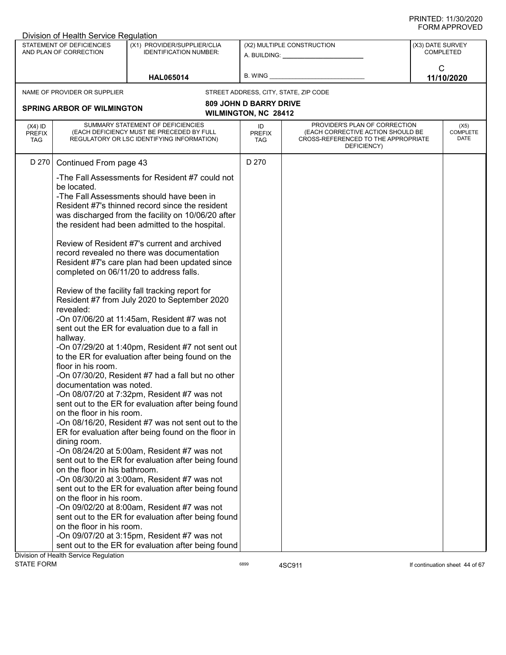|                                          | Division of Health Service Regulation                                                                                                                                                             |                                                                                                                                                                                                                                                                                                                                                                                                                                                                                                                                                                                                                                                                                                                                                                                                                                                                                                                                                                                                                                                                                                                                                                                                                                                                                                                                                             |                               |                                                                                                                          |                  |                                 |
|------------------------------------------|---------------------------------------------------------------------------------------------------------------------------------------------------------------------------------------------------|-------------------------------------------------------------------------------------------------------------------------------------------------------------------------------------------------------------------------------------------------------------------------------------------------------------------------------------------------------------------------------------------------------------------------------------------------------------------------------------------------------------------------------------------------------------------------------------------------------------------------------------------------------------------------------------------------------------------------------------------------------------------------------------------------------------------------------------------------------------------------------------------------------------------------------------------------------------------------------------------------------------------------------------------------------------------------------------------------------------------------------------------------------------------------------------------------------------------------------------------------------------------------------------------------------------------------------------------------------------|-------------------------------|--------------------------------------------------------------------------------------------------------------------------|------------------|---------------------------------|
|                                          | STATEMENT OF DEFICIENCIES<br>AND PLAN OF CORRECTION                                                                                                                                               | (X1) PROVIDER/SUPPLIER/CLIA<br><b>IDENTIFICATION NUMBER:</b>                                                                                                                                                                                                                                                                                                                                                                                                                                                                                                                                                                                                                                                                                                                                                                                                                                                                                                                                                                                                                                                                                                                                                                                                                                                                                                |                               | (X2) MULTIPLE CONSTRUCTION<br>A. BUILDING: A. BUILDING:                                                                  | (X3) DATE SURVEY | COMPLETED                       |
|                                          |                                                                                                                                                                                                   | <b>HAL065014</b>                                                                                                                                                                                                                                                                                                                                                                                                                                                                                                                                                                                                                                                                                                                                                                                                                                                                                                                                                                                                                                                                                                                                                                                                                                                                                                                                            | B. WING                       |                                                                                                                          | $\mathsf{C}$     | 11/10/2020                      |
|                                          | NAME OF PROVIDER OR SUPPLIER                                                                                                                                                                      |                                                                                                                                                                                                                                                                                                                                                                                                                                                                                                                                                                                                                                                                                                                                                                                                                                                                                                                                                                                                                                                                                                                                                                                                                                                                                                                                                             |                               | STREET ADDRESS, CITY, STATE, ZIP CODE                                                                                    |                  |                                 |
|                                          |                                                                                                                                                                                                   |                                                                                                                                                                                                                                                                                                                                                                                                                                                                                                                                                                                                                                                                                                                                                                                                                                                                                                                                                                                                                                                                                                                                                                                                                                                                                                                                                             | <b>809 JOHN D BARRY DRIVE</b> |                                                                                                                          |                  |                                 |
|                                          | <b>SPRING ARBOR OF WILMINGTON</b>                                                                                                                                                                 |                                                                                                                                                                                                                                                                                                                                                                                                                                                                                                                                                                                                                                                                                                                                                                                                                                                                                                                                                                                                                                                                                                                                                                                                                                                                                                                                                             | <b>WILMINGTON, NC 28412</b>   |                                                                                                                          |                  |                                 |
| $(X4)$ ID<br><b>PREFIX</b><br><b>TAG</b> |                                                                                                                                                                                                   | SUMMARY STATEMENT OF DEFICIENCIES<br>(EACH DEFICIENCY MUST BE PRECEDED BY FULL<br>REGULATORY OR LSC IDENTIFYING INFORMATION)                                                                                                                                                                                                                                                                                                                                                                                                                                                                                                                                                                                                                                                                                                                                                                                                                                                                                                                                                                                                                                                                                                                                                                                                                                | ID<br><b>PREFIX</b><br>TAG    | PROVIDER'S PLAN OF CORRECTION<br>(EACH CORRECTIVE ACTION SHOULD BE<br>CROSS-REFERENCED TO THE APPROPRIATE<br>DEFICIENCY) |                  | (X5)<br><b>COMPLETE</b><br>DATE |
| D 270                                    | Continued From page 43                                                                                                                                                                            |                                                                                                                                                                                                                                                                                                                                                                                                                                                                                                                                                                                                                                                                                                                                                                                                                                                                                                                                                                                                                                                                                                                                                                                                                                                                                                                                                             | D 270                         |                                                                                                                          |                  |                                 |
|                                          | be located.<br>revealed:<br>hallway.<br>floor in his room.<br>documentation was noted.<br>on the floor in his room.<br>dining room.<br>on the floor in his bathroom.<br>on the floor in his room. | -The Fall Assessments for Resident #7 could not<br>-The Fall Assessments should have been in<br>Resident #7's thinned record since the resident<br>was discharged from the facility on 10/06/20 after<br>the resident had been admitted to the hospital.<br>Review of Resident #7's current and archived<br>record revealed no there was documentation<br>Resident #7's care plan had been updated since<br>completed on 06/11/20 to address falls.<br>Review of the facility fall tracking report for<br>Resident #7 from July 2020 to September 2020<br>-On 07/06/20 at 11:45am, Resident #7 was not<br>sent out the ER for evaluation due to a fall in<br>-On 07/29/20 at 1:40pm, Resident #7 not sent out<br>to the ER for evaluation after being found on the<br>-On 07/30/20, Resident #7 had a fall but no other<br>-On 08/07/20 at 7:32pm, Resident #7 was not<br>sent out to the ER for evaluation after being found<br>-On 08/16/20, Resident #7 was not sent out to the<br>ER for evaluation after being found on the floor in<br>-On 08/24/20 at 5:00am, Resident #7 was not<br>sent out to the ER for evaluation after being found<br>-On 08/30/20 at 3:00am, Resident #7 was not<br>sent out to the ER for evaluation after being found<br>-On 09/02/20 at 8:00am, Resident #7 was not<br>sent out to the ER for evaluation after being found |                               |                                                                                                                          |                  |                                 |
|                                          | on the floor in his room.                                                                                                                                                                         | -On 09/07/20 at 3:15pm, Resident #7 was not                                                                                                                                                                                                                                                                                                                                                                                                                                                                                                                                                                                                                                                                                                                                                                                                                                                                                                                                                                                                                                                                                                                                                                                                                                                                                                                 |                               |                                                                                                                          |                  |                                 |
|                                          |                                                                                                                                                                                                   | sent out to the ER for evaluation after being found                                                                                                                                                                                                                                                                                                                                                                                                                                                                                                                                                                                                                                                                                                                                                                                                                                                                                                                                                                                                                                                                                                                                                                                                                                                                                                         |                               |                                                                                                                          |                  |                                 |
|                                          | Division of Health Service Regulation                                                                                                                                                             |                                                                                                                                                                                                                                                                                                                                                                                                                                                                                                                                                                                                                                                                                                                                                                                                                                                                                                                                                                                                                                                                                                                                                                                                                                                                                                                                                             |                               |                                                                                                                          |                  |                                 |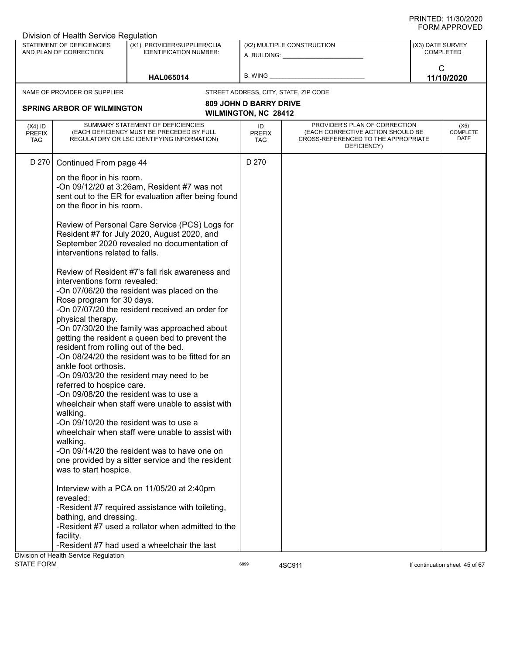| STATEMENT OF DEFICIENCIES<br>(X1) PROVIDER/SUPPLIER/CLIA<br>(X2) MULTIPLE CONSTRUCTION<br>AND PLAN OF CORRECTION<br><b>IDENTIFICATION NUMBER:</b><br>A. BUILDING: A. BUILDING:                                                             | (X3) DATE SURVEY<br>COMPLETED                                                                                                                               |
|--------------------------------------------------------------------------------------------------------------------------------------------------------------------------------------------------------------------------------------------|-------------------------------------------------------------------------------------------------------------------------------------------------------------|
|                                                                                                                                                                                                                                            |                                                                                                                                                             |
| B. WING _<br><b>HAL065014</b>                                                                                                                                                                                                              | $\mathsf{C}$<br>11/10/2020                                                                                                                                  |
| NAME OF PROVIDER OR SUPPLIER<br>STREET ADDRESS, CITY, STATE, ZIP CODE                                                                                                                                                                      |                                                                                                                                                             |
| <b>809 JOHN D BARRY DRIVE</b><br><b>SPRING ARBOR OF WILMINGTON</b><br><b>WILMINGTON, NC 28412</b>                                                                                                                                          |                                                                                                                                                             |
| SUMMARY STATEMENT OF DEFICIENCIES<br>$(X4)$ ID<br>ID<br>(EACH DEFICIENCY MUST BE PRECEDED BY FULL<br><b>PREFIX</b><br><b>PREFIX</b><br>REGULATORY OR LSC IDENTIFYING INFORMATION)<br><b>TAG</b><br>TAG                                     | PROVIDER'S PLAN OF CORRECTION<br>(X5)<br><b>COMPLETE</b><br>(EACH CORRECTIVE ACTION SHOULD BE<br>DATE<br>CROSS-REFERENCED TO THE APPROPRIATE<br>DEFICIENCY) |
| D 270<br>D 270<br>Continued From page 44                                                                                                                                                                                                   |                                                                                                                                                             |
| on the floor in his room.<br>-On 09/12/20 at 3:26am, Resident #7 was not<br>sent out to the ER for evaluation after being found<br>on the floor in his room.                                                                               |                                                                                                                                                             |
| Review of Personal Care Service (PCS) Logs for<br>Resident #7 for July 2020, August 2020, and<br>September 2020 revealed no documentation of<br>interventions related to falls.                                                            |                                                                                                                                                             |
| Review of Resident #7's fall risk awareness and<br>interventions form revealed:<br>-On 07/06/20 the resident was placed on the<br>Rose program for 30 days.<br>-On 07/07/20 the resident received an order for                             |                                                                                                                                                             |
| physical therapy.<br>-On 07/30/20 the family was approached about<br>getting the resident a queen bed to prevent the<br>resident from rolling out of the bed.<br>-On 08/24/20 the resident was to be fitted for an<br>ankle foot orthosis. |                                                                                                                                                             |
| -On 09/03/20 the resident may need to be<br>referred to hospice care.<br>-On 09/08/20 the resident was to use a<br>wheelchair when staff were unable to assist with                                                                        |                                                                                                                                                             |
| walking.<br>-On 09/10/20 the resident was to use a<br>wheelchair when staff were unable to assist with                                                                                                                                     |                                                                                                                                                             |
| walking.<br>-On 09/14/20 the resident was to have one on<br>one provided by a sitter service and the resident<br>was to start hospice.                                                                                                     |                                                                                                                                                             |
| Interview with a PCA on 11/05/20 at 2:40pm<br>revealed:<br>-Resident #7 required assistance with toileting,                                                                                                                                |                                                                                                                                                             |
| bathing, and dressing.<br>-Resident #7 used a rollator when admitted to the<br>facility.                                                                                                                                                   |                                                                                                                                                             |
| -Resident #7 had used a wheelchair the last<br>Division of Health Service Regulation                                                                                                                                                       |                                                                                                                                                             |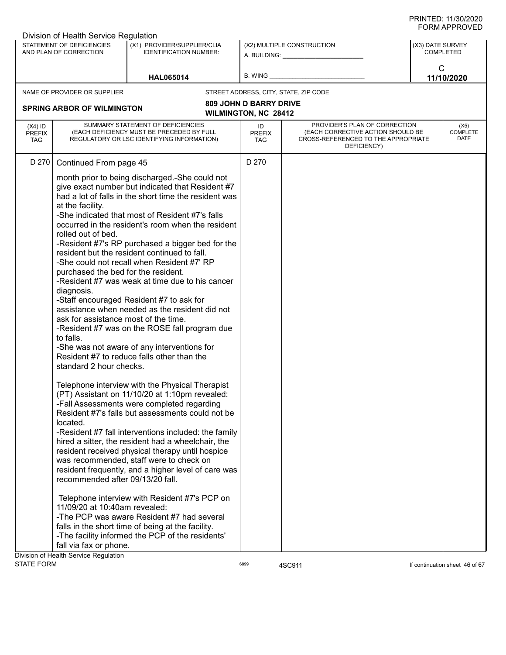|                                          | Division of Health Service Regulation                                                                                                                                                                 |                                                                                                                                                                                                                                                                                                                                                                                                                                                                                                                                                                                                                                                                                                                      |                                                              |                                                                                                                          |                                      |                                 |
|------------------------------------------|-------------------------------------------------------------------------------------------------------------------------------------------------------------------------------------------------------|----------------------------------------------------------------------------------------------------------------------------------------------------------------------------------------------------------------------------------------------------------------------------------------------------------------------------------------------------------------------------------------------------------------------------------------------------------------------------------------------------------------------------------------------------------------------------------------------------------------------------------------------------------------------------------------------------------------------|--------------------------------------------------------------|--------------------------------------------------------------------------------------------------------------------------|--------------------------------------|---------------------------------|
|                                          | STATEMENT OF DEFICIENCIES<br>AND PLAN OF CORRECTION                                                                                                                                                   | (X1) PROVIDER/SUPPLIER/CLIA<br><b>IDENTIFICATION NUMBER:</b>                                                                                                                                                                                                                                                                                                                                                                                                                                                                                                                                                                                                                                                         |                                                              | (X2) MULTIPLE CONSTRUCTION<br>A. BUILDING: A. BUILDING:                                                                  | (X3) DATE SURVEY<br><b>COMPLETED</b> |                                 |
|                                          |                                                                                                                                                                                                       | <b>HAL065014</b>                                                                                                                                                                                                                                                                                                                                                                                                                                                                                                                                                                                                                                                                                                     | B. WING                                                      |                                                                                                                          | $\mathsf{C}$                         | 11/10/2020                      |
|                                          | NAME OF PROVIDER OR SUPPLIER                                                                                                                                                                          |                                                                                                                                                                                                                                                                                                                                                                                                                                                                                                                                                                                                                                                                                                                      |                                                              | STREET ADDRESS, CITY, STATE, ZIP CODE                                                                                    |                                      |                                 |
|                                          | <b>SPRING ARBOR OF WILMINGTON</b>                                                                                                                                                                     |                                                                                                                                                                                                                                                                                                                                                                                                                                                                                                                                                                                                                                                                                                                      | <b>809 JOHN D BARRY DRIVE</b><br><b>WILMINGTON, NC 28412</b> |                                                                                                                          |                                      |                                 |
| $(X4)$ ID<br><b>PREFIX</b><br><b>TAG</b> |                                                                                                                                                                                                       | SUMMARY STATEMENT OF DEFICIENCIES<br>(EACH DEFICIENCY MUST BE PRECEDED BY FULL<br>REGULATORY OR LSC IDENTIFYING INFORMATION)                                                                                                                                                                                                                                                                                                                                                                                                                                                                                                                                                                                         | ID<br><b>PREFIX</b><br><b>TAG</b>                            | PROVIDER'S PLAN OF CORRECTION<br>(EACH CORRECTIVE ACTION SHOULD BE<br>CROSS-REFERENCED TO THE APPROPRIATE<br>DEFICIENCY) |                                      | (X5)<br><b>COMPLETE</b><br>DATE |
| D 270                                    | Continued From page 45<br>at the facility.<br>rolled out of bed.<br>purchased the bed for the resident.<br>diagnosis.<br>ask for assistance most of the time.<br>to falls.<br>standard 2 hour checks. | month prior to being discharged.-She could not<br>give exact number but indicated that Resident #7<br>had a lot of falls in the short time the resident was<br>-She indicated that most of Resident #7's falls<br>occurred in the resident's room when the resident<br>-Resident #7's RP purchased a bigger bed for the<br>resident but the resident continued to fall.<br>-She could not recall when Resident #7' RP<br>-Resident #7 was weak at time due to his cancer<br>-Staff encouraged Resident #7 to ask for<br>assistance when needed as the resident did not<br>-Resident #7 was on the ROSE fall program due<br>-She was not aware of any interventions for<br>Resident #7 to reduce falls other than the | D 270                                                        |                                                                                                                          |                                      |                                 |
|                                          | located.<br>recommended after 09/13/20 fall.<br>11/09/20 at 10:40am revealed:<br>fall via fax or phone.<br>Division of Health Service Regulation                                                      | Telephone interview with the Physical Therapist<br>(PT) Assistant on 11/10/20 at 1:10pm revealed:<br>-Fall Assessments were completed regarding<br>Resident #7's falls but assessments could not be<br>-Resident #7 fall interventions included: the family<br>hired a sitter, the resident had a wheelchair, the<br>resident received physical therapy until hospice<br>was recommended, staff were to check on<br>resident frequently, and a higher level of care was<br>Telephone interview with Resident #7's PCP on<br>-The PCP was aware Resident #7 had several<br>falls in the short time of being at the facility.<br>-The facility informed the PCP of the residents'                                      |                                                              |                                                                                                                          |                                      |                                 |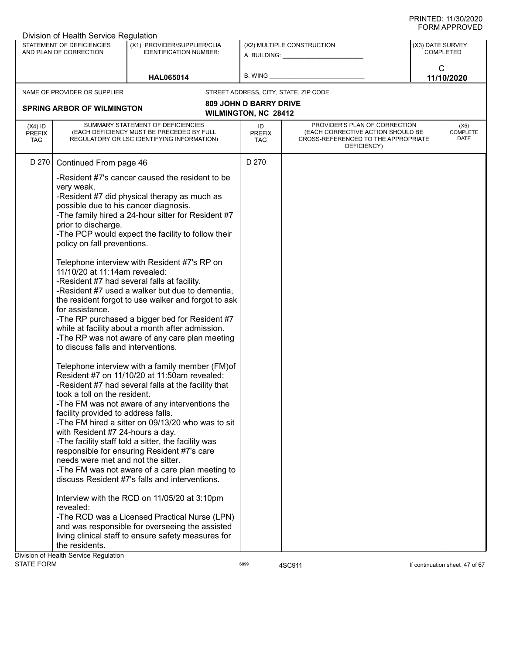|                                          | Division of Health Service Regulation                                                                                                                                                                                                                                                                                                                                                        |                                                                                                                                                                                                                                                                                                                                                                                                                                                                                                                                                                                                                                                                                                                                                                                                                                                                                                                                                                                                                                                                                                                                                           |                                                              |                                                                                                                          |                                      |                                 |
|------------------------------------------|----------------------------------------------------------------------------------------------------------------------------------------------------------------------------------------------------------------------------------------------------------------------------------------------------------------------------------------------------------------------------------------------|-----------------------------------------------------------------------------------------------------------------------------------------------------------------------------------------------------------------------------------------------------------------------------------------------------------------------------------------------------------------------------------------------------------------------------------------------------------------------------------------------------------------------------------------------------------------------------------------------------------------------------------------------------------------------------------------------------------------------------------------------------------------------------------------------------------------------------------------------------------------------------------------------------------------------------------------------------------------------------------------------------------------------------------------------------------------------------------------------------------------------------------------------------------|--------------------------------------------------------------|--------------------------------------------------------------------------------------------------------------------------|--------------------------------------|---------------------------------|
|                                          | STATEMENT OF DEFICIENCIES<br>AND PLAN OF CORRECTION                                                                                                                                                                                                                                                                                                                                          | (X1) PROVIDER/SUPPLIER/CLIA<br><b>IDENTIFICATION NUMBER:</b>                                                                                                                                                                                                                                                                                                                                                                                                                                                                                                                                                                                                                                                                                                                                                                                                                                                                                                                                                                                                                                                                                              |                                                              | (X2) MULTIPLE CONSTRUCTION<br>A. BUILDING: A.                                                                            | (X3) DATE SURVEY<br><b>COMPLETED</b> |                                 |
|                                          |                                                                                                                                                                                                                                                                                                                                                                                              | <b>HAL065014</b>                                                                                                                                                                                                                                                                                                                                                                                                                                                                                                                                                                                                                                                                                                                                                                                                                                                                                                                                                                                                                                                                                                                                          | B. WING                                                      |                                                                                                                          | $\mathsf{C}$                         | 11/10/2020                      |
|                                          | NAME OF PROVIDER OR SUPPLIER                                                                                                                                                                                                                                                                                                                                                                 |                                                                                                                                                                                                                                                                                                                                                                                                                                                                                                                                                                                                                                                                                                                                                                                                                                                                                                                                                                                                                                                                                                                                                           |                                                              | STREET ADDRESS, CITY, STATE, ZIP CODE                                                                                    |                                      |                                 |
|                                          | <b>SPRING ARBOR OF WILMINGTON</b>                                                                                                                                                                                                                                                                                                                                                            |                                                                                                                                                                                                                                                                                                                                                                                                                                                                                                                                                                                                                                                                                                                                                                                                                                                                                                                                                                                                                                                                                                                                                           | <b>809 JOHN D BARRY DRIVE</b><br><b>WILMINGTON, NC 28412</b> |                                                                                                                          |                                      |                                 |
| $(X4)$ ID<br><b>PREFIX</b><br><b>TAG</b> |                                                                                                                                                                                                                                                                                                                                                                                              | SUMMARY STATEMENT OF DEFICIENCIES<br>(EACH DEFICIENCY MUST BE PRECEDED BY FULL<br>REGULATORY OR LSC IDENTIFYING INFORMATION)                                                                                                                                                                                                                                                                                                                                                                                                                                                                                                                                                                                                                                                                                                                                                                                                                                                                                                                                                                                                                              | ID<br><b>PREFIX</b><br>TAG                                   | PROVIDER'S PLAN OF CORRECTION<br>(EACH CORRECTIVE ACTION SHOULD BE<br>CROSS-REFERENCED TO THE APPROPRIATE<br>DEFICIENCY) |                                      | (X5)<br><b>COMPLETE</b><br>DATE |
| D 270                                    | Continued From page 46<br>very weak.<br>possible due to his cancer diagnosis.<br>prior to discharge.<br>policy on fall preventions.<br>11/10/20 at 11:14am revealed:<br>for assistance.<br>to discuss falls and interventions.<br>took a toll on the resident.<br>facility provided to address falls.<br>with Resident #7 24-hours a day.<br>needs were met and not the sitter.<br>revealed: | -Resident #7's cancer caused the resident to be<br>-Resident #7 did physical therapy as much as<br>-The family hired a 24-hour sitter for Resident #7<br>-The PCP would expect the facility to follow their<br>Telephone interview with Resident #7's RP on<br>-Resident #7 had several falls at facility.<br>-Resident #7 used a walker but due to dementia,<br>the resident forgot to use walker and forgot to ask<br>-The RP purchased a bigger bed for Resident #7<br>while at facility about a month after admission.<br>-The RP was not aware of any care plan meeting<br>Telephone interview with a family member (FM)of<br>Resident #7 on 11/10/20 at 11:50am revealed:<br>-Resident #7 had several falls at the facility that<br>-The FM was not aware of any interventions the<br>-The FM hired a sitter on 09/13/20 who was to sit<br>-The facility staff told a sitter, the facility was<br>responsible for ensuring Resident #7's care<br>-The FM was not aware of a care plan meeting to<br>discuss Resident #7's falls and interventions.<br>Interview with the RCD on 11/05/20 at 3:10pm<br>-The RCD was a Licensed Practical Nurse (LPN) | D 270                                                        |                                                                                                                          |                                      |                                 |
|                                          | the residents.                                                                                                                                                                                                                                                                                                                                                                               | and was responsible for overseeing the assisted<br>living clinical staff to ensure safety measures for                                                                                                                                                                                                                                                                                                                                                                                                                                                                                                                                                                                                                                                                                                                                                                                                                                                                                                                                                                                                                                                    |                                                              |                                                                                                                          |                                      |                                 |
|                                          | Division of Health Service Regulation                                                                                                                                                                                                                                                                                                                                                        |                                                                                                                                                                                                                                                                                                                                                                                                                                                                                                                                                                                                                                                                                                                                                                                                                                                                                                                                                                                                                                                                                                                                                           |                                                              |                                                                                                                          |                                      |                                 |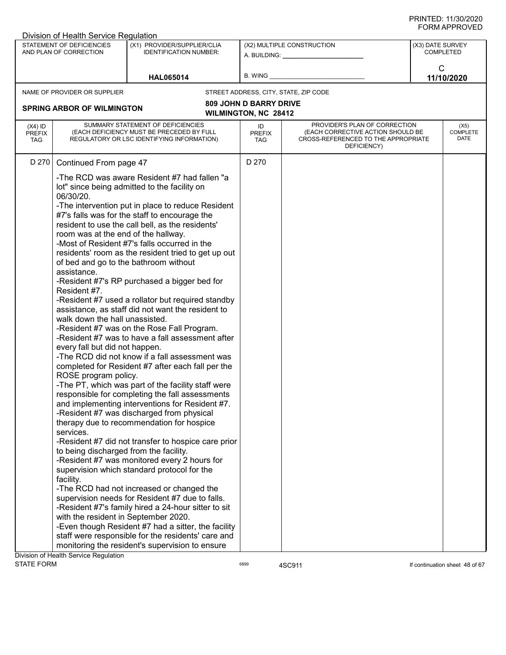| Division of Health Service Regulation                                                                                                                          |                                                                                                                                                                                                                                                                                                                                                                                                                                                                                                                                                                                                                                                                                                                                                                                                                                                                                                                                                                                                                                                                                                                                                                                                                                                                                                                                                                                                                                                                                                                                                                                                                                       |                               |                                                                                                                          |                                      |                                 |
|----------------------------------------------------------------------------------------------------------------------------------------------------------------|---------------------------------------------------------------------------------------------------------------------------------------------------------------------------------------------------------------------------------------------------------------------------------------------------------------------------------------------------------------------------------------------------------------------------------------------------------------------------------------------------------------------------------------------------------------------------------------------------------------------------------------------------------------------------------------------------------------------------------------------------------------------------------------------------------------------------------------------------------------------------------------------------------------------------------------------------------------------------------------------------------------------------------------------------------------------------------------------------------------------------------------------------------------------------------------------------------------------------------------------------------------------------------------------------------------------------------------------------------------------------------------------------------------------------------------------------------------------------------------------------------------------------------------------------------------------------------------------------------------------------------------|-------------------------------|--------------------------------------------------------------------------------------------------------------------------|--------------------------------------|---------------------------------|
| STATEMENT OF DEFICIENCIES<br>AND PLAN OF CORRECTION                                                                                                            | (X1) PROVIDER/SUPPLIER/CLIA<br><b>IDENTIFICATION NUMBER:</b>                                                                                                                                                                                                                                                                                                                                                                                                                                                                                                                                                                                                                                                                                                                                                                                                                                                                                                                                                                                                                                                                                                                                                                                                                                                                                                                                                                                                                                                                                                                                                                          |                               | (X2) MULTIPLE CONSTRUCTION<br>A. BUILDING: A. BUILDING:                                                                  | (X3) DATE SURVEY<br><b>COMPLETED</b> |                                 |
|                                                                                                                                                                | <b>HAL065014</b>                                                                                                                                                                                                                                                                                                                                                                                                                                                                                                                                                                                                                                                                                                                                                                                                                                                                                                                                                                                                                                                                                                                                                                                                                                                                                                                                                                                                                                                                                                                                                                                                                      | B. WING                       |                                                                                                                          | $\mathsf{C}$                         | 11/10/2020                      |
| NAME OF PROVIDER OR SUPPLIER                                                                                                                                   |                                                                                                                                                                                                                                                                                                                                                                                                                                                                                                                                                                                                                                                                                                                                                                                                                                                                                                                                                                                                                                                                                                                                                                                                                                                                                                                                                                                                                                                                                                                                                                                                                                       |                               | STREET ADDRESS, CITY, STATE, ZIP CODE                                                                                    |                                      |                                 |
|                                                                                                                                                                |                                                                                                                                                                                                                                                                                                                                                                                                                                                                                                                                                                                                                                                                                                                                                                                                                                                                                                                                                                                                                                                                                                                                                                                                                                                                                                                                                                                                                                                                                                                                                                                                                                       | <b>809 JOHN D BARRY DRIVE</b> |                                                                                                                          |                                      |                                 |
| <b>SPRING ARBOR OF WILMINGTON</b>                                                                                                                              |                                                                                                                                                                                                                                                                                                                                                                                                                                                                                                                                                                                                                                                                                                                                                                                                                                                                                                                                                                                                                                                                                                                                                                                                                                                                                                                                                                                                                                                                                                                                                                                                                                       | <b>WILMINGTON, NC 28412</b>   |                                                                                                                          |                                      |                                 |
| $(X4)$ ID<br><b>PREFIX</b><br><b>TAG</b>                                                                                                                       | SUMMARY STATEMENT OF DEFICIENCIES<br>(EACH DEFICIENCY MUST BE PRECEDED BY FULL<br>REGULATORY OR LSC IDENTIFYING INFORMATION)                                                                                                                                                                                                                                                                                                                                                                                                                                                                                                                                                                                                                                                                                                                                                                                                                                                                                                                                                                                                                                                                                                                                                                                                                                                                                                                                                                                                                                                                                                          | ID<br><b>PREFIX</b><br>TAG    | PROVIDER'S PLAN OF CORRECTION<br>(EACH CORRECTIVE ACTION SHOULD BE<br>CROSS-REFERENCED TO THE APPROPRIATE<br>DEFICIENCY) |                                      | (X5)<br><b>COMPLETE</b><br>DATE |
| D 270<br>Continued From page 47                                                                                                                                |                                                                                                                                                                                                                                                                                                                                                                                                                                                                                                                                                                                                                                                                                                                                                                                                                                                                                                                                                                                                                                                                                                                                                                                                                                                                                                                                                                                                                                                                                                                                                                                                                                       | D 270                         |                                                                                                                          |                                      |                                 |
| 06/30/20.<br>assistance.<br>Resident #7.<br>walk down the hall unassisted.<br>every fall but did not happen.<br>ROSE program policy.<br>services.<br>facility. | -The RCD was aware Resident #7 had fallen "a<br>lot" since being admitted to the facility on<br>-The intervention put in place to reduce Resident<br>#7's falls was for the staff to encourage the<br>resident to use the call bell, as the residents'<br>room was at the end of the hallway.<br>-Most of Resident #7's falls occurred in the<br>residents' room as the resident tried to get up out<br>of bed and go to the bathroom without<br>-Resident #7's RP purchased a bigger bed for<br>-Resident #7 used a rollator but required standby<br>assistance, as staff did not want the resident to<br>-Resident #7 was on the Rose Fall Program.<br>-Resident #7 was to have a fall assessment after<br>-The RCD did not know if a fall assessment was<br>completed for Resident #7 after each fall per the<br>-The PT, which was part of the facility staff were<br>responsible for completing the fall assessments<br>and implementing interventions for Resident #7.<br>-Resident #7 was discharged from physical<br>therapy due to recommendation for hospice<br>-Resident #7 did not transfer to hospice care prior<br>to being discharged from the facility.<br>-Resident #7 was monitored every 2 hours for<br>supervision which standard protocol for the<br>-The RCD had not increased or changed the<br>supervision needs for Resident #7 due to falls.<br>-Resident #7's family hired a 24-hour sitter to sit<br>with the resident in September 2020.<br>-Even though Resident #7 had a sitter, the facility<br>staff were responsible for the residents' care and<br>monitoring the resident's supervision to ensure |                               |                                                                                                                          |                                      |                                 |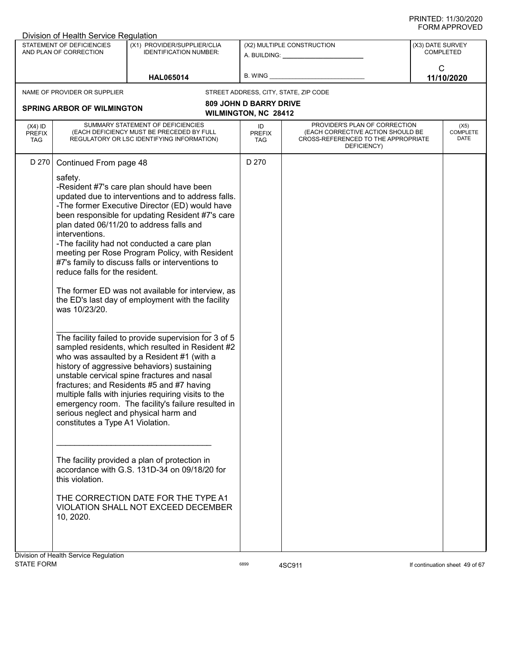| Division of Health Service Regulation                                                                                                                                               |                                                                                                                                                                                                                                                                                                                                                                                                                                                                                                                                                                                                                                                                                                                                                                                                                                                                                                                                                                                                                                                                                                                                                              |                                                              |                                                                                                                          |                                      |
|-------------------------------------------------------------------------------------------------------------------------------------------------------------------------------------|--------------------------------------------------------------------------------------------------------------------------------------------------------------------------------------------------------------------------------------------------------------------------------------------------------------------------------------------------------------------------------------------------------------------------------------------------------------------------------------------------------------------------------------------------------------------------------------------------------------------------------------------------------------------------------------------------------------------------------------------------------------------------------------------------------------------------------------------------------------------------------------------------------------------------------------------------------------------------------------------------------------------------------------------------------------------------------------------------------------------------------------------------------------|--------------------------------------------------------------|--------------------------------------------------------------------------------------------------------------------------|--------------------------------------|
| STATEMENT OF DEFICIENCIES<br>AND PLAN OF CORRECTION                                                                                                                                 | (X1) PROVIDER/SUPPLIER/CLIA<br><b>IDENTIFICATION NUMBER:</b>                                                                                                                                                                                                                                                                                                                                                                                                                                                                                                                                                                                                                                                                                                                                                                                                                                                                                                                                                                                                                                                                                                 |                                                              | (X2) MULTIPLE CONSTRUCTION<br>A. BUILDING: A. BUILDING:                                                                  | (X3) DATE SURVEY<br><b>COMPLETED</b> |
|                                                                                                                                                                                     | <b>HAL065014</b>                                                                                                                                                                                                                                                                                                                                                                                                                                                                                                                                                                                                                                                                                                                                                                                                                                                                                                                                                                                                                                                                                                                                             | B. WING                                                      |                                                                                                                          | $\mathsf{C}$<br>11/10/2020           |
| NAME OF PROVIDER OR SUPPLIER                                                                                                                                                        |                                                                                                                                                                                                                                                                                                                                                                                                                                                                                                                                                                                                                                                                                                                                                                                                                                                                                                                                                                                                                                                                                                                                                              |                                                              | STREET ADDRESS, CITY, STATE, ZIP CODE                                                                                    |                                      |
| <b>SPRING ARBOR OF WILMINGTON</b>                                                                                                                                                   |                                                                                                                                                                                                                                                                                                                                                                                                                                                                                                                                                                                                                                                                                                                                                                                                                                                                                                                                                                                                                                                                                                                                                              | <b>809 JOHN D BARRY DRIVE</b><br><b>WILMINGTON, NC 28412</b> |                                                                                                                          |                                      |
| $(X4)$ ID<br><b>PREFIX</b><br><b>TAG</b>                                                                                                                                            | SUMMARY STATEMENT OF DEFICIENCIES<br>(EACH DEFICIENCY MUST BE PRECEDED BY FULL<br>REGULATORY OR LSC IDENTIFYING INFORMATION)                                                                                                                                                                                                                                                                                                                                                                                                                                                                                                                                                                                                                                                                                                                                                                                                                                                                                                                                                                                                                                 | ID<br><b>PREFIX</b><br>TAG                                   | PROVIDER'S PLAN OF CORRECTION<br>(EACH CORRECTIVE ACTION SHOULD BE<br>CROSS-REFERENCED TO THE APPROPRIATE<br>DEFICIENCY) | (X5)<br><b>COMPLETE</b><br>DATE      |
| D 270<br>Continued From page 48<br>safety.<br>interventions.<br>reduce falls for the resident.<br>was 10/23/20.<br>constitutes a Type A1 Violation.<br>this violation.<br>10, 2020. | -Resident #7's care plan should have been<br>updated due to interventions and to address falls.<br>-The former Executive Director (ED) would have<br>been responsible for updating Resident #7's care<br>plan dated 06/11/20 to address falls and<br>-The facility had not conducted a care plan<br>meeting per Rose Program Policy, with Resident<br>#7's family to discuss falls or interventions to<br>The former ED was not available for interview, as<br>the ED's last day of employment with the facility<br>The facility failed to provide supervision for 3 of 5<br>sampled residents, which resulted in Resident #2<br>who was assaulted by a Resident #1 (with a<br>history of aggressive behaviors) sustaining<br>unstable cervical spine fractures and nasal<br>fractures; and Residents #5 and #7 having<br>multiple falls with injuries requiring visits to the<br>emergency room. The facility's failure resulted in<br>serious neglect and physical harm and<br>The facility provided a plan of protection in<br>accordance with G.S. 131D-34 on 09/18/20 for<br>THE CORRECTION DATE FOR THE TYPE A1<br>VIOLATION SHALL NOT EXCEED DECEMBER | D 270                                                        |                                                                                                                          |                                      |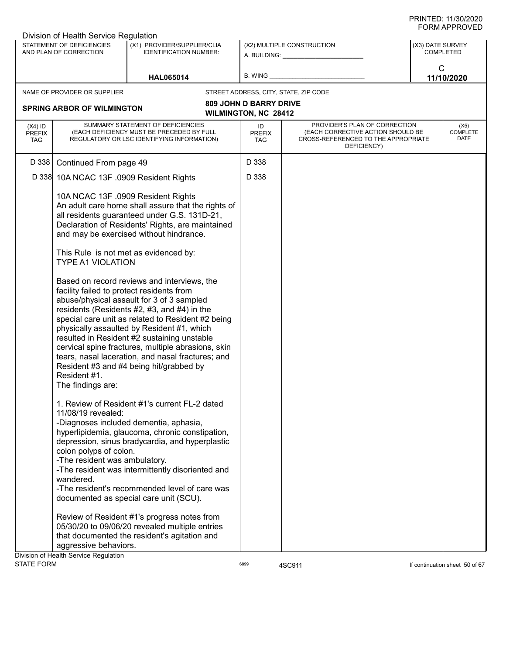|                                          | Division of Health Service Regulation                                                      |                                                                                                                                                                                                                                                                                                                                                                                                                                                                                               |                                   |                                                                                                                          |                  |                                 |
|------------------------------------------|--------------------------------------------------------------------------------------------|-----------------------------------------------------------------------------------------------------------------------------------------------------------------------------------------------------------------------------------------------------------------------------------------------------------------------------------------------------------------------------------------------------------------------------------------------------------------------------------------------|-----------------------------------|--------------------------------------------------------------------------------------------------------------------------|------------------|---------------------------------|
|                                          | STATEMENT OF DEFICIENCIES<br>AND PLAN OF CORRECTION                                        | (X1) PROVIDER/SUPPLIER/CLIA<br><b>IDENTIFICATION NUMBER:</b>                                                                                                                                                                                                                                                                                                                                                                                                                                  |                                   | (X2) MULTIPLE CONSTRUCTION<br>A. BUILDING: A. BUILDING:                                                                  | (X3) DATE SURVEY | <b>COMPLETED</b>                |
|                                          |                                                                                            | <b>HAL065014</b>                                                                                                                                                                                                                                                                                                                                                                                                                                                                              | B. WING                           |                                                                                                                          | $\mathsf{C}$     | 11/10/2020                      |
|                                          | NAME OF PROVIDER OR SUPPLIER                                                               |                                                                                                                                                                                                                                                                                                                                                                                                                                                                                               |                                   | STREET ADDRESS, CITY, STATE, ZIP CODE                                                                                    |                  |                                 |
|                                          |                                                                                            |                                                                                                                                                                                                                                                                                                                                                                                                                                                                                               | <b>809 JOHN D BARRY DRIVE</b>     |                                                                                                                          |                  |                                 |
|                                          | <b>SPRING ARBOR OF WILMINGTON</b>                                                          |                                                                                                                                                                                                                                                                                                                                                                                                                                                                                               | <b>WILMINGTON, NC 28412</b>       |                                                                                                                          |                  |                                 |
| $(X4)$ ID<br><b>PREFIX</b><br><b>TAG</b> |                                                                                            | SUMMARY STATEMENT OF DEFICIENCIES<br>(EACH DEFICIENCY MUST BE PRECEDED BY FULL<br>REGULATORY OR LSC IDENTIFYING INFORMATION)                                                                                                                                                                                                                                                                                                                                                                  | ID<br><b>PREFIX</b><br><b>TAG</b> | PROVIDER'S PLAN OF CORRECTION<br>(EACH CORRECTIVE ACTION SHOULD BE<br>CROSS-REFERENCED TO THE APPROPRIATE<br>DEFICIENCY) |                  | (X5)<br><b>COMPLETE</b><br>DATE |
| D 338                                    | Continued From page 49                                                                     |                                                                                                                                                                                                                                                                                                                                                                                                                                                                                               | D 338                             |                                                                                                                          |                  |                                 |
|                                          | D 338 10A NCAC 13F .0909 Resident Rights                                                   |                                                                                                                                                                                                                                                                                                                                                                                                                                                                                               | D 338                             |                                                                                                                          |                  |                                 |
|                                          |                                                                                            | 10A NCAC 13F .0909 Resident Rights<br>An adult care home shall assure that the rights of<br>all residents guaranteed under G.S. 131D-21,<br>Declaration of Residents' Rights, are maintained<br>and may be exercised without hindrance.<br>This Rule is not met as evidenced by:                                                                                                                                                                                                              |                                   |                                                                                                                          |                  |                                 |
|                                          | <b>TYPE A1 VIOLATION</b>                                                                   |                                                                                                                                                                                                                                                                                                                                                                                                                                                                                               |                                   |                                                                                                                          |                  |                                 |
|                                          | facility failed to protect residents from<br>Resident #1.<br>The findings are:             | Based on record reviews and interviews, the<br>abuse/physical assault for 3 of 3 sampled<br>residents (Residents #2, #3, and #4) in the<br>special care unit as related to Resident #2 being<br>physically assaulted by Resident #1, which<br>resulted in Resident #2 sustaining unstable<br>cervical spine fractures, multiple abrasions, skin<br>tears, nasal laceration, and nasal fractures; and<br>Resident #3 and #4 being hit/grabbed by                                               |                                   |                                                                                                                          |                  |                                 |
|                                          | 11/08/19 revealed:<br>colon polyps of colon.<br>-The resident was ambulatory.<br>wandered. | 1. Review of Resident #1's current FL-2 dated<br>-Diagnoses included dementia, aphasia,<br>hyperlipidemia, glaucoma, chronic constipation,<br>depression, sinus bradycardia, and hyperplastic<br>-The resident was intermittently disoriented and<br>-The resident's recommended level of care was<br>documented as special care unit (SCU).<br>Review of Resident #1's progress notes from<br>05/30/20 to 09/06/20 revealed multiple entries<br>that documented the resident's agitation and |                                   |                                                                                                                          |                  |                                 |
|                                          | aggressive behaviors.                                                                      |                                                                                                                                                                                                                                                                                                                                                                                                                                                                                               |                                   |                                                                                                                          |                  |                                 |
| <b>STATE FORM</b>                        | Division of Health Service Regulation                                                      |                                                                                                                                                                                                                                                                                                                                                                                                                                                                                               | 6899                              | 4SC911                                                                                                                   |                  | If continuation sheet 50 of 67  |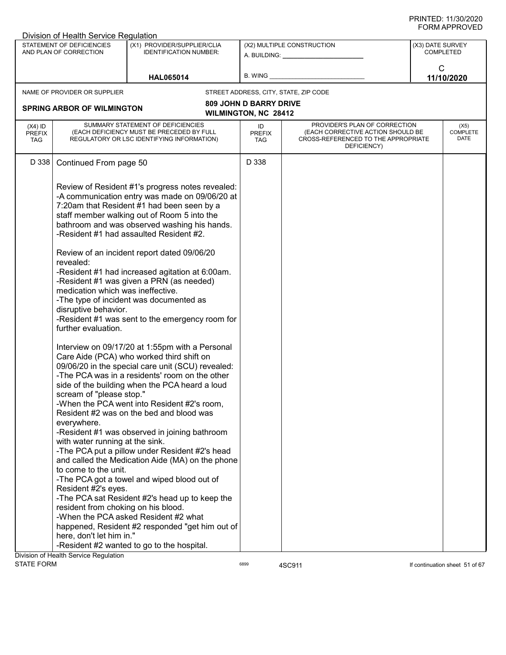|                                          | Division of Health Service Regulation                                                                                                                                                                                                                                                         |                                                                                                                                                                                                                                                                                                                                                                                                                                                                                                                                                                                                                                                                                                                                                                                                                                                                                                                                                                                                                                                                                                                                                                                                                                                                                             |                               |                                                                                                                          |                  |                                 |
|------------------------------------------|-----------------------------------------------------------------------------------------------------------------------------------------------------------------------------------------------------------------------------------------------------------------------------------------------|---------------------------------------------------------------------------------------------------------------------------------------------------------------------------------------------------------------------------------------------------------------------------------------------------------------------------------------------------------------------------------------------------------------------------------------------------------------------------------------------------------------------------------------------------------------------------------------------------------------------------------------------------------------------------------------------------------------------------------------------------------------------------------------------------------------------------------------------------------------------------------------------------------------------------------------------------------------------------------------------------------------------------------------------------------------------------------------------------------------------------------------------------------------------------------------------------------------------------------------------------------------------------------------------|-------------------------------|--------------------------------------------------------------------------------------------------------------------------|------------------|---------------------------------|
|                                          | STATEMENT OF DEFICIENCIES<br>AND PLAN OF CORRECTION                                                                                                                                                                                                                                           | (X1) PROVIDER/SUPPLIER/CLIA<br><b>IDENTIFICATION NUMBER:</b>                                                                                                                                                                                                                                                                                                                                                                                                                                                                                                                                                                                                                                                                                                                                                                                                                                                                                                                                                                                                                                                                                                                                                                                                                                |                               | (X2) MULTIPLE CONSTRUCTION<br>A. BUILDING: A. BUILDING:                                                                  | (X3) DATE SURVEY | <b>COMPLETED</b>                |
|                                          |                                                                                                                                                                                                                                                                                               | <b>HAL065014</b>                                                                                                                                                                                                                                                                                                                                                                                                                                                                                                                                                                                                                                                                                                                                                                                                                                                                                                                                                                                                                                                                                                                                                                                                                                                                            | B. WING                       |                                                                                                                          | $\mathsf{C}$     | 11/10/2020                      |
|                                          | NAME OF PROVIDER OR SUPPLIER                                                                                                                                                                                                                                                                  |                                                                                                                                                                                                                                                                                                                                                                                                                                                                                                                                                                                                                                                                                                                                                                                                                                                                                                                                                                                                                                                                                                                                                                                                                                                                                             |                               | STREET ADDRESS, CITY, STATE, ZIP CODE                                                                                    |                  |                                 |
|                                          |                                                                                                                                                                                                                                                                                               |                                                                                                                                                                                                                                                                                                                                                                                                                                                                                                                                                                                                                                                                                                                                                                                                                                                                                                                                                                                                                                                                                                                                                                                                                                                                                             | <b>809 JOHN D BARRY DRIVE</b> |                                                                                                                          |                  |                                 |
|                                          | <b>SPRING ARBOR OF WILMINGTON</b>                                                                                                                                                                                                                                                             |                                                                                                                                                                                                                                                                                                                                                                                                                                                                                                                                                                                                                                                                                                                                                                                                                                                                                                                                                                                                                                                                                                                                                                                                                                                                                             | <b>WILMINGTON, NC 28412</b>   |                                                                                                                          |                  |                                 |
| $(X4)$ ID<br><b>PREFIX</b><br><b>TAG</b> |                                                                                                                                                                                                                                                                                               | SUMMARY STATEMENT OF DEFICIENCIES<br>(EACH DEFICIENCY MUST BE PRECEDED BY FULL<br>REGULATORY OR LSC IDENTIFYING INFORMATION)                                                                                                                                                                                                                                                                                                                                                                                                                                                                                                                                                                                                                                                                                                                                                                                                                                                                                                                                                                                                                                                                                                                                                                | ID<br><b>PREFIX</b><br>TAG    | PROVIDER'S PLAN OF CORRECTION<br>(EACH CORRECTIVE ACTION SHOULD BE<br>CROSS-REFERENCED TO THE APPROPRIATE<br>DEFICIENCY) |                  | (X5)<br><b>COMPLETE</b><br>DATE |
| D 338                                    | Continued From page 50                                                                                                                                                                                                                                                                        |                                                                                                                                                                                                                                                                                                                                                                                                                                                                                                                                                                                                                                                                                                                                                                                                                                                                                                                                                                                                                                                                                                                                                                                                                                                                                             | D 338                         |                                                                                                                          |                  |                                 |
|                                          | revealed:<br>medication which was ineffective.<br>disruptive behavior.<br>further evaluation.<br>scream of "please stop."<br>everywhere.<br>with water running at the sink.<br>to come to the unit.<br>Resident #2's eyes.<br>resident from choking on his blood.<br>here, don't let him in." | Review of Resident #1's progress notes revealed:<br>-A communication entry was made on 09/06/20 at<br>7:20am that Resident #1 had been seen by a<br>staff member walking out of Room 5 into the<br>bathroom and was observed washing his hands.<br>-Resident #1 had assaulted Resident #2.<br>Review of an incident report dated 09/06/20<br>-Resident #1 had increased agitation at 6:00am.<br>-Resident #1 was given a PRN (as needed)<br>-The type of incident was documented as<br>-Resident #1 was sent to the emergency room for<br>Interview on 09/17/20 at 1:55pm with a Personal<br>Care Aide (PCA) who worked third shift on<br>09/06/20 in the special care unit (SCU) revealed:<br>-The PCA was in a residents' room on the other<br>side of the building when the PCA heard a loud<br>-When the PCA went into Resident #2's room,<br>Resident #2 was on the bed and blood was<br>-Resident #1 was observed in joining bathroom<br>-The PCA put a pillow under Resident #2's head<br>and called the Medication Aide (MA) on the phone<br>-The PCA got a towel and wiped blood out of<br>-The PCA sat Resident #2's head up to keep the<br>-When the PCA asked Resident #2 what<br>happened, Resident #2 responded "get him out of<br>-Resident #2 wanted to go to the hospital. |                               |                                                                                                                          |                  |                                 |
|                                          | Division of Health Service Regulation                                                                                                                                                                                                                                                         |                                                                                                                                                                                                                                                                                                                                                                                                                                                                                                                                                                                                                                                                                                                                                                                                                                                                                                                                                                                                                                                                                                                                                                                                                                                                                             |                               |                                                                                                                          |                  |                                 |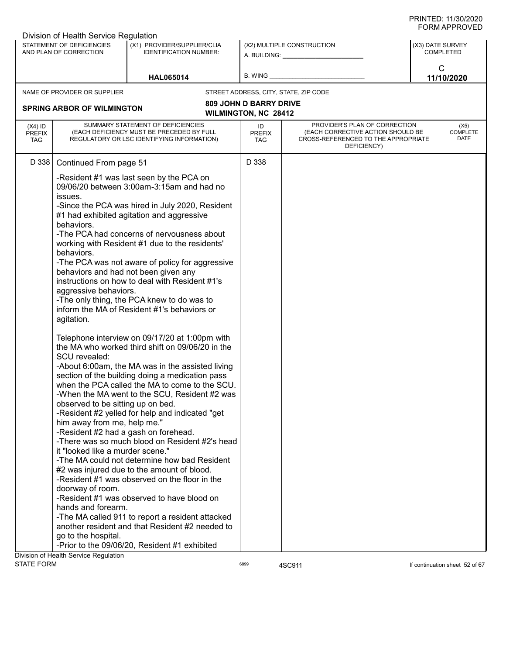|                                          | Division of Health Service Regulation                                                                                                                                                                                                                                |                                                                                                                                                                                                                                                                                                                                                                                                                                                                                                                                                                                                                                                                                                                                                                                                                                                                                                                                                                                                                                                                                                                                                                                                                                                                                                                                                   |                                   |                                                                                                                          |                  |                                 |
|------------------------------------------|----------------------------------------------------------------------------------------------------------------------------------------------------------------------------------------------------------------------------------------------------------------------|---------------------------------------------------------------------------------------------------------------------------------------------------------------------------------------------------------------------------------------------------------------------------------------------------------------------------------------------------------------------------------------------------------------------------------------------------------------------------------------------------------------------------------------------------------------------------------------------------------------------------------------------------------------------------------------------------------------------------------------------------------------------------------------------------------------------------------------------------------------------------------------------------------------------------------------------------------------------------------------------------------------------------------------------------------------------------------------------------------------------------------------------------------------------------------------------------------------------------------------------------------------------------------------------------------------------------------------------------|-----------------------------------|--------------------------------------------------------------------------------------------------------------------------|------------------|---------------------------------|
|                                          | STATEMENT OF DEFICIENCIES<br>AND PLAN OF CORRECTION                                                                                                                                                                                                                  | (X1) PROVIDER/SUPPLIER/CLIA<br><b>IDENTIFICATION NUMBER:</b>                                                                                                                                                                                                                                                                                                                                                                                                                                                                                                                                                                                                                                                                                                                                                                                                                                                                                                                                                                                                                                                                                                                                                                                                                                                                                      |                                   | (X2) MULTIPLE CONSTRUCTION<br>A. BUILDING: A. BUILDING:                                                                  | (X3) DATE SURVEY | <b>COMPLETED</b>                |
|                                          |                                                                                                                                                                                                                                                                      | <b>HAL065014</b>                                                                                                                                                                                                                                                                                                                                                                                                                                                                                                                                                                                                                                                                                                                                                                                                                                                                                                                                                                                                                                                                                                                                                                                                                                                                                                                                  | B. WING                           |                                                                                                                          | $\mathsf{C}$     | 11/10/2020                      |
|                                          | NAME OF PROVIDER OR SUPPLIER                                                                                                                                                                                                                                         |                                                                                                                                                                                                                                                                                                                                                                                                                                                                                                                                                                                                                                                                                                                                                                                                                                                                                                                                                                                                                                                                                                                                                                                                                                                                                                                                                   |                                   | STREET ADDRESS, CITY, STATE, ZIP CODE                                                                                    |                  |                                 |
|                                          |                                                                                                                                                                                                                                                                      |                                                                                                                                                                                                                                                                                                                                                                                                                                                                                                                                                                                                                                                                                                                                                                                                                                                                                                                                                                                                                                                                                                                                                                                                                                                                                                                                                   | <b>809 JOHN D BARRY DRIVE</b>     |                                                                                                                          |                  |                                 |
|                                          | <b>SPRING ARBOR OF WILMINGTON</b>                                                                                                                                                                                                                                    |                                                                                                                                                                                                                                                                                                                                                                                                                                                                                                                                                                                                                                                                                                                                                                                                                                                                                                                                                                                                                                                                                                                                                                                                                                                                                                                                                   | WILMINGTON, NC 28412              |                                                                                                                          |                  |                                 |
| $(X4)$ ID<br><b>PREFIX</b><br><b>TAG</b> |                                                                                                                                                                                                                                                                      | SUMMARY STATEMENT OF DEFICIENCIES<br>(EACH DEFICIENCY MUST BE PRECEDED BY FULL<br>REGULATORY OR LSC IDENTIFYING INFORMATION)                                                                                                                                                                                                                                                                                                                                                                                                                                                                                                                                                                                                                                                                                                                                                                                                                                                                                                                                                                                                                                                                                                                                                                                                                      | ID<br><b>PREFIX</b><br><b>TAG</b> | PROVIDER'S PLAN OF CORRECTION<br>(EACH CORRECTIVE ACTION SHOULD BE<br>CROSS-REFERENCED TO THE APPROPRIATE<br>DEFICIENCY) |                  | (X5)<br><b>COMPLETE</b><br>DATE |
| D 338                                    | Continued From page 51                                                                                                                                                                                                                                               |                                                                                                                                                                                                                                                                                                                                                                                                                                                                                                                                                                                                                                                                                                                                                                                                                                                                                                                                                                                                                                                                                                                                                                                                                                                                                                                                                   | D 338                             |                                                                                                                          |                  |                                 |
|                                          | issues.<br>behaviors.<br>behaviors.<br>aggressive behaviors.<br>agitation.<br>SCU revealed:<br>observed to be sitting up on bed.<br>him away from me, help me."<br>it "looked like a murder scene."<br>doorway of room.<br>hands and forearm.<br>go to the hospital. | -Resident #1 was last seen by the PCA on<br>09/06/20 between 3:00am-3:15am and had no<br>-Since the PCA was hired in July 2020, Resident<br>#1 had exhibited agitation and aggressive<br>-The PCA had concerns of nervousness about<br>working with Resident #1 due to the residents'<br>-The PCA was not aware of policy for aggressive<br>behaviors and had not been given any<br>instructions on how to deal with Resident #1's<br>-The only thing, the PCA knew to do was to<br>inform the MA of Resident #1's behaviors or<br>Telephone interview on 09/17/20 at 1:00pm with<br>the MA who worked third shift on 09/06/20 in the<br>-About 6:00am, the MA was in the assisted living<br>section of the building doing a medication pass<br>when the PCA called the MA to come to the SCU.<br>-When the MA went to the SCU, Resident #2 was<br>-Resident #2 yelled for help and indicated "get<br>-Resident #2 had a gash on forehead.<br>-There was so much blood on Resident #2's head<br>-The MA could not determine how bad Resident<br>#2 was injured due to the amount of blood.<br>-Resident #1 was observed on the floor in the<br>-Resident #1 was observed to have blood on<br>-The MA called 911 to report a resident attacked<br>another resident and that Resident #2 needed to<br>-Prior to the 09/06/20, Resident #1 exhibited |                                   |                                                                                                                          |                  |                                 |
|                                          | Division of Health Service Regulation                                                                                                                                                                                                                                |                                                                                                                                                                                                                                                                                                                                                                                                                                                                                                                                                                                                                                                                                                                                                                                                                                                                                                                                                                                                                                                                                                                                                                                                                                                                                                                                                   |                                   |                                                                                                                          |                  |                                 |
| <b>STATE FORM</b>                        |                                                                                                                                                                                                                                                                      |                                                                                                                                                                                                                                                                                                                                                                                                                                                                                                                                                                                                                                                                                                                                                                                                                                                                                                                                                                                                                                                                                                                                                                                                                                                                                                                                                   | 6899                              | 4SC911                                                                                                                   |                  | If continuation sheet 52 of 67  |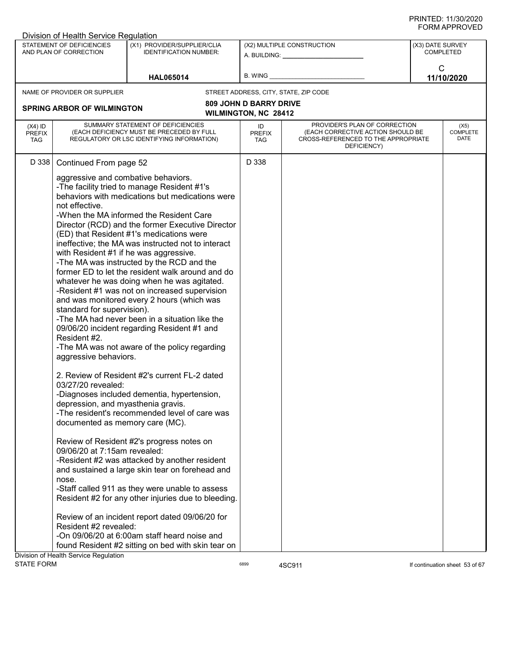|                                   | Division of Health Service Regulation                                                                                                                         |                                                                                                                                                                                                                                                                                                                                                                                                                                                                                                                                                                                                                                                                                                                                            |                                       |                                                                                                                                                                                                                                                              |                                      |
|-----------------------------------|---------------------------------------------------------------------------------------------------------------------------------------------------------------|--------------------------------------------------------------------------------------------------------------------------------------------------------------------------------------------------------------------------------------------------------------------------------------------------------------------------------------------------------------------------------------------------------------------------------------------------------------------------------------------------------------------------------------------------------------------------------------------------------------------------------------------------------------------------------------------------------------------------------------------|---------------------------------------|--------------------------------------------------------------------------------------------------------------------------------------------------------------------------------------------------------------------------------------------------------------|--------------------------------------|
|                                   | STATEMENT OF DEFICIENCIES<br>AND PLAN OF CORRECTION                                                                                                           | (X1) PROVIDER/SUPPLIER/CLIA<br><b>IDENTIFICATION NUMBER:</b>                                                                                                                                                                                                                                                                                                                                                                                                                                                                                                                                                                                                                                                                               |                                       | (X2) MULTIPLE CONSTRUCTION<br>A. BUILDING: A AND AND A STREAM OF A STREAM OF A STREAM OF A STREAM OF A STREAM OF A STREAM OF A STREAM OF A STREAM OF A STREAM OF A STREAM OF A STREAM OF A STREAM OF A STREAM OF A STREAM OF A STREAM OF A STREAM OF A STREA | (X3) DATE SURVEY<br><b>COMPLETED</b> |
|                                   |                                                                                                                                                               | <b>HAL065014</b>                                                                                                                                                                                                                                                                                                                                                                                                                                                                                                                                                                                                                                                                                                                           | B. WING                               |                                                                                                                                                                                                                                                              | $\mathsf{C}$<br>11/10/2020           |
|                                   | NAME OF PROVIDER OR SUPPLIER                                                                                                                                  |                                                                                                                                                                                                                                                                                                                                                                                                                                                                                                                                                                                                                                                                                                                                            | STREET ADDRESS, CITY, STATE, ZIP CODE |                                                                                                                                                                                                                                                              |                                      |
|                                   |                                                                                                                                                               |                                                                                                                                                                                                                                                                                                                                                                                                                                                                                                                                                                                                                                                                                                                                            | <b>809 JOHN D BARRY DRIVE</b>         |                                                                                                                                                                                                                                                              |                                      |
|                                   | <b>SPRING ARBOR OF WILMINGTON</b>                                                                                                                             |                                                                                                                                                                                                                                                                                                                                                                                                                                                                                                                                                                                                                                                                                                                                            | WILMINGTON, NC 28412                  |                                                                                                                                                                                                                                                              |                                      |
| $(X4)$ ID<br><b>PREFIX</b><br>TAG |                                                                                                                                                               | SUMMARY STATEMENT OF DEFICIENCIES<br>(EACH DEFICIENCY MUST BE PRECEDED BY FULL<br>REGULATORY OR LSC IDENTIFYING INFORMATION)                                                                                                                                                                                                                                                                                                                                                                                                                                                                                                                                                                                                               | ID<br><b>PREFIX</b><br><b>TAG</b>     | PROVIDER'S PLAN OF CORRECTION<br>(EACH CORRECTIVE ACTION SHOULD BE<br>CROSS-REFERENCED TO THE APPROPRIATE<br>DEFICIENCY)                                                                                                                                     | (X5)<br><b>COMPLETE</b><br>DATE      |
| D 338                             | Continued From page 52                                                                                                                                        |                                                                                                                                                                                                                                                                                                                                                                                                                                                                                                                                                                                                                                                                                                                                            | D 338                                 |                                                                                                                                                                                                                                                              |                                      |
|                                   | aggressive and combative behaviors.<br>not effective.<br>standard for supervision).<br>Resident #2.<br>aggressive behaviors.                                  | -The facility tried to manage Resident #1's<br>behaviors with medications but medications were<br>-When the MA informed the Resident Care<br>Director (RCD) and the former Executive Director<br>(ED) that Resident #1's medications were<br>ineffective; the MA was instructed not to interact<br>with Resident #1 if he was aggressive.<br>-The MA was instructed by the RCD and the<br>former ED to let the resident walk around and do<br>whatever he was doing when he was agitated.<br>-Resident #1 was not on increased supervision<br>and was monitored every 2 hours (which was<br>-The MA had never been in a situation like the<br>09/06/20 incident regarding Resident #1 and<br>-The MA was not aware of the policy regarding |                                       |                                                                                                                                                                                                                                                              |                                      |
|                                   | 03/27/20 revealed:<br>depression, and myasthenia gravis.<br>documented as memory care (MC).<br>09/06/20 at 7:15am revealed:<br>nose.<br>Resident #2 revealed: | 2. Review of Resident #2's current FL-2 dated<br>-Diagnoses included dementia, hypertension,<br>-The resident's recommended level of care was<br>Review of Resident #2's progress notes on<br>-Resident #2 was attacked by another resident<br>and sustained a large skin tear on forehead and<br>-Staff called 911 as they were unable to assess<br>Resident #2 for any other injuries due to bleeding.<br>Review of an incident report dated 09/06/20 for<br>-On 09/06/20 at 6:00am staff heard noise and                                                                                                                                                                                                                                |                                       |                                                                                                                                                                                                                                                              |                                      |
|                                   |                                                                                                                                                               | found Resident #2 sitting on bed with skin tear on                                                                                                                                                                                                                                                                                                                                                                                                                                                                                                                                                                                                                                                                                         |                                       |                                                                                                                                                                                                                                                              |                                      |
|                                   | Division of Health Service Regulation                                                                                                                         |                                                                                                                                                                                                                                                                                                                                                                                                                                                                                                                                                                                                                                                                                                                                            |                                       |                                                                                                                                                                                                                                                              |                                      |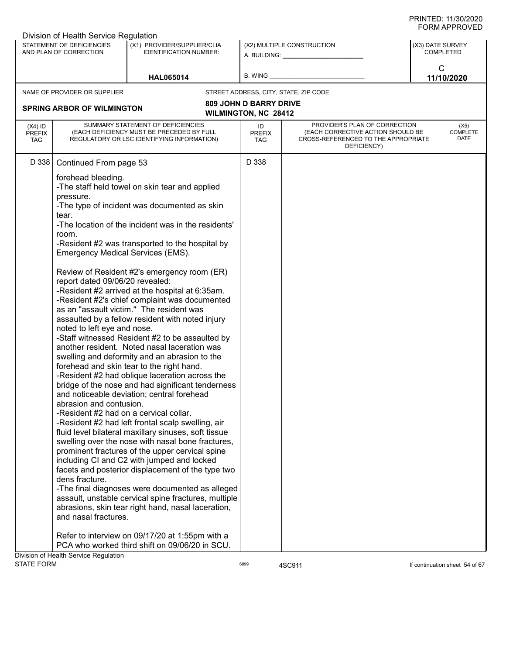|                                          | Division of Health Service Regulation                                                                                                                                                                                                                                          |                                                                                                                                                                                                                                                                                                                                                                                                                                                                                                                                                                                                                                                                                                                                                                                                                                                                                                                                                                                                                                                                                                                                                                                                                                                                                                                                                                                                                 |                                   |                                                                                                                          |                                |                                 |
|------------------------------------------|--------------------------------------------------------------------------------------------------------------------------------------------------------------------------------------------------------------------------------------------------------------------------------|-----------------------------------------------------------------------------------------------------------------------------------------------------------------------------------------------------------------------------------------------------------------------------------------------------------------------------------------------------------------------------------------------------------------------------------------------------------------------------------------------------------------------------------------------------------------------------------------------------------------------------------------------------------------------------------------------------------------------------------------------------------------------------------------------------------------------------------------------------------------------------------------------------------------------------------------------------------------------------------------------------------------------------------------------------------------------------------------------------------------------------------------------------------------------------------------------------------------------------------------------------------------------------------------------------------------------------------------------------------------------------------------------------------------|-----------------------------------|--------------------------------------------------------------------------------------------------------------------------|--------------------------------|---------------------------------|
|                                          | STATEMENT OF DEFICIENCIES<br>AND PLAN OF CORRECTION                                                                                                                                                                                                                            | (X1) PROVIDER/SUPPLIER/CLIA<br><b>IDENTIFICATION NUMBER:</b>                                                                                                                                                                                                                                                                                                                                                                                                                                                                                                                                                                                                                                                                                                                                                                                                                                                                                                                                                                                                                                                                                                                                                                                                                                                                                                                                                    |                                   | (X2) MULTIPLE CONSTRUCTION<br>A. BUILDING: A. BUILDING:                                                                  | (X3) DATE SURVEY<br>COMPLETED  |                                 |
|                                          |                                                                                                                                                                                                                                                                                | <b>HAL065014</b>                                                                                                                                                                                                                                                                                                                                                                                                                                                                                                                                                                                                                                                                                                                                                                                                                                                                                                                                                                                                                                                                                                                                                                                                                                                                                                                                                                                                | B. WING                           |                                                                                                                          | $\mathsf{C}$<br>11/10/2020     |                                 |
|                                          | NAME OF PROVIDER OR SUPPLIER                                                                                                                                                                                                                                                   |                                                                                                                                                                                                                                                                                                                                                                                                                                                                                                                                                                                                                                                                                                                                                                                                                                                                                                                                                                                                                                                                                                                                                                                                                                                                                                                                                                                                                 |                                   | STREET ADDRESS, CITY, STATE, ZIP CODE                                                                                    |                                |                                 |
|                                          |                                                                                                                                                                                                                                                                                |                                                                                                                                                                                                                                                                                                                                                                                                                                                                                                                                                                                                                                                                                                                                                                                                                                                                                                                                                                                                                                                                                                                                                                                                                                                                                                                                                                                                                 | <b>809 JOHN D BARRY DRIVE</b>     |                                                                                                                          |                                |                                 |
|                                          | <b>SPRING ARBOR OF WILMINGTON</b>                                                                                                                                                                                                                                              |                                                                                                                                                                                                                                                                                                                                                                                                                                                                                                                                                                                                                                                                                                                                                                                                                                                                                                                                                                                                                                                                                                                                                                                                                                                                                                                                                                                                                 | <b>WILMINGTON, NC 28412</b>       |                                                                                                                          |                                |                                 |
| $(X4)$ ID<br><b>PREFIX</b><br><b>TAG</b> |                                                                                                                                                                                                                                                                                | SUMMARY STATEMENT OF DEFICIENCIES<br>(EACH DEFICIENCY MUST BE PRECEDED BY FULL<br>REGULATORY OR LSC IDENTIFYING INFORMATION)                                                                                                                                                                                                                                                                                                                                                                                                                                                                                                                                                                                                                                                                                                                                                                                                                                                                                                                                                                                                                                                                                                                                                                                                                                                                                    | ID<br><b>PREFIX</b><br><b>TAG</b> | PROVIDER'S PLAN OF CORRECTION<br>(EACH CORRECTIVE ACTION SHOULD BE<br>CROSS-REFERENCED TO THE APPROPRIATE<br>DEFICIENCY) |                                | (X5)<br><b>COMPLETE</b><br>DATE |
| D 338                                    | Continued From page 53                                                                                                                                                                                                                                                         |                                                                                                                                                                                                                                                                                                                                                                                                                                                                                                                                                                                                                                                                                                                                                                                                                                                                                                                                                                                                                                                                                                                                                                                                                                                                                                                                                                                                                 | D 338                             |                                                                                                                          |                                |                                 |
|                                          | forehead bleeding.<br>pressure.<br>tear.<br>room.<br><b>Emergency Medical Services (EMS).</b><br>report dated 09/06/20 revealed:<br>noted to left eye and nose.<br>abrasion and contusion.<br>-Resident #2 had on a cervical collar.<br>dens fracture.<br>and nasal fractures. | -The staff held towel on skin tear and applied<br>-The type of incident was documented as skin<br>-The location of the incident was in the residents'<br>-Resident #2 was transported to the hospital by<br>Review of Resident #2's emergency room (ER)<br>-Resident #2 arrived at the hospital at 6:35am.<br>-Resident #2's chief complaint was documented<br>as an "assault victim." The resident was<br>assaulted by a fellow resident with noted injury<br>-Staff witnessed Resident #2 to be assaulted by<br>another resident. Noted nasal laceration was<br>swelling and deformity and an abrasion to the<br>forehead and skin tear to the right hand.<br>-Resident #2 had oblique laceration across the<br>bridge of the nose and had significant tenderness<br>and noticeable deviation; central forehead<br>-Resident #2 had left frontal scalp swelling, air<br>fluid level bilateral maxillary sinuses, soft tissue<br>swelling over the nose with nasal bone fractures,<br>prominent fractures of the upper cervical spine<br>including CI and C2 with jumped and locked<br>facets and posterior displacement of the type two<br>-The final diagnoses were documented as alleged<br>assault, unstable cervical spine fractures, multiple<br>abrasions, skin tear right hand, nasal laceration,<br>Refer to interview on 09/17/20 at 1:55pm with a<br>PCA who worked third shift on 09/06/20 in SCU. |                                   |                                                                                                                          |                                |                                 |
|                                          | Division of Health Service Regulation                                                                                                                                                                                                                                          |                                                                                                                                                                                                                                                                                                                                                                                                                                                                                                                                                                                                                                                                                                                                                                                                                                                                                                                                                                                                                                                                                                                                                                                                                                                                                                                                                                                                                 |                                   |                                                                                                                          |                                |                                 |
| <b>STATE FORM</b>                        |                                                                                                                                                                                                                                                                                |                                                                                                                                                                                                                                                                                                                                                                                                                                                                                                                                                                                                                                                                                                                                                                                                                                                                                                                                                                                                                                                                                                                                                                                                                                                                                                                                                                                                                 | 6899                              | 4SC911                                                                                                                   | If continuation sheet 54 of 67 |                                 |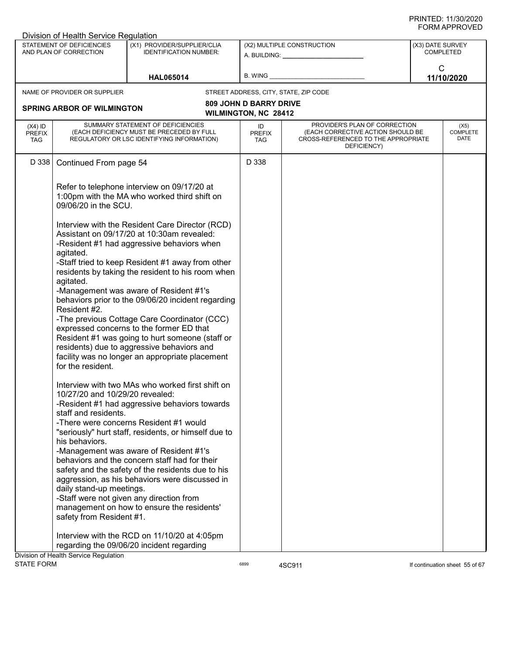|                                          | Division of Health Service Regulation               |                                                                                                                                                                                                 |                                   |                                                                                                                          |                  |                                 |
|------------------------------------------|-----------------------------------------------------|-------------------------------------------------------------------------------------------------------------------------------------------------------------------------------------------------|-----------------------------------|--------------------------------------------------------------------------------------------------------------------------|------------------|---------------------------------|
|                                          | STATEMENT OF DEFICIENCIES<br>AND PLAN OF CORRECTION | (X1) PROVIDER/SUPPLIER/CLIA<br><b>IDENTIFICATION NUMBER:</b>                                                                                                                                    |                                   | (X2) MULTIPLE CONSTRUCTION<br>A. BUILDING: A. BUILDING:                                                                  | (X3) DATE SURVEY | <b>COMPLETED</b>                |
|                                          |                                                     | <b>HAL065014</b>                                                                                                                                                                                | B. WING                           |                                                                                                                          |                  | $\mathsf{C}$<br>11/10/2020      |
|                                          | NAME OF PROVIDER OR SUPPLIER                        |                                                                                                                                                                                                 |                                   | STREET ADDRESS, CITY, STATE, ZIP CODE                                                                                    |                  |                                 |
|                                          |                                                     |                                                                                                                                                                                                 | <b>809 JOHN D BARRY DRIVE</b>     |                                                                                                                          |                  |                                 |
|                                          | <b>SPRING ARBOR OF WILMINGTON</b>                   |                                                                                                                                                                                                 | <b>WILMINGTON, NC 28412</b>       |                                                                                                                          |                  |                                 |
| $(X4)$ ID<br><b>PREFIX</b><br><b>TAG</b> |                                                     | SUMMARY STATEMENT OF DEFICIENCIES<br>(EACH DEFICIENCY MUST BE PRECEDED BY FULL<br>REGULATORY OR LSC IDENTIFYING INFORMATION)                                                                    | ID<br><b>PREFIX</b><br><b>TAG</b> | PROVIDER'S PLAN OF CORRECTION<br>(EACH CORRECTIVE ACTION SHOULD BE<br>CROSS-REFERENCED TO THE APPROPRIATE<br>DEFICIENCY) |                  | (X5)<br><b>COMPLETE</b><br>DATE |
| D 338                                    | Continued From page 54                              |                                                                                                                                                                                                 | D 338                             |                                                                                                                          |                  |                                 |
|                                          | 09/06/20 in the SCU.                                | Refer to telephone interview on 09/17/20 at<br>1:00pm with the MA who worked third shift on                                                                                                     |                                   |                                                                                                                          |                  |                                 |
|                                          | agitated.                                           | Interview with the Resident Care Director (RCD)<br>Assistant on 09/17/20 at 10:30am revealed:<br>-Resident #1 had aggressive behaviors when<br>-Staff tried to keep Resident #1 away from other |                                   |                                                                                                                          |                  |                                 |
|                                          | agitated.                                           | residents by taking the resident to his room when<br>-Management was aware of Resident #1's                                                                                                     |                                   |                                                                                                                          |                  |                                 |
|                                          | Resident #2.                                        | behaviors prior to the 09/06/20 incident regarding<br>-The previous Cottage Care Coordinator (CCC)                                                                                              |                                   |                                                                                                                          |                  |                                 |
|                                          | for the resident.                                   | expressed concerns to the former ED that<br>Resident #1 was going to hurt someone (staff or<br>residents) due to aggressive behaviors and<br>facility was no longer an appropriate placement    |                                   |                                                                                                                          |                  |                                 |
|                                          | 10/27/20 and 10/29/20 revealed:                     | Interview with two MAs who worked first shift on<br>-Resident #1 had aggressive behaviors towards                                                                                               |                                   |                                                                                                                          |                  |                                 |
|                                          | staff and residents.                                | -There were concerns Resident #1 would                                                                                                                                                          |                                   |                                                                                                                          |                  |                                 |
|                                          | his behaviors.                                      | "seriously" hurt staff, residents, or himself due to<br>-Management was aware of Resident #1's                                                                                                  |                                   |                                                                                                                          |                  |                                 |
|                                          |                                                     | behaviors and the concern staff had for their<br>safety and the safety of the residents due to his                                                                                              |                                   |                                                                                                                          |                  |                                 |
|                                          | daily stand-up meetings.                            | aggression, as his behaviors were discussed in<br>-Staff were not given any direction from                                                                                                      |                                   |                                                                                                                          |                  |                                 |
|                                          | safety from Resident #1.                            | management on how to ensure the residents'                                                                                                                                                      |                                   |                                                                                                                          |                  |                                 |
|                                          |                                                     | Interview with the RCD on 11/10/20 at 4:05pm<br>regarding the 09/06/20 incident regarding                                                                                                       |                                   |                                                                                                                          |                  |                                 |
| <b>STATE FORM</b>                        | Division of Health Service Regulation               |                                                                                                                                                                                                 | 6899                              | 4SC911                                                                                                                   |                  | If continuation sheet 55 of 67  |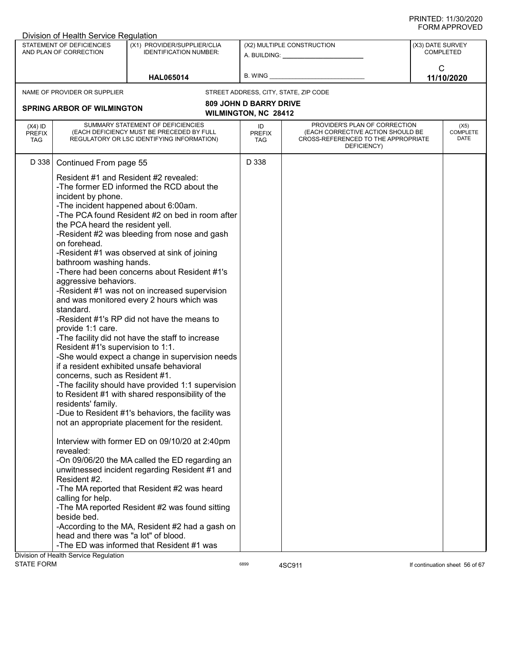| STATEMENT OF DEFICIENCIES<br>(X1) PROVIDER/SUPPLIER/CLIA<br>(X2) MULTIPLE CONSTRUCTION<br>(X3) DATE SURVEY<br><b>COMPLETED</b><br>AND PLAN OF CORRECTION<br><b>IDENTIFICATION NUMBER:</b><br>A. BUILDING: A. BUILDING:<br>$\mathsf{C}$<br>B. WING<br>11/10/2020<br><b>HAL065014</b><br>NAME OF PROVIDER OR SUPPLIER<br>STREET ADDRESS, CITY, STATE, ZIP CODE<br><b>809 JOHN D BARRY DRIVE</b><br><b>SPRING ARBOR OF WILMINGTON</b><br><b>WILMINGTON, NC 28412</b><br>SUMMARY STATEMENT OF DEFICIENCIES<br>PROVIDER'S PLAN OF CORRECTION<br>$(X4)$ ID<br>ID<br>(X5)<br><b>COMPLETE</b><br>(EACH DEFICIENCY MUST BE PRECEDED BY FULL<br>(EACH CORRECTIVE ACTION SHOULD BE<br><b>PREFIX</b><br><b>PREFIX</b><br>DATE<br>REGULATORY OR LSC IDENTIFYING INFORMATION)<br>CROSS-REFERENCED TO THE APPROPRIATE<br><b>TAG</b><br>TAG<br>DEFICIENCY)<br>D 338<br>D 338<br>Continued From page 55<br>Resident #1 and Resident #2 revealed:<br>-The former ED informed the RCD about the<br>incident by phone.<br>-The incident happened about 6:00am.<br>-The PCA found Resident #2 on bed in room after<br>the PCA heard the resident yell.<br>-Resident #2 was bleeding from nose and gash<br>on forehead.<br>-Resident #1 was observed at sink of joining<br>bathroom washing hands.<br>-There had been concerns about Resident #1's<br>aggressive behaviors.<br>-Resident #1 was not on increased supervision<br>and was monitored every 2 hours which was<br>standard.<br>-Resident #1's RP did not have the means to<br>provide 1:1 care.<br>-The facility did not have the staff to increase<br>Resident #1's supervision to 1:1.<br>-She would expect a change in supervision needs<br>if a resident exhibited unsafe behavioral<br>concerns, such as Resident #1.<br>-The facility should have provided 1:1 supervision<br>to Resident #1 with shared responsibility of the<br>residents' family.<br>-Due to Resident #1's behaviors, the facility was<br>not an appropriate placement for the resident.<br>Interview with former ED on 09/10/20 at 2:40pm<br>revealed:<br>-On 09/06/20 the MA called the ED regarding an<br>unwitnessed incident regarding Resident #1 and<br>Resident #2.<br>-The MA reported that Resident #2 was heard<br>calling for help.<br>-The MA reported Resident #2 was found sitting<br>beside bed.<br>-According to the MA, Resident #2 had a gash on<br>head and there was "a lot" of blood. | Division of Health Service Regulation |  |  |  |
|---------------------------------------------------------------------------------------------------------------------------------------------------------------------------------------------------------------------------------------------------------------------------------------------------------------------------------------------------------------------------------------------------------------------------------------------------------------------------------------------------------------------------------------------------------------------------------------------------------------------------------------------------------------------------------------------------------------------------------------------------------------------------------------------------------------------------------------------------------------------------------------------------------------------------------------------------------------------------------------------------------------------------------------------------------------------------------------------------------------------------------------------------------------------------------------------------------------------------------------------------------------------------------------------------------------------------------------------------------------------------------------------------------------------------------------------------------------------------------------------------------------------------------------------------------------------------------------------------------------------------------------------------------------------------------------------------------------------------------------------------------------------------------------------------------------------------------------------------------------------------------------------------------------------------------------------------------------------------------------------------------------------------------------------------------------------------------------------------------------------------------------------------------------------------------------------------------------------------------------------------------------------------------------------------------------------------------------------------------------------------------------------------------------------------|---------------------------------------|--|--|--|
|                                                                                                                                                                                                                                                                                                                                                                                                                                                                                                                                                                                                                                                                                                                                                                                                                                                                                                                                                                                                                                                                                                                                                                                                                                                                                                                                                                                                                                                                                                                                                                                                                                                                                                                                                                                                                                                                                                                                                                                                                                                                                                                                                                                                                                                                                                                                                                                                                           |                                       |  |  |  |
|                                                                                                                                                                                                                                                                                                                                                                                                                                                                                                                                                                                                                                                                                                                                                                                                                                                                                                                                                                                                                                                                                                                                                                                                                                                                                                                                                                                                                                                                                                                                                                                                                                                                                                                                                                                                                                                                                                                                                                                                                                                                                                                                                                                                                                                                                                                                                                                                                           |                                       |  |  |  |
|                                                                                                                                                                                                                                                                                                                                                                                                                                                                                                                                                                                                                                                                                                                                                                                                                                                                                                                                                                                                                                                                                                                                                                                                                                                                                                                                                                                                                                                                                                                                                                                                                                                                                                                                                                                                                                                                                                                                                                                                                                                                                                                                                                                                                                                                                                                                                                                                                           |                                       |  |  |  |
|                                                                                                                                                                                                                                                                                                                                                                                                                                                                                                                                                                                                                                                                                                                                                                                                                                                                                                                                                                                                                                                                                                                                                                                                                                                                                                                                                                                                                                                                                                                                                                                                                                                                                                                                                                                                                                                                                                                                                                                                                                                                                                                                                                                                                                                                                                                                                                                                                           |                                       |  |  |  |
|                                                                                                                                                                                                                                                                                                                                                                                                                                                                                                                                                                                                                                                                                                                                                                                                                                                                                                                                                                                                                                                                                                                                                                                                                                                                                                                                                                                                                                                                                                                                                                                                                                                                                                                                                                                                                                                                                                                                                                                                                                                                                                                                                                                                                                                                                                                                                                                                                           |                                       |  |  |  |
|                                                                                                                                                                                                                                                                                                                                                                                                                                                                                                                                                                                                                                                                                                                                                                                                                                                                                                                                                                                                                                                                                                                                                                                                                                                                                                                                                                                                                                                                                                                                                                                                                                                                                                                                                                                                                                                                                                                                                                                                                                                                                                                                                                                                                                                                                                                                                                                                                           |                                       |  |  |  |
|                                                                                                                                                                                                                                                                                                                                                                                                                                                                                                                                                                                                                                                                                                                                                                                                                                                                                                                                                                                                                                                                                                                                                                                                                                                                                                                                                                                                                                                                                                                                                                                                                                                                                                                                                                                                                                                                                                                                                                                                                                                                                                                                                                                                                                                                                                                                                                                                                           |                                       |  |  |  |
|                                                                                                                                                                                                                                                                                                                                                                                                                                                                                                                                                                                                                                                                                                                                                                                                                                                                                                                                                                                                                                                                                                                                                                                                                                                                                                                                                                                                                                                                                                                                                                                                                                                                                                                                                                                                                                                                                                                                                                                                                                                                                                                                                                                                                                                                                                                                                                                                                           |                                       |  |  |  |
|                                                                                                                                                                                                                                                                                                                                                                                                                                                                                                                                                                                                                                                                                                                                                                                                                                                                                                                                                                                                                                                                                                                                                                                                                                                                                                                                                                                                                                                                                                                                                                                                                                                                                                                                                                                                                                                                                                                                                                                                                                                                                                                                                                                                                                                                                                                                                                                                                           | Division of Health Service Regulation |  |  |  |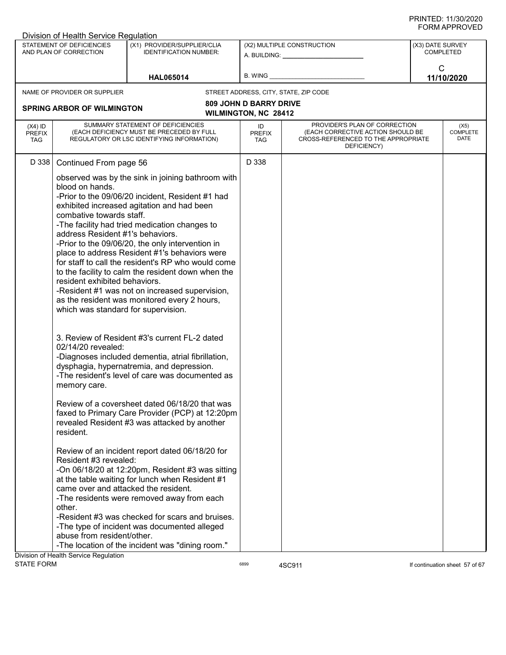|                                          | Division of Health Service Regulation                                                                                                                   |                                                                                                                                                                                                                                                                                                                                                                                                                                                                                                                         |                                   |                                                                                                                          |                  |                                 |
|------------------------------------------|---------------------------------------------------------------------------------------------------------------------------------------------------------|-------------------------------------------------------------------------------------------------------------------------------------------------------------------------------------------------------------------------------------------------------------------------------------------------------------------------------------------------------------------------------------------------------------------------------------------------------------------------------------------------------------------------|-----------------------------------|--------------------------------------------------------------------------------------------------------------------------|------------------|---------------------------------|
|                                          | STATEMENT OF DEFICIENCIES<br>AND PLAN OF CORRECTION                                                                                                     | (X1) PROVIDER/SUPPLIER/CLIA<br><b>IDENTIFICATION NUMBER:</b>                                                                                                                                                                                                                                                                                                                                                                                                                                                            |                                   | (X2) MULTIPLE CONSTRUCTION<br>A. BUILDING: A. BUILDING:                                                                  | (X3) DATE SURVEY | COMPLETED                       |
|                                          |                                                                                                                                                         | <b>HAL065014</b>                                                                                                                                                                                                                                                                                                                                                                                                                                                                                                        | B. WING _                         |                                                                                                                          | $\mathsf{C}$     | 11/10/2020                      |
|                                          | NAME OF PROVIDER OR SUPPLIER                                                                                                                            |                                                                                                                                                                                                                                                                                                                                                                                                                                                                                                                         |                                   | STREET ADDRESS, CITY, STATE, ZIP CODE                                                                                    |                  |                                 |
|                                          |                                                                                                                                                         |                                                                                                                                                                                                                                                                                                                                                                                                                                                                                                                         | <b>809 JOHN D BARRY DRIVE</b>     |                                                                                                                          |                  |                                 |
|                                          | <b>SPRING ARBOR OF WILMINGTON</b>                                                                                                                       |                                                                                                                                                                                                                                                                                                                                                                                                                                                                                                                         | <b>WILMINGTON, NC 28412</b>       |                                                                                                                          |                  |                                 |
| $(X4)$ ID<br><b>PREFIX</b><br><b>TAG</b> |                                                                                                                                                         | SUMMARY STATEMENT OF DEFICIENCIES<br>(EACH DEFICIENCY MUST BE PRECEDED BY FULL<br>REGULATORY OR LSC IDENTIFYING INFORMATION)                                                                                                                                                                                                                                                                                                                                                                                            | ID<br><b>PREFIX</b><br><b>TAG</b> | PROVIDER'S PLAN OF CORRECTION<br>(EACH CORRECTIVE ACTION SHOULD BE<br>CROSS-REFERENCED TO THE APPROPRIATE<br>DEFICIENCY) |                  | (X5)<br><b>COMPLETE</b><br>DATE |
| D 338                                    | Continued From page 56                                                                                                                                  |                                                                                                                                                                                                                                                                                                                                                                                                                                                                                                                         | D 338                             |                                                                                                                          |                  |                                 |
|                                          | blood on hands.<br>combative towards staff.<br>address Resident #1's behaviors.<br>resident exhibited behaviors.<br>which was standard for supervision. | observed was by the sink in joining bathroom with<br>-Prior to the 09/06/20 incident, Resident #1 had<br>exhibited increased agitation and had been<br>-The facility had tried medication changes to<br>-Prior to the 09/06/20, the only intervention in<br>place to address Resident #1's behaviors were<br>for staff to call the resident's RP who would come<br>to the facility to calm the resident down when the<br>-Resident #1 was not on increased supervision,<br>as the resident was monitored every 2 hours, |                                   |                                                                                                                          |                  |                                 |
|                                          | 02/14/20 revealed:<br>memory care.                                                                                                                      | 3. Review of Resident #3's current FL-2 dated<br>-Diagnoses included dementia, atrial fibrillation,<br>dysphagia, hypernatremia, and depression.<br>-The resident's level of care was documented as                                                                                                                                                                                                                                                                                                                     |                                   |                                                                                                                          |                  |                                 |
|                                          | resident.                                                                                                                                               | Review of a coversheet dated 06/18/20 that was<br>faxed to Primary Care Provider (PCP) at 12:20pm<br>revealed Resident #3 was attacked by another                                                                                                                                                                                                                                                                                                                                                                       |                                   |                                                                                                                          |                  |                                 |
|                                          | Resident #3 revealed:<br>came over and attacked the resident.<br>other.<br>abuse from resident/other.<br>Division of Health Service Regulation          | Review of an incident report dated 06/18/20 for<br>-On $06/18/20$ at 12:20pm, Resident #3 was sitting<br>at the table waiting for lunch when Resident #1<br>-The residents were removed away from each<br>-Resident #3 was checked for scars and bruises.<br>-The type of incident was documented alleged<br>-The location of the incident was "dining room."                                                                                                                                                           |                                   |                                                                                                                          |                  |                                 |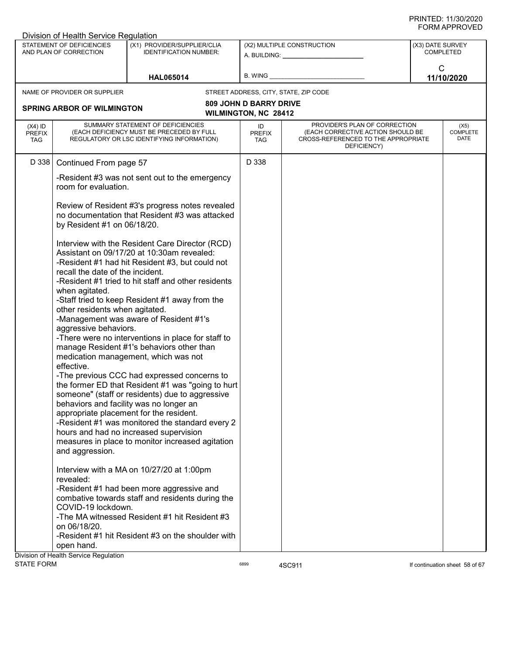|                                          | Division of Health Service Regulation                               |                                                                                                                                                                                                                                                                                                                                                                                            |                                                              |                                                                                                                          |                  |                                 |
|------------------------------------------|---------------------------------------------------------------------|--------------------------------------------------------------------------------------------------------------------------------------------------------------------------------------------------------------------------------------------------------------------------------------------------------------------------------------------------------------------------------------------|--------------------------------------------------------------|--------------------------------------------------------------------------------------------------------------------------|------------------|---------------------------------|
|                                          | STATEMENT OF DEFICIENCIES<br>AND PLAN OF CORRECTION                 | (X1) PROVIDER/SUPPLIER/CLIA<br><b>IDENTIFICATION NUMBER:</b>                                                                                                                                                                                                                                                                                                                               |                                                              | (X2) MULTIPLE CONSTRUCTION<br>A. BUILDING: A. BUILDING:                                                                  | (X3) DATE SURVEY | <b>COMPLETED</b>                |
|                                          |                                                                     | <b>HAL065014</b>                                                                                                                                                                                                                                                                                                                                                                           | B. WING                                                      |                                                                                                                          | $\mathsf{C}$     | 11/10/2020                      |
|                                          | NAME OF PROVIDER OR SUPPLIER                                        |                                                                                                                                                                                                                                                                                                                                                                                            |                                                              | STREET ADDRESS, CITY, STATE, ZIP CODE                                                                                    |                  |                                 |
|                                          | <b>SPRING ARBOR OF WILMINGTON</b>                                   |                                                                                                                                                                                                                                                                                                                                                                                            | <b>809 JOHN D BARRY DRIVE</b><br><b>WILMINGTON, NC 28412</b> |                                                                                                                          |                  |                                 |
| $(X4)$ ID<br><b>PREFIX</b><br><b>TAG</b> |                                                                     | SUMMARY STATEMENT OF DEFICIENCIES<br>(EACH DEFICIENCY MUST BE PRECEDED BY FULL<br>REGULATORY OR LSC IDENTIFYING INFORMATION)                                                                                                                                                                                                                                                               | ID<br><b>PREFIX</b><br>TAG                                   | PROVIDER'S PLAN OF CORRECTION<br>(EACH CORRECTIVE ACTION SHOULD BE<br>CROSS-REFERENCED TO THE APPROPRIATE<br>DEFICIENCY) |                  | (X5)<br><b>COMPLETE</b><br>DATE |
| D 338                                    | Continued From page 57                                              |                                                                                                                                                                                                                                                                                                                                                                                            | D 338                                                        |                                                                                                                          |                  |                                 |
|                                          | room for evaluation.                                                | -Resident #3 was not sent out to the emergency                                                                                                                                                                                                                                                                                                                                             |                                                              |                                                                                                                          |                  |                                 |
|                                          | by Resident #1 on 06/18/20.                                         | Review of Resident #3's progress notes revealed<br>no documentation that Resident #3 was attacked                                                                                                                                                                                                                                                                                          |                                                              |                                                                                                                          |                  |                                 |
|                                          | recall the date of the incident.                                    | Interview with the Resident Care Director (RCD)<br>Assistant on 09/17/20 at 10:30am revealed:<br>-Resident #1 had hit Resident #3, but could not<br>-Resident #1 tried to hit staff and other residents                                                                                                                                                                                    |                                                              |                                                                                                                          |                  |                                 |
|                                          | when agitated.<br>other residents when agitated.                    | -Staff tried to keep Resident #1 away from the<br>-Management was aware of Resident #1's                                                                                                                                                                                                                                                                                                   |                                                              |                                                                                                                          |                  |                                 |
|                                          | aggressive behaviors.                                               | -There were no interventions in place for staff to<br>manage Resident #1's behaviors other than                                                                                                                                                                                                                                                                                            |                                                              |                                                                                                                          |                  |                                 |
|                                          | effective.                                                          | medication management, which was not                                                                                                                                                                                                                                                                                                                                                       |                                                              |                                                                                                                          |                  |                                 |
|                                          | and aggression.                                                     | -The previous CCC had expressed concerns to<br>the former ED that Resident #1 was "going to hurt<br>someone" (staff or residents) due to aggressive<br>behaviors and facility was no longer an<br>appropriate placement for the resident.<br>-Resident #1 was monitored the standard every 2<br>hours and had no increased supervision<br>measures in place to monitor increased agitation |                                                              |                                                                                                                          |                  |                                 |
|                                          | revealed:                                                           | Interview with a MA on 10/27/20 at 1:00pm<br>-Resident #1 had been more aggressive and                                                                                                                                                                                                                                                                                                     |                                                              |                                                                                                                          |                  |                                 |
|                                          | COVID-19 lockdown.                                                  | combative towards staff and residents during the<br>-The MA witnessed Resident #1 hit Resident #3                                                                                                                                                                                                                                                                                          |                                                              |                                                                                                                          |                  |                                 |
|                                          | on 06/18/20.<br>open hand.<br>Division of Health Service Regulation | -Resident #1 hit Resident #3 on the shoulder with                                                                                                                                                                                                                                                                                                                                          |                                                              |                                                                                                                          |                  |                                 |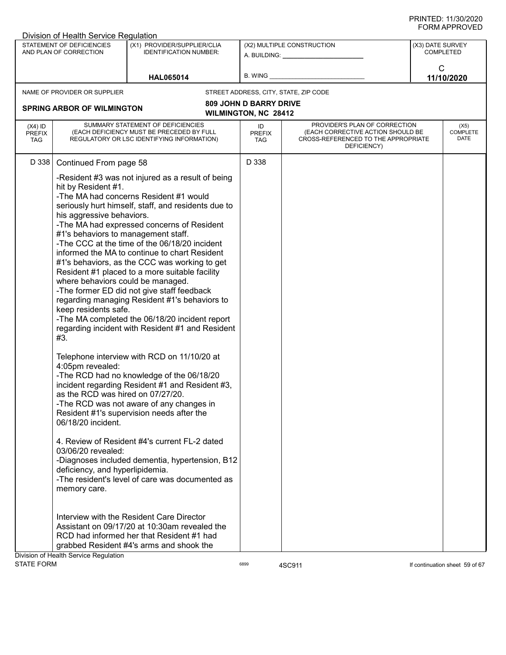|                                          | Division of Health Service Regulation                                                                                                                                                                                                                                                                               |                                                                                                                                                                                                                                                                                                                                                                                                                                                                                                                                                                                                                                                                                                                                                                                                                                                                                                                                                                                                                                                                                                                                                      |                                   |                                                                                                                          |                  |                                 |
|------------------------------------------|---------------------------------------------------------------------------------------------------------------------------------------------------------------------------------------------------------------------------------------------------------------------------------------------------------------------|------------------------------------------------------------------------------------------------------------------------------------------------------------------------------------------------------------------------------------------------------------------------------------------------------------------------------------------------------------------------------------------------------------------------------------------------------------------------------------------------------------------------------------------------------------------------------------------------------------------------------------------------------------------------------------------------------------------------------------------------------------------------------------------------------------------------------------------------------------------------------------------------------------------------------------------------------------------------------------------------------------------------------------------------------------------------------------------------------------------------------------------------------|-----------------------------------|--------------------------------------------------------------------------------------------------------------------------|------------------|---------------------------------|
|                                          | STATEMENT OF DEFICIENCIES<br>AND PLAN OF CORRECTION                                                                                                                                                                                                                                                                 | (X1) PROVIDER/SUPPLIER/CLIA<br><b>IDENTIFICATION NUMBER:</b>                                                                                                                                                                                                                                                                                                                                                                                                                                                                                                                                                                                                                                                                                                                                                                                                                                                                                                                                                                                                                                                                                         |                                   | (X2) MULTIPLE CONSTRUCTION<br>A. BUILDING: A. BUILDING:                                                                  | (X3) DATE SURVEY | <b>COMPLETED</b>                |
|                                          |                                                                                                                                                                                                                                                                                                                     | <b>HAL065014</b>                                                                                                                                                                                                                                                                                                                                                                                                                                                                                                                                                                                                                                                                                                                                                                                                                                                                                                                                                                                                                                                                                                                                     | B. WING                           |                                                                                                                          | $\mathsf{C}$     | 11/10/2020                      |
|                                          | NAME OF PROVIDER OR SUPPLIER                                                                                                                                                                                                                                                                                        |                                                                                                                                                                                                                                                                                                                                                                                                                                                                                                                                                                                                                                                                                                                                                                                                                                                                                                                                                                                                                                                                                                                                                      |                                   | STREET ADDRESS, CITY, STATE, ZIP CODE                                                                                    |                  |                                 |
|                                          |                                                                                                                                                                                                                                                                                                                     |                                                                                                                                                                                                                                                                                                                                                                                                                                                                                                                                                                                                                                                                                                                                                                                                                                                                                                                                                                                                                                                                                                                                                      | <b>809 JOHN D BARRY DRIVE</b>     |                                                                                                                          |                  |                                 |
|                                          | <b>SPRING ARBOR OF WILMINGTON</b>                                                                                                                                                                                                                                                                                   |                                                                                                                                                                                                                                                                                                                                                                                                                                                                                                                                                                                                                                                                                                                                                                                                                                                                                                                                                                                                                                                                                                                                                      | <b>WILMINGTON, NC 28412</b>       |                                                                                                                          |                  |                                 |
| $(X4)$ ID<br><b>PREFIX</b><br><b>TAG</b> |                                                                                                                                                                                                                                                                                                                     | SUMMARY STATEMENT OF DEFICIENCIES<br>(EACH DEFICIENCY MUST BE PRECEDED BY FULL<br>REGULATORY OR LSC IDENTIFYING INFORMATION)                                                                                                                                                                                                                                                                                                                                                                                                                                                                                                                                                                                                                                                                                                                                                                                                                                                                                                                                                                                                                         | ID<br><b>PREFIX</b><br><b>TAG</b> | PROVIDER'S PLAN OF CORRECTION<br>(EACH CORRECTIVE ACTION SHOULD BE<br>CROSS-REFERENCED TO THE APPROPRIATE<br>DEFICIENCY) |                  | (X5)<br><b>COMPLETE</b><br>DATE |
| D 338                                    | Continued From page 58                                                                                                                                                                                                                                                                                              |                                                                                                                                                                                                                                                                                                                                                                                                                                                                                                                                                                                                                                                                                                                                                                                                                                                                                                                                                                                                                                                                                                                                                      | D 338                             |                                                                                                                          |                  |                                 |
|                                          | hit by Resident #1.<br>his aggressive behaviors.<br>#1's behaviors to management staff.<br>where behaviors could be managed.<br>keep residents safe.<br>#3.<br>4:05pm revealed:<br>as the RCD was hired on 07/27/20.<br>06/18/20 incident.<br>03/06/20 revealed:<br>deficiency, and hyperlipidemia.<br>memory care. | -Resident #3 was not injured as a result of being<br>-The MA had concerns Resident #1 would<br>seriously hurt himself, staff, and residents due to<br>-The MA had expressed concerns of Resident<br>-The CCC at the time of the 06/18/20 incident<br>informed the MA to continue to chart Resident<br>#1's behaviors, as the CCC was working to get<br>Resident #1 placed to a more suitable facility<br>-The former ED did not give staff feedback<br>regarding managing Resident #1's behaviors to<br>-The MA completed the 06/18/20 incident report<br>regarding incident with Resident #1 and Resident<br>Telephone interview with RCD on 11/10/20 at<br>-The RCD had no knowledge of the 06/18/20<br>incident regarding Resident #1 and Resident #3,<br>-The RCD was not aware of any changes in<br>Resident #1's supervision needs after the<br>4. Review of Resident #4's current FL-2 dated<br>-Diagnoses included dementia, hypertension, B12<br>-The resident's level of care was documented as<br>Interview with the Resident Care Director<br>Assistant on 09/17/20 at 10:30am revealed the<br>RCD had informed her that Resident #1 had |                                   |                                                                                                                          |                  |                                 |
|                                          |                                                                                                                                                                                                                                                                                                                     | grabbed Resident #4's arms and shook the                                                                                                                                                                                                                                                                                                                                                                                                                                                                                                                                                                                                                                                                                                                                                                                                                                                                                                                                                                                                                                                                                                             |                                   |                                                                                                                          |                  |                                 |
| <b>STATE FORM</b>                        | Division of Health Service Regulation                                                                                                                                                                                                                                                                               |                                                                                                                                                                                                                                                                                                                                                                                                                                                                                                                                                                                                                                                                                                                                                                                                                                                                                                                                                                                                                                                                                                                                                      | 6899                              | 4SC911                                                                                                                   |                  | If continuation sheet 59 of 67  |
|                                          |                                                                                                                                                                                                                                                                                                                     |                                                                                                                                                                                                                                                                                                                                                                                                                                                                                                                                                                                                                                                                                                                                                                                                                                                                                                                                                                                                                                                                                                                                                      |                                   |                                                                                                                          |                  |                                 |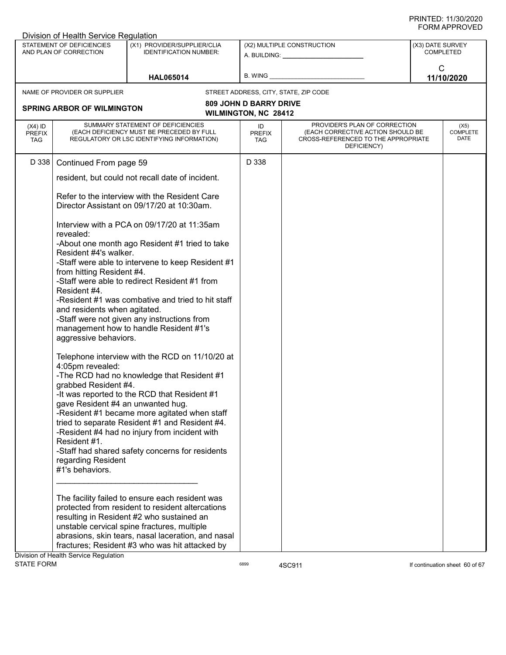|                                          | Division of Health Service Regulation                     |                                                                                                                                                     |                                                              |                                                                                                                          |                  |                                 |
|------------------------------------------|-----------------------------------------------------------|-----------------------------------------------------------------------------------------------------------------------------------------------------|--------------------------------------------------------------|--------------------------------------------------------------------------------------------------------------------------|------------------|---------------------------------|
|                                          | STATEMENT OF DEFICIENCIES<br>AND PLAN OF CORRECTION       | (X1) PROVIDER/SUPPLIER/CLIA<br><b>IDENTIFICATION NUMBER:</b>                                                                                        |                                                              | (X2) MULTIPLE CONSTRUCTION<br>A. BUILDING: A. BUILDING:                                                                  | (X3) DATE SURVEY | COMPLETED                       |
|                                          |                                                           | <b>HAL065014</b>                                                                                                                                    | B. WING                                                      |                                                                                                                          | $\mathsf{C}$     | 11/10/2020                      |
|                                          | NAME OF PROVIDER OR SUPPLIER                              |                                                                                                                                                     |                                                              | STREET ADDRESS, CITY, STATE, ZIP CODE                                                                                    |                  |                                 |
|                                          | <b>SPRING ARBOR OF WILMINGTON</b>                         |                                                                                                                                                     | <b>809 JOHN D BARRY DRIVE</b><br><b>WILMINGTON, NC 28412</b> |                                                                                                                          |                  |                                 |
| $(X4)$ ID<br><b>PREFIX</b><br><b>TAG</b> |                                                           | SUMMARY STATEMENT OF DEFICIENCIES<br>(EACH DEFICIENCY MUST BE PRECEDED BY FULL<br>REGULATORY OR LSC IDENTIFYING INFORMATION)                        | ID<br><b>PREFIX</b><br>TAG                                   | PROVIDER'S PLAN OF CORRECTION<br>(EACH CORRECTIVE ACTION SHOULD BE<br>CROSS-REFERENCED TO THE APPROPRIATE<br>DEFICIENCY) |                  | (X5)<br><b>COMPLETE</b><br>DATE |
| D 338                                    | Continued From page 59                                    |                                                                                                                                                     | D 338                                                        |                                                                                                                          |                  |                                 |
|                                          |                                                           | resident, but could not recall date of incident.                                                                                                    |                                                              |                                                                                                                          |                  |                                 |
|                                          |                                                           | Refer to the interview with the Resident Care<br>Director Assistant on 09/17/20 at 10:30am.                                                         |                                                              |                                                                                                                          |                  |                                 |
|                                          | revealed:                                                 | Interview with a PCA on 09/17/20 at 11:35am                                                                                                         |                                                              |                                                                                                                          |                  |                                 |
|                                          | Resident #4's walker.                                     | -About one month ago Resident #1 tried to take<br>-Staff were able to intervene to keep Resident #1                                                 |                                                              |                                                                                                                          |                  |                                 |
|                                          | from hitting Resident #4.                                 | -Staff were able to redirect Resident #1 from                                                                                                       |                                                              |                                                                                                                          |                  |                                 |
|                                          | Resident #4.<br>and residents when agitated.              | -Resident #1 was combative and tried to hit staff                                                                                                   |                                                              |                                                                                                                          |                  |                                 |
|                                          | aggressive behaviors.                                     | -Staff were not given any instructions from<br>management how to handle Resident #1's                                                               |                                                              |                                                                                                                          |                  |                                 |
|                                          | 4:05pm revealed:                                          | Telephone interview with the RCD on 11/10/20 at<br>-The RCD had no knowledge that Resident #1                                                       |                                                              |                                                                                                                          |                  |                                 |
|                                          | grabbed Resident #4.<br>gave Resident #4 an unwanted hug. | -It was reported to the RCD that Resident #1                                                                                                        |                                                              |                                                                                                                          |                  |                                 |
|                                          |                                                           | -Resident #1 became more agitated when staff<br>tried to separate Resident #1 and Resident #4.<br>-Resident #4 had no injury from incident with     |                                                              |                                                                                                                          |                  |                                 |
|                                          | Resident #1.                                              | -Staff had shared safety concerns for residents                                                                                                     |                                                              |                                                                                                                          |                  |                                 |
|                                          | regarding Resident<br>#1's behaviors.                     |                                                                                                                                                     |                                                              |                                                                                                                          |                  |                                 |
|                                          |                                                           | The facility failed to ensure each resident was<br>protected from resident to resident altercations<br>resulting in Resident #2 who sustained an    |                                                              |                                                                                                                          |                  |                                 |
|                                          |                                                           | unstable cervical spine fractures, multiple<br>abrasions, skin tears, nasal laceration, and nasal<br>fractures; Resident #3 who was hit attacked by |                                                              |                                                                                                                          |                  |                                 |
|                                          | Division of Health Service Regulation                     |                                                                                                                                                     |                                                              |                                                                                                                          |                  |                                 |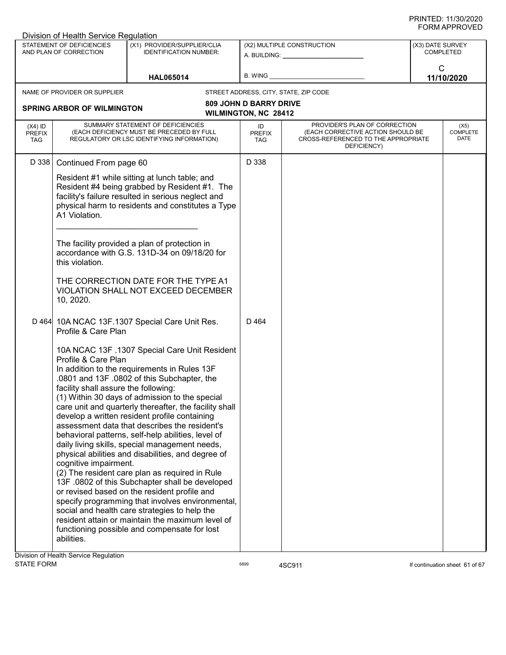| Division of Health Service Regulation    |                                                                                                                                                                    |                                                                                                                                                                                                                                                                                                                                                                                                                                                                                                                                                                                                                                                                                                                                                                                                                                                                                                                                          |                                                              |                                                                                                                          |                                      |  |  |
|------------------------------------------|--------------------------------------------------------------------------------------------------------------------------------------------------------------------|------------------------------------------------------------------------------------------------------------------------------------------------------------------------------------------------------------------------------------------------------------------------------------------------------------------------------------------------------------------------------------------------------------------------------------------------------------------------------------------------------------------------------------------------------------------------------------------------------------------------------------------------------------------------------------------------------------------------------------------------------------------------------------------------------------------------------------------------------------------------------------------------------------------------------------------|--------------------------------------------------------------|--------------------------------------------------------------------------------------------------------------------------|--------------------------------------|--|--|
|                                          | STATEMENT OF DEFICIENCIES<br>AND PLAN OF CORRECTION                                                                                                                | (X1) PROVIDER/SUPPLIER/CLIA<br><b>IDENTIFICATION NUMBER:</b>                                                                                                                                                                                                                                                                                                                                                                                                                                                                                                                                                                                                                                                                                                                                                                                                                                                                             |                                                              | (X2) MULTIPLE CONSTRUCTION                                                                                               | (X3) DATE SURVEY<br><b>COMPLETED</b> |  |  |
|                                          |                                                                                                                                                                    | <b>HAL065014</b>                                                                                                                                                                                                                                                                                                                                                                                                                                                                                                                                                                                                                                                                                                                                                                                                                                                                                                                         | B. WING                                                      |                                                                                                                          | C<br>11/10/2020                      |  |  |
|                                          | NAME OF PROVIDER OR SUPPLIER                                                                                                                                       |                                                                                                                                                                                                                                                                                                                                                                                                                                                                                                                                                                                                                                                                                                                                                                                                                                                                                                                                          |                                                              | STREET ADDRESS, CITY, STATE, ZIP CODE                                                                                    |                                      |  |  |
|                                          | <b>SPRING ARBOR OF WILMINGTON</b>                                                                                                                                  |                                                                                                                                                                                                                                                                                                                                                                                                                                                                                                                                                                                                                                                                                                                                                                                                                                                                                                                                          | <b>809 JOHN D BARRY DRIVE</b><br><b>WILMINGTON, NC 28412</b> |                                                                                                                          |                                      |  |  |
| $(X4)$ ID<br><b>PREFIX</b><br><b>TAG</b> |                                                                                                                                                                    | SUMMARY STATEMENT OF DEFICIENCIES<br>(EACH DEFICIENCY MUST BE PRECEDED BY FULL<br>REGULATORY OR LSC IDENTIFYING INFORMATION)                                                                                                                                                                                                                                                                                                                                                                                                                                                                                                                                                                                                                                                                                                                                                                                                             | ID<br><b>PREFIX</b><br>TAG                                   | PROVIDER'S PLAN OF CORRECTION<br>(EACH CORRECTIVE ACTION SHOULD BE<br>CROSS-REFERENCED TO THE APPROPRIATE<br>DEFICIENCY) | (X5)<br><b>COMPLETE</b><br>DATE      |  |  |
| D 338                                    | Continued From page 60                                                                                                                                             |                                                                                                                                                                                                                                                                                                                                                                                                                                                                                                                                                                                                                                                                                                                                                                                                                                                                                                                                          | D 338                                                        |                                                                                                                          |                                      |  |  |
|                                          | A1 Violation.<br>this violation.<br>10, 2020.                                                                                                                      | Resident #1 while sitting at lunch table; and<br>Resident #4 being grabbed by Resident #1. The<br>facility's failure resulted in serious neglect and<br>physical harm to residents and constitutes a Type<br>The facility provided a plan of protection in<br>accordance with G.S. 131D-34 on 09/18/20 for<br>THE CORRECTION DATE FOR THE TYPE A1<br>VIOLATION SHALL NOT EXCEED DECEMBER                                                                                                                                                                                                                                                                                                                                                                                                                                                                                                                                                 |                                                              |                                                                                                                          |                                      |  |  |
|                                          | Profile & Care Plan<br>Profile & Care Plan<br>facility shall assure the following:<br>cognitive impairment.<br>abilities.<br>Division of Health Service Regulation | D 464 10A NCAC 13F.1307 Special Care Unit Res.<br>10A NCAC 13F .1307 Special Care Unit Resident<br>In addition to the requirements in Rules 13F<br>.0801 and 13F .0802 of this Subchapter, the<br>(1) Within 30 days of admission to the special<br>care unit and quarterly thereafter, the facility shall<br>develop a written resident profile containing<br>assessment data that describes the resident's<br>behavioral patterns, self-help abilities, level of<br>daily living skills, special management needs,<br>physical abilities and disabilities, and degree of<br>(2) The resident care plan as required in Rule<br>13F .0802 of this Subchapter shall be developed<br>or revised based on the resident profile and<br>specify programming that involves environmental,<br>social and health care strategies to help the<br>resident attain or maintain the maximum level of<br>functioning possible and compensate for lost | D 464                                                        |                                                                                                                          |                                      |  |  |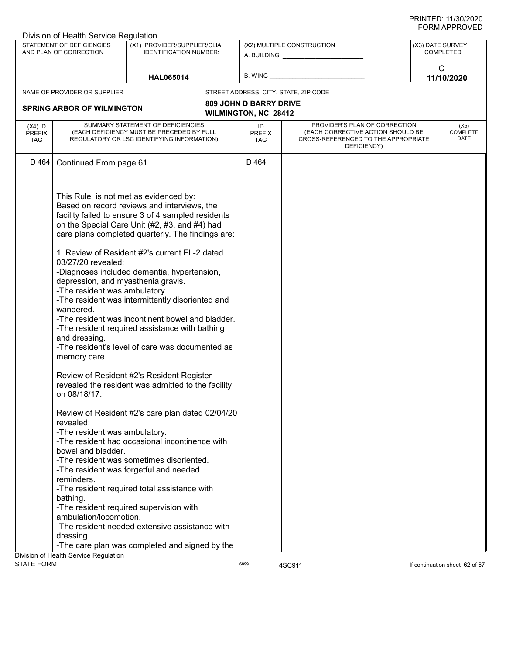| Division of Health Service Regulation    |                                                                                                                                                                                  |                                                                                                                                                                                                                                                                                                                                                                                                                                                                                                                      |                                   |                                                                                                                          |                  |                                 |  |
|------------------------------------------|----------------------------------------------------------------------------------------------------------------------------------------------------------------------------------|----------------------------------------------------------------------------------------------------------------------------------------------------------------------------------------------------------------------------------------------------------------------------------------------------------------------------------------------------------------------------------------------------------------------------------------------------------------------------------------------------------------------|-----------------------------------|--------------------------------------------------------------------------------------------------------------------------|------------------|---------------------------------|--|
|                                          | STATEMENT OF DEFICIENCIES<br>AND PLAN OF CORRECTION                                                                                                                              | (X1) PROVIDER/SUPPLIER/CLIA<br><b>IDENTIFICATION NUMBER:</b>                                                                                                                                                                                                                                                                                                                                                                                                                                                         |                                   | (X2) MULTIPLE CONSTRUCTION<br>A. BUILDING: A. BUILDING:                                                                  | (X3) DATE SURVEY | <b>COMPLETED</b>                |  |
|                                          |                                                                                                                                                                                  | <b>HAL065014</b>                                                                                                                                                                                                                                                                                                                                                                                                                                                                                                     | B. WING                           |                                                                                                                          | C                | 11/10/2020                      |  |
|                                          | NAME OF PROVIDER OR SUPPLIER                                                                                                                                                     |                                                                                                                                                                                                                                                                                                                                                                                                                                                                                                                      |                                   | STREET ADDRESS, CITY, STATE, ZIP CODE                                                                                    |                  |                                 |  |
|                                          |                                                                                                                                                                                  |                                                                                                                                                                                                                                                                                                                                                                                                                                                                                                                      | <b>809 JOHN D BARRY DRIVE</b>     |                                                                                                                          |                  |                                 |  |
|                                          | <b>SPRING ARBOR OF WILMINGTON</b>                                                                                                                                                |                                                                                                                                                                                                                                                                                                                                                                                                                                                                                                                      | <b>WILMINGTON, NC 28412</b>       |                                                                                                                          |                  |                                 |  |
| $(X4)$ ID<br><b>PREFIX</b><br><b>TAG</b> | SUMMARY STATEMENT OF DEFICIENCIES<br>(EACH DEFICIENCY MUST BE PRECEDED BY FULL<br>REGULATORY OR LSC IDENTIFYING INFORMATION)                                                     |                                                                                                                                                                                                                                                                                                                                                                                                                                                                                                                      | ID<br><b>PREFIX</b><br><b>TAG</b> | PROVIDER'S PLAN OF CORRECTION<br>(EACH CORRECTIVE ACTION SHOULD BE<br>CROSS-REFERENCED TO THE APPROPRIATE<br>DEFICIENCY) |                  | (X5)<br><b>COMPLETE</b><br>DATE |  |
| D 464                                    | Continued From page 61                                                                                                                                                           |                                                                                                                                                                                                                                                                                                                                                                                                                                                                                                                      | D 464                             |                                                                                                                          |                  |                                 |  |
|                                          | This Rule is not met as evidenced by:<br>03/27/20 revealed:<br>depression, and myasthenia gravis.<br>-The resident was ambulatory.<br>wandered.<br>and dressing.<br>memory care. | Based on record reviews and interviews, the<br>facility failed to ensure 3 of 4 sampled residents<br>on the Special Care Unit (#2, #3, and #4) had<br>care plans completed quarterly. The findings are:<br>1. Review of Resident #2's current FL-2 dated<br>-Diagnoses included dementia, hypertension,<br>-The resident was intermittently disoriented and<br>-The resident was incontinent bowel and bladder.<br>-The resident required assistance with bathing<br>-The resident's level of care was documented as |                                   |                                                                                                                          |                  |                                 |  |
|                                          | on 08/18/17.                                                                                                                                                                     | Review of Resident #2's Resident Register<br>revealed the resident was admitted to the facility                                                                                                                                                                                                                                                                                                                                                                                                                      |                                   |                                                                                                                          |                  |                                 |  |
|                                          | revealed:<br>-The resident was ambulatory.<br>bowel and bladder.                                                                                                                 | Review of Resident #2's care plan dated 02/04/20<br>-The resident had occasional incontinence with<br>-The resident was sometimes disoriented.                                                                                                                                                                                                                                                                                                                                                                       |                                   |                                                                                                                          |                  |                                 |  |
|                                          | reminders.                                                                                                                                                                       | -The resident was forgetful and needed<br>-The resident required total assistance with                                                                                                                                                                                                                                                                                                                                                                                                                               |                                   |                                                                                                                          |                  |                                 |  |
|                                          | bathing.<br>ambulation/locomotion.<br>dressing.                                                                                                                                  | -The resident required supervision with<br>-The resident needed extensive assistance with                                                                                                                                                                                                                                                                                                                                                                                                                            |                                   |                                                                                                                          |                  |                                 |  |
|                                          |                                                                                                                                                                                  | -The care plan was completed and signed by the                                                                                                                                                                                                                                                                                                                                                                                                                                                                       |                                   |                                                                                                                          |                  |                                 |  |
|                                          | Division of Health Service Regulation                                                                                                                                            |                                                                                                                                                                                                                                                                                                                                                                                                                                                                                                                      |                                   |                                                                                                                          |                  |                                 |  |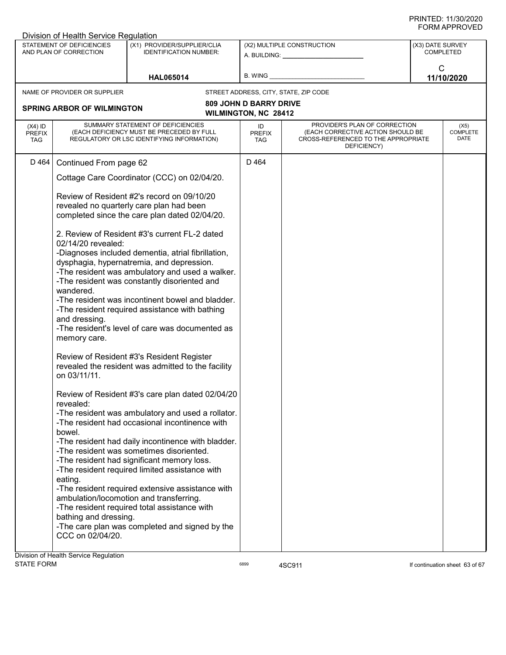|                                          | Division of Health Service Regulation                                                         |                                                                                                                                                                                                                                                                                                                                                                                                                                                                                                                                                                                                                                                                                                                                                                     |                                   |                                                                                                                                                                                                                                                              |                  |                                 |
|------------------------------------------|-----------------------------------------------------------------------------------------------|---------------------------------------------------------------------------------------------------------------------------------------------------------------------------------------------------------------------------------------------------------------------------------------------------------------------------------------------------------------------------------------------------------------------------------------------------------------------------------------------------------------------------------------------------------------------------------------------------------------------------------------------------------------------------------------------------------------------------------------------------------------------|-----------------------------------|--------------------------------------------------------------------------------------------------------------------------------------------------------------------------------------------------------------------------------------------------------------|------------------|---------------------------------|
|                                          | STATEMENT OF DEFICIENCIES<br>AND PLAN OF CORRECTION                                           | (X1) PROVIDER/SUPPLIER/CLIA<br><b>IDENTIFICATION NUMBER:</b>                                                                                                                                                                                                                                                                                                                                                                                                                                                                                                                                                                                                                                                                                                        |                                   | (X2) MULTIPLE CONSTRUCTION<br>A. BUILDING: A AND AND A STREAM OF A STREAM OF A STREAM OF A STREAM OF A STREAM OF A STREAM OF A STREAM OF A STREAM OF A STREAM OF A STREAM OF A STREAM OF A STREAM OF A STREAM OF A STREAM OF A STREAM OF A STREAM OF A STREA | (X3) DATE SURVEY | <b>COMPLETED</b>                |
|                                          |                                                                                               | <b>HAL065014</b>                                                                                                                                                                                                                                                                                                                                                                                                                                                                                                                                                                                                                                                                                                                                                    | B. WING                           |                                                                                                                                                                                                                                                              | $\mathsf{C}$     | 11/10/2020                      |
|                                          | NAME OF PROVIDER OR SUPPLIER                                                                  |                                                                                                                                                                                                                                                                                                                                                                                                                                                                                                                                                                                                                                                                                                                                                                     |                                   | STREET ADDRESS, CITY, STATE, ZIP CODE                                                                                                                                                                                                                        |                  |                                 |
|                                          |                                                                                               |                                                                                                                                                                                                                                                                                                                                                                                                                                                                                                                                                                                                                                                                                                                                                                     | <b>809 JOHN D BARRY DRIVE</b>     |                                                                                                                                                                                                                                                              |                  |                                 |
|                                          | <b>SPRING ARBOR OF WILMINGTON</b>                                                             |                                                                                                                                                                                                                                                                                                                                                                                                                                                                                                                                                                                                                                                                                                                                                                     | WILMINGTON, NC 28412              |                                                                                                                                                                                                                                                              |                  |                                 |
| $(X4)$ ID<br><b>PREFIX</b><br><b>TAG</b> |                                                                                               | SUMMARY STATEMENT OF DEFICIENCIES<br>(EACH DEFICIENCY MUST BE PRECEDED BY FULL<br>REGULATORY OR LSC IDENTIFYING INFORMATION)                                                                                                                                                                                                                                                                                                                                                                                                                                                                                                                                                                                                                                        | ID<br><b>PREFIX</b><br><b>TAG</b> | PROVIDER'S PLAN OF CORRECTION<br>(EACH CORRECTIVE ACTION SHOULD BE<br>CROSS-REFERENCED TO THE APPROPRIATE<br>DEFICIENCY)                                                                                                                                     |                  | (X5)<br><b>COMPLETE</b><br>DATE |
| D 464                                    | Continued From page 62                                                                        |                                                                                                                                                                                                                                                                                                                                                                                                                                                                                                                                                                                                                                                                                                                                                                     | D 464                             |                                                                                                                                                                                                                                                              |                  |                                 |
|                                          |                                                                                               | Cottage Care Coordinator (CCC) on 02/04/20.                                                                                                                                                                                                                                                                                                                                                                                                                                                                                                                                                                                                                                                                                                                         |                                   |                                                                                                                                                                                                                                                              |                  |                                 |
|                                          | 02/14/20 revealed:<br>wandered.<br>and dressing.<br>memory care.<br>on 03/11/11.<br>revealed: | Review of Resident #2's record on 09/10/20<br>revealed no quarterly care plan had been<br>completed since the care plan dated 02/04/20.<br>2. Review of Resident #3's current FL-2 dated<br>-Diagnoses included dementia, atrial fibrillation,<br>dysphagia, hypernatremia, and depression.<br>-The resident was ambulatory and used a walker.<br>-The resident was constantly disoriented and<br>-The resident was incontinent bowel and bladder.<br>-The resident required assistance with bathing<br>-The resident's level of care was documented as<br>Review of Resident #3's Resident Register<br>revealed the resident was admitted to the facility<br>Review of Resident #3's care plan dated 02/04/20<br>-The resident was ambulatory and used a rollator. |                                   |                                                                                                                                                                                                                                                              |                  |                                 |
|                                          | bowel.                                                                                        | -The resident had occasional incontinence with<br>-The resident had daily incontinence with bladder.<br>-The resident was sometimes disoriented.<br>-The resident had significant memory loss.<br>-The resident required limited assistance with                                                                                                                                                                                                                                                                                                                                                                                                                                                                                                                    |                                   |                                                                                                                                                                                                                                                              |                  |                                 |
|                                          | eating.<br>bathing and dressing.<br>CCC on 02/04/20.<br>Division of Health Service Regulation | -The resident required extensive assistance with<br>ambulation/locomotion and transferring.<br>-The resident required total assistance with<br>-The care plan was completed and signed by the                                                                                                                                                                                                                                                                                                                                                                                                                                                                                                                                                                       |                                   |                                                                                                                                                                                                                                                              |                  |                                 |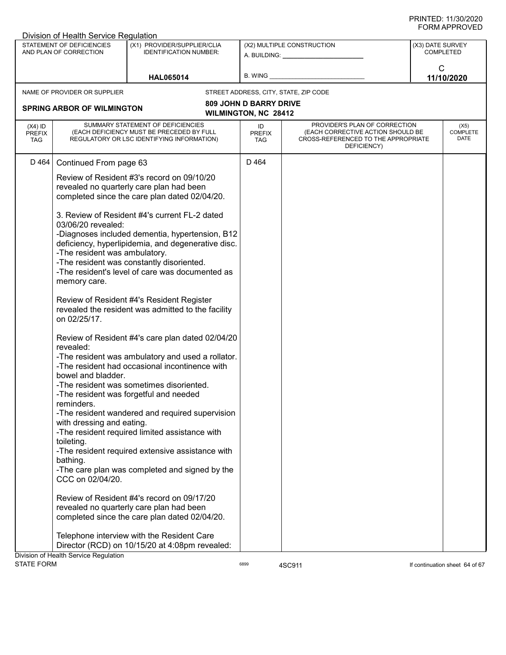| Division of Health Service Regulation    |                                                     |                                                                                                                                                        |                                                              |                                                                                                                          |                  |                                 |
|------------------------------------------|-----------------------------------------------------|--------------------------------------------------------------------------------------------------------------------------------------------------------|--------------------------------------------------------------|--------------------------------------------------------------------------------------------------------------------------|------------------|---------------------------------|
|                                          | STATEMENT OF DEFICIENCIES<br>AND PLAN OF CORRECTION | (X1) PROVIDER/SUPPLIER/CLIA<br><b>IDENTIFICATION NUMBER:</b>                                                                                           |                                                              | (X2) MULTIPLE CONSTRUCTION<br>A. BUILDING: A. BUILDING:                                                                  | (X3) DATE SURVEY | <b>COMPLETED</b>                |
|                                          |                                                     | <b>HAL065014</b>                                                                                                                                       | B. WING                                                      |                                                                                                                          | $\mathsf{C}$     | 11/10/2020                      |
|                                          | NAME OF PROVIDER OR SUPPLIER                        |                                                                                                                                                        |                                                              | STREET ADDRESS, CITY, STATE, ZIP CODE                                                                                    |                  |                                 |
|                                          | <b>SPRING ARBOR OF WILMINGTON</b>                   |                                                                                                                                                        | <b>809 JOHN D BARRY DRIVE</b><br><b>WILMINGTON, NC 28412</b> |                                                                                                                          |                  |                                 |
| $(X4)$ ID<br><b>PREFIX</b><br><b>TAG</b> |                                                     | SUMMARY STATEMENT OF DEFICIENCIES<br>(EACH DEFICIENCY MUST BE PRECEDED BY FULL<br>REGULATORY OR LSC IDENTIFYING INFORMATION)                           | ID<br><b>PREFIX</b><br>TAG                                   | PROVIDER'S PLAN OF CORRECTION<br>(EACH CORRECTIVE ACTION SHOULD BE<br>CROSS-REFERENCED TO THE APPROPRIATE<br>DEFICIENCY) |                  | (X5)<br><b>COMPLETE</b><br>DATE |
| D 464                                    | Continued From page 63                              |                                                                                                                                                        | D 464                                                        |                                                                                                                          |                  |                                 |
|                                          |                                                     | Review of Resident #3's record on 09/10/20<br>revealed no quarterly care plan had been<br>completed since the care plan dated 02/04/20.                |                                                              |                                                                                                                          |                  |                                 |
|                                          | 03/06/20 revealed:                                  | 3. Review of Resident #4's current FL-2 dated<br>-Diagnoses included dementia, hypertension, B12<br>deficiency, hyperlipidemia, and degenerative disc. |                                                              |                                                                                                                          |                  |                                 |
|                                          | -The resident was ambulatory.<br>memory care.       | -The resident was constantly disoriented.<br>-The resident's level of care was documented as                                                           |                                                              |                                                                                                                          |                  |                                 |
|                                          | on 02/25/17.                                        | Review of Resident #4's Resident Register<br>revealed the resident was admitted to the facility                                                        |                                                              |                                                                                                                          |                  |                                 |
|                                          | revealed:                                           | Review of Resident #4's care plan dated 02/04/20                                                                                                       |                                                              |                                                                                                                          |                  |                                 |
|                                          | bowel and bladder.                                  | -The resident was ambulatory and used a rollator.<br>-The resident had occasional incontinence with                                                    |                                                              |                                                                                                                          |                  |                                 |
|                                          | reminders.                                          | -The resident was sometimes disoriented.<br>-The resident was forgetful and needed                                                                     |                                                              |                                                                                                                          |                  |                                 |
|                                          | with dressing and eating.                           | -The resident wandered and required supervision<br>-The resident required limited assistance with                                                      |                                                              |                                                                                                                          |                  |                                 |
|                                          | toileting.<br>bathing.                              | -The resident required extensive assistance with                                                                                                       |                                                              |                                                                                                                          |                  |                                 |
|                                          | CCC on 02/04/20.                                    | -The care plan was completed and signed by the                                                                                                         |                                                              |                                                                                                                          |                  |                                 |
|                                          |                                                     | Review of Resident #4's record on 09/17/20<br>revealed no quarterly care plan had been<br>completed since the care plan dated 02/04/20.                |                                                              |                                                                                                                          |                  |                                 |
|                                          |                                                     | Telephone interview with the Resident Care<br>Director (RCD) on 10/15/20 at 4:08pm revealed:                                                           |                                                              |                                                                                                                          |                  |                                 |
|                                          | Division of Health Service Regulation               |                                                                                                                                                        |                                                              |                                                                                                                          |                  |                                 |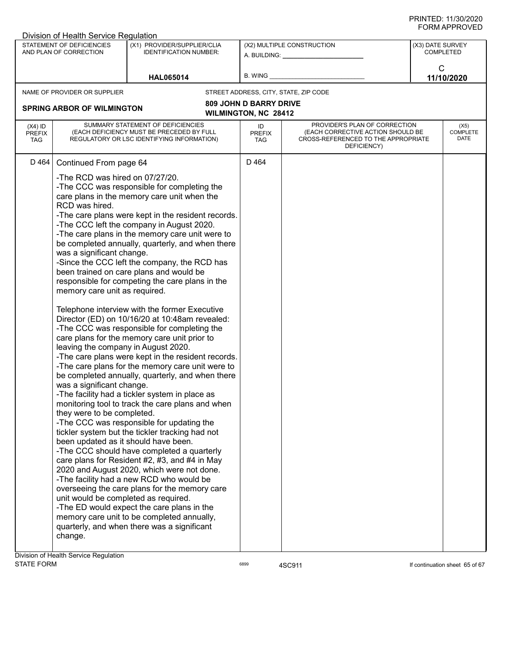|                                   | Division of Health Service Regulation                                                                                                                                                                                                                                                                                                                                                                                                                                                                                                                                                                                                                                                                                                                                                                                                                                                                                                                                                                                                                                                                                                                                                                                                                                                                                                                                                                                                                                                                                                                                                                                                                                                                                                                                                                                                                                                                                        |                                                              |                                                              |                                                                                                                          |              |                                      |
|-----------------------------------|------------------------------------------------------------------------------------------------------------------------------------------------------------------------------------------------------------------------------------------------------------------------------------------------------------------------------------------------------------------------------------------------------------------------------------------------------------------------------------------------------------------------------------------------------------------------------------------------------------------------------------------------------------------------------------------------------------------------------------------------------------------------------------------------------------------------------------------------------------------------------------------------------------------------------------------------------------------------------------------------------------------------------------------------------------------------------------------------------------------------------------------------------------------------------------------------------------------------------------------------------------------------------------------------------------------------------------------------------------------------------------------------------------------------------------------------------------------------------------------------------------------------------------------------------------------------------------------------------------------------------------------------------------------------------------------------------------------------------------------------------------------------------------------------------------------------------------------------------------------------------------------------------------------------------|--------------------------------------------------------------|--------------------------------------------------------------|--------------------------------------------------------------------------------------------------------------------------|--------------|--------------------------------------|
|                                   | STATEMENT OF DEFICIENCIES<br>AND PLAN OF CORRECTION                                                                                                                                                                                                                                                                                                                                                                                                                                                                                                                                                                                                                                                                                                                                                                                                                                                                                                                                                                                                                                                                                                                                                                                                                                                                                                                                                                                                                                                                                                                                                                                                                                                                                                                                                                                                                                                                          | (X1) PROVIDER/SUPPLIER/CLIA<br><b>IDENTIFICATION NUMBER:</b> |                                                              | (X2) MULTIPLE CONSTRUCTION                                                                                               |              | (X3) DATE SURVEY<br><b>COMPLETED</b> |
|                                   |                                                                                                                                                                                                                                                                                                                                                                                                                                                                                                                                                                                                                                                                                                                                                                                                                                                                                                                                                                                                                                                                                                                                                                                                                                                                                                                                                                                                                                                                                                                                                                                                                                                                                                                                                                                                                                                                                                                              | <b>HAL065014</b>                                             | B. WING                                                      |                                                                                                                          | $\mathsf{C}$ | 11/10/2020                           |
|                                   | NAME OF PROVIDER OR SUPPLIER                                                                                                                                                                                                                                                                                                                                                                                                                                                                                                                                                                                                                                                                                                                                                                                                                                                                                                                                                                                                                                                                                                                                                                                                                                                                                                                                                                                                                                                                                                                                                                                                                                                                                                                                                                                                                                                                                                 |                                                              |                                                              | STREET ADDRESS, CITY, STATE, ZIP CODE                                                                                    |              |                                      |
|                                   |                                                                                                                                                                                                                                                                                                                                                                                                                                                                                                                                                                                                                                                                                                                                                                                                                                                                                                                                                                                                                                                                                                                                                                                                                                                                                                                                                                                                                                                                                                                                                                                                                                                                                                                                                                                                                                                                                                                              |                                                              | <b>809 JOHN D BARRY DRIVE</b><br><b>WILMINGTON, NC 28412</b> |                                                                                                                          |              |                                      |
| $(X4)$ ID<br><b>PREFIX</b><br>TAG |                                                                                                                                                                                                                                                                                                                                                                                                                                                                                                                                                                                                                                                                                                                                                                                                                                                                                                                                                                                                                                                                                                                                                                                                                                                                                                                                                                                                                                                                                                                                                                                                                                                                                                                                                                                                                                                                                                                              |                                                              | ID<br><b>PREFIX</b><br>TAG.                                  | PROVIDER'S PLAN OF CORRECTION<br>(EACH CORRECTIVE ACTION SHOULD BE<br>CROSS-REFERENCED TO THE APPROPRIATE<br>DEFICIENCY) |              | (X5)<br>COMPLETE<br><b>DATE</b>      |
| D 464                             |                                                                                                                                                                                                                                                                                                                                                                                                                                                                                                                                                                                                                                                                                                                                                                                                                                                                                                                                                                                                                                                                                                                                                                                                                                                                                                                                                                                                                                                                                                                                                                                                                                                                                                                                                                                                                                                                                                                              |                                                              | D 464                                                        |                                                                                                                          |              |                                      |
|                                   | <b>SPRING ARBOR OF WILMINGTON</b><br>SUMMARY STATEMENT OF DEFICIENCIES<br>(EACH DEFICIENCY MUST BE PRECEDED BY FULL<br>REGULATORY OR LSC IDENTIFYING INFORMATION)<br>Continued From page 64<br>-The RCD was hired on 07/27/20.<br>-The CCC was responsible for completing the<br>care plans in the memory care unit when the<br>RCD was hired.<br>-The care plans were kept in the resident records.<br>-The CCC left the company in August 2020.<br>-The care plans in the memory care unit were to<br>be completed annually, quarterly, and when there<br>was a significant change.<br>-Since the CCC left the company, the RCD has<br>been trained on care plans and would be<br>responsible for competing the care plans in the<br>memory care unit as required.<br>Telephone interview with the former Executive<br>Director (ED) on 10/16/20 at 10:48am revealed:<br>-The CCC was responsible for completing the<br>care plans for the memory care unit prior to<br>leaving the company in August 2020.<br>-The care plans were kept in the resident records.<br>-The care plans for the memory care unit were to<br>be completed annually, quarterly, and when there<br>was a significant change.<br>-The facility had a tickler system in place as<br>monitoring tool to track the care plans and when<br>they were to be completed.<br>-The CCC was responsible for updating the<br>tickler system but the tickler tracking had not<br>been updated as it should have been.<br>-The CCC should have completed a quarterly<br>care plans for Resident #2, #3, and #4 in May<br>2020 and August 2020, which were not done.<br>-The facility had a new RCD who would be<br>overseeing the care plans for the memory care<br>unit would be completed as required.<br>-The ED would expect the care plans in the<br>memory care unit to be completed annually,<br>quarterly, and when there was a significant<br>change. |                                                              |                                                              |                                                                                                                          |              |                                      |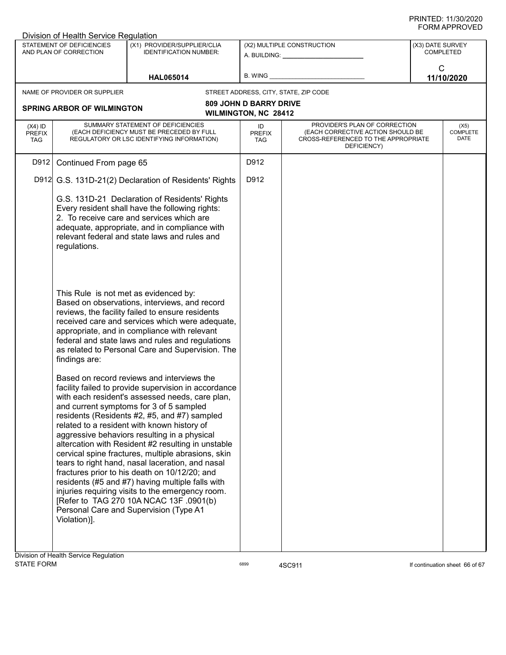| Division of Health Service Regulation                                              |                              |                                                                                                                                                                                                                                                                                                                                                                                                                                                                                                                                                                                                                                                                                                                                                                                                                                                                                                                                                                                                                                                                                                                                                                                                                                                                                                                                                                                                                                                                                                                                                                                                                                                                    |                                       |                                                                                                                                                                  |                                                                                                           |  |
|------------------------------------------------------------------------------------|------------------------------|--------------------------------------------------------------------------------------------------------------------------------------------------------------------------------------------------------------------------------------------------------------------------------------------------------------------------------------------------------------------------------------------------------------------------------------------------------------------------------------------------------------------------------------------------------------------------------------------------------------------------------------------------------------------------------------------------------------------------------------------------------------------------------------------------------------------------------------------------------------------------------------------------------------------------------------------------------------------------------------------------------------------------------------------------------------------------------------------------------------------------------------------------------------------------------------------------------------------------------------------------------------------------------------------------------------------------------------------------------------------------------------------------------------------------------------------------------------------------------------------------------------------------------------------------------------------------------------------------------------------------------------------------------------------|---------------------------------------|------------------------------------------------------------------------------------------------------------------------------------------------------------------|-----------------------------------------------------------------------------------------------------------|--|
| STATEMENT OF DEFICIENCIES<br>(X1) PROVIDER/SUPPLIER/CLIA<br>AND PLAN OF CORRECTION |                              |                                                                                                                                                                                                                                                                                                                                                                                                                                                                                                                                                                                                                                                                                                                                                                                                                                                                                                                                                                                                                                                                                                                                                                                                                                                                                                                                                                                                                                                                                                                                                                                                                                                                    |                                       | (X3) DATE SURVEY<br><b>COMPLETED</b>                                                                                                                             |                                                                                                           |  |
|                                                                                    | <b>HAL065014</b>             | B. WING                                                                                                                                                                                                                                                                                                                                                                                                                                                                                                                                                                                                                                                                                                                                                                                                                                                                                                                                                                                                                                                                                                                                                                                                                                                                                                                                                                                                                                                                                                                                                                                                                                                            |                                       | $\mathsf{C}$<br>11/10/2020                                                                                                                                       |                                                                                                           |  |
|                                                                                    |                              |                                                                                                                                                                                                                                                                                                                                                                                                                                                                                                                                                                                                                                                                                                                                                                                                                                                                                                                                                                                                                                                                                                                                                                                                                                                                                                                                                                                                                                                                                                                                                                                                                                                                    |                                       |                                                                                                                                                                  |                                                                                                           |  |
|                                                                                    |                              |                                                                                                                                                                                                                                                                                                                                                                                                                                                                                                                                                                                                                                                                                                                                                                                                                                                                                                                                                                                                                                                                                                                                                                                                                                                                                                                                                                                                                                                                                                                                                                                                                                                                    |                                       |                                                                                                                                                                  |                                                                                                           |  |
|                                                                                    |                              | ID<br><b>PREFIX</b><br>TAG                                                                                                                                                                                                                                                                                                                                                                                                                                                                                                                                                                                                                                                                                                                                                                                                                                                                                                                                                                                                                                                                                                                                                                                                                                                                                                                                                                                                                                                                                                                                                                                                                                         | DEFICIENCY)                           |                                                                                                                                                                  | (X5)<br><b>COMPLETE</b><br>DATE                                                                           |  |
|                                                                                    |                              | D912                                                                                                                                                                                                                                                                                                                                                                                                                                                                                                                                                                                                                                                                                                                                                                                                                                                                                                                                                                                                                                                                                                                                                                                                                                                                                                                                                                                                                                                                                                                                                                                                                                                               |                                       |                                                                                                                                                                  |                                                                                                           |  |
|                                                                                    |                              | D912                                                                                                                                                                                                                                                                                                                                                                                                                                                                                                                                                                                                                                                                                                                                                                                                                                                                                                                                                                                                                                                                                                                                                                                                                                                                                                                                                                                                                                                                                                                                                                                                                                                               |                                       |                                                                                                                                                                  |                                                                                                           |  |
| regulations.                                                                       |                              |                                                                                                                                                                                                                                                                                                                                                                                                                                                                                                                                                                                                                                                                                                                                                                                                                                                                                                                                                                                                                                                                                                                                                                                                                                                                                                                                                                                                                                                                                                                                                                                                                                                                    |                                       |                                                                                                                                                                  |                                                                                                           |  |
| findings are:                                                                      |                              |                                                                                                                                                                                                                                                                                                                                                                                                                                                                                                                                                                                                                                                                                                                                                                                                                                                                                                                                                                                                                                                                                                                                                                                                                                                                                                                                                                                                                                                                                                                                                                                                                                                                    |                                       |                                                                                                                                                                  |                                                                                                           |  |
| Violation)].                                                                       |                              |                                                                                                                                                                                                                                                                                                                                                                                                                                                                                                                                                                                                                                                                                                                                                                                                                                                                                                                                                                                                                                                                                                                                                                                                                                                                                                                                                                                                                                                                                                                                                                                                                                                                    |                                       |                                                                                                                                                                  |                                                                                                           |  |
|                                                                                    | NAME OF PROVIDER OR SUPPLIER | <b>IDENTIFICATION NUMBER:</b><br><b>SPRING ARBOR OF WILMINGTON</b><br>SUMMARY STATEMENT OF DEFICIENCIES<br>(EACH DEFICIENCY MUST BE PRECEDED BY FULL<br>REGULATORY OR LSC IDENTIFYING INFORMATION)<br>Continued From page 65<br>D912 G.S. 131D-21(2) Declaration of Residents' Rights<br>G.S. 131D-21 Declaration of Residents' Rights<br>Every resident shall have the following rights:<br>2. To receive care and services which are<br>adequate, appropriate, and in compliance with<br>relevant federal and state laws and rules and<br>This Rule is not met as evidenced by:<br>Based on observations, interviews, and record<br>reviews, the facility failed to ensure residents<br>received care and services which were adequate,<br>appropriate, and in compliance with relevant<br>federal and state laws and rules and regulations<br>as related to Personal Care and Supervision. The<br>Based on record reviews and interviews the<br>facility failed to provide supervision in accordance<br>with each resident's assessed needs, care plan,<br>and current symptoms for 3 of 5 sampled<br>residents (Residents #2, #5, and #7) sampled<br>related to a resident with known history of<br>aggressive behaviors resulting in a physical<br>altercation with Resident #2 resulting in unstable<br>cervical spine fractures, multiple abrasions, skin<br>tears to right hand, nasal laceration, and nasal<br>fractures prior to his death on 10/12/20; and<br>residents (#5 and #7) having multiple falls with<br>injuries requiring visits to the emergency room.<br>[Refer to TAG 270 10A NCAC 13F .0901(b)<br>Personal Care and Supervision (Type A1 | Division of Health Service Regulation | (X2) MULTIPLE CONSTRUCTION<br>A. BUILDING: A. BUILDING:<br>STREET ADDRESS, CITY, STATE, ZIP CODE<br><b>809 JOHN D BARRY DRIVE</b><br><b>WILMINGTON, NC 28412</b> | PROVIDER'S PLAN OF CORRECTION<br>(EACH CORRECTIVE ACTION SHOULD BE<br>CROSS-REFERENCED TO THE APPROPRIATE |  |